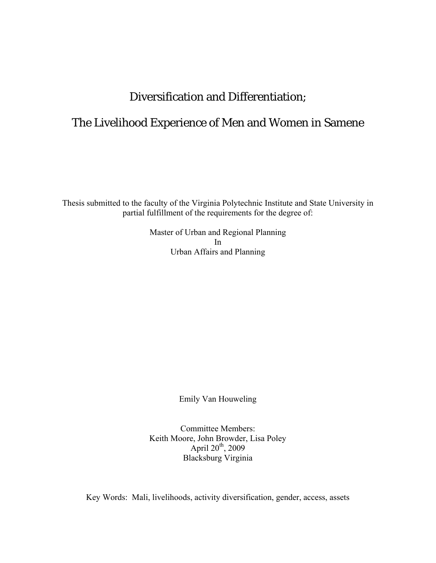# Diversification and Differentiation;

# The Livelihood Experience of Men and Women in Samene

Thesis submitted to the faculty of the Virginia Polytechnic Institute and State University in partial fulfillment of the requirements for the degree of:

> Master of Urban and Regional Planning In Urban Affairs and Planning

> > Emily Van Houweling

Committee Members: Keith Moore, John Browder, Lisa Poley April  $20^{th}$ ,  $2009$ Blacksburg Virginia

Key Words: Mali, livelihoods, activity diversification, gender, access, assets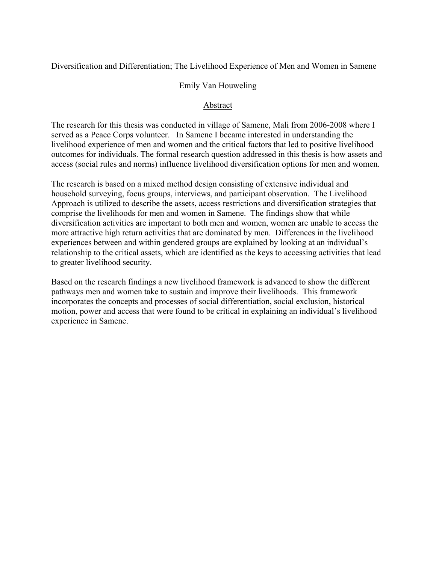Diversification and Differentiation; The Livelihood Experience of Men and Women in Samene

#### Emily Van Houweling

#### Abstract

The research for this thesis was conducted in village of Samene, Mali from 2006-2008 where I served as a Peace Corps volunteer. In Samene I became interested in understanding the livelihood experience of men and women and the critical factors that led to positive livelihood outcomes for individuals. The formal research question addressed in this thesis is how assets and access (social rules and norms) influence livelihood diversification options for men and women.

The research is based on a mixed method design consisting of extensive individual and household surveying, focus groups, interviews, and participant observation. The Livelihood Approach is utilized to describe the assets, access restrictions and diversification strategies that comprise the livelihoods for men and women in Samene. The findings show that while diversification activities are important to both men and women, women are unable to access the more attractive high return activities that are dominated by men. Differences in the livelihood experiences between and within gendered groups are explained by looking at an individual's relationship to the critical assets, which are identified as the keys to accessing activities that lead to greater livelihood security.

Based on the research findings a new livelihood framework is advanced to show the different pathways men and women take to sustain and improve their livelihoods. This framework incorporates the concepts and processes of social differentiation, social exclusion, historical motion, power and access that were found to be critical in explaining an individual's livelihood experience in Samene.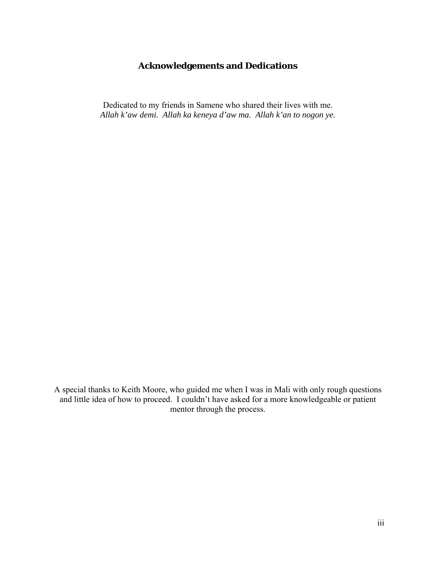# **Acknowledgements and Dedications**

Dedicated to my friends in Samene who shared their lives with me. *Allah k'aw demi. Allah ka keneya d'aw ma. Allah k'an to nogon ye.* 

A special thanks to Keith Moore, who guided me when I was in Mali with only rough questions and little idea of how to proceed. I couldn't have asked for a more knowledgeable or patient mentor through the process.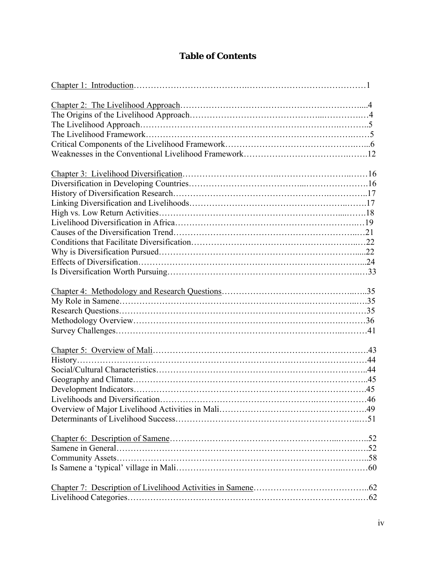# **Table of Contents**

| Livelihoods and Diversification |  |
|---------------------------------|--|
|                                 |  |
|                                 |  |
|                                 |  |
|                                 |  |
|                                 |  |
|                                 |  |
|                                 |  |
|                                 |  |
|                                 |  |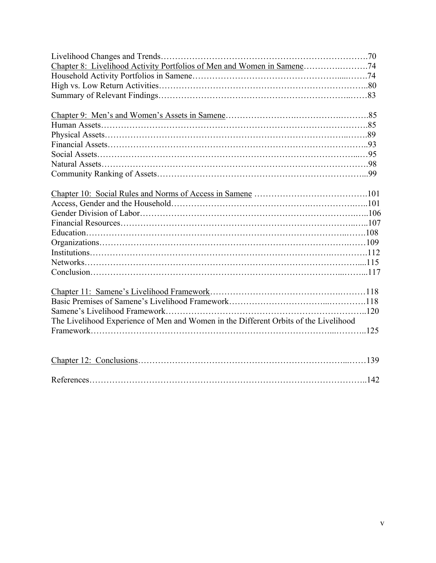| The Livelihood Experience of Men and Women in the Different Orbits of the Livelihood |  |
|--------------------------------------------------------------------------------------|--|
|                                                                                      |  |
|                                                                                      |  |
|                                                                                      |  |
|                                                                                      |  |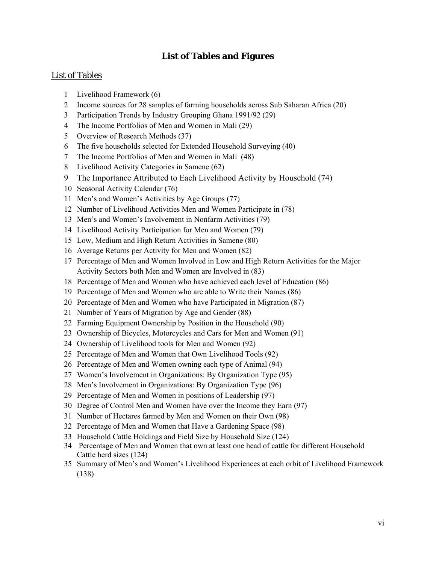# **List of Tables and Figures**

#### List of Tables

- Livelihood Framework (6)
- Income sources for 28 samples of farming households across Sub Saharan Africa (20)
- Participation Trends by Industry Grouping Ghana 1991/92 (29)
- The Income Portfolios of Men and Women in Mali (29)
- Overview of Research Methods (37)
- The five households selected for Extended Household Surveying (40)
- The Income Portfolios of Men and Women in Mali (48)
- Livelihood Activity Categories in Samene (62)
- The Importance Attributed to Each Livelihood Activity by Household (74)
- Seasonal Activity Calendar (76)
- Men's and Women's Activities by Age Groups (77)
- Number of Livelihood Activities Men and Women Participate in (78)
- Men's and Women's Involvement in Nonfarm Activities (79)
- Livelihood Activity Participation for Men and Women (79)
- Low, Medium and High Return Activities in Samene (80)
- Average Returns per Activity for Men and Women (82)
- Percentage of Men and Women Involved in Low and High Return Activities for the Major Activity Sectors both Men and Women are Involved in (83)
- Percentage of Men and Women who have achieved each level of Education (86)
- Percentage of Men and Women who are able to Write their Names (86)
- Percentage of Men and Women who have Participated in Migration (87)
- Number of Years of Migration by Age and Gender (88)
- Farming Equipment Ownership by Position in the Household (90)
- Ownership of Bicycles, Motorcycles and Cars for Men and Women (91)
- Ownership of Livelihood tools for Men and Women (92)
- Percentage of Men and Women that Own Livelihood Tools (92)
- Percentage of Men and Women owning each type of Animal (94)
- Women's Involvement in Organizations: By Organization Type (95)
- Men's Involvement in Organizations: By Organization Type (96)
- Percentage of Men and Women in positions of Leadership (97)
- Degree of Control Men and Women have over the Income they Earn (97)
- Number of Hectares farmed by Men and Women on their Own (98)
- Percentage of Men and Women that Have a Gardening Space (98)
- Household Cattle Holdings and Field Size by Household Size (124)
- 34 Percentage of Men and Women that own at least one head of cattle for different Household Cattle herd sizes (124)
- Summary of Men's and Women's Livelihood Experiences at each orbit of Livelihood Framework (138)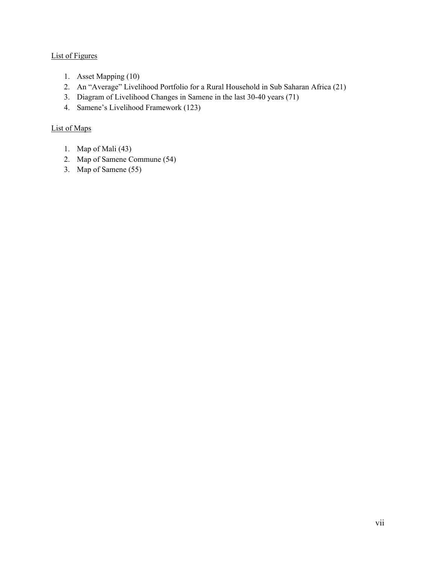# List of Figures

- 1. Asset Mapping (10)
- 2. An "Average" Livelihood Portfolio for a Rural Household in Sub Saharan Africa (21)
- 3. Diagram of Livelihood Changes in Samene in the last 30-40 years (71)
- 4. Samene's Livelihood Framework (123)

#### List of Maps

- 1. Map of Mali (43)
- 2. Map of Samene Commune (54)
- 3. Map of Samene (55)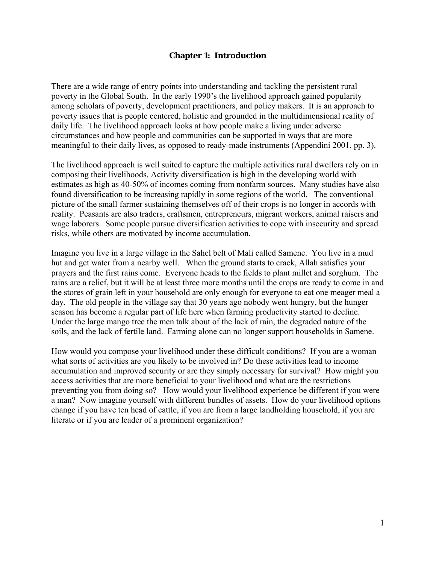#### **Chapter 1: Introduction**

There are a wide range of entry points into understanding and tackling the persistent rural poverty in the Global South. In the early 1990's the livelihood approach gained popularity among scholars of poverty, development practitioners, and policy makers. It is an approach to poverty issues that is people centered, holistic and grounded in the multidimensional reality of daily life. The livelihood approach looks at how people make a living under adverse circumstances and how people and communities can be supported in ways that are more meaningful to their daily lives, as opposed to ready-made instruments (Appendini 2001, pp. 3).

The livelihood approach is well suited to capture the multiple activities rural dwellers rely on in composing their livelihoods. Activity diversification is high in the developing world with estimates as high as 40-50% of incomes coming from nonfarm sources. Many studies have also found diversification to be increasing rapidly in some regions of the world. The conventional picture of the small farmer sustaining themselves off of their crops is no longer in accords with reality. Peasants are also traders, craftsmen, entrepreneurs, migrant workers, animal raisers and wage laborers. Some people pursue diversification activities to cope with insecurity and spread risks, while others are motivated by income accumulation.

Imagine you live in a large village in the Sahel belt of Mali called Samene. You live in a mud hut and get water from a nearby well. When the ground starts to crack, Allah satisfies your prayers and the first rains come. Everyone heads to the fields to plant millet and sorghum. The rains are a relief, but it will be at least three more months until the crops are ready to come in and the stores of grain left in your household are only enough for everyone to eat one meager meal a day. The old people in the village say that 30 years ago nobody went hungry, but the hunger season has become a regular part of life here when farming productivity started to decline. Under the large mango tree the men talk about of the lack of rain, the degraded nature of the soils, and the lack of fertile land. Farming alone can no longer support households in Samene.

How would you compose your livelihood under these difficult conditions? If you are a woman what sorts of activities are you likely to be involved in? Do these activities lead to income accumulation and improved security or are they simply necessary for survival? How might you access activities that are more beneficial to your livelihood and what are the restrictions preventing you from doing so? How would your livelihood experience be different if you were a man? Now imagine yourself with different bundles of assets. How do your livelihood options change if you have ten head of cattle, if you are from a large landholding household, if you are literate or if you are leader of a prominent organization?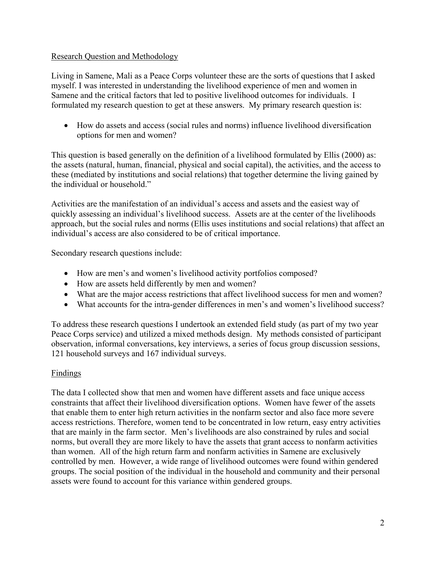# Research Question and Methodology

Living in Samene, Mali as a Peace Corps volunteer these are the sorts of questions that I asked myself. I was interested in understanding the livelihood experience of men and women in Samene and the critical factors that led to positive livelihood outcomes for individuals. I formulated my research question to get at these answers. My primary research question is:

• How do assets and access (social rules and norms) influence livelihood diversification options for men and women?

This question is based generally on the definition of a livelihood formulated by Ellis (2000) as: the assets (natural, human, financial, physical and social capital), the activities, and the access to these (mediated by institutions and social relations) that together determine the living gained by the individual or household."

Activities are the manifestation of an individual's access and assets and the easiest way of quickly assessing an individual's livelihood success. Assets are at the center of the livelihoods approach, but the social rules and norms (Ellis uses institutions and social relations) that affect an individual's access are also considered to be of critical importance.

Secondary research questions include:

- How are men's and women's livelihood activity portfolios composed?
- How are assets held differently by men and women?
- What are the major access restrictions that affect livelihood success for men and women?
- What accounts for the intra-gender differences in men's and women's livelihood success?

To address these research questions I undertook an extended field study (as part of my two year Peace Corps service) and utilized a mixed methods design. My methods consisted of participant observation, informal conversations, key interviews, a series of focus group discussion sessions, 121 household surveys and 167 individual surveys.

# Findings

The data I collected show that men and women have different assets and face unique access constraints that affect their livelihood diversification options. Women have fewer of the assets that enable them to enter high return activities in the nonfarm sector and also face more severe access restrictions. Therefore, women tend to be concentrated in low return, easy entry activities that are mainly in the farm sector. Men's livelihoods are also constrained by rules and social norms, but overall they are more likely to have the assets that grant access to nonfarm activities than women. All of the high return farm and nonfarm activities in Samene are exclusively controlled by men. However, a wide range of livelihood outcomes were found within gendered groups. The social position of the individual in the household and community and their personal assets were found to account for this variance within gendered groups.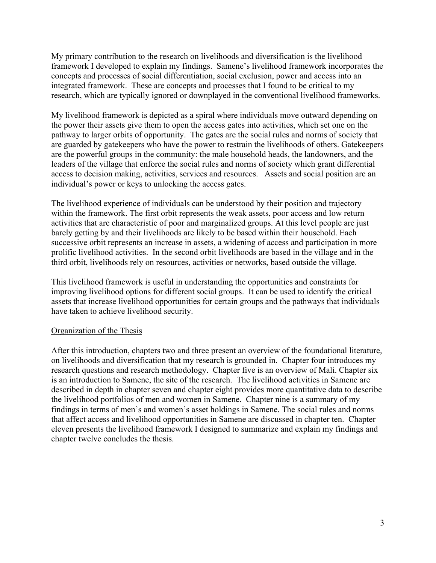My primary contribution to the research on livelihoods and diversification is the livelihood framework I developed to explain my findings. Samene's livelihood framework incorporates the concepts and processes of social differentiation, social exclusion, power and access into an integrated framework. These are concepts and processes that I found to be critical to my research, which are typically ignored or downplayed in the conventional livelihood frameworks.

My livelihood framework is depicted as a spiral where individuals move outward depending on the power their assets give them to open the access gates into activities, which set one on the pathway to larger orbits of opportunity. The gates are the social rules and norms of society that are guarded by gatekeepers who have the power to restrain the livelihoods of others. Gatekeepers are the powerful groups in the community: the male household heads, the landowners, and the leaders of the village that enforce the social rules and norms of society which grant differential access to decision making, activities, services and resources. Assets and social position are an individual's power or keys to unlocking the access gates.

The livelihood experience of individuals can be understood by their position and trajectory within the framework. The first orbit represents the weak assets, poor access and low return activities that are characteristic of poor and marginalized groups. At this level people are just barely getting by and their livelihoods are likely to be based within their household. Each successive orbit represents an increase in assets, a widening of access and participation in more prolific livelihood activities. In the second orbit livelihoods are based in the village and in the third orbit, livelihoods rely on resources, activities or networks, based outside the village.

This livelihood framework is useful in understanding the opportunities and constraints for improving livelihood options for different social groups. It can be used to identify the critical assets that increase livelihood opportunities for certain groups and the pathways that individuals have taken to achieve livelihood security.

#### Organization of the Thesis

After this introduction, chapters two and three present an overview of the foundational literature, on livelihoods and diversification that my research is grounded in. Chapter four introduces my research questions and research methodology. Chapter five is an overview of Mali. Chapter six is an introduction to Samene, the site of the research. The livelihood activities in Samene are described in depth in chapter seven and chapter eight provides more quantitative data to describe the livelihood portfolios of men and women in Samene. Chapter nine is a summary of my findings in terms of men's and women's asset holdings in Samene. The social rules and norms that affect access and livelihood opportunities in Samene are discussed in chapter ten. Chapter eleven presents the livelihood framework I designed to summarize and explain my findings and chapter twelve concludes the thesis.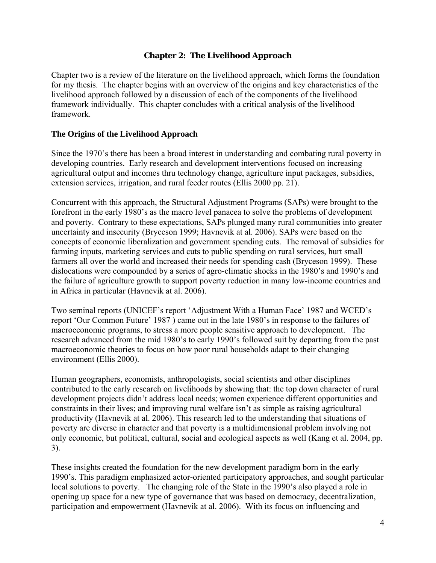# **Chapter 2: The Livelihood Approach**

Chapter two is a review of the literature on the livelihood approach, which forms the foundation for my thesis. The chapter begins with an overview of the origins and key characteristics of the livelihood approach followed by a discussion of each of the components of the livelihood framework individually. This chapter concludes with a critical analysis of the livelihood framework.

#### **The Origins of the Livelihood Approach**

Since the 1970's there has been a broad interest in understanding and combating rural poverty in developing countries. Early research and development interventions focused on increasing agricultural output and incomes thru technology change, agriculture input packages, subsidies, extension services, irrigation, and rural feeder routes (Ellis 2000 pp. 21).

Concurrent with this approach, the Structural Adjustment Programs (SAPs) were brought to the forefront in the early 1980's as the macro level panacea to solve the problems of development and poverty. Contrary to these expectations, SAPs plunged many rural communities into greater uncertainty and insecurity (Bryceson 1999; Havnevik at al. 2006). SAPs were based on the concepts of economic liberalization and government spending cuts. The removal of subsidies for farming inputs, marketing services and cuts to public spending on rural services, hurt small farmers all over the world and increased their needs for spending cash (Bryceson 1999). These dislocations were compounded by a series of agro-climatic shocks in the 1980's and 1990's and the failure of agriculture growth to support poverty reduction in many low-income countries and in Africa in particular (Havnevik at al. 2006).

Two seminal reports (UNICEF's report 'Adjustment With a Human Face' 1987 and WCED's report 'Our Common Future' 1987 ) came out in the late 1980's in response to the failures of macroeconomic programs, to stress a more people sensitive approach to development. The research advanced from the mid 1980's to early 1990's followed suit by departing from the past macroeconomic theories to focus on how poor rural households adapt to their changing environment (Ellis 2000).

Human geographers, economists, anthropologists, social scientists and other disciplines contributed to the early research on livelihoods by showing that: the top down character of rural development projects didn't address local needs; women experience different opportunities and constraints in their lives; and improving rural welfare isn't as simple as raising agricultural productivity (Havnevik at al. 2006). This research led to the understanding that situations of poverty are diverse in character and that poverty is a multidimensional problem involving not only economic, but political, cultural, social and ecological aspects as well (Kang et al. 2004, pp. 3).

These insights created the foundation for the new development paradigm born in the early 1990's. This paradigm emphasized actor-oriented participatory approaches, and sought particular local solutions to poverty. The changing role of the State in the 1990's also played a role in opening up space for a new type of governance that was based on democracy, decentralization, participation and empowerment (Havnevik at al. 2006). With its focus on influencing and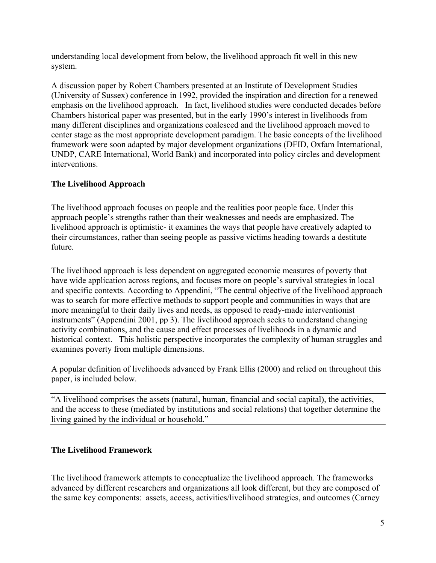understanding local development from below, the livelihood approach fit well in this new system.

A discussion paper by Robert Chambers presented at an Institute of Development Studies (University of Sussex) conference in 1992, provided the inspiration and direction for a renewed emphasis on the livelihood approach. In fact, livelihood studies were conducted decades before Chambers historical paper was presented, but in the early 1990's interest in livelihoods from many different disciplines and organizations coalesced and the livelihood approach moved to center stage as the most appropriate development paradigm. The basic concepts of the livelihood framework were soon adapted by major development organizations (DFID, Oxfam International, UNDP, CARE International, World Bank) and incorporated into policy circles and development interventions.

# **The Livelihood Approach**

The livelihood approach focuses on people and the realities poor people face. Under this approach people's strengths rather than their weaknesses and needs are emphasized. The livelihood approach is optimistic- it examines the ways that people have creatively adapted to their circumstances, rather than seeing people as passive victims heading towards a destitute future.

The livelihood approach is less dependent on aggregated economic measures of poverty that have wide application across regions, and focuses more on people's survival strategies in local and specific contexts. According to Appendini, "The central objective of the livelihood approach was to search for more effective methods to support people and communities in ways that are more meaningful to their daily lives and needs, as opposed to ready-made interventionist instruments" (Appendini 2001, pp 3). The livelihood approach seeks to understand changing activity combinations, and the cause and effect processes of livelihoods in a dynamic and historical context. This holistic perspective incorporates the complexity of human struggles and examines poverty from multiple dimensions.

A popular definition of livelihoods advanced by Frank Ellis (2000) and relied on throughout this paper, is included below.

"A livelihood comprises the assets (natural, human, financial and social capital), the activities, and the access to these (mediated by institutions and social relations) that together determine the living gained by the individual or household."

# **The Livelihood Framework**

The livelihood framework attempts to conceptualize the livelihood approach. The frameworks advanced by different researchers and organizations all look different, but they are composed of the same key components: assets, access, activities/livelihood strategies, and outcomes (Carney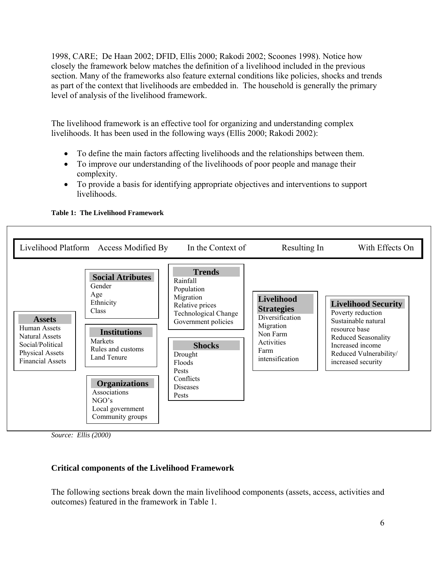1998, CARE; De Haan 2002; DFID, Ellis 2000; Rakodi 2002; Scoones 1998). Notice how closely the framework below matches the definition of a livelihood included in the previous section. Many of the frameworks also feature external conditions like policies, shocks and trends as part of the context that livelihoods are embedded in. The household is generally the primary level of analysis of the livelihood framework.

The livelihood framework is an effective tool for organizing and understanding complex livelihoods. It has been used in the following ways (Ellis 2000; Rakodi 2002):

- To define the main factors affecting livelihoods and the relationships between them.
- To improve our understanding of the livelihoods of poor people and manage their complexity.
- To provide a basis for identifying appropriate objectives and interventions to support livelihoods.



**Table 1: The Livelihood Framework** 

*Source: Ellis (2000)* 

# **Critical components of the Livelihood Framework**

The following sections break down the main livelihood components (assets, access, activities and outcomes) featured in the framework in Table 1.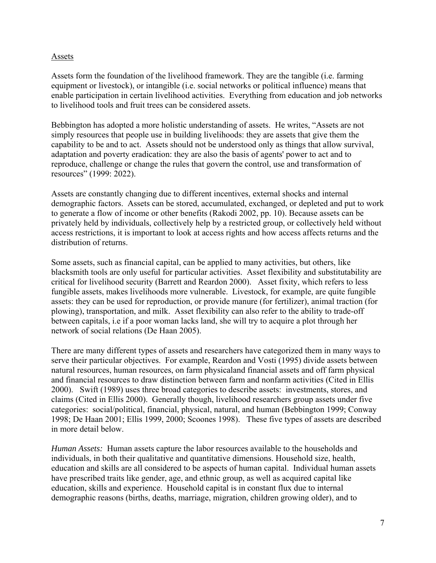#### Assets

Assets form the foundation of the livelihood framework. They are the tangible (i.e. farming equipment or livestock), or intangible (i.e. social networks or political influence) means that enable participation in certain livelihood activities. Everything from education and job networks to livelihood tools and fruit trees can be considered assets.

Bebbington has adopted a more holistic understanding of assets. He writes, "Assets are not simply resources that people use in building livelihoods: they are assets that give them the capability to be and to act. Assets should not be understood only as things that allow survival, adaptation and poverty eradication: they are also the basis of agents' power to act and to reproduce, challenge or change the rules that govern the control, use and transformation of resources" (1999: 2022).

Assets are constantly changing due to different incentives, external shocks and internal demographic factors. Assets can be stored, accumulated, exchanged, or depleted and put to work to generate a flow of income or other benefits (Rakodi 2002, pp. 10). Because assets can be privately held by individuals, collectively help by a restricted group, or collectively held without access restrictions, it is important to look at access rights and how access affects returns and the distribution of returns.

Some assets, such as financial capital, can be applied to many activities, but others, like blacksmith tools are only useful for particular activities. Asset flexibility and substitutability are critical for livelihood security (Barrett and Reardon 2000). Asset fixity, which refers to less fungible assets, makes livelihoods more vulnerable. Livestock, for example, are quite fungible assets: they can be used for reproduction, or provide manure (for fertilizer), animal traction (for plowing), transportation, and milk. Asset flexibility can also refer to the ability to trade-off between capitals, i.e if a poor woman lacks land, she will try to acquire a plot through her network of social relations (De Haan 2005).

There are many different types of assets and researchers have categorized them in many ways to serve their particular objectives. For example, Reardon and Vosti (1995) divide assets between natural resources, human resources, on farm physicaland financial assets and off farm physical and financial resources to draw distinction between farm and nonfarm activities (Cited in Ellis 2000). Swift (1989) uses three broad categories to describe assets: investments, stores, and claims (Cited in Ellis 2000). Generally though, livelihood researchers group assets under five categories: social/political, financial, physical, natural, and human (Bebbington 1999; Conway 1998; De Haan 2001; Ellis 1999, 2000; Scoones 1998). These five types of assets are described in more detail below.

*Human Assets:* Human assets capture the labor resources available to the households and individuals, in both their qualitative and quantitative dimensions. Household size, health, education and skills are all considered to be aspects of human capital. Individual human assets have prescribed traits like gender, age, and ethnic group, as well as acquired capital like education, skills and experience. Household capital is in constant flux due to internal demographic reasons (births, deaths, marriage, migration, children growing older), and to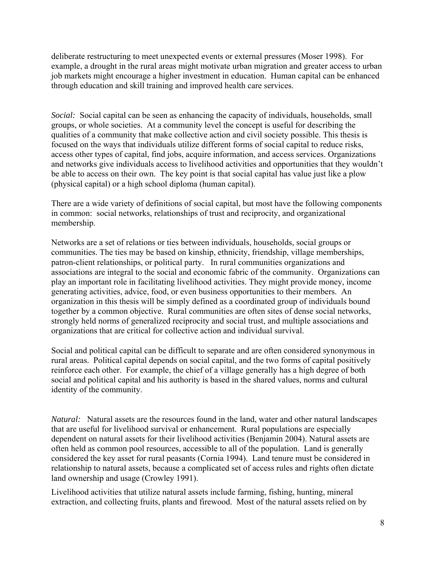deliberate restructuring to meet unexpected events or external pressures (Moser 1998). For example, a drought in the rural areas might motivate urban migration and greater access to urban job markets might encourage a higher investment in education. Human capital can be enhanced through education and skill training and improved health care services.

*Social:* Social capital can be seen as enhancing the capacity of individuals, households, small groups, or whole societies. At a community level the concept is useful for describing the qualities of a community that make collective action and civil society possible. This thesis is focused on the ways that individuals utilize different forms of social capital to reduce risks, access other types of capital, find jobs, acquire information, and access services. Organizations and networks give individuals access to livelihood activities and opportunities that they wouldn't be able to access on their own. The key point is that social capital has value just like a plow (physical capital) or a high school diploma (human capital).

There are a wide variety of definitions of social capital, but most have the following components in common: social networks, relationships of trust and reciprocity, and organizational membership.

Networks are a set of relations or ties between individuals, households, social groups or communities. The ties may be based on kinship, ethnicity, friendship, village memberships, patron-client relationships, or political party. In rural communities organizations and associations are integral to the social and economic fabric of the community. Organizations can play an important role in facilitating livelihood activities. They might provide money, income generating activities, advice, food, or even business opportunities to their members. An organization in this thesis will be simply defined as a coordinated group of individuals bound together by a common objective. Rural communities are often sites of dense social networks, strongly held norms of generalized reciprocity and social trust, and multiple associations and organizations that are critical for collective action and individual survival.

Social and political capital can be difficult to separate and are often considered synonymous in rural areas. Political capital depends on social capital, and the two forms of capital positively reinforce each other. For example, the chief of a village generally has a high degree of both social and political capital and his authority is based in the shared values, norms and cultural identity of the community.

*Natural:* Natural assets are the resources found in the land, water and other natural landscapes that are useful for livelihood survival or enhancement. Rural populations are especially dependent on natural assets for their livelihood activities (Benjamin 2004). Natural assets are often held as common pool resources, accessible to all of the population. Land is generally considered the key asset for rural peasants (Cornia 1994). Land tenure must be considered in relationship to natural assets, because a complicated set of access rules and rights often dictate land ownership and usage (Crowley 1991).

Livelihood activities that utilize natural assets include farming, fishing, hunting, mineral extraction, and collecting fruits, plants and firewood. Most of the natural assets relied on by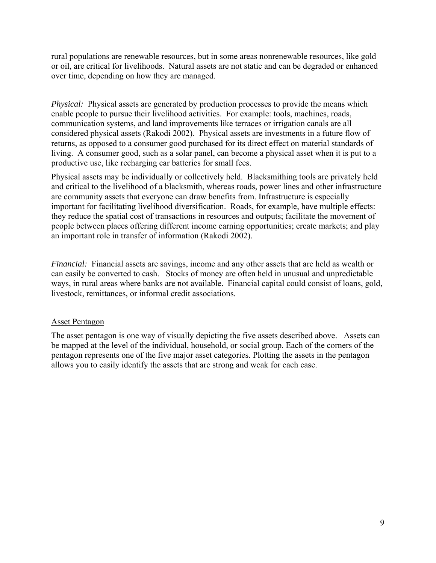rural populations are renewable resources, but in some areas nonrenewable resources, like gold or oil, are critical for livelihoods. Natural assets are not static and can be degraded or enhanced over time, depending on how they are managed.

*Physical:* Physical assets are generated by production processes to provide the means which enable people to pursue their livelihood activities. For example: tools, machines, roads, communication systems, and land improvements like terraces or irrigation canals are all considered physical assets (Rakodi 2002). Physical assets are investments in a future flow of returns, as opposed to a consumer good purchased for its direct effect on material standards of living. A consumer good, such as a solar panel, can become a physical asset when it is put to a productive use, like recharging car batteries for small fees.

Physical assets may be individually or collectively held. Blacksmithing tools are privately held and critical to the livelihood of a blacksmith, whereas roads, power lines and other infrastructure are community assets that everyone can draw benefits from. Infrastructure is especially important for facilitating livelihood diversification. Roads, for example, have multiple effects: they reduce the spatial cost of transactions in resources and outputs; facilitate the movement of people between places offering different income earning opportunities; create markets; and play an important role in transfer of information (Rakodi 2002).

*Financial:* Financial assets are savings, income and any other assets that are held as wealth or can easily be converted to cash. Stocks of money are often held in unusual and unpredictable ways, in rural areas where banks are not available. Financial capital could consist of loans, gold, livestock, remittances, or informal credit associations.

#### Asset Pentagon

The asset pentagon is one way of visually depicting the five assets described above. Assets can be mapped at the level of the individual, household, or social group. Each of the corners of the pentagon represents one of the five major asset categories. Plotting the assets in the pentagon allows you to easily identify the assets that are strong and weak for each case.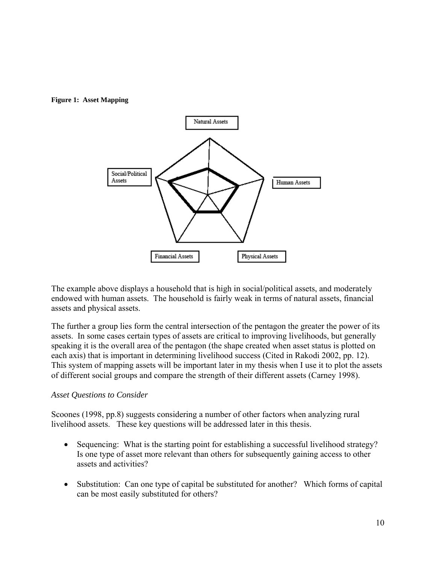



The example above displays a household that is high in social/political assets, and moderately endowed with human assets. The household is fairly weak in terms of natural assets, financial assets and physical assets.

The further a group lies form the central intersection of the pentagon the greater the power of its assets. In some cases certain types of assets are critical to improving livelihoods, but generally speaking it is the overall area of the pentagon (the shape created when asset status is plotted on each axis) that is important in determining livelihood success (Cited in Rakodi 2002, pp. 12). This system of mapping assets will be important later in my thesis when I use it to plot the assets of different social groups and compare the strength of their different assets (Carney 1998).

# *Asset Questions to Consider*

Scoones (1998, pp.8) suggests considering a number of other factors when analyzing rural livelihood assets. These key questions will be addressed later in this thesis.

- Sequencing: What is the starting point for establishing a successful livelihood strategy? Is one type of asset more relevant than others for subsequently gaining access to other assets and activities?
- Substitution: Can one type of capital be substituted for another? Which forms of capital can be most easily substituted for others?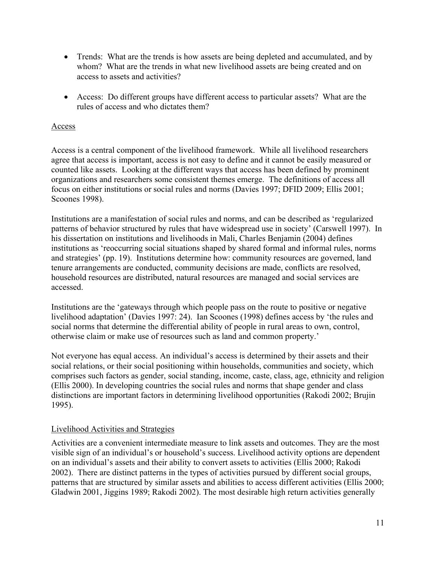- Trends: What are the trends is how assets are being depleted and accumulated, and by whom? What are the trends in what new livelihood assets are being created and on access to assets and activities?
- Access: Do different groups have different access to particular assets? What are the rules of access and who dictates them?

#### Access

Access is a central component of the livelihood framework. While all livelihood researchers agree that access is important, access is not easy to define and it cannot be easily measured or counted like assets. Looking at the different ways that access has been defined by prominent organizations and researchers some consistent themes emerge. The definitions of access all focus on either institutions or social rules and norms (Davies 1997; DFID 2009; Ellis 2001; Scoones 1998).

Institutions are a manifestation of social rules and norms, and can be described as 'regularized patterns of behavior structured by rules that have widespread use in society' (Carswell 1997). In his dissertation on institutions and livelihoods in Mali, Charles Benjamin (2004) defines institutions as 'reoccurring social situations shaped by shared formal and informal rules, norms and strategies' (pp. 19). Institutions determine how: community resources are governed, land tenure arrangements are conducted, community decisions are made, conflicts are resolved, household resources are distributed, natural resources are managed and social services are accessed.

Institutions are the 'gateways through which people pass on the route to positive or negative livelihood adaptation' (Davies 1997: 24). Ian Scoones (1998) defines access by 'the rules and social norms that determine the differential ability of people in rural areas to own, control, otherwise claim or make use of resources such as land and common property.'

Not everyone has equal access. An individual's access is determined by their assets and their social relations, or their social positioning within households, communities and society, which comprises such factors as gender, social standing, income, caste, class, age, ethnicity and religion (Ellis 2000). In developing countries the social rules and norms that shape gender and class distinctions are important factors in determining livelihood opportunities (Rakodi 2002; Brujin 1995).

#### Livelihood Activities and Strategies

Activities are a convenient intermediate measure to link assets and outcomes. They are the most visible sign of an individual's or household's success. Livelihood activity options are dependent on an individual's assets and their ability to convert assets to activities (Ellis 2000; Rakodi 2002). There are distinct patterns in the types of activities pursued by different social groups, patterns that are structured by similar assets and abilities to access different activities (Ellis 2000; Gladwin 2001, Jiggins 1989; Rakodi 2002). The most desirable high return activities generally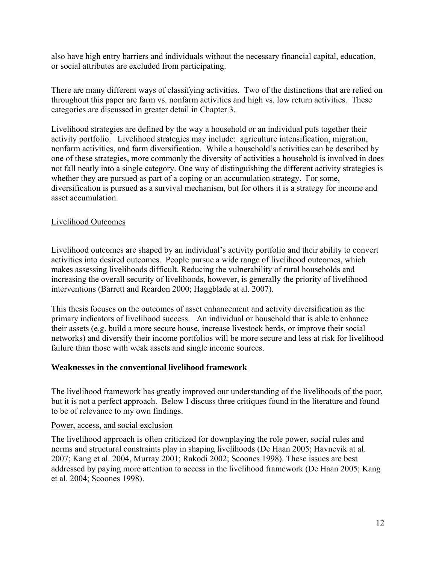also have high entry barriers and individuals without the necessary financial capital, education, or social attributes are excluded from participating.

There are many different ways of classifying activities. Two of the distinctions that are relied on throughout this paper are farm vs. nonfarm activities and high vs. low return activities. These categories are discussed in greater detail in Chapter 3.

Livelihood strategies are defined by the way a household or an individual puts together their activity portfolio. Livelihood strategies may include: agriculture intensification, migration, nonfarm activities, and farm diversification. While a household's activities can be described by one of these strategies, more commonly the diversity of activities a household is involved in does not fall neatly into a single category. One way of distinguishing the different activity strategies is whether they are pursued as part of a coping or an accumulation strategy. For some, diversification is pursued as a survival mechanism, but for others it is a strategy for income and asset accumulation.

# Livelihood Outcomes

Livelihood outcomes are shaped by an individual's activity portfolio and their ability to convert activities into desired outcomes. People pursue a wide range of livelihood outcomes, which makes assessing livelihoods difficult. Reducing the vulnerability of rural households and increasing the overall security of livelihoods, however, is generally the priority of livelihood interventions (Barrett and Reardon 2000; Haggblade at al. 2007).

This thesis focuses on the outcomes of asset enhancement and activity diversification as the primary indicators of livelihood success. An individual or household that is able to enhance their assets (e.g. build a more secure house, increase livestock herds, or improve their social networks) and diversify their income portfolios will be more secure and less at risk for livelihood failure than those with weak assets and single income sources.

# **Weaknesses in the conventional livelihood framework**

The livelihood framework has greatly improved our understanding of the livelihoods of the poor, but it is not a perfect approach. Below I discuss three critiques found in the literature and found to be of relevance to my own findings.

# Power, access, and social exclusion

The livelihood approach is often criticized for downplaying the role power, social rules and norms and structural constraints play in shaping livelihoods (De Haan 2005; Havnevik at al. 2007; Kang et al. 2004, Murray 2001; Rakodi 2002; Scoones 1998). These issues are best addressed by paying more attention to access in the livelihood framework (De Haan 2005; Kang et al. 2004; Scoones 1998).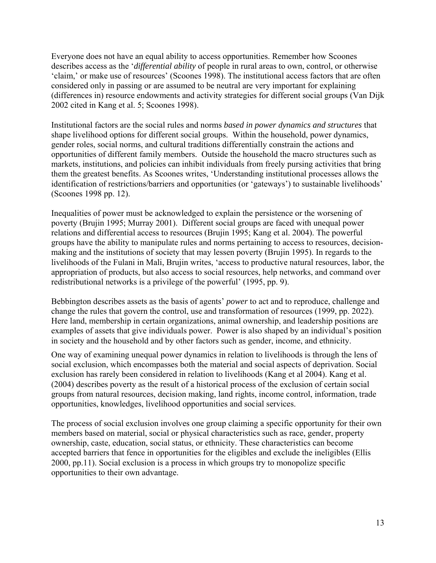Everyone does not have an equal ability to access opportunities. Remember how Scoones describes access as the '*differential ability* of people in rural areas to own, control, or otherwise 'claim,' or make use of resources' (Scoones 1998). The institutional access factors that are often considered only in passing or are assumed to be neutral are very important for explaining (differences in) resource endowments and activity strategies for different social groups (Van Dijk 2002 cited in Kang et al. 5; Scoones 1998).

Institutional factors are the social rules and norms *based in power dynamics and structures* that shape livelihood options for different social groups. Within the household, power dynamics, gender roles, social norms, and cultural traditions differentially constrain the actions and opportunities of different family members. Outside the household the macro structures such as markets, institutions, and policies can inhibit individuals from freely pursing activities that bring them the greatest benefits. As Scoones writes, 'Understanding institutional processes allows the identification of restrictions/barriers and opportunities (or 'gateways') to sustainable livelihoods' (Scoones 1998 pp. 12).

Inequalities of power must be acknowledged to explain the persistence or the worsening of poverty (Brujin 1995; Murray 2001). Different social groups are faced with unequal power relations and differential access to resources (Brujin 1995; Kang et al. 2004). The powerful groups have the ability to manipulate rules and norms pertaining to access to resources, decisionmaking and the institutions of society that may lessen poverty (Brujin 1995). In regards to the livelihoods of the Fulani in Mali, Brujin writes, 'access to productive natural resources, labor, the appropriation of products, but also access to social resources, help networks, and command over redistributional networks is a privilege of the powerful' (1995, pp. 9).

Bebbington describes assets as the basis of agents' *power* to act and to reproduce, challenge and change the rules that govern the control, use and transformation of resources (1999, pp. 2022). Here land, membership in certain organizations, animal ownership, and leadership positions are examples of assets that give individuals power. Power is also shaped by an individual's position in society and the household and by other factors such as gender, income, and ethnicity.

One way of examining unequal power dynamics in relation to livelihoods is through the lens of social exclusion, which encompasses both the material and social aspects of deprivation. Social exclusion has rarely been considered in relation to livelihoods (Kang et al 2004). Kang et al. (2004) describes poverty as the result of a historical process of the exclusion of certain social groups from natural resources, decision making, land rights, income control, information, trade opportunities, knowledges, livelihood opportunities and social services.

The process of social exclusion involves one group claiming a specific opportunity for their own members based on material, social or physical characteristics such as race, gender, property ownership, caste, education, social status, or ethnicity. These characteristics can become accepted barriers that fence in opportunities for the eligibles and exclude the ineligibles (Ellis 2000, pp.11). Social exclusion is a process in which groups try to monopolize specific opportunities to their own advantage.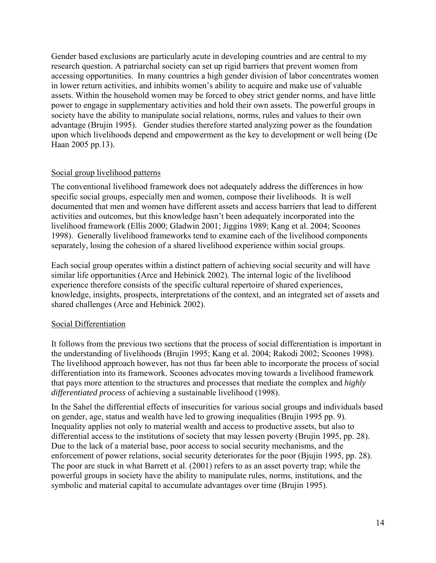Gender based exclusions are particularly acute in developing countries and are central to my research question. A patriarchal society can set up rigid barriers that prevent women from accessing opportunities. In many countries a high gender division of labor concentrates women in lower return activities, and inhibits women's ability to acquire and make use of valuable assets. Within the household women may be forced to obey strict gender norms, and have little power to engage in supplementary activities and hold their own assets. The powerful groups in society have the ability to manipulate social relations, norms, rules and values to their own advantage (Brujin 1995). Gender studies therefore started analyzing power as the foundation upon which livelihoods depend and empowerment as the key to development or well being (De Haan 2005 pp.13).

# Social group livelihood patterns

The conventional livelihood framework does not adequately address the differences in how specific social groups, especially men and women, compose their livelihoods. It is well documented that men and women have different assets and access barriers that lead to different activities and outcomes, but this knowledge hasn't been adequately incorporated into the livelihood framework (Ellis 2000; Gladwin 2001; Jiggins 1989; Kang et al. 2004; Scoones 1998). Generally livelihood frameworks tend to examine each of the livelihood components separately, losing the cohesion of a shared livelihood experience within social groups.

Each social group operates within a distinct pattern of achieving social security and will have similar life opportunities (Arce and Hebinick 2002). The internal logic of the livelihood experience therefore consists of the specific cultural repertoire of shared experiences, knowledge, insights, prospects, interpretations of the context, and an integrated set of assets and shared challenges (Arce and Hebinick 2002).

# Social Differentiation

It follows from the previous two sections that the process of social differentiation is important in the understanding of livelihoods (Brujin 1995; Kang et al. 2004; Rakodi 2002; Scoones 1998). The livelihood approach however, has not thus far been able to incorporate the process of social differentiation into its framework. Scoones advocates moving towards a livelihood framework that pays more attention to the structures and processes that mediate the complex and *highly differentiated process* of achieving a sustainable livelihood (1998).

In the Sahel the differential effects of insecurities for various social groups and individuals based on gender, age, status and wealth have led to growing inequalities (Brujin 1995 pp. 9). Inequality applies not only to material wealth and access to productive assets, but also to differential access to the institutions of society that may lessen poverty (Brujin 1995, pp. 28). Due to the lack of a material base, poor access to social security mechanisms, and the enforcement of power relations, social security deteriorates for the poor (Bjujin 1995, pp. 28). The poor are stuck in what Barrett et al. (2001) refers to as an asset poverty trap; while the powerful groups in society have the ability to manipulate rules, norms, institutions, and the symbolic and material capital to accumulate advantages over time (Brujin 1995).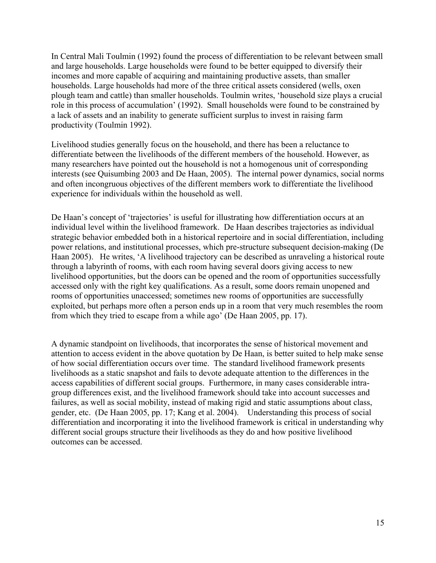In Central Mali Toulmin (1992) found the process of differentiation to be relevant between small and large households. Large households were found to be better equipped to diversify their incomes and more capable of acquiring and maintaining productive assets, than smaller households. Large households had more of the three critical assets considered (wells, oxen plough team and cattle) than smaller households. Toulmin writes, 'household size plays a crucial role in this process of accumulation' (1992). Small households were found to be constrained by a lack of assets and an inability to generate sufficient surplus to invest in raising farm productivity (Toulmin 1992).

Livelihood studies generally focus on the household, and there has been a reluctance to differentiate between the livelihoods of the different members of the household. However, as many researchers have pointed out the household is not a homogenous unit of corresponding interests (see Quisumbing 2003 and De Haan, 2005). The internal power dynamics, social norms and often incongruous objectives of the different members work to differentiate the livelihood experience for individuals within the household as well.

De Haan's concept of 'trajectories' is useful for illustrating how differentiation occurs at an individual level within the livelihood framework. De Haan describes trajectories as individual strategic behavior embedded both in a historical repertoire and in social differentiation, including power relations, and institutional processes, which pre-structure subsequent decision-making (De Haan 2005). He writes, 'A livelihood trajectory can be described as unraveling a historical route through a labyrinth of rooms, with each room having several doors giving access to new livelihood opportunities, but the doors can be opened and the room of opportunities successfully accessed only with the right key qualifications. As a result, some doors remain unopened and rooms of opportunities unaccessed; sometimes new rooms of opportunities are successfully exploited, but perhaps more often a person ends up in a room that very much resembles the room from which they tried to escape from a while ago' (De Haan 2005, pp. 17).

A dynamic standpoint on livelihoods, that incorporates the sense of historical movement and attention to access evident in the above quotation by De Haan, is better suited to help make sense of how social differentiation occurs over time. The standard livelihood framework presents livelihoods as a static snapshot and fails to devote adequate attention to the differences in the access capabilities of different social groups. Furthermore, in many cases considerable intragroup differences exist, and the livelihood framework should take into account successes and failures, as well as social mobility, instead of making rigid and static assumptions about class, gender, etc. (De Haan 2005, pp. 17; Kang et al. 2004). Understanding this process of social differentiation and incorporating it into the livelihood framework is critical in understanding why different social groups structure their livelihoods as they do and how positive livelihood outcomes can be accessed.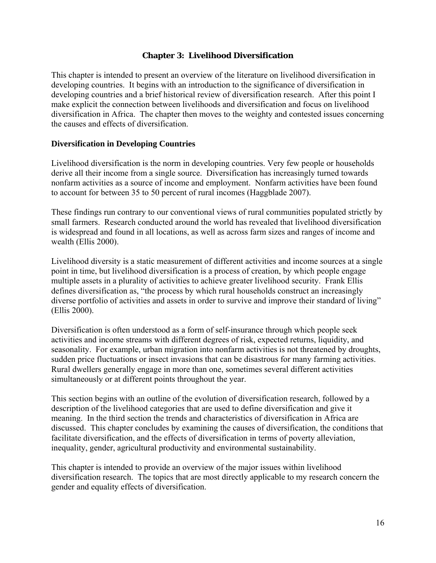#### **Chapter 3: Livelihood Diversification**

This chapter is intended to present an overview of the literature on livelihood diversification in developing countries. It begins with an introduction to the significance of diversification in developing countries and a brief historical review of diversification research. After this point I make explicit the connection between livelihoods and diversification and focus on livelihood diversification in Africa. The chapter then moves to the weighty and contested issues concerning the causes and effects of diversification.

#### **Diversification in Developing Countries**

Livelihood diversification is the norm in developing countries. Very few people or households derive all their income from a single source. Diversification has increasingly turned towards nonfarm activities as a source of income and employment. Nonfarm activities have been found to account for between 35 to 50 percent of rural incomes (Haggblade 2007).

These findings run contrary to our conventional views of rural communities populated strictly by small farmers. Research conducted around the world has revealed that livelihood diversification is widespread and found in all locations, as well as across farm sizes and ranges of income and wealth (Ellis 2000).

Livelihood diversity is a static measurement of different activities and income sources at a single point in time, but livelihood diversification is a process of creation, by which people engage multiple assets in a plurality of activities to achieve greater livelihood security. Frank Ellis defines diversification as, "the process by which rural households construct an increasingly diverse portfolio of activities and assets in order to survive and improve their standard of living" (Ellis 2000).

Diversification is often understood as a form of self-insurance through which people seek activities and income streams with different degrees of risk, expected returns, liquidity, and seasonality. For example, urban migration into nonfarm activities is not threatened by droughts, sudden price fluctuations or insect invasions that can be disastrous for many farming activities. Rural dwellers generally engage in more than one, sometimes several different activities simultaneously or at different points throughout the year.

This section begins with an outline of the evolution of diversification research, followed by a description of the livelihood categories that are used to define diversification and give it meaning. In the third section the trends and characteristics of diversification in Africa are discussed. This chapter concludes by examining the causes of diversification, the conditions that facilitate diversification, and the effects of diversification in terms of poverty alleviation, inequality, gender, agricultural productivity and environmental sustainability.

This chapter is intended to provide an overview of the major issues within livelihood diversification research. The topics that are most directly applicable to my research concern the gender and equality effects of diversification.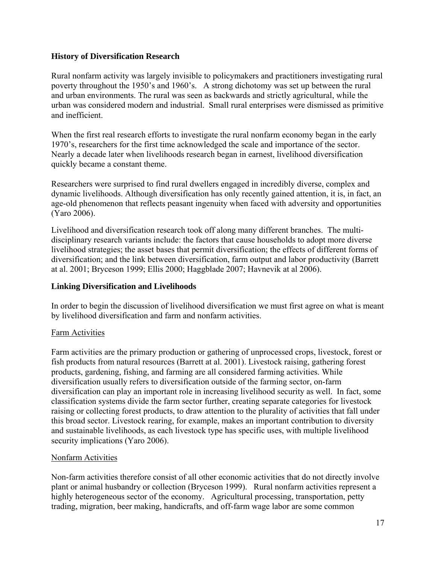# **History of Diversification Research**

Rural nonfarm activity was largely invisible to policymakers and practitioners investigating rural poverty throughout the 1950's and 1960's. A strong dichotomy was set up between the rural and urban environments. The rural was seen as backwards and strictly agricultural, while the urban was considered modern and industrial. Small rural enterprises were dismissed as primitive and inefficient.

When the first real research efforts to investigate the rural nonfarm economy began in the early 1970's, researchers for the first time acknowledged the scale and importance of the sector. Nearly a decade later when livelihoods research began in earnest, livelihood diversification quickly became a constant theme.

Researchers were surprised to find rural dwellers engaged in incredibly diverse, complex and dynamic livelihoods. Although diversification has only recently gained attention, it is, in fact, an age-old phenomenon that reflects peasant ingenuity when faced with adversity and opportunities (Yaro 2006).

Livelihood and diversification research took off along many different branches. The multidisciplinary research variants include: the factors that cause households to adopt more diverse livelihood strategies; the asset bases that permit diversification; the effects of different forms of diversification; and the link between diversification, farm output and labor productivity (Barrett at al. 2001; Bryceson 1999; Ellis 2000; Haggblade 2007; Havnevik at al 2006).

#### **Linking Diversification and Livelihoods**

In order to begin the discussion of livelihood diversification we must first agree on what is meant by livelihood diversification and farm and nonfarm activities.

# Farm Activities

Farm activities are the primary production or gathering of unprocessed crops, livestock, forest or fish products from natural resources (Barrett at al. 2001). Livestock raising, gathering forest products, gardening, fishing, and farming are all considered farming activities. While diversification usually refers to diversification outside of the farming sector, on-farm diversification can play an important role in increasing livelihood security as well. In fact, some classification systems divide the farm sector further, creating separate categories for livestock raising or collecting forest products, to draw attention to the plurality of activities that fall under this broad sector. Livestock rearing, for example, makes an important contribution to diversity and sustainable livelihoods, as each livestock type has specific uses, with multiple livelihood security implications (Yaro 2006).

# Nonfarm Activities

Non-farm activities therefore consist of all other economic activities that do not directly involve plant or animal husbandry or collection (Bryceson 1999). Rural nonfarm activities represent a highly heterogeneous sector of the economy. Agricultural processing, transportation, petty trading, migration, beer making, handicrafts, and off-farm wage labor are some common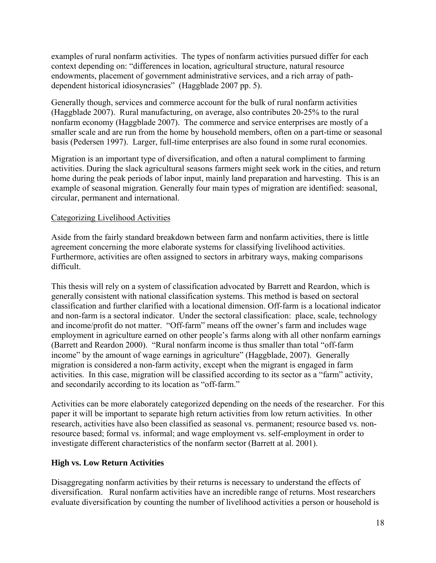examples of rural nonfarm activities. The types of nonfarm activities pursued differ for each context depending on: "differences in location, agricultural structure, natural resource endowments, placement of government administrative services, and a rich array of pathdependent historical idiosyncrasies" (Haggblade 2007 pp. 5).

Generally though, services and commerce account for the bulk of rural nonfarm activities (Haggblade 2007). Rural manufacturing, on average, also contributes 20-25% to the rural nonfarm economy (Haggblade 2007). The commerce and service enterprises are mostly of a smaller scale and are run from the home by household members, often on a part-time or seasonal basis (Pedersen 1997). Larger, full-time enterprises are also found in some rural economies.

Migration is an important type of diversification, and often a natural compliment to farming activities. During the slack agricultural seasons farmers might seek work in the cities, and return home during the peak periods of labor input, mainly land preparation and harvesting. This is an example of seasonal migration. Generally four main types of migration are identified: seasonal, circular, permanent and international.

#### Categorizing Livelihood Activities

Aside from the fairly standard breakdown between farm and nonfarm activities, there is little agreement concerning the more elaborate systems for classifying livelihood activities. Furthermore, activities are often assigned to sectors in arbitrary ways, making comparisons difficult.

This thesis will rely on a system of classification advocated by Barrett and Reardon, which is generally consistent with national classification systems. This method is based on sectoral classification and further clarified with a locational dimension. Off-farm is a locational indicator and non-farm is a sectoral indicator. Under the sectoral classification: place, scale, technology and income/profit do not matter. "Off-farm" means off the owner's farm and includes wage employment in agriculture earned on other people's farms along with all other nonfarm earnings (Barrett and Reardon 2000). "Rural nonfarm income is thus smaller than total "off-farm income" by the amount of wage earnings in agriculture" (Haggblade, 2007). Generally migration is considered a non-farm activity, except when the migrant is engaged in farm activities. In this case, migration will be classified according to its sector as a "farm" activity, and secondarily according to its location as "off-farm."

Activities can be more elaborately categorized depending on the needs of the researcher. For this paper it will be important to separate high return activities from low return activities. In other research, activities have also been classified as seasonal vs. permanent; resource based vs. nonresource based; formal vs. informal; and wage employment vs. self-employment in order to investigate different characteristics of the nonfarm sector (Barrett at al. 2001).

# **High vs. Low Return Activities**

Disaggregating nonfarm activities by their returns is necessary to understand the effects of diversification. Rural nonfarm activities have an incredible range of returns. Most researchers evaluate diversification by counting the number of livelihood activities a person or household is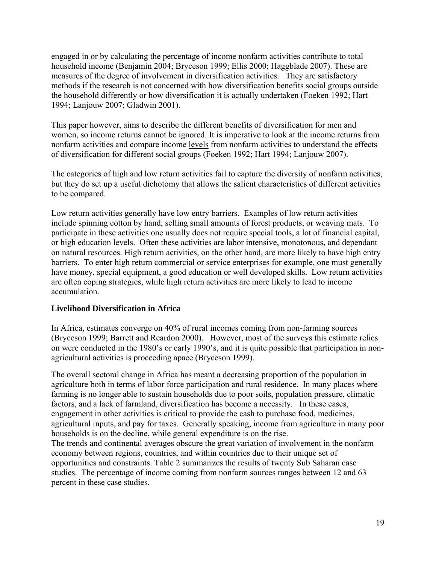engaged in or by calculating the percentage of income nonfarm activities contribute to total household income (Benjamin 2004; Bryceson 1999; Ellis 2000; Haggblade 2007). These are measures of the degree of involvement in diversification activities. They are satisfactory methods if the research is not concerned with how diversification benefits social groups outside the household differently or how diversification it is actually undertaken (Foeken 1992; Hart 1994; Lanjouw 2007; Gladwin 2001).

This paper however, aims to describe the different benefits of diversification for men and women, so income returns cannot be ignored. It is imperative to look at the income returns from nonfarm activities and compare income levels from nonfarm activities to understand the effects of diversification for different social groups (Foeken 1992; Hart 1994; Lanjouw 2007).

The categories of high and low return activities fail to capture the diversity of nonfarm activities, but they do set up a useful dichotomy that allows the salient characteristics of different activities to be compared.

Low return activities generally have low entry barriers. Examples of low return activities include spinning cotton by hand, selling small amounts of forest products, or weaving mats. To participate in these activities one usually does not require special tools, a lot of financial capital, or high education levels. Often these activities are labor intensive, monotonous, and dependant on natural resources. High return activities, on the other hand, are more likely to have high entry barriers. To enter high return commercial or service enterprises for example, one must generally have money, special equipment, a good education or well developed skills. Low return activities are often coping strategies, while high return activities are more likely to lead to income accumulation.

# **Livelihood Diversification in Africa**

In Africa, estimates converge on 40% of rural incomes coming from non-farming sources (Bryceson 1999; Barrett and Reardon 2000). However, most of the surveys this estimate relies on were conducted in the 1980's or early 1990's, and it is quite possible that participation in nonagricultural activities is proceeding apace (Bryceson 1999).

The overall sectoral change in Africa has meant a decreasing proportion of the population in agriculture both in terms of labor force participation and rural residence. In many places where farming is no longer able to sustain households due to poor soils, population pressure, climatic factors, and a lack of farmland, diversification has become a necessity. In these cases, engagement in other activities is critical to provide the cash to purchase food, medicines, agricultural inputs, and pay for taxes. Generally speaking, income from agriculture in many poor households is on the decline, while general expenditure is on the rise. The trends and continental averages obscure the great variation of involvement in the nonfarm economy between regions, countries, and within countries due to their unique set of opportunities and constraints. Table 2 summarizes the results of twenty Sub Saharan case

studies. The percentage of income coming from nonfarm sources ranges between 12 and 63 percent in these case studies.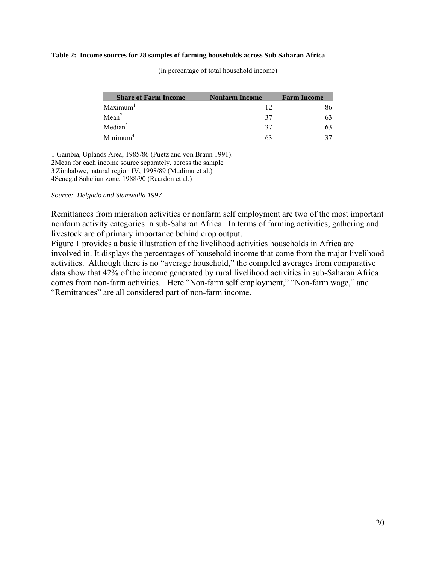#### **Table 2: Income sources for 28 samples of farming households across Sub Saharan Africa**

| <b>Share of Farm Income</b> | <b>Nonfarm Income</b> | <b>Farm Income</b> |
|-----------------------------|-----------------------|--------------------|
| Maximum <sup>1</sup>        |                       |                    |
| Mean <sup>2</sup>           | 37                    |                    |
| Median <sup>3</sup>         | 37                    |                    |
| Minimum <sup>4</sup>        |                       |                    |

(in percentage of total household income)

1 Gambia, Uplands Area, 1985/86 (Puetz and von Braun 1991). 2Mean for each income source separately, across the sample 3 Zimbabwe, natural region IV, 1998/89 (Mudimu et al.) 4Senegal Sahelian zone, 1988/90 (Reardon et al.)

#### *Source: Delgado and Siamwalla 1997*

Remittances from migration activities or nonfarm self employment are two of the most important nonfarm activity categories in sub-Saharan Africa. In terms of farming activities, gathering and livestock are of primary importance behind crop output.

Figure 1 provides a basic illustration of the livelihood activities households in Africa are involved in. It displays the percentages of household income that come from the major livelihood activities. Although there is no "average household," the compiled averages from comparative data show that 42% of the income generated by rural livelihood activities in sub-Saharan Africa comes from non-farm activities. Here "Non-farm self employment," "Non-farm wage," and "Remittances" are all considered part of non-farm income.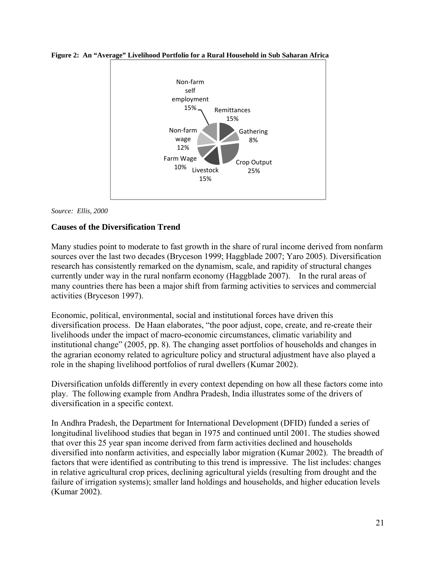

**Figure 2: An "Average" Livelihood Portfolio for a Rural Household in Sub Saharan Africa** 

*Source: Ellis, 2000*

# **Causes of the Diversification Trend**

Many studies point to moderate to fast growth in the share of rural income derived from nonfarm sources over the last two decades (Bryceson 1999; Haggblade 2007; Yaro 2005). Diversification research has consistently remarked on the dynamism, scale, and rapidity of structural changes currently under way in the rural nonfarm economy (Haggblade 2007). In the rural areas of many countries there has been a major shift from farming activities to services and commercial activities (Bryceson 1997).

Economic, political, environmental, social and institutional forces have driven this diversification process. De Haan elaborates, "the poor adjust, cope, create, and re-create their livelihoods under the impact of macro-economic circumstances, climatic variability and institutional change" (2005, pp. 8). The changing asset portfolios of households and changes in the agrarian economy related to agriculture policy and structural adjustment have also played a role in the shaping livelihood portfolios of rural dwellers (Kumar 2002).

Diversification unfolds differently in every context depending on how all these factors come into play. The following example from Andhra Pradesh, India illustrates some of the drivers of diversification in a specific context.

In Andhra Pradesh, the Department for International Development (DFID) funded a series of longitudinal livelihood studies that began in 1975 and continued until 2001. The studies showed that over this 25 year span income derived from farm activities declined and households diversified into nonfarm activities, and especially labor migration (Kumar 2002). The breadth of factors that were identified as contributing to this trend is impressive. The list includes: changes in relative agricultural crop prices, declining agricultural yields (resulting from drought and the failure of irrigation systems); smaller land holdings and households, and higher education levels (Kumar 2002).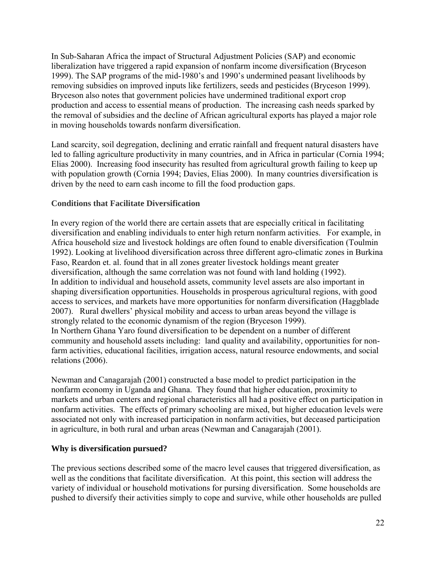In Sub-Saharan Africa the impact of Structural Adjustment Policies (SAP) and economic liberalization have triggered a rapid expansion of nonfarm income diversification (Bryceson 1999). The SAP programs of the mid-1980's and 1990's undermined peasant livelihoods by removing subsidies on improved inputs like fertilizers, seeds and pesticides (Bryceson 1999). Bryceson also notes that government policies have undermined traditional export crop production and access to essential means of production. The increasing cash needs sparked by the removal of subsidies and the decline of African agricultural exports has played a major role in moving households towards nonfarm diversification.

Land scarcity, soil degregation, declining and erratic rainfall and frequent natural disasters have led to falling agriculture productivity in many countries, and in Africa in particular (Cornia 1994; Elias 2000). Increasing food insecurity has resulted from agricultural growth failing to keep up with population growth (Cornia 1994; Davies, Elias 2000). In many countries diversification is driven by the need to earn cash income to fill the food production gaps.

# **Conditions that Facilitate Diversification**

In every region of the world there are certain assets that are especially critical in facilitating diversification and enabling individuals to enter high return nonfarm activities. For example, in Africa household size and livestock holdings are often found to enable diversification (Toulmin 1992). Looking at livelihood diversification across three different agro-climatic zones in Burkina Faso, Reardon et. al. found that in all zones greater livestock holdings meant greater diversification, although the same correlation was not found with land holding (1992). In addition to individual and household assets, community level assets are also important in shaping diversification opportunities. Households in prosperous agricultural regions, with good access to services, and markets have more opportunities for nonfarm diversification (Haggblade 2007). Rural dwellers' physical mobility and access to urban areas beyond the village is strongly related to the economic dynamism of the region (Bryceson 1999). In Northern Ghana Yaro found diversification to be dependent on a number of different community and household assets including: land quality and availability, opportunities for nonfarm activities, educational facilities, irrigation access, natural resource endowments, and social relations (2006).

Newman and Canagarajah (2001) constructed a base model to predict participation in the nonfarm economy in Uganda and Ghana. They found that higher education, proximity to markets and urban centers and regional characteristics all had a positive effect on participation in nonfarm activities. The effects of primary schooling are mixed, but higher education levels were associated not only with increased participation in nonfarm activities, but deceased participation in agriculture, in both rural and urban areas (Newman and Canagarajah (2001).

# **Why is diversification pursued?**

The previous sections described some of the macro level causes that triggered diversification, as well as the conditions that facilitate diversification. At this point, this section will address the variety of individual or household motivations for pursing diversification. Some households are pushed to diversify their activities simply to cope and survive, while other households are pulled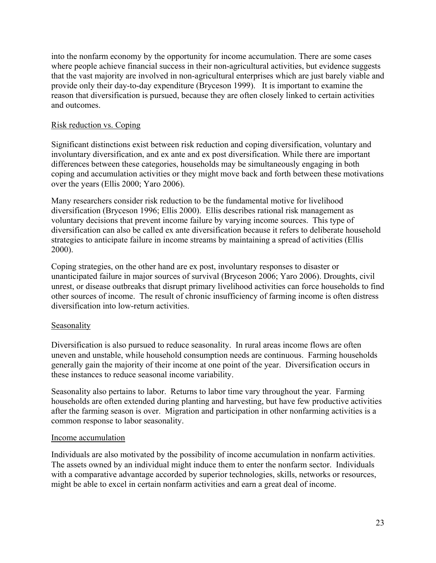into the nonfarm economy by the opportunity for income accumulation. There are some cases where people achieve financial success in their non-agricultural activities, but evidence suggests that the vast majority are involved in non-agricultural enterprises which are just barely viable and provide only their day-to-day expenditure (Bryceson 1999). It is important to examine the reason that diversification is pursued, because they are often closely linked to certain activities and outcomes.

# Risk reduction vs. Coping

Significant distinctions exist between risk reduction and coping diversification, voluntary and involuntary diversification, and ex ante and ex post diversification. While there are important differences between these categories, households may be simultaneously engaging in both coping and accumulation activities or they might move back and forth between these motivations over the years (Ellis 2000; Yaro 2006).

Many researchers consider risk reduction to be the fundamental motive for livelihood diversification (Bryceson 1996; Ellis 2000). Ellis describes rational risk management as voluntary decisions that prevent income failure by varying income sources. This type of diversification can also be called ex ante diversification because it refers to deliberate household strategies to anticipate failure in income streams by maintaining a spread of activities (Ellis 2000).

Coping strategies, on the other hand are ex post, involuntary responses to disaster or unanticipated failure in major sources of survival (Bryceson 2006; Yaro 2006). Droughts, civil unrest, or disease outbreaks that disrupt primary livelihood activities can force households to find other sources of income. The result of chronic insufficiency of farming income is often distress diversification into low-return activities.

# Seasonality

Diversification is also pursued to reduce seasonality. In rural areas income flows are often uneven and unstable, while household consumption needs are continuous. Farming households generally gain the majority of their income at one point of the year. Diversification occurs in these instances to reduce seasonal income variability.

Seasonality also pertains to labor. Returns to labor time vary throughout the year. Farming households are often extended during planting and harvesting, but have few productive activities after the farming season is over. Migration and participation in other nonfarming activities is a common response to labor seasonality.

# Income accumulation

Individuals are also motivated by the possibility of income accumulation in nonfarm activities. The assets owned by an individual might induce them to enter the nonfarm sector. Individuals with a comparative advantage accorded by superior technologies, skills, networks or resources, might be able to excel in certain nonfarm activities and earn a great deal of income.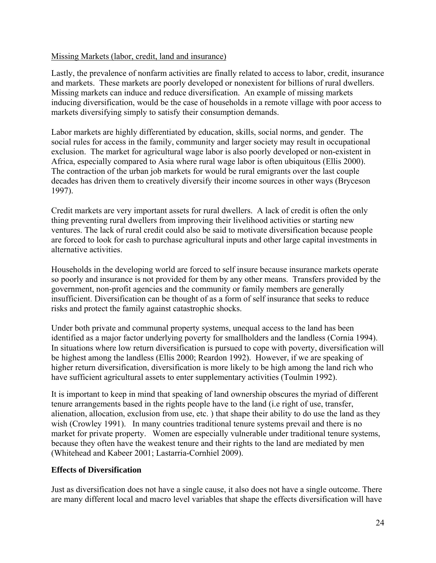#### Missing Markets (labor, credit, land and insurance)

Lastly, the prevalence of nonfarm activities are finally related to access to labor, credit, insurance and markets. These markets are poorly developed or nonexistent for billions of rural dwellers. Missing markets can induce and reduce diversification. An example of missing markets inducing diversification, would be the case of households in a remote village with poor access to markets diversifying simply to satisfy their consumption demands.

Labor markets are highly differentiated by education, skills, social norms, and gender. The social rules for access in the family, community and larger society may result in occupational exclusion. The market for agricultural wage labor is also poorly developed or non-existent in Africa, especially compared to Asia where rural wage labor is often ubiquitous (Ellis 2000). The contraction of the urban job markets for would be rural emigrants over the last couple decades has driven them to creatively diversify their income sources in other ways (Bryceson 1997).

Credit markets are very important assets for rural dwellers. A lack of credit is often the only thing preventing rural dwellers from improving their livelihood activities or starting new ventures. The lack of rural credit could also be said to motivate diversification because people are forced to look for cash to purchase agricultural inputs and other large capital investments in alternative activities.

Households in the developing world are forced to self insure because insurance markets operate so poorly and insurance is not provided for them by any other means. Transfers provided by the government, non-profit agencies and the community or family members are generally insufficient. Diversification can be thought of as a form of self insurance that seeks to reduce risks and protect the family against catastrophic shocks.

Under both private and communal property systems, unequal access to the land has been identified as a major factor underlying poverty for smallholders and the landless (Cornia 1994). In situations where low return diversification is pursued to cope with poverty, diversification will be highest among the landless (Ellis 2000; Reardon 1992). However, if we are speaking of higher return diversification, diversification is more likely to be high among the land rich who have sufficient agricultural assets to enter supplementary activities (Toulmin 1992).

It is important to keep in mind that speaking of land ownership obscures the myriad of different tenure arrangements based in the rights people have to the land (i.e right of use, transfer, alienation, allocation, exclusion from use, etc. ) that shape their ability to do use the land as they wish (Crowley 1991). In many countries traditional tenure systems prevail and there is no market for private property. Women are especially vulnerable under traditional tenure systems, because they often have the weakest tenure and their rights to the land are mediated by men (Whitehead and Kabeer 2001; Lastarria-Cornhiel 2009).

# **Effects of Diversification**

Just as diversification does not have a single cause, it also does not have a single outcome. There are many different local and macro level variables that shape the effects diversification will have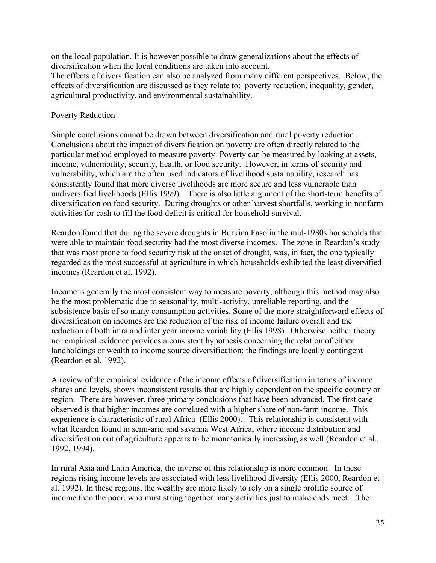on the local population. It is however possible to draw generalizations about the effects of diversification when the local conditions are taken into account.

The effects of diversification can also be analyzed from many different perspectives. Below, the effects of diversification are discussed as they relate to: poverty reduction, inequality, gender, agricultural productivity, and environmental sustainability.

#### Poverty Reduction

Simple conclusions cannot be drawn between diversification and rural poverty reduction. Conclusions about the impact of diversification on poverty are often directly related to the particular method employed to measure poverty. Poverty can be measured by looking at assets, income, vulnerability, security, health, or food security. However, in terms of security and vulnerability, which are the often used indicators of livelihood sustainability, research has consistently found that more diverse livelihoods are more secure and less vulnerable than undiversified livelihoods (Ellis 1999). There is also little argument of the short-term benefits of diversification on food security. During droughts or other harvest shortfalls, working in nonfarm activities for cash to fill the food deficit is critical for household survival.

Reardon found that during the severe droughts in Burkina Faso in the mid-1980s households that were able to maintain food security had the most diverse incomes. The zone in Reardon's study that was most prone to food security risk at the onset of drought, was, in fact, the one typically regarded as the most successful at agriculture in which households exhibited the least diversified incomes (Reardon et al. 1992).

Income is generally the most consistent way to measure poverty, although this method may also be the most problematic due to seasonality, multi-activity, unreliable reporting, and the subsistence basis of so many consumption activities. Some of the more straightforward effects of diversification on incomes are the reduction of the risk of income failure overall and the reduction of both intra and inter year income variability (Ellis 1998). Otherwise neither theory nor empirical evidence provides a consistent hypothesis concerning the relation of either landholdings or wealth to income source diversification; the findings are locally contingent (Reardon et al. 1992).

A review of the empirical evidence of the income effects of diversification in terms of income shares and levels, shows inconsistent results that are highly dependent on the specific country or region. There are however, three primary conclusions that have been advanced. The first case observed is that higher incomes are correlated with a higher share of non-farm income. This experience is characteristic of rural Africa (Ellis 2000). This relationship is consistent with what Reardon found in semi-arid and savanna West Africa, where income distribution and diversification out of agriculture appears to be monotonically increasing as well (Reardon et al., 1992, 1994).

In rural Asia and Latin America, the inverse of this relationship is more common. In these regions rising income levels are associated with less livelihood diversity (Ellis 2000, Reardon et al. 1992). In these regions, the wealthy are more likely to rely on a single prolific source of income than the poor, who must string together many activities just to make ends meet. The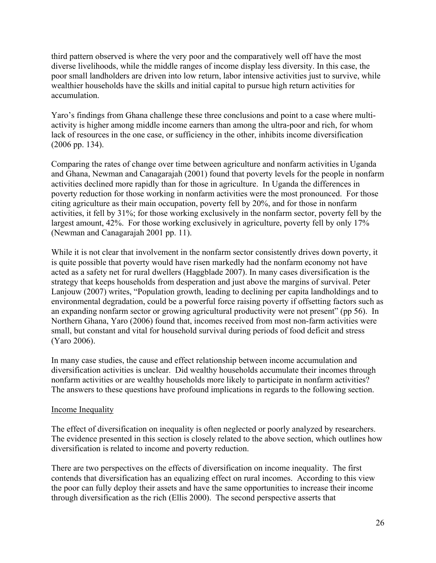third pattern observed is where the very poor and the comparatively well off have the most diverse livelihoods, while the middle ranges of income display less diversity. In this case, the poor small landholders are driven into low return, labor intensive activities just to survive, while wealthier households have the skills and initial capital to pursue high return activities for accumulation.

Yaro's findings from Ghana challenge these three conclusions and point to a case where multiactivity is higher among middle income earners than among the ultra-poor and rich, for whom lack of resources in the one case, or sufficiency in the other, inhibits income diversification (2006 pp. 134).

Comparing the rates of change over time between agriculture and nonfarm activities in Uganda and Ghana, Newman and Canagarajah (2001) found that poverty levels for the people in nonfarm activities declined more rapidly than for those in agriculture. In Uganda the differences in poverty reduction for those working in nonfarm activities were the most pronounced. For those citing agriculture as their main occupation, poverty fell by 20%, and for those in nonfarm activities, it fell by 31%; for those working exclusively in the nonfarm sector, poverty fell by the largest amount, 42%. For those working exclusively in agriculture, poverty fell by only 17% (Newman and Canagarajah 2001 pp. 11).

While it is not clear that involvement in the nonfarm sector consistently drives down poverty, it is quite possible that poverty would have risen markedly had the nonfarm economy not have acted as a safety net for rural dwellers (Haggblade 2007). In many cases diversification is the strategy that keeps households from desperation and just above the margins of survival. Peter Lanjouw (2007) writes, "Population growth, leading to declining per capita landholdings and to environmental degradation, could be a powerful force raising poverty if offsetting factors such as an expanding nonfarm sector or growing agricultural productivity were not present" (pp 56). In Northern Ghana, Yaro (2006) found that, incomes received from most non-farm activities were small, but constant and vital for household survival during periods of food deficit and stress (Yaro 2006).

In many case studies, the cause and effect relationship between income accumulation and diversification activities is unclear. Did wealthy households accumulate their incomes through nonfarm activities or are wealthy households more likely to participate in nonfarm activities? The answers to these questions have profound implications in regards to the following section.

# Income Inequality

The effect of diversification on inequality is often neglected or poorly analyzed by researchers. The evidence presented in this section is closely related to the above section, which outlines how diversification is related to income and poverty reduction.

There are two perspectives on the effects of diversification on income inequality. The first contends that diversification has an equalizing effect on rural incomes. According to this view the poor can fully deploy their assets and have the same opportunities to increase their income through diversification as the rich (Ellis 2000). The second perspective asserts that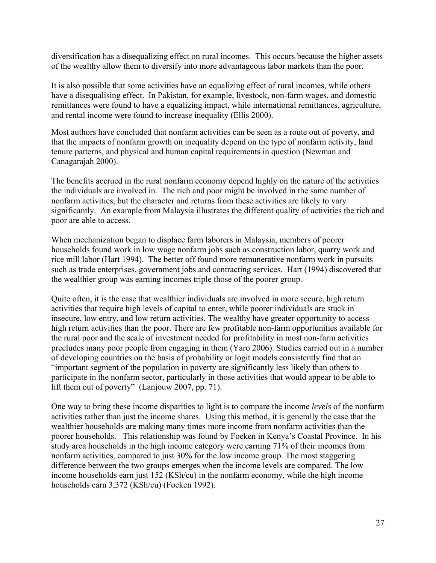diversification has a disequalizing effect on rural incomes. This occurs because the higher assets of the wealthy allow them to diversify into more advantageous labor markets than the poor.

It is also possible that some activities have an equalizing effect of rural incomes, while others have a disequalising effect. In Pakistan, for example, livestock, non-farm wages, and domestic remittances were found to have a equalizing impact, while international remittances, agriculture, and rental income were found to increase inequality (Ellis 2000).

Most authors have concluded that nonfarm activities can be seen as a route out of poverty, and that the impacts of nonfarm growth on inequality depend on the type of nonfarm activity, land tenure patterns, and physical and human capital requirements in question (Newman and Canagarajah 2000).

The benefits accrued in the rural nonfarm economy depend highly on the nature of the activities the individuals are involved in. The rich and poor might be involved in the same number of nonfarm activities, but the character and returns from these activities are likely to vary significantly. An example from Malaysia illustrates the different quality of activities the rich and poor are able to access.

When mechanization began to displace farm laborers in Malaysia, members of poorer households found work in low wage nonfarm jobs such as construction labor, quarry work and rice mill labor (Hart 1994). The better off found more remunerative nonfarm work in pursuits such as trade enterprises, government jobs and contracting services. Hart (1994) discovered that the wealthier group was earning incomes triple those of the poorer group.

Quite often, it is the case that wealthier individuals are involved in more secure, high return activities that require high levels of capital to enter, while poorer individuals are stuck in insecure, low entry, and low return activities. The wealthy have greater opportunity to access high return activities than the poor. There are few profitable non-farm opportunities available for the rural poor and the scale of investment needed for profitability in most non-farm activities precludes many poor people from engaging in them (Yaro 2006). Studies carried out in a number of developing countries on the basis of probability or logit models consistently find that an "important segment of the population in poverty are significantly less likely than others to participate in the nonfarm sector, particularly in those activities that would appear to be able to lift them out of poverty" (Lanjouw 2007, pp. 71).

One way to bring these income disparities to light is to compare the income *levels* of the nonfarm activities rather than just the income shares. Using this method, it is generally the case that the wealthier households are making many times more income from nonfarm activities than the poorer households. This relationship was found by Foeken in Kenya's Coastal Province. In his study area households in the high income category were earning 71% of their incomes from nonfarm activities, compared to just 30% for the low income group. The most staggering difference between the two groups emerges when the income levels are compared. The low income households earn just 152 (KSh/cu) in the nonfarm economy, while the high income households earn 3,372 (KSh/cu) (Foeken 1992).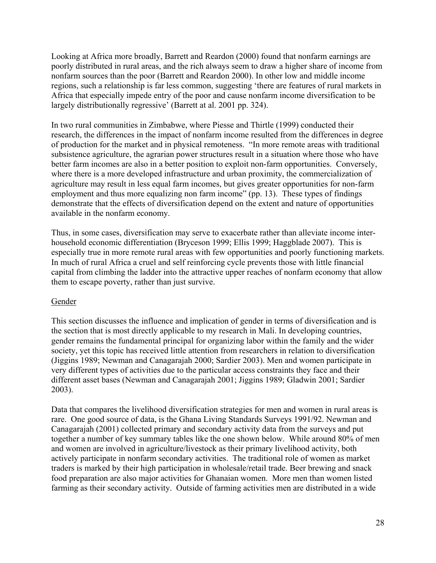Looking at Africa more broadly, Barrett and Reardon (2000) found that nonfarm earnings are poorly distributed in rural areas, and the rich always seem to draw a higher share of income from nonfarm sources than the poor (Barrett and Reardon 2000). In other low and middle income regions, such a relationship is far less common, suggesting 'there are features of rural markets in Africa that especially impede entry of the poor and cause nonfarm income diversification to be largely distributionally regressive' (Barrett at al. 2001 pp. 324).

In two rural communities in Zimbabwe, where Piesse and Thirtle (1999) conducted their research, the differences in the impact of nonfarm income resulted from the differences in degree of production for the market and in physical remoteness. "In more remote areas with traditional subsistence agriculture, the agrarian power structures result in a situation where those who have better farm incomes are also in a better position to exploit non-farm opportunities. Conversely, where there is a more developed infrastructure and urban proximity, the commercialization of agriculture may result in less equal farm incomes, but gives greater opportunities for non-farm employment and thus more equalizing non farm income" (pp. 13). These types of findings demonstrate that the effects of diversification depend on the extent and nature of opportunities available in the nonfarm economy.

Thus, in some cases, diversification may serve to exacerbate rather than alleviate income interhousehold economic differentiation (Bryceson 1999; Ellis 1999; Haggblade 2007). This is especially true in more remote rural areas with few opportunities and poorly functioning markets. In much of rural Africa a cruel and self reinforcing cycle prevents those with little financial capital from climbing the ladder into the attractive upper reaches of nonfarm economy that allow them to escape poverty, rather than just survive.

#### Gender

This section discusses the influence and implication of gender in terms of diversification and is the section that is most directly applicable to my research in Mali. In developing countries, gender remains the fundamental principal for organizing labor within the family and the wider society, yet this topic has received little attention from researchers in relation to diversification (Jiggins 1989; Newman and Canagarajah 2000; Sardier 2003). Men and women participate in very different types of activities due to the particular access constraints they face and their different asset bases (Newman and Canagarajah 2001; Jiggins 1989; Gladwin 2001; Sardier 2003).

Data that compares the livelihood diversification strategies for men and women in rural areas is rare. One good source of data, is the Ghana Living Standards Surveys 1991/92. Newman and Canagarajah (2001) collected primary and secondary activity data from the surveys and put together a number of key summary tables like the one shown below. While around 80% of men and women are involved in agriculture/livestock as their primary livelihood activity, both actively participate in nonfarm secondary activities. The traditional role of women as market traders is marked by their high participation in wholesale/retail trade. Beer brewing and snack food preparation are also major activities for Ghanaian women. More men than women listed farming as their secondary activity. Outside of farming activities men are distributed in a wide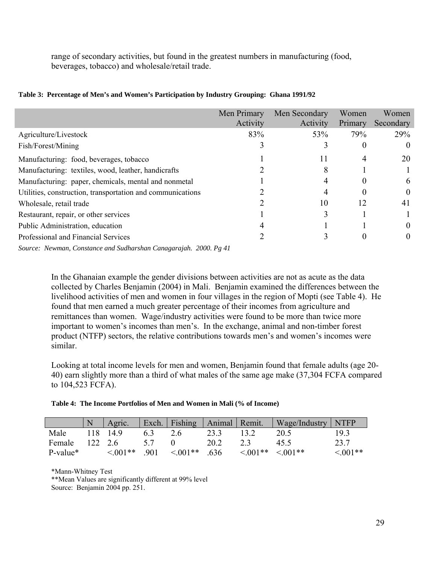range of secondary activities, but found in the greatest numbers in manufacturing (food, beverages, tobacco) and wholesale/retail trade.

|                                                            | Men Primary<br>Activity | Men Secondary<br>Activity | Women<br>Primary | Women<br>Secondary |
|------------------------------------------------------------|-------------------------|---------------------------|------------------|--------------------|
| Agriculture/Livestock                                      | 83%                     | 53%                       | 79%              | 29%                |
| Fish/Forest/Mining                                         |                         |                           |                  | $\theta$           |
| Manufacturing: food, beverages, tobacco                    |                         | 11                        | 4                | 20                 |
| Manufacturing: textiles, wood, leather, handicrafts        |                         | 8                         |                  |                    |
| Manufacturing: paper, chemicals, mental and nonmetal       |                         | 4                         | $_{0}$           | 6                  |
| Utilities, construction, transportation and communications |                         | 4                         | $\theta$         | $\theta$           |
| Wholesale, retail trade                                    |                         | 10                        | 12               | 41                 |
| Restaurant, repair, or other services                      |                         | 3                         |                  |                    |
| Public Administration, education                           |                         |                           |                  | $\theta$           |
| Professional and Financial Services                        |                         |                           | 0                | $\theta$           |
|                                                            |                         |                           |                  |                    |

#### **Table 3: Percentage of Men's and Women's Participation by Industry Grouping: Ghana 1991/92**

*Source: Newman, Constance and Sudharshan Canagarajah. 2000. Pg 41* 

In the Ghanaian example the gender divisions between activities are not as acute as the data collected by Charles Benjamin (2004) in Mali. Benjamin examined the differences between the livelihood activities of men and women in four villages in the region of Mopti (see Table 4). He found that men earned a much greater percentage of their incomes from agriculture and remittances than women. Wage/industry activities were found to be more than twice more important to women's incomes than men's. In the exchange, animal and non-timber forest product (NTFP) sectors, the relative contributions towards men's and women's incomes were similar.

Looking at total income levels for men and women, Benjamin found that female adults (age 20- 40) earn slightly more than a third of what males of the same age make (37,304 FCFA compared to 104,523 FCFA).

|  | Table 4: The Income Portfolios of Men and Women in Mali (% of Income) |  |  |  |  |  |
|--|-----------------------------------------------------------------------|--|--|--|--|--|
|--|-----------------------------------------------------------------------|--|--|--|--|--|

|          |         | Agric.        |     | Exch. Fishing   Animal   Remit. |      |               | $\log$ Wage/Industry NTFP |               |
|----------|---------|---------------|-----|---------------------------------|------|---------------|---------------------------|---------------|
| Male     |         | 118 14.9      | 6.3 | 2.6                             | 23.3 |               | 20.5                      | 19.3          |
| Female   | 122 2.6 |               |     |                                 | 20.2 | 23            | 45.5                      | 23.7          |
| P-value* |         | $\leq 0.01**$ | 901 | $\leq 0.01**$                   | .636 | $\leq 0.01**$ | $\leq 0.01**$             | $\leq 0.01**$ |

\*Mann-Whitney Test

\*\*Mean Values are significantly different at 99% level

Source: Benjamin 2004 pp. 251.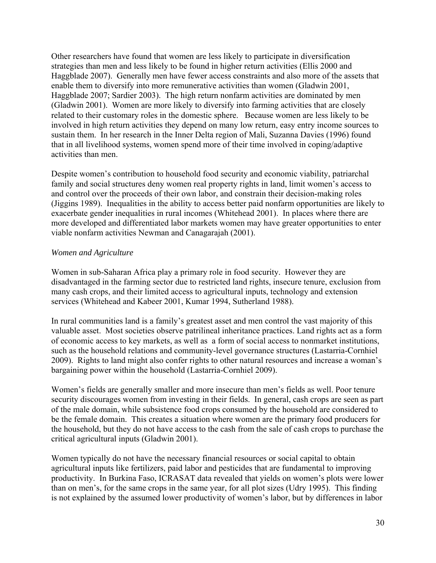Other researchers have found that women are less likely to participate in diversification strategies than men and less likely to be found in higher return activities (Ellis 2000 and Haggblade 2007). Generally men have fewer access constraints and also more of the assets that enable them to diversify into more remunerative activities than women (Gladwin 2001, Haggblade 2007; Sardier 2003). The high return nonfarm activities are dominated by men (Gladwin 2001). Women are more likely to diversify into farming activities that are closely related to their customary roles in the domestic sphere. Because women are less likely to be involved in high return activities they depend on many low return, easy entry income sources to sustain them. In her research in the Inner Delta region of Mali, Suzanna Davies (1996) found that in all livelihood systems, women spend more of their time involved in coping/adaptive activities than men.

Despite women's contribution to household food security and economic viability, patriarchal family and social structures deny women real property rights in land, limit women's access to and control over the proceeds of their own labor, and constrain their decision-making roles (Jiggins 1989). Inequalities in the ability to access better paid nonfarm opportunities are likely to exacerbate gender inequalities in rural incomes (Whitehead 2001). In places where there are more developed and differentiated labor markets women may have greater opportunities to enter viable nonfarm activities Newman and Canagarajah (2001).

## *Women and Agriculture*

Women in sub-Saharan Africa play a primary role in food security. However they are disadvantaged in the farming sector due to restricted land rights, insecure tenure, exclusion from many cash crops, and their limited access to agricultural inputs, technology and extension services (Whitehead and Kabeer 2001, Kumar 1994, Sutherland 1988).

In rural communities land is a family's greatest asset and men control the vast majority of this valuable asset. Most societies observe patrilineal inheritance practices. Land rights act as a form of economic access to key markets, as well as a form of social access to nonmarket institutions, such as the household relations and community-level governance structures (Lastarria-Cornhiel 2009). Rights to land might also confer rights to other natural resources and increase a woman's bargaining power within the household (Lastarria-Cornhiel 2009).

Women's fields are generally smaller and more insecure than men's fields as well. Poor tenure security discourages women from investing in their fields. In general, cash crops are seen as part of the male domain, while subsistence food crops consumed by the household are considered to be the female domain. This creates a situation where women are the primary food producers for the household, but they do not have access to the cash from the sale of cash crops to purchase the critical agricultural inputs (Gladwin 2001).

Women typically do not have the necessary financial resources or social capital to obtain agricultural inputs like fertilizers, paid labor and pesticides that are fundamental to improving productivity. In Burkina Faso, ICRASAT data revealed that yields on women's plots were lower than on men's, for the same crops in the same year, for all plot sizes (Udry 1995). This finding is not explained by the assumed lower productivity of women's labor, but by differences in labor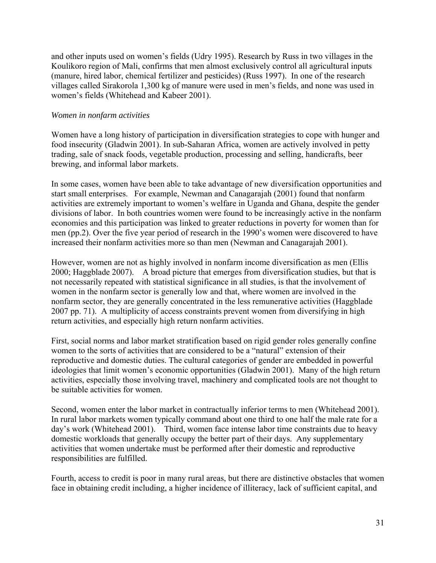and other inputs used on women's fields (Udry 1995). Research by Russ in two villages in the Koulikoro region of Mali, confirms that men almost exclusively control all agricultural inputs (manure, hired labor, chemical fertilizer and pesticides) (Russ 1997). In one of the research villages called Sirakorola 1,300 kg of manure were used in men's fields, and none was used in women's fields (Whitehead and Kabeer 2001).

## *Women in nonfarm activities*

Women have a long history of participation in diversification strategies to cope with hunger and food insecurity (Gladwin 2001). In sub-Saharan Africa, women are actively involved in petty trading, sale of snack foods, vegetable production, processing and selling, handicrafts, beer brewing, and informal labor markets.

In some cases, women have been able to take advantage of new diversification opportunities and start small enterprises. For example, Newman and Canagarajah (2001) found that nonfarm activities are extremely important to women's welfare in Uganda and Ghana, despite the gender divisions of labor. In both countries women were found to be increasingly active in the nonfarm economies and this participation was linked to greater reductions in poverty for women than for men (pp.2). Over the five year period of research in the 1990's women were discovered to have increased their nonfarm activities more so than men (Newman and Canagarajah 2001).

However, women are not as highly involved in nonfarm income diversification as men (Ellis 2000; Haggblade 2007). A broad picture that emerges from diversification studies, but that is not necessarily repeated with statistical significance in all studies, is that the involvement of women in the nonfarm sector is generally low and that, where women are involved in the nonfarm sector, they are generally concentrated in the less remunerative activities (Haggblade 2007 pp. 71). A multiplicity of access constraints prevent women from diversifying in high return activities, and especially high return nonfarm activities.

First, social norms and labor market stratification based on rigid gender roles generally confine women to the sorts of activities that are considered to be a "natural" extension of their reproductive and domestic duties. The cultural categories of gender are embedded in powerful ideologies that limit women's economic opportunities (Gladwin 2001). Many of the high return activities, especially those involving travel, machinery and complicated tools are not thought to be suitable activities for women.

Second, women enter the labor market in contractually inferior terms to men (Whitehead 2001). In rural labor markets women typically command about one third to one half the male rate for a day's work (Whitehead 2001). Third, women face intense labor time constraints due to heavy domestic workloads that generally occupy the better part of their days. Any supplementary activities that women undertake must be performed after their domestic and reproductive responsibilities are fulfilled.

Fourth, access to credit is poor in many rural areas, but there are distinctive obstacles that women face in obtaining credit including, a higher incidence of illiteracy, lack of sufficient capital, and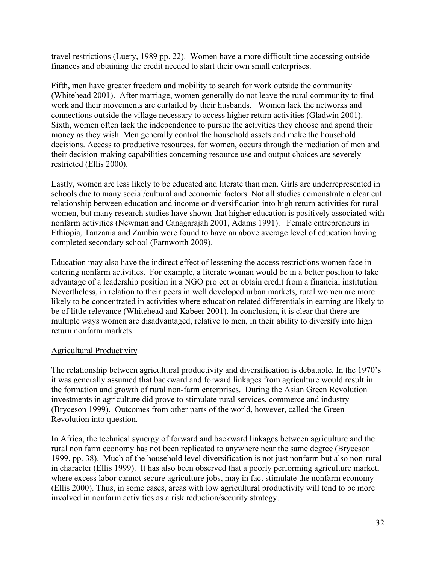travel restrictions (Luery, 1989 pp. 22). Women have a more difficult time accessing outside finances and obtaining the credit needed to start their own small enterprises.

Fifth, men have greater freedom and mobility to search for work outside the community (Whitehead 2001). After marriage, women generally do not leave the rural community to find work and their movements are curtailed by their husbands. Women lack the networks and connections outside the village necessary to access higher return activities (Gladwin 2001). Sixth, women often lack the independence to pursue the activities they choose and spend their money as they wish. Men generally control the household assets and make the household decisions. Access to productive resources, for women, occurs through the mediation of men and their decision-making capabilities concerning resource use and output choices are severely restricted (Ellis 2000).

Lastly, women are less likely to be educated and literate than men. Girls are underrepresented in schools due to many social/cultural and economic factors. Not all studies demonstrate a clear cut relationship between education and income or diversification into high return activities for rural women, but many research studies have shown that higher education is positively associated with nonfarm activities (Newman and Canagarajah 2001, Adams 1991). Female entrepreneurs in Ethiopia, Tanzania and Zambia were found to have an above average level of education having completed secondary school (Farnworth 2009).

Education may also have the indirect effect of lessening the access restrictions women face in entering nonfarm activities. For example, a literate woman would be in a better position to take advantage of a leadership position in a NGO project or obtain credit from a financial institution. Nevertheless, in relation to their peers in well developed urban markets, rural women are more likely to be concentrated in activities where education related differentials in earning are likely to be of little relevance (Whitehead and Kabeer 2001). In conclusion, it is clear that there are multiple ways women are disadvantaged, relative to men, in their ability to diversify into high return nonfarm markets.

# Agricultural Productivity

The relationship between agricultural productivity and diversification is debatable. In the 1970's it was generally assumed that backward and forward linkages from agriculture would result in the formation and growth of rural non-farm enterprises. During the Asian Green Revolution investments in agriculture did prove to stimulate rural services, commerce and industry (Bryceson 1999). Outcomes from other parts of the world, however, called the Green Revolution into question.

In Africa, the technical synergy of forward and backward linkages between agriculture and the rural non farm economy has not been replicated to anywhere near the same degree (Bryceson 1999, pp. 38). Much of the household level diversification is not just nonfarm but also non-rural in character (Ellis 1999). It has also been observed that a poorly performing agriculture market, where excess labor cannot secure agriculture jobs, may in fact stimulate the nonfarm economy (Ellis 2000). Thus, in some cases, areas with low agricultural productivity will tend to be more involved in nonfarm activities as a risk reduction/security strategy.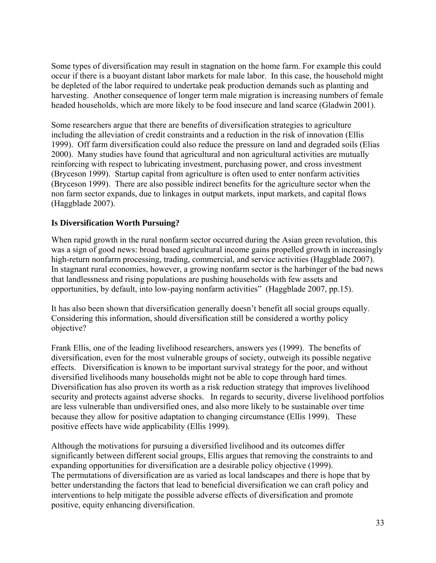Some types of diversification may result in stagnation on the home farm. For example this could occur if there is a buoyant distant labor markets for male labor. In this case, the household might be depleted of the labor required to undertake peak production demands such as planting and harvesting. Another consequence of longer term male migration is increasing numbers of female headed households, which are more likely to be food insecure and land scarce (Gladwin 2001).

Some researchers argue that there are benefits of diversification strategies to agriculture including the alleviation of credit constraints and a reduction in the risk of innovation (Ellis 1999). Off farm diversification could also reduce the pressure on land and degraded soils (Elias 2000). Many studies have found that agricultural and non agricultural activities are mutually reinforcing with respect to lubricating investment, purchasing power, and cross investment (Bryceson 1999). Startup capital from agriculture is often used to enter nonfarm activities (Bryceson 1999). There are also possible indirect benefits for the agriculture sector when the non farm sector expands, due to linkages in output markets, input markets, and capital flows (Haggblade 2007).

# **Is Diversification Worth Pursuing?**

When rapid growth in the rural nonfarm sector occurred during the Asian green revolution, this was a sign of good news: broad based agricultural income gains propelled growth in increasingly high-return nonfarm processing, trading, commercial, and service activities (Haggblade 2007). In stagnant rural economies, however, a growing nonfarm sector is the harbinger of the bad news that landlessness and rising populations are pushing households with few assets and opportunities, by default, into low-paying nonfarm activities" (Haggblade 2007, pp.15).

It has also been shown that diversification generally doesn't benefit all social groups equally. Considering this information, should diversification still be considered a worthy policy objective?

Frank Ellis, one of the leading livelihood researchers, answers yes (1999). The benefits of diversification, even for the most vulnerable groups of society, outweigh its possible negative effects. Diversification is known to be important survival strategy for the poor, and without diversified livelihoods many households might not be able to cope through hard times. Diversification has also proven its worth as a risk reduction strategy that improves livelihood security and protects against adverse shocks. In regards to security, diverse livelihood portfolios are less vulnerable than undiversified ones, and also more likely to be sustainable over time because they allow for positive adaptation to changing circumstance (Ellis 1999). These positive effects have wide applicability (Ellis 1999).

Although the motivations for pursuing a diversified livelihood and its outcomes differ significantly between different social groups, Ellis argues that removing the constraints to and expanding opportunities for diversification are a desirable policy objective (1999). The permutations of diversification are as varied as local landscapes and there is hope that by better understanding the factors that lead to beneficial diversification we can craft policy and interventions to help mitigate the possible adverse effects of diversification and promote positive, equity enhancing diversification.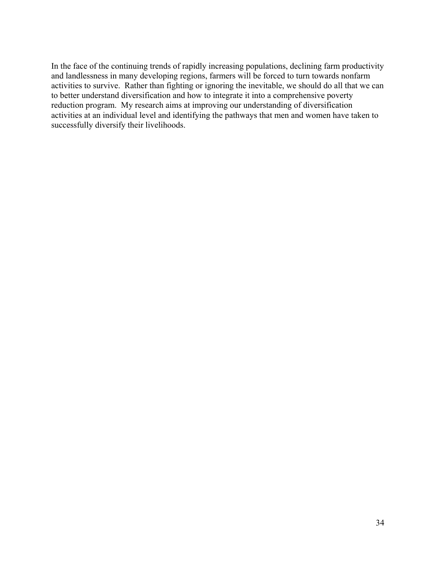In the face of the continuing trends of rapidly increasing populations, declining farm productivity and landlessness in many developing regions, farmers will be forced to turn towards nonfarm activities to survive. Rather than fighting or ignoring the inevitable, we should do all that we can to better understand diversification and how to integrate it into a comprehensive poverty reduction program. My research aims at improving our understanding of diversification activities at an individual level and identifying the pathways that men and women have taken to successfully diversify their livelihoods.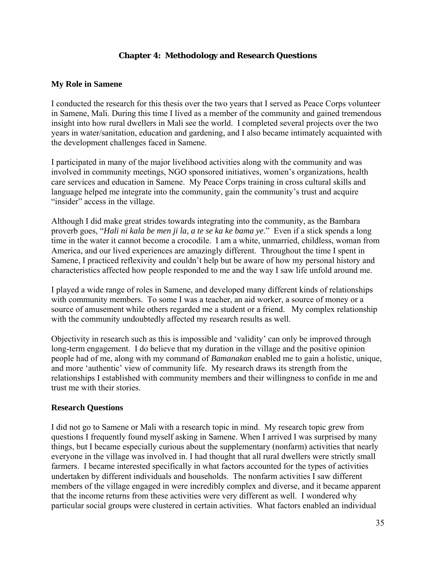## **Chapter 4: Methodology and Research Questions**

## **My Role in Samene**

I conducted the research for this thesis over the two years that I served as Peace Corps volunteer in Samene, Mali. During this time I lived as a member of the community and gained tremendous insight into how rural dwellers in Mali see the world. I completed several projects over the two years in water/sanitation, education and gardening, and I also became intimately acquainted with the development challenges faced in Samene.

I participated in many of the major livelihood activities along with the community and was involved in community meetings, NGO sponsored initiatives, women's organizations, health care services and education in Samene. My Peace Corps training in cross cultural skills and language helped me integrate into the community, gain the community's trust and acquire "insider" access in the village.

Although I did make great strides towards integrating into the community, as the Bambara proverb goes, "*Hali ni kala be men ji la, a te se ka ke bama ye*." Even if a stick spends a long time in the water it cannot become a crocodile. I am a white, unmarried, childless, woman from America, and our lived experiences are amazingly different. Throughout the time I spent in Samene, I practiced reflexivity and couldn't help but be aware of how my personal history and characteristics affected how people responded to me and the way I saw life unfold around me.

I played a wide range of roles in Samene, and developed many different kinds of relationships with community members. To some I was a teacher, an aid worker, a source of money or a source of amusement while others regarded me a student or a friend. My complex relationship with the community undoubtedly affected my research results as well.

Objectivity in research such as this is impossible and 'validity' can only be improved through long-term engagement. I do believe that my duration in the village and the positive opinion people had of me, along with my command of *Bamanakan* enabled me to gain a holistic, unique, and more 'authentic' view of community life. My research draws its strength from the relationships I established with community members and their willingness to confide in me and trust me with their stories.

#### **Research Questions**

I did not go to Samene or Mali with a research topic in mind. My research topic grew from questions I frequently found myself asking in Samene. When I arrived I was surprised by many things, but I became especially curious about the supplementary (nonfarm) activities that nearly everyone in the village was involved in. I had thought that all rural dwellers were strictly small farmers. I became interested specifically in what factors accounted for the types of activities undertaken by different individuals and households. The nonfarm activities I saw different members of the village engaged in were incredibly complex and diverse, and it became apparent that the income returns from these activities were very different as well. I wondered why particular social groups were clustered in certain activities. What factors enabled an individual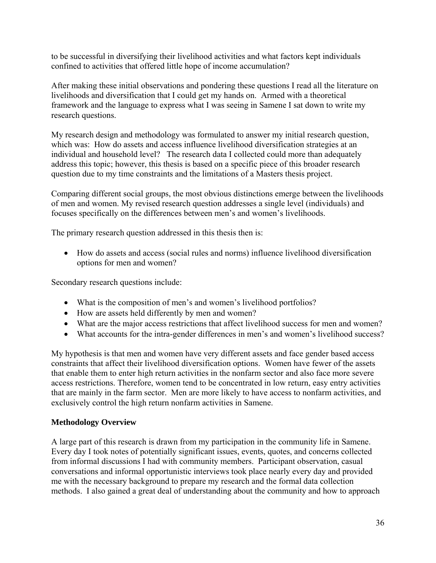to be successful in diversifying their livelihood activities and what factors kept individuals confined to activities that offered little hope of income accumulation?

After making these initial observations and pondering these questions I read all the literature on livelihoods and diversification that I could get my hands on. Armed with a theoretical framework and the language to express what I was seeing in Samene I sat down to write my research questions.

My research design and methodology was formulated to answer my initial research question, which was: How do assets and access influence livelihood diversification strategies at an individual and household level? The research data I collected could more than adequately address this topic; however, this thesis is based on a specific piece of this broader research question due to my time constraints and the limitations of a Masters thesis project.

Comparing different social groups, the most obvious distinctions emerge between the livelihoods of men and women. My revised research question addresses a single level (individuals) and focuses specifically on the differences between men's and women's livelihoods.

The primary research question addressed in this thesis then is:

• How do assets and access (social rules and norms) influence livelihood diversification options for men and women?

Secondary research questions include:

- What is the composition of men's and women's livelihood portfolios?
- How are assets held differently by men and women?
- What are the major access restrictions that affect livelihood success for men and women?
- What accounts for the intra-gender differences in men's and women's livelihood success?

My hypothesis is that men and women have very different assets and face gender based access constraints that affect their livelihood diversification options. Women have fewer of the assets that enable them to enter high return activities in the nonfarm sector and also face more severe access restrictions. Therefore, women tend to be concentrated in low return, easy entry activities that are mainly in the farm sector. Men are more likely to have access to nonfarm activities, and exclusively control the high return nonfarm activities in Samene.

# **Methodology Overview**

A large part of this research is drawn from my participation in the community life in Samene. Every day I took notes of potentially significant issues, events, quotes, and concerns collected from informal discussions I had with community members. Participant observation, casual conversations and informal opportunistic interviews took place nearly every day and provided me with the necessary background to prepare my research and the formal data collection methods. I also gained a great deal of understanding about the community and how to approach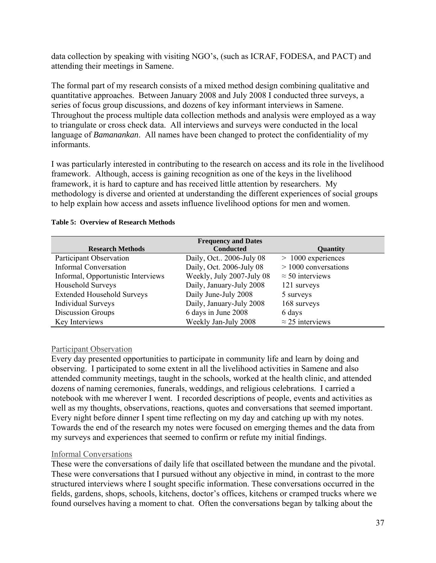data collection by speaking with visiting NGO's, (such as ICRAF, FODESA, and PACT) and attending their meetings in Samene.

The formal part of my research consists of a mixed method design combining qualitative and quantitative approaches. Between January 2008 and July 2008 I conducted three surveys, a series of focus group discussions, and dozens of key informant interviews in Samene. Throughout the process multiple data collection methods and analysis were employed as a way to triangulate or cross check data. All interviews and surveys were conducted in the local language of *Bamanankan*. All names have been changed to protect the confidentiality of my informants.

I was particularly interested in contributing to the research on access and its role in the livelihood framework. Although, access is gaining recognition as one of the keys in the livelihood framework, it is hard to capture and has received little attention by researchers. My methodology is diverse and oriented at understanding the different experiences of social groups to help explain how access and assets influence livelihood options for men and women.

|                                    | <b>Frequency and Dates</b> |                         |
|------------------------------------|----------------------------|-------------------------|
| <b>Research Methods</b>            | <b>Conducted</b>           | Quantity                |
| Participant Observation            | Daily, Oct., 2006-July 08  | $>1000$ experiences     |
| <b>Informal Conversation</b>       | Daily, Oct. 2006-July 08   | $> 1000$ conversations  |
| Informal, Opportunistic Interviews | Weekly, July 2007-July 08  | $\approx$ 50 interviews |
| Household Surveys                  | Daily, January-July 2008   | 121 surveys             |
| <b>Extended Household Surveys</b>  | Daily June-July 2008       | 5 surveys               |
| <b>Individual Surveys</b>          | Daily, January-July 2008   | 168 surveys             |
| Discussion Groups                  | 6 days in June 2008        | 6 days                  |
| Key Interviews                     | Weekly Jan-July 2008       | $\approx$ 25 interviews |

#### **Table 5: Overview of Research Methods**

#### Participant Observation

Every day presented opportunities to participate in community life and learn by doing and observing. I participated to some extent in all the livelihood activities in Samene and also attended community meetings, taught in the schools, worked at the health clinic, and attended dozens of naming ceremonies, funerals, weddings, and religious celebrations. I carried a notebook with me wherever I went. I recorded descriptions of people, events and activities as well as my thoughts, observations, reactions, quotes and conversations that seemed important. Every night before dinner I spent time reflecting on my day and catching up with my notes. Towards the end of the research my notes were focused on emerging themes and the data from my surveys and experiences that seemed to confirm or refute my initial findings.

#### Informal Conversations

These were the conversations of daily life that oscillated between the mundane and the pivotal. These were conversations that I pursued without any objective in mind, in contrast to the more structured interviews where I sought specific information. These conversations occurred in the fields, gardens, shops, schools, kitchens, doctor's offices, kitchens or cramped trucks where we found ourselves having a moment to chat. Often the conversations began by talking about the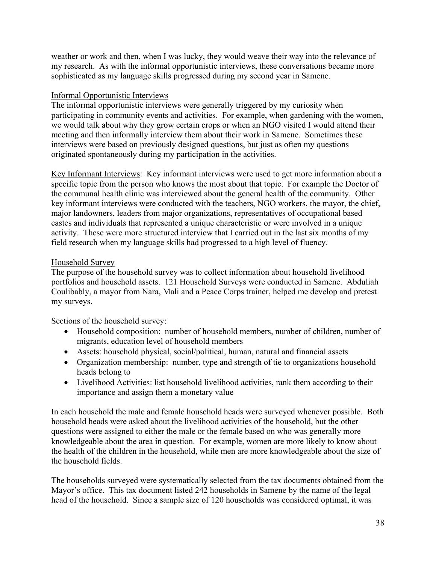weather or work and then, when I was lucky, they would weave their way into the relevance of my research. As with the informal opportunistic interviews, these conversations became more sophisticated as my language skills progressed during my second year in Samene.

# Informal Opportunistic Interviews

The informal opportunistic interviews were generally triggered by my curiosity when participating in community events and activities. For example, when gardening with the women, we would talk about why they grow certain crops or when an NGO visited I would attend their meeting and then informally interview them about their work in Samene. Sometimes these interviews were based on previously designed questions, but just as often my questions originated spontaneously during my participation in the activities.

Key Informant Interviews: Key informant interviews were used to get more information about a specific topic from the person who knows the most about that topic. For example the Doctor of the communal health clinic was interviewed about the general health of the community. Other key informant interviews were conducted with the teachers, NGO workers, the mayor, the chief, major landowners, leaders from major organizations, representatives of occupational based castes and individuals that represented a unique characteristic or were involved in a unique activity. These were more structured interview that I carried out in the last six months of my field research when my language skills had progressed to a high level of fluency.

# Household Survey

The purpose of the household survey was to collect information about household livelihood portfolios and household assets. 121 Household Surveys were conducted in Samene. Abduliah Coulibably, a mayor from Nara, Mali and a Peace Corps trainer, helped me develop and pretest my surveys.

Sections of the household survey:

- Household composition: number of household members, number of children, number of migrants, education level of household members
- Assets: household physical, social/political, human, natural and financial assets
- Organization membership: number, type and strength of tie to organizations household heads belong to
- Livelihood Activities: list household livelihood activities, rank them according to their importance and assign them a monetary value

In each household the male and female household heads were surveyed whenever possible. Both household heads were asked about the livelihood activities of the household, but the other questions were assigned to either the male or the female based on who was generally more knowledgeable about the area in question. For example, women are more likely to know about the health of the children in the household, while men are more knowledgeable about the size of the household fields.

The households surveyed were systematically selected from the tax documents obtained from the Mayor's office. This tax document listed 242 households in Samene by the name of the legal head of the household. Since a sample size of 120 households was considered optimal, it was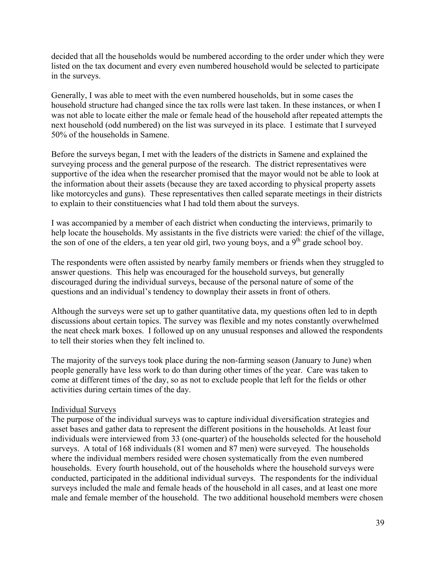decided that all the households would be numbered according to the order under which they were listed on the tax document and every even numbered household would be selected to participate in the surveys.

Generally, I was able to meet with the even numbered households, but in some cases the household structure had changed since the tax rolls were last taken. In these instances, or when I was not able to locate either the male or female head of the household after repeated attempts the next household (odd numbered) on the list was surveyed in its place. I estimate that I surveyed 50% of the households in Samene.

Before the surveys began, I met with the leaders of the districts in Samene and explained the surveying process and the general purpose of the research. The district representatives were supportive of the idea when the researcher promised that the mayor would not be able to look at the information about their assets (because they are taxed according to physical property assets like motorcycles and guns). These representatives then called separate meetings in their districts to explain to their constituencies what I had told them about the surveys.

I was accompanied by a member of each district when conducting the interviews, primarily to help locate the households. My assistants in the five districts were varied: the chief of the village, the son of one of the elders, a ten year old girl, two young boys, and a  $9<sup>th</sup>$  grade school boy.

The respondents were often assisted by nearby family members or friends when they struggled to answer questions. This help was encouraged for the household surveys, but generally discouraged during the individual surveys, because of the personal nature of some of the questions and an individual's tendency to downplay their assets in front of others.

Although the surveys were set up to gather quantitative data, my questions often led to in depth discussions about certain topics. The survey was flexible and my notes constantly overwhelmed the neat check mark boxes. I followed up on any unusual responses and allowed the respondents to tell their stories when they felt inclined to.

The majority of the surveys took place during the non-farming season (January to June) when people generally have less work to do than during other times of the year. Care was taken to come at different times of the day, so as not to exclude people that left for the fields or other activities during certain times of the day.

#### Individual Surveys

The purpose of the individual surveys was to capture individual diversification strategies and asset bases and gather data to represent the different positions in the households. At least four individuals were interviewed from 33 (one-quarter) of the households selected for the household surveys. A total of 168 individuals (81 women and 87 men) were surveyed. The households where the individual members resided were chosen systematically from the even numbered households. Every fourth household, out of the households where the household surveys were conducted, participated in the additional individual surveys. The respondents for the individual surveys included the male and female heads of the household in all cases, and at least one more male and female member of the household. The two additional household members were chosen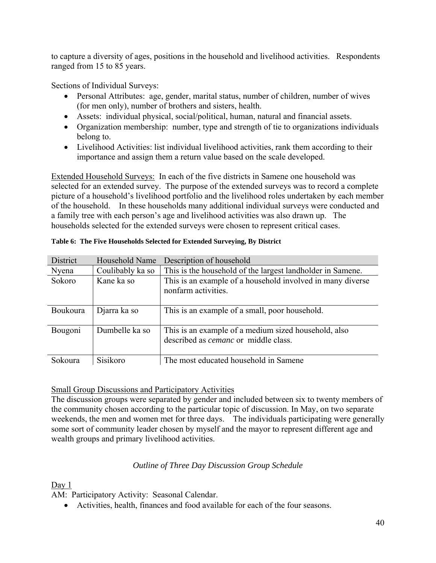to capture a diversity of ages, positions in the household and livelihood activities. Respondents ranged from 15 to 85 years.

Sections of Individual Surveys:

- Personal Attributes: age, gender, marital status, number of children, number of wives (for men only), number of brothers and sisters, health.
- Assets: individual physical, social/political, human, natural and financial assets.
- Organization membership: number, type and strength of tie to organizations individuals belong to.
- Livelihood Activities: list individual livelihood activities, rank them according to their importance and assign them a return value based on the scale developed.

Extended Household Surveys: In each of the five districts in Samene one household was selected for an extended survey. The purpose of the extended surveys was to record a complete picture of a household's livelihood portfolio and the livelihood roles undertaken by each member of the household. In these households many additional individual surveys were conducted and a family tree with each person's age and livelihood activities was also drawn up. The households selected for the extended surveys were chosen to represent critical cases.

| District | Household Name   | Description of household                                                                            |
|----------|------------------|-----------------------------------------------------------------------------------------------------|
| Nyena    | Coulibably ka so | This is the household of the largest landholder in Samene.                                          |
| Sokoro   | Kane ka so       | This is an example of a household involved in many diverse<br>nonfarm activities.                   |
| Boukoura | Djarra ka so     | This is an example of a small, poor household.                                                      |
| Bougoni  | Dumbelle ka so   | This is an example of a medium sized household, also<br>described as <i>cemanc</i> or middle class. |
| Sokoura  | Sisikoro         | The most educated household in Samene                                                               |

#### **Table 6: The Five Households Selected for Extended Surveying, By District**

# Small Group Discussions and Participatory Activities

The discussion groups were separated by gender and included between six to twenty members of the community chosen according to the particular topic of discussion. In May, on two separate weekends, the men and women met for three days. The individuals participating were generally some sort of community leader chosen by myself and the mayor to represent different age and wealth groups and primary livelihood activities.

# *Outline of Three Day Discussion Group Schedule*

Day 1

AM: Participatory Activity: Seasonal Calendar.

• Activities, health, finances and food available for each of the four seasons.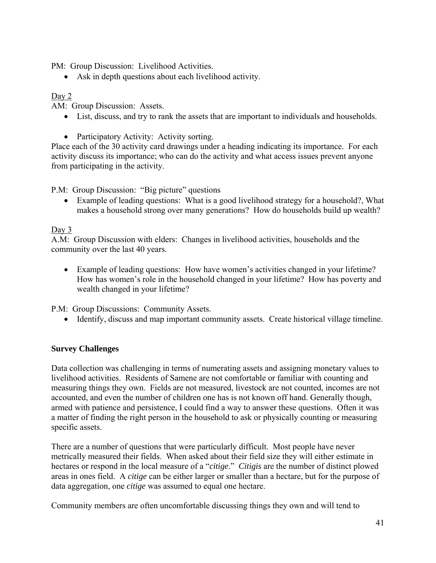PM: Group Discussion: Livelihood Activities.

• Ask in depth questions about each livelihood activity.

# Day 2

AM: Group Discussion: Assets.

- List, discuss, and try to rank the assets that are important to individuals and households.
- Participatory Activity: Activity sorting.

Place each of the 30 activity card drawings under a heading indicating its importance. For each activity discuss its importance; who can do the activity and what access issues prevent anyone from participating in the activity.

P.M: Group Discussion: "Big picture" questions

• Example of leading questions: What is a good livelihood strategy for a household?, What makes a household strong over many generations? How do households build up wealth?

# Day 3

A.M: Group Discussion with elders: Changes in livelihood activities, households and the community over the last 40 years.

• Example of leading questions: How have women's activities changed in your lifetime? How has women's role in the household changed in your lifetime? How has poverty and wealth changed in your lifetime?

P.M: Group Discussions: Community Assets.

• Identify, discuss and map important community assets. Create historical village timeline.

# **Survey Challenges**

Data collection was challenging in terms of numerating assets and assigning monetary values to livelihood activities. Residents of Samene are not comfortable or familiar with counting and measuring things they own. Fields are not measured, livestock are not counted, incomes are not accounted, and even the number of children one has is not known off hand. Generally though, armed with patience and persistence, I could find a way to answer these questions. Often it was a matter of finding the right person in the household to ask or physically counting or measuring specific assets.

There are a number of questions that were particularly difficult. Most people have never metrically measured their fields. When asked about their field size they will either estimate in hectares or respond in the local measure of a "*citige*." *Citigis* are the number of distinct plowed areas in ones field. A *citige* can be either larger or smaller than a hectare, but for the purpose of data aggregation, one *citige* was assumed to equal one hectare.

Community members are often uncomfortable discussing things they own and will tend to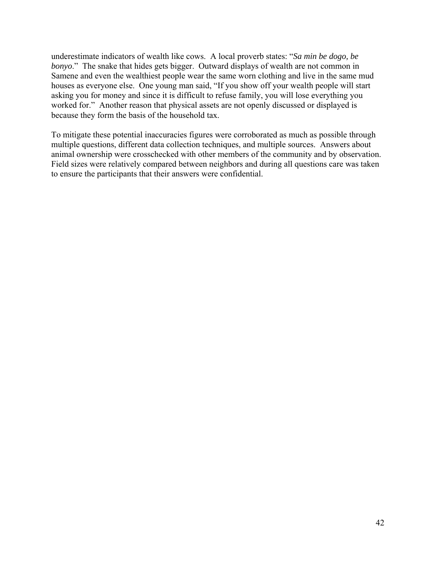underestimate indicators of wealth like cows. A local proverb states: "*Sa min be dogo, be bonyo*." The snake that hides gets bigger. Outward displays of wealth are not common in Samene and even the wealthiest people wear the same worn clothing and live in the same mud houses as everyone else. One young man said, "If you show off your wealth people will start asking you for money and since it is difficult to refuse family, you will lose everything you worked for." Another reason that physical assets are not openly discussed or displayed is because they form the basis of the household tax.

To mitigate these potential inaccuracies figures were corroborated as much as possible through multiple questions, different data collection techniques, and multiple sources. Answers about animal ownership were crosschecked with other members of the community and by observation. Field sizes were relatively compared between neighbors and during all questions care was taken to ensure the participants that their answers were confidential.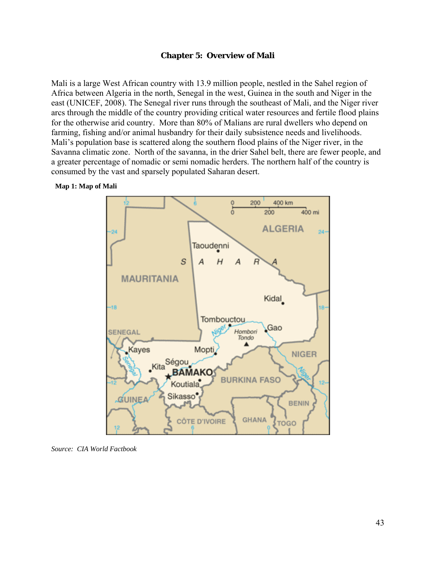#### **Chapter 5: Overview of Mali**

Mali is a large West African country with 13.9 million people, nestled in the Sahel region of Africa between Algeria in the north, Senegal in the west, Guinea in the south and Niger in the east (UNICEF, 2008). The Senegal river runs through the southeast of Mali, and the Niger river arcs through the middle of the country providing critical water resources and fertile flood plains for the otherwise arid country. More than 80% of Malians are rural dwellers who depend on farming, fishing and/or animal husbandry for their daily subsistence needs and livelihoods. Mali's population base is scattered along the southern flood plains of the Niger river, in the Savanna climatic zone. North of the savanna, in the drier Sahel belt, there are fewer people, and a greater percentage of nomadic or semi nomadic herders. The northern half of the country is consumed by the vast and sparsely populated Saharan desert.

#### o 200 400 km 400 mi 200 **ALGERIA** 24 Taoudenni S A Н A **MAURITANIA** Kidal -18 Tombouctou Gao Hombori SENEGAL Tondo Mopti Kayes **NIGER** Kita Ségou **BAMAKO BURKINA FASO** Koutiala Sikasso<sup>®</sup> GUINEA **BENIN GHANA CÔTE D'IVOIRE TOGO**

#### **Map 1: Map of Mali**

*Source: CIA World Factbook*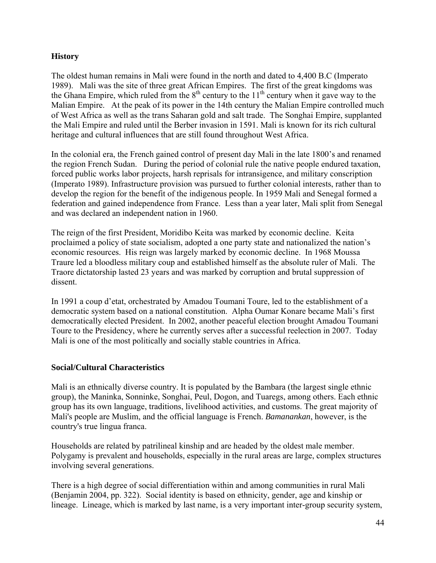# **History**

The oldest human remains in Mali were found in the north and dated to 4,400 B.C (Imperato 1989). Mali was the site of three great African Empires. The first of the great kingdoms was the Ghana Empire, which ruled from the  $8<sup>th</sup>$  century to the 11<sup>th</sup> century when it gave way to the Malian Empire. At the peak of its power in the 14th century the Malian Empire controlled much of West Africa as well as the trans Saharan gold and salt trade. The Songhai Empire, supplanted the Mali Empire and ruled until the Berber invasion in 1591. Mali is known for its rich cultural heritage and cultural influences that are still found throughout West Africa.

In the colonial era, the French gained control of present day Mali in the late 1800's and renamed the region French Sudan. During the period of colonial rule the native people endured taxation, forced public works labor projects, harsh reprisals for intransigence, and military conscription (Imperato 1989). Infrastructure provision was pursued to further colonial interests, rather than to develop the region for the benefit of the indigenous people. In 1959 Mali and Senegal formed a federation and gained independence from France. Less than a year later, Mali split from Senegal and was declared an independent nation in 1960.

The reign of the first President, Moridibo Keita was marked by economic decline. Keita proclaimed a policy of state socialism, adopted a one party state and nationalized the nation's economic resources. His reign was largely marked by economic decline. In 1968 Moussa Traure led a bloodless military coup and established himself as the absolute ruler of Mali. The Traore dictatorship lasted 23 years and was marked by corruption and brutal suppression of dissent.

In 1991 a coup d'etat, orchestrated by Amadou Toumani Toure, led to the establishment of a democratic system based on a national constitution. Alpha Oumar Konare became Mali's first democratically elected President. In 2002, another peaceful election brought Amadou Toumani Toure to the Presidency, where he currently serves after a successful reelection in 2007. Today Mali is one of the most politically and socially stable countries in Africa.

# **Social/Cultural Characteristics**

Mali is an ethnically diverse country. It is populated by the Bambara (the largest single ethnic group), the Maninka, Sonninke, Songhai, Peul, Dogon, and Tuaregs, among others. Each ethnic group has its own language, traditions, livelihood activities, and customs. The great majority of Mali's people are Muslim, and the official language is French. *Bamanankan*, however, is the country's true lingua franca.

Households are related by patrilineal kinship and are headed by the oldest male member. Polygamy is prevalent and households, especially in the rural areas are large, complex structures involving several generations.

There is a high degree of social differentiation within and among communities in rural Mali (Benjamin 2004, pp. 322). Social identity is based on ethnicity, gender, age and kinship or lineage. Lineage, which is marked by last name, is a very important inter-group security system,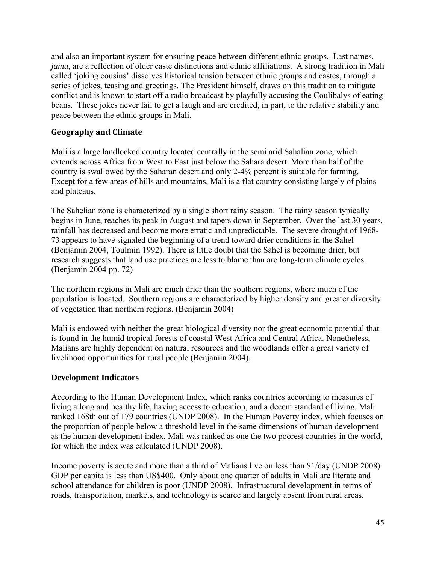and also an important system for ensuring peace between different ethnic groups. Last names, *jamu*, are a reflection of older caste distinctions and ethnic affiliations. A strong tradition in Mali called 'joking cousins' dissolves historical tension between ethnic groups and castes, through a series of jokes, teasing and greetings. The President himself, draws on this tradition to mitigate conflict and is known to start off a radio broadcast by playfully accusing the Coulibalys of eating beans. These jokes never fail to get a laugh and are credited, in part, to the relative stability and peace between the ethnic groups in Mali.

# **Geography and Climate**

Mali is a large landlocked country located centrally in the semi arid Sahalian zone, which extends across Africa from West to East just below the Sahara desert. More than half of the country is swallowed by the Saharan desert and only 2-4% percent is suitable for farming. Except for a few areas of hills and mountains, Mali is a flat country consisting largely of plains and plateaus.

The Sahelian zone is characterized by a single short rainy season. The rainy season typically begins in June, reaches its peak in August and tapers down in September. Over the last 30 years, rainfall has decreased and become more erratic and unpredictable. The severe drought of 1968- 73 appears to have signaled the beginning of a trend toward drier conditions in the Sahel (Benjamin 2004, Toulmin 1992). There is little doubt that the Sahel is becoming drier, but research suggests that land use practices are less to blame than are long-term climate cycles. (Benjamin 2004 pp. 72)

The northern regions in Mali are much drier than the southern regions, where much of the population is located. Southern regions are characterized by higher density and greater diversity of vegetation than northern regions. (Benjamin 2004)

Mali is endowed with neither the great biological diversity nor the great economic potential that is found in the humid tropical forests of coastal West Africa and Central Africa. Nonetheless, Malians are highly dependent on natural resources and the woodlands offer a great variety of livelihood opportunities for rural people (Benjamin 2004).

# **Development Indicators**

According to the Human Development Index, which ranks countries according to measures of living a long and healthy life, having access to education, and a decent standard of living, Mali ranked 168th out of 179 countries (UNDP 2008). In the Human Poverty index, which focuses on the proportion of people below a threshold level in the same dimensions of human development as the human development index, Mali was ranked as one the two poorest countries in the world, for which the index was calculated (UNDP 2008).

Income poverty is acute and more than a third of Malians live on less than \$1/day (UNDP 2008). GDP per capita is less than US\$400. Only about one quarter of adults in Mali are literate and school attendance for children is poor (UNDP 2008). Infrastructural development in terms of roads, transportation, markets, and technology is scarce and largely absent from rural areas.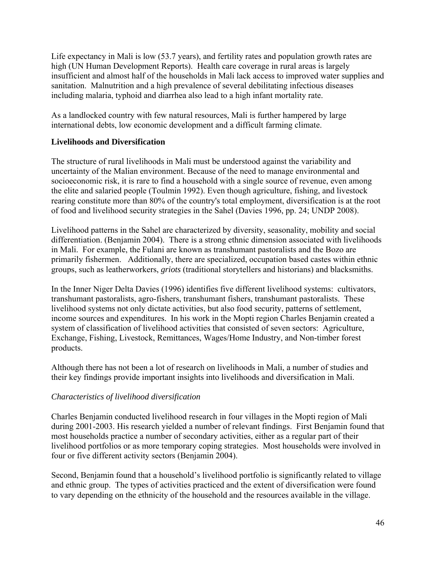Life expectancy in Mali is low (53.7 years), and fertility rates and population growth rates are high (UN Human Development Reports). Health care coverage in rural areas is largely insufficient and almost half of the households in Mali lack access to improved water supplies and sanitation. Malnutrition and a high prevalence of several debilitating infectious diseases including malaria, typhoid and diarrhea also lead to a high infant mortality rate.

As a landlocked country with few natural resources, Mali is further hampered by large international debts, low economic development and a difficult farming climate.

# **Livelihoods and Diversification**

The structure of rural livelihoods in Mali must be understood against the variability and uncertainty of the Malian environment. Because of the need to manage environmental and socioeconomic risk, it is rare to find a household with a single source of revenue, even among the elite and salaried people (Toulmin 1992). Even though agriculture, fishing, and livestock rearing constitute more than 80% of the country's total employment, diversification is at the root of food and livelihood security strategies in the Sahel (Davies 1996, pp. 24; UNDP 2008).

Livelihood patterns in the Sahel are characterized by diversity, seasonality, mobility and social differentiation. (Benjamin 2004). There is a strong ethnic dimension associated with livelihoods in Mali. For example, the Fulani are known as transhumant pastoralists and the Bozo are primarily fishermen. Additionally, there are specialized, occupation based castes within ethnic groups, such as leatherworkers, *griots* (traditional storytellers and historians) and blacksmiths.

In the Inner Niger Delta Davies (1996) identifies five different livelihood systems: cultivators, transhumant pastoralists, agro-fishers, transhumant fishers, transhumant pastoralists. These livelihood systems not only dictate activities, but also food security, patterns of settlement, income sources and expenditures. In his work in the Mopti region Charles Benjamin created a system of classification of livelihood activities that consisted of seven sectors: Agriculture, Exchange, Fishing, Livestock, Remittances, Wages/Home Industry, and Non-timber forest products.

Although there has not been a lot of research on livelihoods in Mali, a number of studies and their key findings provide important insights into livelihoods and diversification in Mali.

# *Characteristics of livelihood diversification*

Charles Benjamin conducted livelihood research in four villages in the Mopti region of Mali during 2001-2003. His research yielded a number of relevant findings. First Benjamin found that most households practice a number of secondary activities, either as a regular part of their livelihood portfolios or as more temporary coping strategies. Most households were involved in four or five different activity sectors (Benjamin 2004).

Second, Benjamin found that a household's livelihood portfolio is significantly related to village and ethnic group. The types of activities practiced and the extent of diversification were found to vary depending on the ethnicity of the household and the resources available in the village.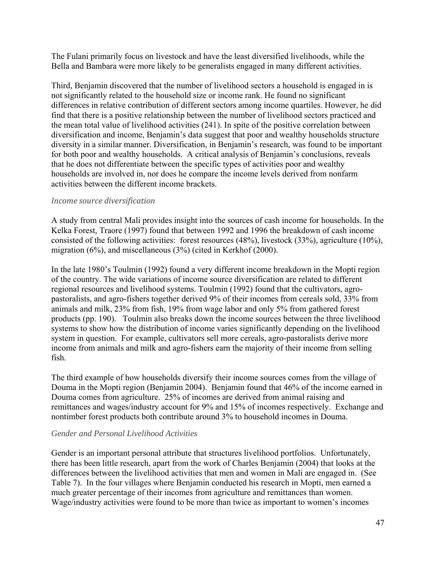The Fulani primarily focus on livestock and have the least diversified livelihoods, while the Bella and Bambara were more likely to be generalists engaged in many different activities.

Third, Benjamin discovered that the number of livelihood sectors a household is engaged in is not significantly related to the household size or income rank. He found no significant differences in relative contribution of different sectors among income quartiles. However, he did find that there is a positive relationship between the number of livelihood sectors practiced and the mean total value of livelihood activities (241). In spite of the positive correlation between diversification and income, Benjamin's data suggest that poor and wealthy households structure diversity in a similar manner. Diversification, in Benjamin's research, was found to be important for both poor and wealthy households. A critical analysis of Benjamin's conclusions, reveals that he does not differentiate between the specific types of activities poor and wealthy households are involved in, nor does he compare the income levels derived from nonfarm activities between the different income brackets.

# *Income source diversification*

A study from central Mali provides insight into the sources of cash income for households. In the Kelka Forest, Traore (1997) found that between 1992 and 1996 the breakdown of cash income consisted of the following activities: forest resources (48%), livestock (33%), agriculture (10%), migration (6%), and miscellaneous (3%) (cited in Kerkhof (2000).

In the late 1980's Toulmin (1992) found a very different income breakdown in the Mopti region of the country. The wide variations of income source diversification are related to different regional resources and livelihood systems. Toulmin (1992) found that the cultivators, agropastoralists, and agro-fishers together derived 9% of their incomes from cereals sold, 33% from animals and milk, 23% from fish, 19% from wage labor and only 5% from gathered forest products (pp. 190). Toulmin also breaks down the income sources between the three livelihood systems to show how the distribution of income varies significantly depending on the livelihood system in question. For example, cultivators sell more cereals, agro-pastoralists derive more income from animals and milk and agro-fishers earn the majority of their income from selling fish.

The third example of how households diversify their income sources comes from the village of Douma in the Mopti region (Benjamin 2004). Benjamin found that 46% of the income earned in Douma comes from agriculture. 25% of incomes are derived from animal raising and remittances and wages/industry account for 9% and 15% of incomes respectively. Exchange and nontimber forest products both contribute around 3% to household incomes in Douma.

#### *Gender and Personal Livelihood Activities*

Gender is an important personal attribute that structures livelihood portfolios. Unfortunately, there has been little research, apart from the work of Charles Benjamin (2004) that looks at the differences between the livelihood activities that men and women in Mali are engaged in. (See Table 7). In the four villages where Benjamin conducted his research in Mopti, men earned a much greater percentage of their incomes from agriculture and remittances than women. Wage/industry activities were found to be more than twice as important to women's incomes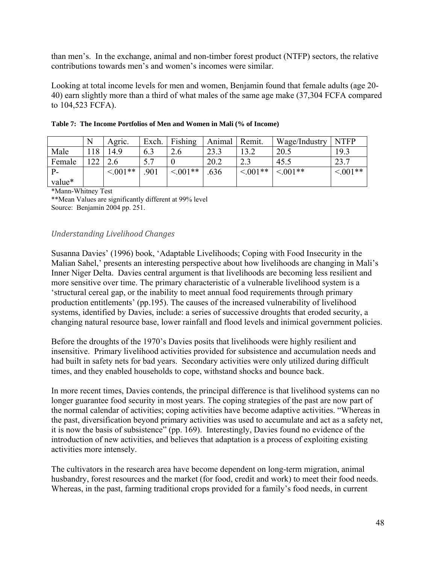than men's. In the exchange, animal and non-timber forest product (NTFP) sectors, the relative contributions towards men's and women's incomes were similar.

Looking at total income levels for men and women, Benjamin found that female adults (age 20- 40) earn slightly more than a third of what males of the same age make (37,304 FCFA compared to 104,523 FCFA).

|        | N  | Agric.        | Exch. | Fishing    | Animal | Remit.     | Wage/Industry | <b>NTFP</b> |
|--------|----|---------------|-------|------------|--------|------------|---------------|-------------|
| Male   | 18 | 14.9          | 6.3   | 2.6        | 23.3   | 13.2       | 20.5          | 19.3        |
| Female | ററ |               |       |            | 20.2   | 2.3        | 45.5          | 23.7        |
|        |    | $\leq 0.01**$ | .901  | $< 0.01**$ | .636   | $< 0.01**$ | $< 0.01**$    | $0.001**$   |
| value* |    |               |       |            |        |            |               |             |

|  | Table 7: The Income Portfolios of Men and Women in Mali (% of Income) |  |  |  |  |  |
|--|-----------------------------------------------------------------------|--|--|--|--|--|
|--|-----------------------------------------------------------------------|--|--|--|--|--|

\*Mann-Whitney Test

\*\*Mean Values are significantly different at 99% level Source: Benjamin 2004 pp. 251.

# *Understanding Livelihood Changes*

Susanna Davies' (1996) book, 'Adaptable Livelihoods; Coping with Food Insecurity in the Malian Sahel,' presents an interesting perspective about how livelihoods are changing in Mali's Inner Niger Delta. Davies central argument is that livelihoods are becoming less resilient and more sensitive over time. The primary characteristic of a vulnerable livelihood system is a 'structural cereal gap, or the inability to meet annual food requirements through primary production entitlements' (pp.195). The causes of the increased vulnerability of livelihood systems, identified by Davies, include: a series of successive droughts that eroded security, a changing natural resource base, lower rainfall and flood levels and inimical government policies.

Before the droughts of the 1970's Davies posits that livelihoods were highly resilient and insensitive. Primary livelihood activities provided for subsistence and accumulation needs and had built in safety nets for bad years. Secondary activities were only utilized during difficult times, and they enabled households to cope, withstand shocks and bounce back.

In more recent times, Davies contends, the principal difference is that livelihood systems can no longer guarantee food security in most years. The coping strategies of the past are now part of the normal calendar of activities; coping activities have become adaptive activities. "Whereas in the past, diversification beyond primary activities was used to accumulate and act as a safety net, it is now the basis of subsistence" (pp. 169). Interestingly, Davies found no evidence of the introduction of new activities, and believes that adaptation is a process of exploiting existing activities more intensely.

The cultivators in the research area have become dependent on long-term migration, animal husbandry, forest resources and the market (for food, credit and work) to meet their food needs. Whereas, in the past, farming traditional crops provided for a family's food needs, in current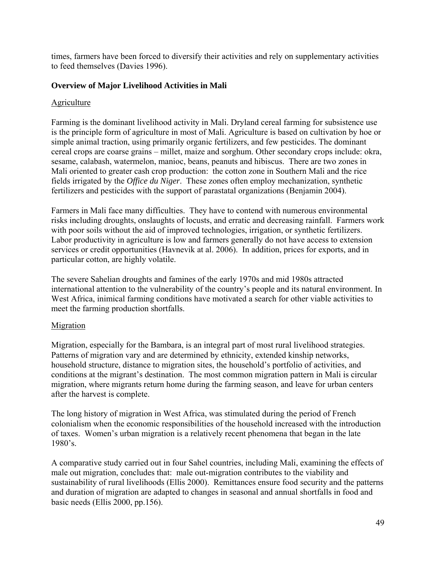times, farmers have been forced to diversify their activities and rely on supplementary activities to feed themselves (Davies 1996).

# **Overview of Major Livelihood Activities in Mali**

# **Agriculture**

Farming is the dominant livelihood activity in Mali. Dryland cereal farming for subsistence use is the principle form of agriculture in most of Mali. Agriculture is based on cultivation by hoe or simple animal traction, using primarily organic fertilizers, and few pesticides. The dominant cereal crops are coarse grains – millet, maize and sorghum. Other secondary crops include: okra, sesame, calabash, watermelon, manioc, beans, peanuts and hibiscus. There are two zones in Mali oriented to greater cash crop production: the cotton zone in Southern Mali and the rice fields irrigated by the *Office du Niger*. These zones often employ mechanization, synthetic fertilizers and pesticides with the support of parastatal organizations (Benjamin 2004).

Farmers in Mali face many difficulties. They have to contend with numerous environmental risks including droughts, onslaughts of locusts, and erratic and decreasing rainfall. Farmers work with poor soils without the aid of improved technologies, irrigation, or synthetic fertilizers. Labor productivity in agriculture is low and farmers generally do not have access to extension services or credit opportunities (Havnevik at al. 2006). In addition, prices for exports, and in particular cotton, are highly volatile.

The severe Sahelian droughts and famines of the early 1970s and mid 1980s attracted international attention to the vulnerability of the country's people and its natural environment. In West Africa, inimical farming conditions have motivated a search for other viable activities to meet the farming production shortfalls.

# Migration

Migration, especially for the Bambara, is an integral part of most rural livelihood strategies. Patterns of migration vary and are determined by ethnicity, extended kinship networks, household structure, distance to migration sites, the household's portfolio of activities, and conditions at the migrant's destination. The most common migration pattern in Mali is circular migration, where migrants return home during the farming season, and leave for urban centers after the harvest is complete.

The long history of migration in West Africa, was stimulated during the period of French colonialism when the economic responsibilities of the household increased with the introduction of taxes. Women's urban migration is a relatively recent phenomena that began in the late 1980's.

A comparative study carried out in four Sahel countries, including Mali, examining the effects of male out migration, concludes that: male out-migration contributes to the viability and sustainability of rural livelihoods (Ellis 2000). Remittances ensure food security and the patterns and duration of migration are adapted to changes in seasonal and annual shortfalls in food and basic needs (Ellis 2000, pp.156).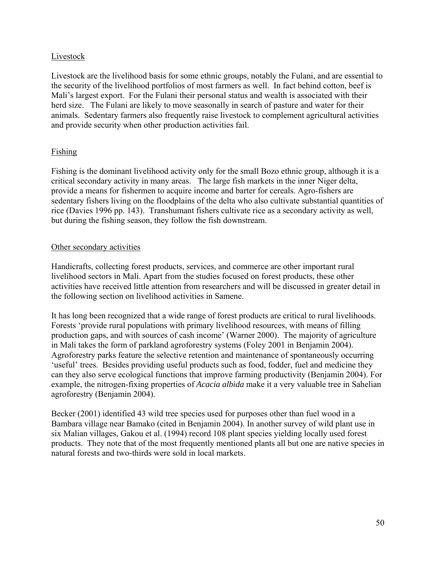# Livestock

Livestock are the livelihood basis for some ethnic groups, notably the Fulani, and are essential to the security of the livelihood portfolios of most farmers as well. In fact behind cotton, beef is Mali's largest export. For the Fulani their personal status and wealth is associated with their herd size. The Fulani are likely to move seasonally in search of pasture and water for their animals. Sedentary farmers also frequently raise livestock to complement agricultural activities and provide security when other production activities fail.

# Fishing

Fishing is the dominant livelihood activity only for the small Bozo ethnic group, although it is a critical secondary activity in many areas. The large fish markets in the inner Niger delta, provide a means for fishermen to acquire income and barter for cereals. Agro-fishers are sedentary fishers living on the floodplains of the delta who also cultivate substantial quantities of rice (Davies 1996 pp. 143). Transhumant fishers cultivate rice as a secondary activity as well, but during the fishing season, they follow the fish downstream.

# Other secondary activities

Handicrafts, collecting forest products, services, and commerce are other important rural livelihood sectors in Mali. Apart from the studies focused on forest products, these other activities have received little attention from researchers and will be discussed in greater detail in the following section on livelihood activities in Samene.

It has long been recognized that a wide range of forest products are critical to rural livelihoods. Forests 'provide rural populations with primary livelihood resources, with means of filling production gaps, and with sources of cash income' (Warner 2000). The majority of agriculture in Mali takes the form of parkland agroforestry systems (Foley 2001 in Benjamin 2004). Agroforestry parks feature the selective retention and maintenance of spontaneously occurring 'useful' trees. Besides providing useful products such as food, fodder, fuel and medicine they can they also serve ecological functions that improve farming productivity (Benjamin 2004). For example, the nitrogen-fixing properties of *Acacia albida* make it a very valuable tree in Sahelian agroforestry (Benjamin 2004).

Becker (2001) identified 43 wild tree species used for purposes other than fuel wood in a Bambara village near Bamako (cited in Benjamin 2004). In another survey of wild plant use in six Malian villages, Gakou et al. (1994) record 108 plant species yielding locally used forest products. They note that of the most frequently mentioned plants all but one are native species in natural forests and two-thirds were sold in local markets.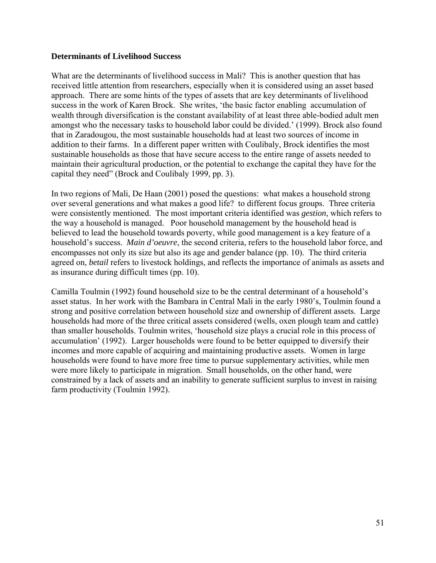#### **Determinants of Livelihood Success**

What are the determinants of livelihood success in Mali? This is another question that has received little attention from researchers, especially when it is considered using an asset based approach. There are some hints of the types of assets that are key determinants of livelihood success in the work of Karen Brock. She writes, 'the basic factor enabling accumulation of wealth through diversification is the constant availability of at least three able-bodied adult men amongst who the necessary tasks to household labor could be divided.' (1999). Brock also found that in Zaradougou, the most sustainable households had at least two sources of income in addition to their farms. In a different paper written with Coulibaly, Brock identifies the most sustainable households as those that have secure access to the entire range of assets needed to maintain their agricultural production, or the potential to exchange the capital they have for the capital they need" (Brock and Coulibaly 1999, pp. 3).

In two regions of Mali, De Haan (2001) posed the questions: what makes a household strong over several generations and what makes a good life? to different focus groups. Three criteria were consistently mentioned. The most important criteria identified was *gestion*, which refers to the way a household is managed. Poor household management by the household head is believed to lead the household towards poverty, while good management is a key feature of a household's success. *Main d'oeuvre*, the second criteria, refers to the household labor force, and encompasses not only its size but also its age and gender balance (pp. 10). The third criteria agreed on, *betail* refers to livestock holdings, and reflects the importance of animals as assets and as insurance during difficult times (pp. 10).

Camilla Toulmin (1992) found household size to be the central determinant of a household's asset status. In her work with the Bambara in Central Mali in the early 1980's, Toulmin found a strong and positive correlation between household size and ownership of different assets. Large households had more of the three critical assets considered (wells, oxen plough team and cattle) than smaller households. Toulmin writes, 'household size plays a crucial role in this process of accumulation' (1992). Larger households were found to be better equipped to diversify their incomes and more capable of acquiring and maintaining productive assets. Women in large households were found to have more free time to pursue supplementary activities, while men were more likely to participate in migration. Small households, on the other hand, were constrained by a lack of assets and an inability to generate sufficient surplus to invest in raising farm productivity (Toulmin 1992).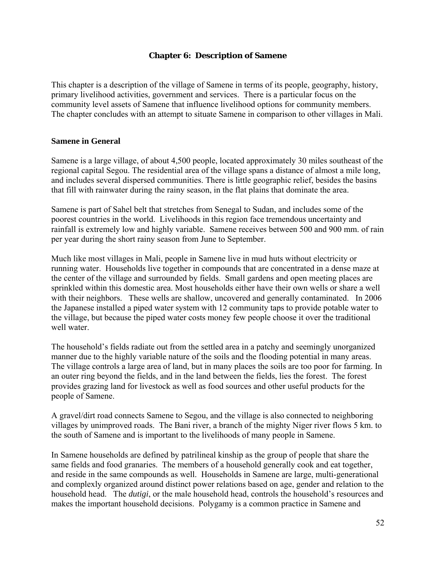### **Chapter 6: Description of Samene**

This chapter is a description of the village of Samene in terms of its people, geography, history, primary livelihood activities, government and services. There is a particular focus on the community level assets of Samene that influence livelihood options for community members. The chapter concludes with an attempt to situate Samene in comparison to other villages in Mali.

#### **Samene in General**

Samene is a large village, of about 4,500 people, located approximately 30 miles southeast of the regional capital Segou. The residential area of the village spans a distance of almost a mile long, and includes several dispersed communities. There is little geographic relief, besides the basins that fill with rainwater during the rainy season, in the flat plains that dominate the area.

Samene is part of Sahel belt that stretches from Senegal to Sudan, and includes some of the poorest countries in the world. Livelihoods in this region face tremendous uncertainty and rainfall is extremely low and highly variable. Samene receives between 500 and 900 mm. of rain per year during the short rainy season from June to September.

Much like most villages in Mali, people in Samene live in mud huts without electricity or running water. Households live together in compounds that are concentrated in a dense maze at the center of the village and surrounded by fields. Small gardens and open meeting places are sprinkled within this domestic area. Most households either have their own wells or share a well with their neighbors. These wells are shallow, uncovered and generally contaminated. In 2006 the Japanese installed a piped water system with 12 community taps to provide potable water to the village, but because the piped water costs money few people choose it over the traditional well water

The household's fields radiate out from the settled area in a patchy and seemingly unorganized manner due to the highly variable nature of the soils and the flooding potential in many areas. The village controls a large area of land, but in many places the soils are too poor for farming. In an outer ring beyond the fields, and in the land between the fields, lies the forest. The forest provides grazing land for livestock as well as food sources and other useful products for the people of Samene.

A gravel/dirt road connects Samene to Segou, and the village is also connected to neighboring villages by unimproved roads. The Bani river, a branch of the mighty Niger river flows 5 km. to the south of Samene and is important to the livelihoods of many people in Samene.

In Samene households are defined by patrilineal kinship as the group of people that share the same fields and food granaries. The members of a household generally cook and eat together, and reside in the same compounds as well. Households in Samene are large, multi-generational and complexly organized around distinct power relations based on age, gender and relation to the household head. The *dutigi*, or the male household head, controls the household's resources and makes the important household decisions. Polygamy is a common practice in Samene and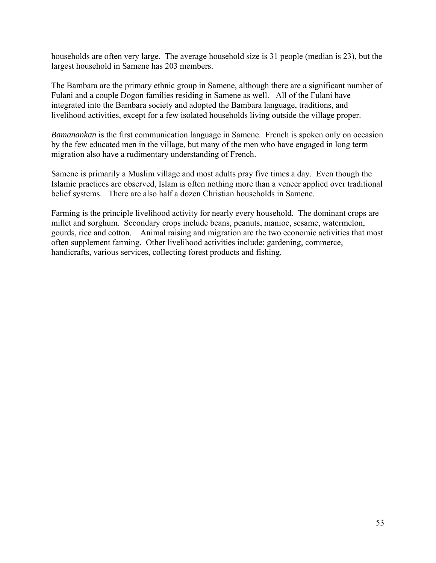households are often very large. The average household size is 31 people (median is 23), but the largest household in Samene has 203 members.

The Bambara are the primary ethnic group in Samene, although there are a significant number of Fulani and a couple Dogon families residing in Samene as well. All of the Fulani have integrated into the Bambara society and adopted the Bambara language, traditions, and livelihood activities, except for a few isolated households living outside the village proper.

*Bamanankan* is the first communication language in Samene. French is spoken only on occasion by the few educated men in the village, but many of the men who have engaged in long term migration also have a rudimentary understanding of French.

Samene is primarily a Muslim village and most adults pray five times a day. Even though the Islamic practices are observed, Islam is often nothing more than a veneer applied over traditional belief systems. There are also half a dozen Christian households in Samene.

Farming is the principle livelihood activity for nearly every household. The dominant crops are millet and sorghum. Secondary crops include beans, peanuts, manioc, sesame, watermelon, gourds, rice and cotton. Animal raising and migration are the two economic activities that most often supplement farming. Other livelihood activities include: gardening, commerce, handicrafts, various services, collecting forest products and fishing.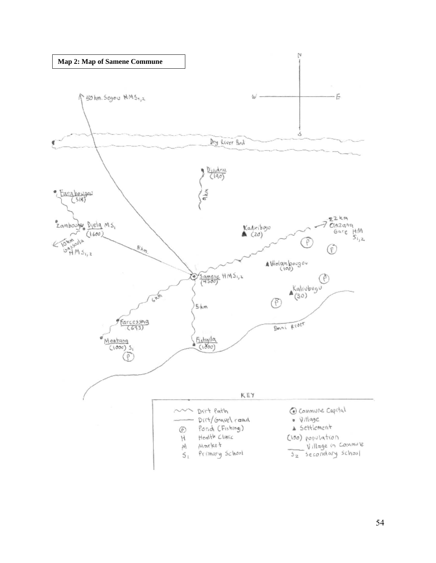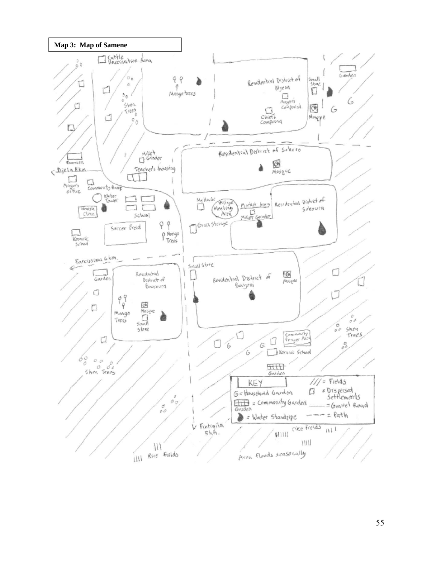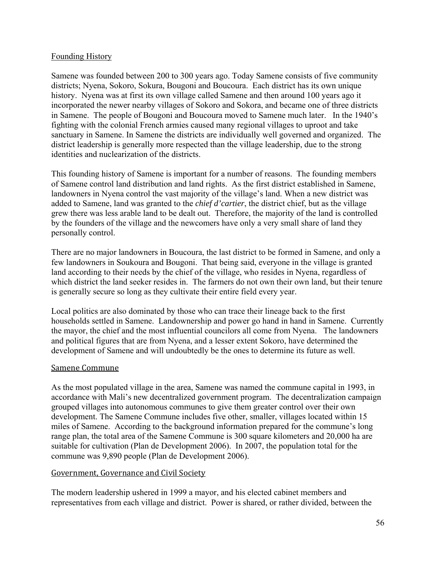## Founding History

Samene was founded between 200 to 300 years ago. Today Samene consists of five community districts; Nyena, Sokoro, Sokura, Bougoni and Boucoura. Each district has its own unique history. Nyena was at first its own village called Samene and then around 100 years ago it incorporated the newer nearby villages of Sokoro and Sokora, and became one of three districts in Samene. The people of Bougoni and Boucoura moved to Samene much later. In the 1940's fighting with the colonial French armies caused many regional villages to uproot and take sanctuary in Samene. In Samene the districts are individually well governed and organized. The district leadership is generally more respected than the village leadership, due to the strong identities and nuclearization of the districts.

This founding history of Samene is important for a number of reasons. The founding members of Samene control land distribution and land rights. As the first district established in Samene, landowners in Nyena control the vast majority of the village's land. When a new district was added to Samene, land was granted to the *chief d'cartier*, the district chief, but as the village grew there was less arable land to be dealt out. Therefore, the majority of the land is controlled by the founders of the village and the newcomers have only a very small share of land they personally control.

There are no major landowners in Boucoura, the last district to be formed in Samene, and only a few landowners in Soukoura and Bougoni. That being said, everyone in the village is granted land according to their needs by the chief of the village, who resides in Nyena, regardless of which district the land seeker resides in. The farmers do not own their own land, but their tenure is generally secure so long as they cultivate their entire field every year.

Local politics are also dominated by those who can trace their lineage back to the first households settled in Samene. Landownership and power go hand in hand in Samene. Currently the mayor, the chief and the most influential councilors all come from Nyena. The landowners and political figures that are from Nyena, and a lesser extent Sokoro, have determined the development of Samene and will undoubtedly be the ones to determine its future as well.

#### Samene Commune

As the most populated village in the area, Samene was named the commune capital in 1993, in accordance with Mali's new decentralized government program. The decentralization campaign grouped villages into autonomous communes to give them greater control over their own development. The Samene Commune includes five other, smaller, villages located within 15 miles of Samene. According to the background information prepared for the commune's long range plan, the total area of the Samene Commune is 300 square kilometers and 20,000 ha are suitable for cultivation (Plan de Development 2006). In 2007, the population total for the commune was 9,890 people (Plan de Development 2006).

# Government, Governance and Civil Society

The modern leadership ushered in 1999 a mayor, and his elected cabinet members and representatives from each village and district. Power is shared, or rather divided, between the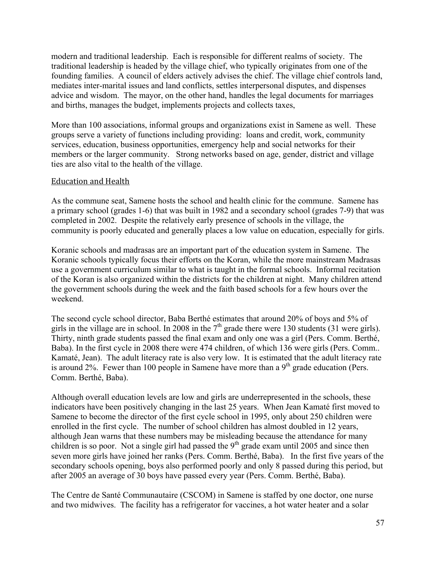modern and traditional leadership. Each is responsible for different realms of society. The traditional leadership is headed by the village chief, who typically originates from one of the founding families. A council of elders actively advises the chief. The village chief controls land, mediates inter-marital issues and land conflicts, settles interpersonal disputes, and dispenses advice and wisdom. The mayor, on the other hand, handles the legal documents for marriages and births, manages the budget, implements projects and collects taxes,

More than 100 associations, informal groups and organizations exist in Samene as well. These groups serve a variety of functions including providing: loans and credit, work, community services, education, business opportunities, emergency help and social networks for their members or the larger community. Strong networks based on age, gender, district and village ties are also vital to the health of the village.

## Education and Health

As the commune seat, Samene hosts the school and health clinic for the commune. Samene has a primary school (grades 1-6) that was built in 1982 and a secondary school (grades 7-9) that was completed in 2002. Despite the relatively early presence of schools in the village, the community is poorly educated and generally places a low value on education, especially for girls.

Koranic schools and madrasas are an important part of the education system in Samene. The Koranic schools typically focus their efforts on the Koran, while the more mainstream Madrasas use a government curriculum similar to what is taught in the formal schools. Informal recitation of the Koran is also organized within the districts for the children at night. Many children attend the government schools during the week and the faith based schools for a few hours over the weekend.

The second cycle school director, Baba Berthé estimates that around 20% of boys and 5% of girls in the village are in school. In 2008 in the  $7<sup>th</sup>$  grade there were 130 students (31 were girls). Thirty, ninth grade students passed the final exam and only one was a girl (Pers. Comm. Berthé, Baba). In the first cycle in 2008 there were 474 children, of which 136 were girls (Pers. Comm.. Kamaté, Jean). The adult literacy rate is also very low. It is estimated that the adult literacy rate is around 2%. Fewer than 100 people in Samene have more than a  $9<sup>th</sup>$  grade education (Pers. Comm. Berthé, Baba).

Although overall education levels are low and girls are underrepresented in the schools, these indicators have been positively changing in the last 25 years. When Jean Kamaté first moved to Samene to become the director of the first cycle school in 1995, only about 250 children were enrolled in the first cycle. The number of school children has almost doubled in 12 years, although Jean warns that these numbers may be misleading because the attendance for many children is so poor. Not a single girl had passed the  $9<sup>th</sup>$  grade exam until 2005 and since then seven more girls have joined her ranks (Pers. Comm. Berthé, Baba). In the first five years of the secondary schools opening, boys also performed poorly and only 8 passed during this period, but after 2005 an average of 30 boys have passed every year (Pers. Comm. Berthé, Baba).

The Centre de Santé Communautaire (CSCOM) in Samene is staffed by one doctor, one nurse and two midwives. The facility has a refrigerator for vaccines, a hot water heater and a solar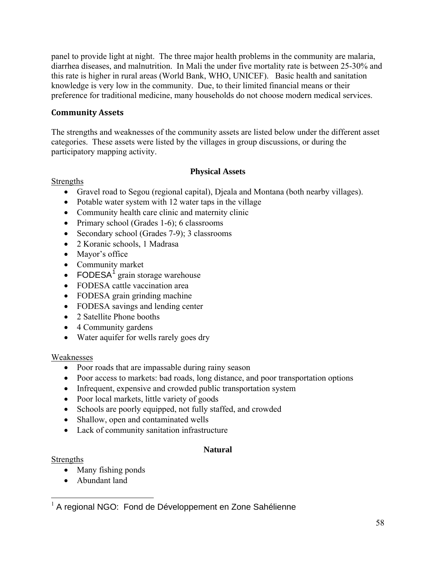<span id="page-64-0"></span>panel to provide light at night. The three major health problems in the community are malaria, diarrhea diseases, and malnutrition. In Mali the under five mortality rate is between 25-30% and this rate is higher in rural areas (World Bank, WHO, UNICEF). Basic health and sanitation knowledge is very low in the community. Due, to their limited financial means or their preference for traditional medicine, many households do not choose modern medical services.

# **Community Assets**

The strengths and weaknesses of the community assets are listed below under the different asset categories. These assets were listed by the villages in group discussions, or during the participatory mapping activity.

# **Physical Assets**

# Strengths

- Gravel road to Segou (regional capital), Djeala and Montana (both nearby villages).
- Potable water system with 12 water taps in the village
- Community health care clinic and maternity clinic
- Primary school (Grades 1-6); 6 classrooms
- Secondary school (Grades 7-9); 3 classrooms
- 2 Koranic schools, 1 Madrasa
- Mayor's office
- Community market
- FODESA<sup>[1](#page-64-0)</sup> grain storage warehouse
- FODESA cattle vaccination area
- FODESA grain grinding machine
- FODESA savings and lending center
- 2 Satellite Phone booths
- 4 Community gardens
- Water aquifer for wells rarely goes dry

# Weaknesses

- Poor roads that are impassable during rainy season
- Poor access to markets: bad roads, long distance, and poor transportation options
- Infrequent, expensive and crowded public transportation system
- Poor local markets, little variety of goods
- Schools are poorly equipped, not fully staffed, and crowded
- Shallow, open and contaminated wells
- Lack of community sanitation infrastructure

# **Natural**

Strengths

- Many fishing ponds
- Abundant land

 $\overline{a}$  $1$  A regional NGO: Fond de Développement en Zone Sahélienne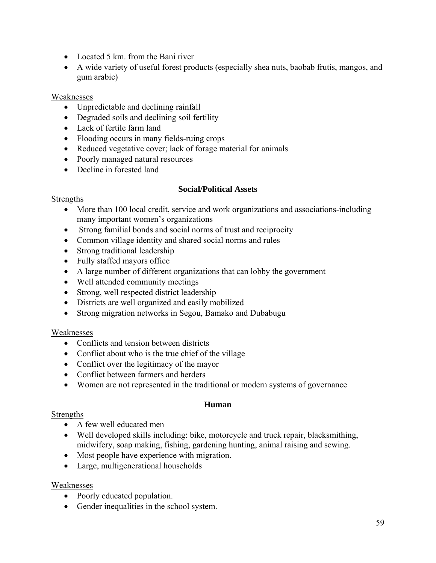- Located 5 km. from the Bani river
- A wide variety of useful forest products (especially shea nuts, baobab frutis, mangos, and gum arabic)

# Weaknesses

- Unpredictable and declining rainfall
- Degraded soils and declining soil fertility
- Lack of fertile farm land
- Flooding occurs in many fields-ruing crops
- Reduced vegetative cover; lack of forage material for animals
- Poorly managed natural resources
- Decline in forested land

# **Social/Political Assets**

# **Strengths**

- More than 100 local credit, service and work organizations and associations-including many important women's organizations
- Strong familial bonds and social norms of trust and reciprocity
- Common village identity and shared social norms and rules
- Strong traditional leadership
- Fully staffed mayors office
- A large number of different organizations that can lobby the government
- Well attended community meetings
- Strong, well respected district leadership
- Districts are well organized and easily mobilized
- Strong migration networks in Segou, Bamako and Dubabugu

# Weaknesses

- Conflicts and tension between districts
- Conflict about who is the true chief of the village
- Conflict over the legitimacy of the mayor
- Conflict between farmers and herders
- Women are not represented in the traditional or modern systems of governance

# **Human**

# Strengths

- A few well educated men
- Well developed skills including: bike, motorcycle and truck repair, blacksmithing, midwifery, soap making, fishing, gardening hunting, animal raising and sewing.
- Most people have experience with migration.
- Large, multigenerational households

# Weaknesses

- Poorly educated population.
- Gender inequalities in the school system.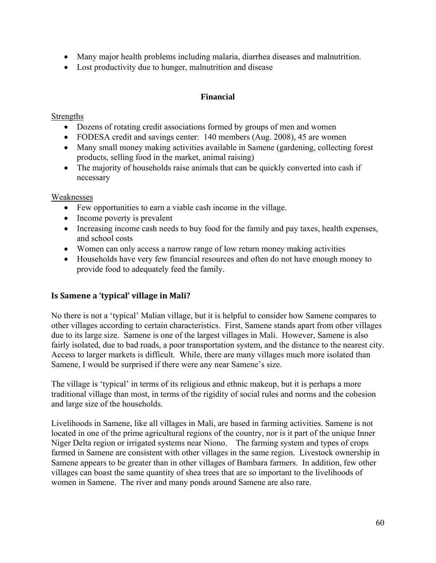- Many major health problems including malaria, diarrhea diseases and malnutrition.
- Lost productivity due to hunger, malnutrition and disease

## **Financial**

# Strengths

- Dozens of rotating credit associations formed by groups of men and women
- FODESA credit and savings center: 140 members (Aug. 2008), 45 are women
- Many small money making activities available in Samene (gardening, collecting forest products, selling food in the market, animal raising)
- The majority of households raise animals that can be quickly converted into cash if necessary

# Weaknesses

- Few opportunities to earn a viable cash income in the village.
- Income poverty is prevalent
- Increasing income cash needs to buy food for the family and pay taxes, health expenses, and school costs
- Women can only access a narrow range of low return money making activities
- Households have very few financial resources and often do not have enough money to provide food to adequately feed the family.

# **Is Samene a 'typical' village in Mali?**

No there is not a 'typical' Malian village, but it is helpful to consider how Samene compares to other villages according to certain characteristics. First, Samene stands apart from other villages due to its large size. Samene is one of the largest villages in Mali. However, Samene is also fairly isolated, due to bad roads, a poor transportation system, and the distance to the nearest city. Access to larger markets is difficult. While, there are many villages much more isolated than Samene, I would be surprised if there were any near Samene's size.

The village is 'typical' in terms of its religious and ethnic makeup, but it is perhaps a more traditional village than most, in terms of the rigidity of social rules and norms and the cohesion and large size of the households.

Livelihoods in Samene, like all villages in Mali, are based in farming activities. Samene is not located in one of the prime agricultural regions of the country, nor is it part of the unique Inner Niger Delta region or irrigated systems near Niono. The farming system and types of crops farmed in Samene are consistent with other villages in the same region. Livestock ownership in Samene appears to be greater than in other villages of Bambara farmers. In addition, few other villages can boast the same quantity of shea trees that are so important to the livelihoods of women in Samene. The river and many ponds around Samene are also rare.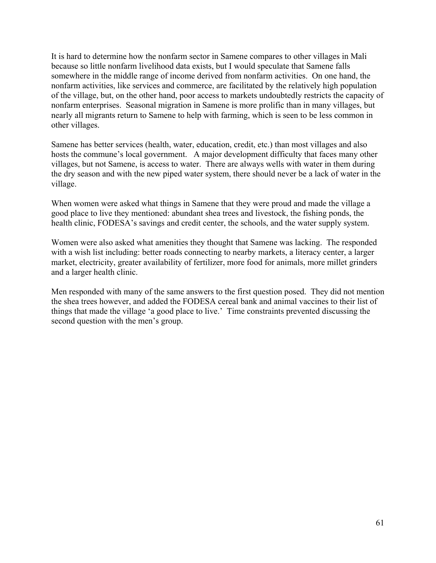It is hard to determine how the nonfarm sector in Samene compares to other villages in Mali because so little nonfarm livelihood data exists, but I would speculate that Samene falls somewhere in the middle range of income derived from nonfarm activities. On one hand, the nonfarm activities, like services and commerce, are facilitated by the relatively high population of the village, but, on the other hand, poor access to markets undoubtedly restricts the capacity of nonfarm enterprises. Seasonal migration in Samene is more prolific than in many villages, but nearly all migrants return to Samene to help with farming, which is seen to be less common in other villages.

Samene has better services (health, water, education, credit, etc.) than most villages and also hosts the commune's local government. A major development difficulty that faces many other villages, but not Samene, is access to water. There are always wells with water in them during the dry season and with the new piped water system, there should never be a lack of water in the village.

When women were asked what things in Samene that they were proud and made the village a good place to live they mentioned: abundant shea trees and livestock, the fishing ponds, the health clinic, FODESA's savings and credit center, the schools, and the water supply system.

Women were also asked what amenities they thought that Samene was lacking. The responded with a wish list including: better roads connecting to nearby markets, a literacy center, a larger market, electricity, greater availability of fertilizer, more food for animals, more millet grinders and a larger health clinic.

Men responded with many of the same answers to the first question posed. They did not mention the shea trees however, and added the FODESA cereal bank and animal vaccines to their list of things that made the village 'a good place to live.' Time constraints prevented discussing the second question with the men's group.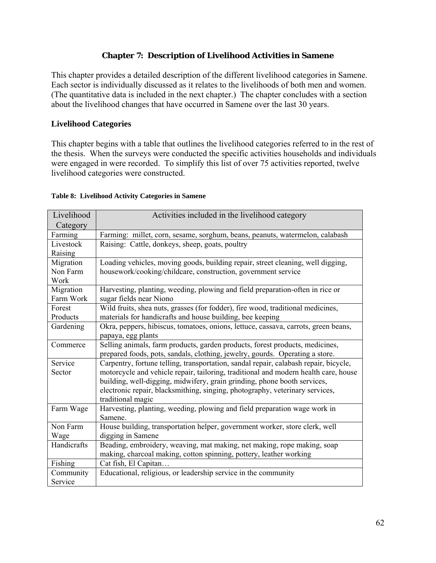## **Chapter 7: Description of Livelihood Activities in Samene**

This chapter provides a detailed description of the different livelihood categories in Samene. Each sector is individually discussed as it relates to the livelihoods of both men and women. (The quantitative data is included in the next chapter.) The chapter concludes with a section about the livelihood changes that have occurred in Samene over the last 30 years.

### **Livelihood Categories**

This chapter begins with a table that outlines the livelihood categories referred to in the rest of the thesis. When the surveys were conducted the specific activities households and individuals were engaged in were recorded. To simplify this list of over 75 activities reported, twelve livelihood categories were constructed.

| Livelihood  | Activities included in the livelihood category                                       |
|-------------|--------------------------------------------------------------------------------------|
| Category    |                                                                                      |
| Farming     | Farming: millet, corn, sesame, sorghum, beans, peanuts, watermelon, calabash         |
| Livestock   | Raising: Cattle, donkeys, sheep, goats, poultry                                      |
| Raising     |                                                                                      |
| Migration   | Loading vehicles, moving goods, building repair, street cleaning, well digging,      |
| Non Farm    | housework/cooking/childcare, construction, government service                        |
| Work        |                                                                                      |
| Migration   | Harvesting, planting, weeding, plowing and field preparation-often in rice or        |
| Farm Work   | sugar fields near Niono                                                              |
| Forest      | Wild fruits, shea nuts, grasses (for fodder), fire wood, traditional medicines,      |
| Products    | materials for handicrafts and house building, bee keeping                            |
| Gardening   | Okra, peppers, hibiscus, tomatoes, onions, lettuce, cassava, carrots, green beans,   |
|             | papaya, egg plants                                                                   |
| Commerce    | Selling animals, farm products, garden products, forest products, medicines,         |
|             | prepared foods, pots, sandals, clothing, jewelry, gourds. Operating a store.         |
| Service     | Carpentry, fortune telling, transportation, sandal repair, calabash repair, bicycle, |
| Sector      | motorcycle and vehicle repair, tailoring, traditional and modern health care, house  |
|             | building, well-digging, midwifery, grain grinding, phone booth services,             |
|             | electronic repair, blacksmithing, singing, photography, veterinary services,         |
|             | traditional magic                                                                    |
| Farm Wage   | Harvesting, planting, weeding, plowing and field preparation wage work in            |
|             | Samene.                                                                              |
| Non Farm    | House building, transportation helper, government worker, store clerk, well          |
| Wage        | digging in Samene                                                                    |
| Handicrafts | Beading, embroidery, weaving, mat making, net making, rope making, soap              |
|             | making, charcoal making, cotton spinning, pottery, leather working                   |
| Fishing     | Cat fish, El Capitan                                                                 |
| Community   | Educational, religious, or leadership service in the community                       |
| Service     |                                                                                      |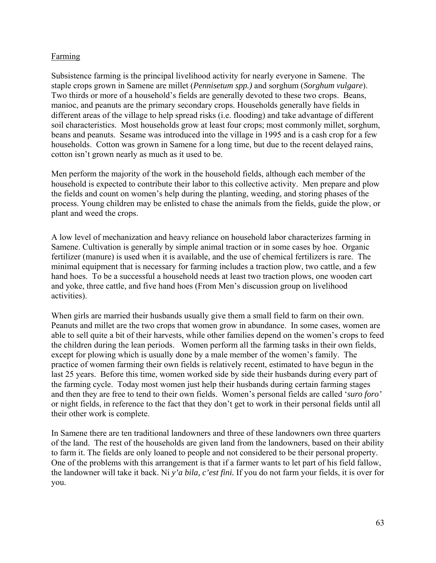## **Farming**

Subsistence farming is the principal livelihood activity for nearly everyone in Samene. The staple crops grown in Samene are millet (*Pennisetum spp.)* and sorghum (*Sorghum vulgare*). Two thirds or more of a household's fields are generally devoted to these two crops. Beans, manioc, and peanuts are the primary secondary crops. Households generally have fields in different areas of the village to help spread risks (i.e. flooding) and take advantage of different soil characteristics. Most households grow at least four crops; most commonly millet, sorghum, beans and peanuts. Sesame was introduced into the village in 1995 and is a cash crop for a few households. Cotton was grown in Samene for a long time, but due to the recent delayed rains, cotton isn't grown nearly as much as it used to be.

Men perform the majority of the work in the household fields, although each member of the household is expected to contribute their labor to this collective activity. Men prepare and plow the fields and count on women's help during the planting, weeding, and storing phases of the process. Young children may be enlisted to chase the animals from the fields, guide the plow, or plant and weed the crops.

A low level of mechanization and heavy reliance on household labor characterizes farming in Samene. Cultivation is generally by simple animal traction or in some cases by hoe. Organic fertilizer (manure) is used when it is available, and the use of chemical fertilizers is rare. The minimal equipment that is necessary for farming includes a traction plow, two cattle, and a few hand hoes. To be a successful a household needs at least two traction plows, one wooden cart and yoke, three cattle, and five hand hoes (From Men's discussion group on livelihood activities).

When girls are married their husbands usually give them a small field to farm on their own. Peanuts and millet are the two crops that women grow in abundance. In some cases, women are able to sell quite a bit of their harvests, while other families depend on the women's crops to feed the children during the lean periods. Women perform all the farming tasks in their own fields, except for plowing which is usually done by a male member of the women's family. The practice of women farming their own fields is relatively recent, estimated to have begun in the last 25 years. Before this time, women worked side by side their husbands during every part of the farming cycle. Today most women just help their husbands during certain farming stages and then they are free to tend to their own fields. Women's personal fields are called '*suro foro'* or night fields, in reference to the fact that they don't get to work in their personal fields until all their other work is complete.

In Samene there are ten traditional landowners and three of these landowners own three quarters of the land. The rest of the households are given land from the landowners, based on their ability to farm it. The fields are only loaned to people and not considered to be their personal property. One of the problems with this arrangement is that if a farmer wants to let part of his field fallow, the landowner will take it back. Ni *y'a bila, c'est fini.* If you do not farm your fields, it is over for you.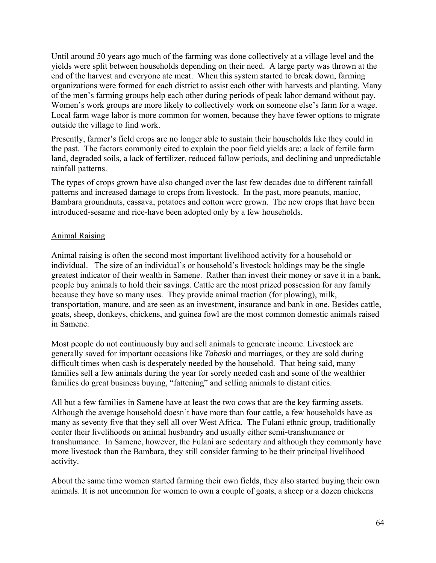Until around 50 years ago much of the farming was done collectively at a village level and the yields were split between households depending on their need. A large party was thrown at the end of the harvest and everyone ate meat. When this system started to break down, farming organizations were formed for each district to assist each other with harvests and planting. Many of the men's farming groups help each other during periods of peak labor demand without pay. Women's work groups are more likely to collectively work on someone else's farm for a wage. Local farm wage labor is more common for women, because they have fewer options to migrate outside the village to find work.

Presently, farmer's field crops are no longer able to sustain their households like they could in the past. The factors commonly cited to explain the poor field yields are: a lack of fertile farm land, degraded soils, a lack of fertilizer, reduced fallow periods, and declining and unpredictable rainfall patterns.

The types of crops grown have also changed over the last few decades due to different rainfall patterns and increased damage to crops from livestock. In the past, more peanuts, manioc, Bambara groundnuts, cassava, potatoes and cotton were grown. The new crops that have been introduced-sesame and rice-have been adopted only by a few households.

## Animal Raising

Animal raising is often the second most important livelihood activity for a household or individual. The size of an individual's or household's livestock holdings may be the single greatest indicator of their wealth in Samene. Rather than invest their money or save it in a bank, people buy animals to hold their savings. Cattle are the most prized possession for any family because they have so many uses. They provide animal traction (for plowing), milk, transportation, manure, and are seen as an investment, insurance and bank in one. Besides cattle, goats, sheep, donkeys, chickens, and guinea fowl are the most common domestic animals raised in Samene.

Most people do not continuously buy and sell animals to generate income. Livestock are generally saved for important occasions like *Tabaski* and marriages, or they are sold during difficult times when cash is desperately needed by the household. That being said, many families sell a few animals during the year for sorely needed cash and some of the wealthier families do great business buying, "fattening" and selling animals to distant cities.

All but a few families in Samene have at least the two cows that are the key farming assets. Although the average household doesn't have more than four cattle, a few households have as many as seventy five that they sell all over West Africa. The Fulani ethnic group, traditionally center their livelihoods on animal husbandry and usually either semi-transhumance or transhumance. In Samene, however, the Fulani are sedentary and although they commonly have more livestock than the Bambara, they still consider farming to be their principal livelihood activity.

About the same time women started farming their own fields, they also started buying their own animals. It is not uncommon for women to own a couple of goats, a sheep or a dozen chickens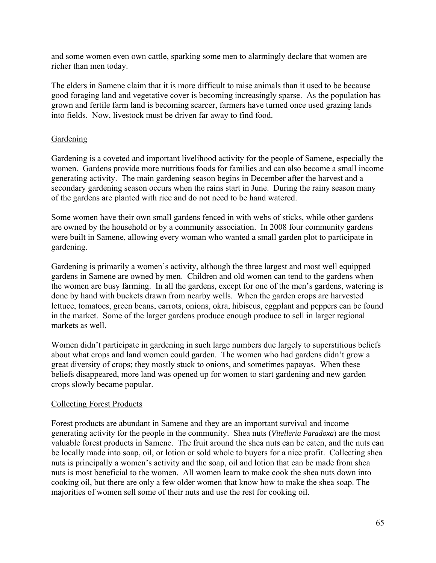and some women even own cattle, sparking some men to alarmingly declare that women are richer than men today.

The elders in Samene claim that it is more difficult to raise animals than it used to be because good foraging land and vegetative cover is becoming increasingly sparse. As the population has grown and fertile farm land is becoming scarcer, farmers have turned once used grazing lands into fields. Now, livestock must be driven far away to find food.

# **Gardening**

Gardening is a coveted and important livelihood activity for the people of Samene, especially the women. Gardens provide more nutritious foods for families and can also become a small income generating activity. The main gardening season begins in December after the harvest and a secondary gardening season occurs when the rains start in June. During the rainy season many of the gardens are planted with rice and do not need to be hand watered.

Some women have their own small gardens fenced in with webs of sticks, while other gardens are owned by the household or by a community association. In 2008 four community gardens were built in Samene, allowing every woman who wanted a small garden plot to participate in gardening.

Gardening is primarily a women's activity, although the three largest and most well equipped gardens in Samene are owned by men. Children and old women can tend to the gardens when the women are busy farming. In all the gardens, except for one of the men's gardens, watering is done by hand with buckets drawn from nearby wells. When the garden crops are harvested lettuce, tomatoes, green beans, carrots, onions, okra, hibiscus, eggplant and peppers can be found in the market. Some of the larger gardens produce enough produce to sell in larger regional markets as well.

Women didn't participate in gardening in such large numbers due largely to superstitious beliefs about what crops and land women could garden. The women who had gardens didn't grow a great diversity of crops; they mostly stuck to onions, and sometimes papayas. When these beliefs disappeared, more land was opened up for women to start gardening and new garden crops slowly became popular.

# Collecting Forest Products

Forest products are abundant in Samene and they are an important survival and income generating activity for the people in the community. Shea nuts (*Vitelleria Paradoxa*) are the most valuable forest products in Samene. The fruit around the shea nuts can be eaten, and the nuts can be locally made into soap, oil, or lotion or sold whole to buyers for a nice profit. Collecting shea nuts is principally a women's activity and the soap, oil and lotion that can be made from shea nuts is most beneficial to the women. All women learn to make cook the shea nuts down into cooking oil, but there are only a few older women that know how to make the shea soap. The majorities of women sell some of their nuts and use the rest for cooking oil.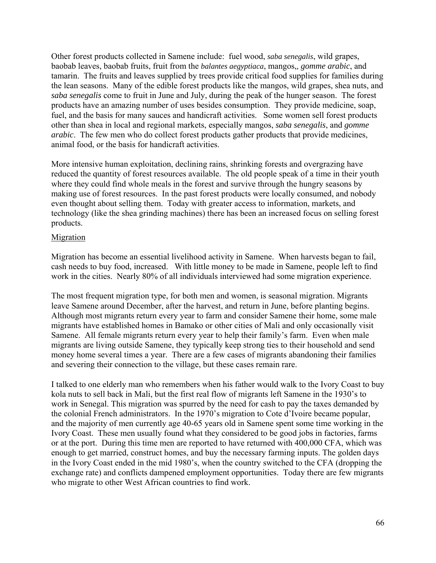Other forest products collected in Samene include: fuel wood, *saba senegalis*, wild grapes, baobab leaves, baobab fruits, fruit from the *balantes aegyptiaca*, mangos,*, gomme arabic*, and tamarin. The fruits and leaves supplied by trees provide critical food supplies for families during the lean seasons. Many of the edible forest products like the mangos, wild grapes, shea nuts, and *saba senegalis* come to fruit in June and July, during the peak of the hunger season. The forest products have an amazing number of uses besides consumption. They provide medicine, soap, fuel, and the basis for many sauces and handicraft activities. Some women sell forest products other than shea in local and regional markets, especially mangos, *saba senegalis*, and *gomme arabic*. The few men who do collect forest products gather products that provide medicines, animal food, or the basis for handicraft activities.

More intensive human exploitation, declining rains, shrinking forests and overgrazing have reduced the quantity of forest resources available. The old people speak of a time in their youth where they could find whole meals in the forest and survive through the hungry seasons by making use of forest resources. In the past forest products were locally consumed, and nobody even thought about selling them. Today with greater access to information, markets, and technology (like the shea grinding machines) there has been an increased focus on selling forest products.

## Migration

Migration has become an essential livelihood activity in Samene. When harvests began to fail, cash needs to buy food, increased. With little money to be made in Samene, people left to find work in the cities. Nearly 80% of all individuals interviewed had some migration experience.

The most frequent migration type, for both men and women, is seasonal migration. Migrants leave Samene around December, after the harvest, and return in June, before planting begins. Although most migrants return every year to farm and consider Samene their home, some male migrants have established homes in Bamako or other cities of Mali and only occasionally visit Samene. All female migrants return every year to help their family's farm. Even when male migrants are living outside Samene, they typically keep strong ties to their household and send money home several times a year. There are a few cases of migrants abandoning their families and severing their connection to the village, but these cases remain rare.

I talked to one elderly man who remembers when his father would walk to the Ivory Coast to buy kola nuts to sell back in Mali, but the first real flow of migrants left Samene in the 1930's to work in Senegal. This migration was spurred by the need for cash to pay the taxes demanded by the colonial French administrators. In the 1970's migration to Cote d'Ivoire became popular, and the majority of men currently age 40-65 years old in Samene spent some time working in the Ivory Coast. These men usually found what they considered to be good jobs in factories, farms or at the port. During this time men are reported to have returned with 400,000 CFA, which was enough to get married, construct homes, and buy the necessary farming inputs. The golden days in the Ivory Coast ended in the mid 1980's, when the country switched to the CFA (dropping the exchange rate) and conflicts dampened employment opportunities. Today there are few migrants who migrate to other West African countries to find work.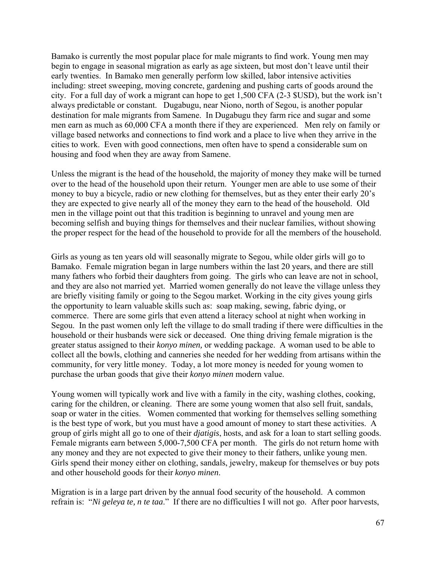Bamako is currently the most popular place for male migrants to find work. Young men may begin to engage in seasonal migration as early as age sixteen, but most don't leave until their early twenties. In Bamako men generally perform low skilled, labor intensive activities including: street sweeping, moving concrete, gardening and pushing carts of goods around the city. For a full day of work a migrant can hope to get 1,500 CFA (2-3 \$USD), but the work isn't always predictable or constant. Dugabugu, near Niono, north of Segou, is another popular destination for male migrants from Samene. In Dugabugu they farm rice and sugar and some men earn as much as 60,000 CFA a month there if they are experienced. Men rely on family or village based networks and connections to find work and a place to live when they arrive in the cities to work. Even with good connections, men often have to spend a considerable sum on housing and food when they are away from Samene.

Unless the migrant is the head of the household, the majority of money they make will be turned over to the head of the household upon their return. Younger men are able to use some of their money to buy a bicycle, radio or new clothing for themselves, but as they enter their early 20's they are expected to give nearly all of the money they earn to the head of the household. Old men in the village point out that this tradition is beginning to unravel and young men are becoming selfish and buying things for themselves and their nuclear families, without showing the proper respect for the head of the household to provide for all the members of the household.

Girls as young as ten years old will seasonally migrate to Segou, while older girls will go to Bamako. Female migration began in large numbers within the last 20 years, and there are still many fathers who forbid their daughters from going. The girls who can leave are not in school, and they are also not married yet. Married women generally do not leave the village unless they are briefly visiting family or going to the Segou market. Working in the city gives young girls the opportunity to learn valuable skills such as: soap making, sewing, fabric dying, or commerce. There are some girls that even attend a literacy school at night when working in Segou. In the past women only left the village to do small trading if there were difficulties in the household or their husbands were sick or deceased. One thing driving female migration is the greater status assigned to their *konyo minen,* or wedding package. A woman used to be able to collect all the bowls, clothing and canneries she needed for her wedding from artisans within the community, for very little money. Today, a lot more money is needed for young women to purchase the urban goods that give their *konyo minen* modern value.

Young women will typically work and live with a family in the city, washing clothes, cooking, caring for the children, or cleaning. There are some young women that also sell fruit, sandals, soap or water in the cities. Women commented that working for themselves selling something is the best type of work, but you must have a good amount of money to start these activities. A group of girls might all go to one of their *djatigis*, hosts, and ask for a loan to start selling goods. Female migrants earn between 5,000-7,500 CFA per month. The girls do not return home with any money and they are not expected to give their money to their fathers, unlike young men. Girls spend their money either on clothing, sandals, jewelry, makeup for themselves or buy pots and other household goods for their *konyo minen*.

Migration is in a large part driven by the annual food security of the household. A common refrain is: "*Ni geleya te, n te taa*." If there are no difficulties I will not go. After poor harvests,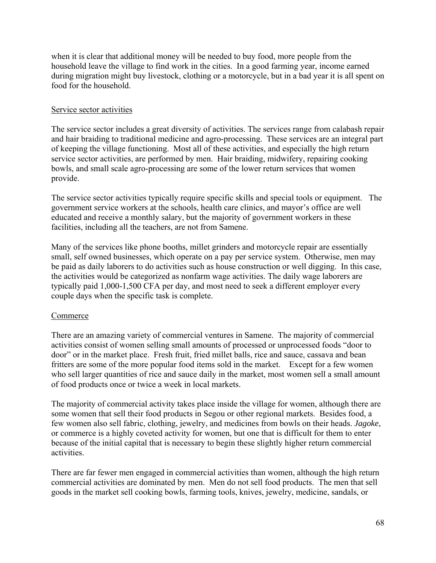when it is clear that additional money will be needed to buy food, more people from the household leave the village to find work in the cities. In a good farming year, income earned during migration might buy livestock, clothing or a motorcycle, but in a bad year it is all spent on food for the household.

# Service sector activities

The service sector includes a great diversity of activities. The services range from calabash repair and hair braiding to traditional medicine and agro-processing. These services are an integral part of keeping the village functioning. Most all of these activities, and especially the high return service sector activities, are performed by men. Hair braiding, midwifery, repairing cooking bowls, and small scale agro-processing are some of the lower return services that women provide.

The service sector activities typically require specific skills and special tools or equipment. The government service workers at the schools, health care clinics, and mayor's office are well educated and receive a monthly salary, but the majority of government workers in these facilities, including all the teachers, are not from Samene.

Many of the services like phone booths, millet grinders and motorcycle repair are essentially small, self owned businesses, which operate on a pay per service system. Otherwise, men may be paid as daily laborers to do activities such as house construction or well digging. In this case, the activities would be categorized as nonfarm wage activities. The daily wage laborers are typically paid 1,000-1,500 CFA per day, and most need to seek a different employer every couple days when the specific task is complete.

# **Commerce**

There are an amazing variety of commercial ventures in Samene. The majority of commercial activities consist of women selling small amounts of processed or unprocessed foods "door to door" or in the market place. Fresh fruit, fried millet balls, rice and sauce, cassava and bean fritters are some of the more popular food items sold in the market. Except for a few women who sell larger quantities of rice and sauce daily in the market, most women sell a small amount of food products once or twice a week in local markets.

The majority of commercial activity takes place inside the village for women, although there are some women that sell their food products in Segou or other regional markets. Besides food, a few women also sell fabric, clothing, jewelry, and medicines from bowls on their heads. *Jagoke*, or commerce is a highly coveted activity for women, but one that is difficult for them to enter because of the initial capital that is necessary to begin these slightly higher return commercial activities.

There are far fewer men engaged in commercial activities than women, although the high return commercial activities are dominated by men. Men do not sell food products. The men that sell goods in the market sell cooking bowls, farming tools, knives, jewelry, medicine, sandals, or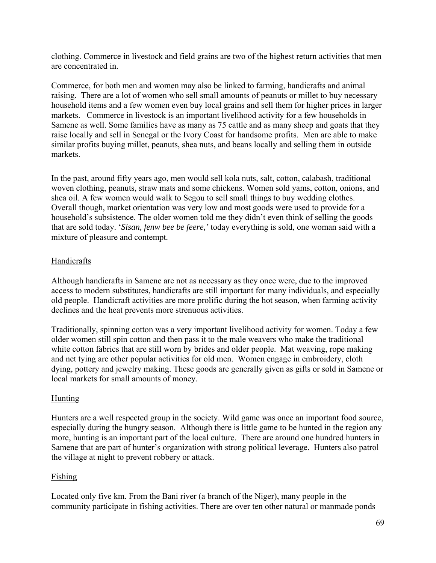clothing. Commerce in livestock and field grains are two of the highest return activities that men are concentrated in.

Commerce, for both men and women may also be linked to farming, handicrafts and animal raising. There are a lot of women who sell small amounts of peanuts or millet to buy necessary household items and a few women even buy local grains and sell them for higher prices in larger markets. Commerce in livestock is an important livelihood activity for a few households in Samene as well. Some families have as many as 75 cattle and as many sheep and goats that they raise locally and sell in Senegal or the Ivory Coast for handsome profits. Men are able to make similar profits buying millet, peanuts, shea nuts, and beans locally and selling them in outside markets.

In the past, around fifty years ago, men would sell kola nuts, salt, cotton, calabash, traditional woven clothing, peanuts, straw mats and some chickens. Women sold yams, cotton, onions, and shea oil. A few women would walk to Segou to sell small things to buy wedding clothes. Overall though, market orientation was very low and most goods were used to provide for a household's subsistence. The older women told me they didn't even think of selling the goods that are sold today. '*Sisan, fenw bee be feere,'* today everything is sold, one woman said with a mixture of pleasure and contempt*.*

# Handicrafts

Although handicrafts in Samene are not as necessary as they once were, due to the improved access to modern substitutes, handicrafts are still important for many individuals, and especially old people. Handicraft activities are more prolific during the hot season, when farming activity declines and the heat prevents more strenuous activities.

Traditionally, spinning cotton was a very important livelihood activity for women. Today a few older women still spin cotton and then pass it to the male weavers who make the traditional white cotton fabrics that are still worn by brides and older people. Mat weaving, rope making and net tying are other popular activities for old men. Women engage in embroidery, cloth dying, pottery and jewelry making. These goods are generally given as gifts or sold in Samene or local markets for small amounts of money.

# Hunting

Hunters are a well respected group in the society. Wild game was once an important food source, especially during the hungry season. Although there is little game to be hunted in the region any more, hunting is an important part of the local culture. There are around one hundred hunters in Samene that are part of hunter's organization with strong political leverage. Hunters also patrol the village at night to prevent robbery or attack.

# Fishing

Located only five km. From the Bani river (a branch of the Niger), many people in the community participate in fishing activities. There are over ten other natural or manmade ponds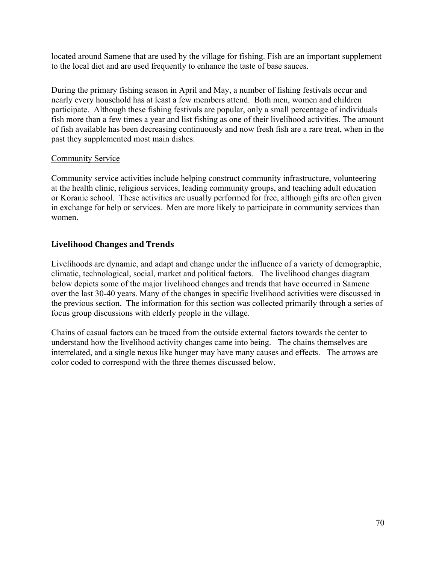located around Samene that are used by the village for fishing. Fish are an important supplement to the local diet and are used frequently to enhance the taste of base sauces.

During the primary fishing season in April and May, a number of fishing festivals occur and nearly every household has at least a few members attend. Both men, women and children participate. Although these fishing festivals are popular, only a small percentage of individuals fish more than a few times a year and list fishing as one of their livelihood activities. The amount of fish available has been decreasing continuously and now fresh fish are a rare treat, when in the past they supplemented most main dishes.

## Community Service

Community service activities include helping construct community infrastructure, volunteering at the health clinic, religious services, leading community groups, and teaching adult education or Koranic school. These activities are usually performed for free, although gifts are often given in exchange for help or services. Men are more likely to participate in community services than women.

# **Livelihood Changes and Trends**

Livelihoods are dynamic, and adapt and change under the influence of a variety of demographic, climatic, technological, social, market and political factors. The livelihood changes diagram below depicts some of the major livelihood changes and trends that have occurred in Samene over the last 30-40 years. Many of the changes in specific livelihood activities were discussed in the previous section. The information for this section was collected primarily through a series of focus group discussions with elderly people in the village.

Chains of casual factors can be traced from the outside external factors towards the center to understand how the livelihood activity changes came into being. The chains themselves are interrelated, and a single nexus like hunger may have many causes and effects. The arrows are color coded to correspond with the three themes discussed below.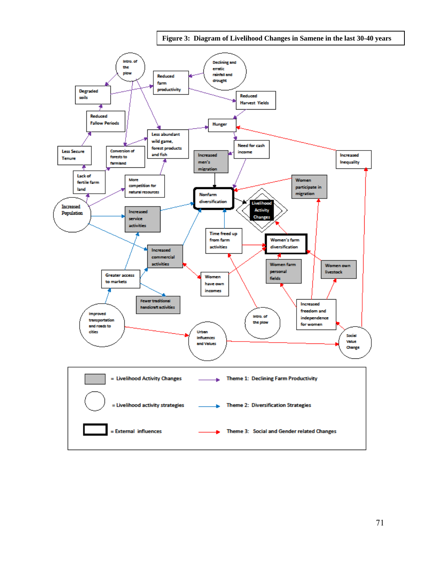**Figure 3: Diagram of Livelihood Changes in Samene in the last 30-40 years** 

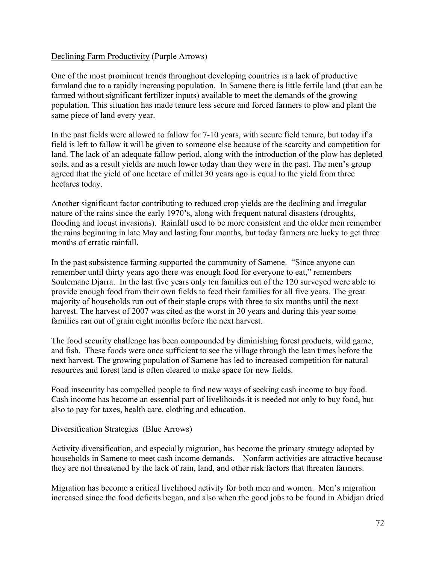## Declining Farm Productivity (Purple Arrows)

One of the most prominent trends throughout developing countries is a lack of productive farmland due to a rapidly increasing population. In Samene there is little fertile land (that can be farmed without significant fertilizer inputs) available to meet the demands of the growing population. This situation has made tenure less secure and forced farmers to plow and plant the same piece of land every year.

In the past fields were allowed to fallow for 7-10 years, with secure field tenure, but today if a field is left to fallow it will be given to someone else because of the scarcity and competition for land. The lack of an adequate fallow period, along with the introduction of the plow has depleted soils, and as a result yields are much lower today than they were in the past. The men's group agreed that the yield of one hectare of millet 30 years ago is equal to the yield from three hectares today.

Another significant factor contributing to reduced crop yields are the declining and irregular nature of the rains since the early 1970's, along with frequent natural disasters (droughts, flooding and locust invasions). Rainfall used to be more consistent and the older men remember the rains beginning in late May and lasting four months, but today farmers are lucky to get three months of erratic rainfall.

In the past subsistence farming supported the community of Samene. "Since anyone can remember until thirty years ago there was enough food for everyone to eat," remembers Soulemane Djarra. In the last five years only ten families out of the 120 surveyed were able to provide enough food from their own fields to feed their families for all five years. The great majority of households run out of their staple crops with three to six months until the next harvest. The harvest of 2007 was cited as the worst in 30 years and during this year some families ran out of grain eight months before the next harvest.

The food security challenge has been compounded by diminishing forest products, wild game, and fish. These foods were once sufficient to see the village through the lean times before the next harvest. The growing population of Samene has led to increased competition for natural resources and forest land is often cleared to make space for new fields.

Food insecurity has compelled people to find new ways of seeking cash income to buy food. Cash income has become an essential part of livelihoods-it is needed not only to buy food, but also to pay for taxes, health care, clothing and education.

### Diversification Strategies (Blue Arrows)

Activity diversification, and especially migration, has become the primary strategy adopted by households in Samene to meet cash income demands. Nonfarm activities are attractive because they are not threatened by the lack of rain, land, and other risk factors that threaten farmers.

Migration has become a critical livelihood activity for both men and women. Men's migration increased since the food deficits began, and also when the good jobs to be found in Abidjan dried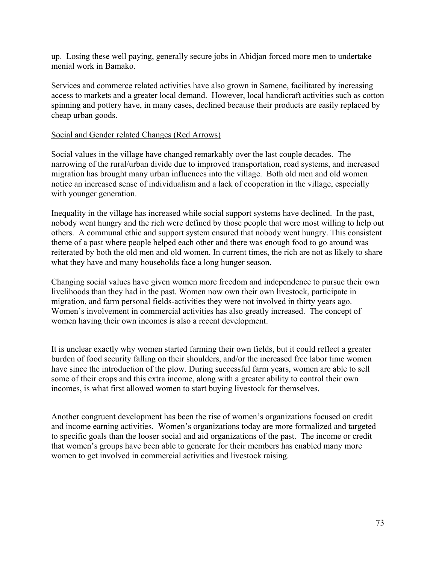up. Losing these well paying, generally secure jobs in Abidjan forced more men to undertake menial work in Bamako.

Services and commerce related activities have also grown in Samene, facilitated by increasing access to markets and a greater local demand. However, local handicraft activities such as cotton spinning and pottery have, in many cases, declined because their products are easily replaced by cheap urban goods.

## Social and Gender related Changes (Red Arrows)

Social values in the village have changed remarkably over the last couple decades. The narrowing of the rural/urban divide due to improved transportation, road systems, and increased migration has brought many urban influences into the village. Both old men and old women notice an increased sense of individualism and a lack of cooperation in the village, especially with younger generation.

Inequality in the village has increased while social support systems have declined. In the past, nobody went hungry and the rich were defined by those people that were most willing to help out others. A communal ethic and support system ensured that nobody went hungry. This consistent theme of a past where people helped each other and there was enough food to go around was reiterated by both the old men and old women. In current times, the rich are not as likely to share what they have and many households face a long hunger season.

Changing social values have given women more freedom and independence to pursue their own livelihoods than they had in the past. Women now own their own livestock, participate in migration, and farm personal fields-activities they were not involved in thirty years ago. Women's involvement in commercial activities has also greatly increased. The concept of women having their own incomes is also a recent development.

It is unclear exactly why women started farming their own fields, but it could reflect a greater burden of food security falling on their shoulders, and/or the increased free labor time women have since the introduction of the plow. During successful farm years, women are able to sell some of their crops and this extra income, along with a greater ability to control their own incomes, is what first allowed women to start buying livestock for themselves.

Another congruent development has been the rise of women's organizations focused on credit and income earning activities. Women's organizations today are more formalized and targeted to specific goals than the looser social and aid organizations of the past. The income or credit that women's groups have been able to generate for their members has enabled many more women to get involved in commercial activities and livestock raising.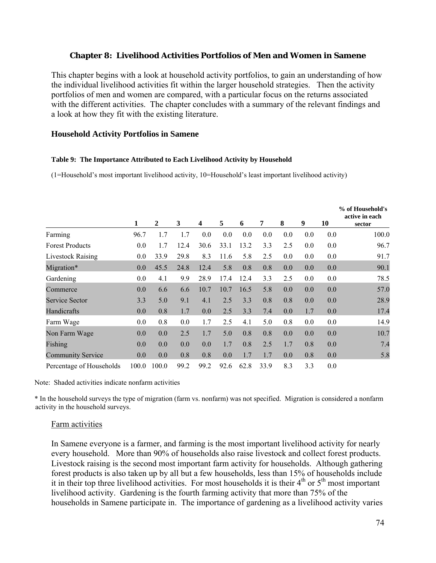### **Chapter 8: Livelihood Activities Portfolios of Men and Women in Samene**

This chapter begins with a look at household activity portfolios, to gain an understanding of how the individual livelihood activities fit within the larger household strategies. Then the activity portfolios of men and women are compared, with a particular focus on the returns associated with the different activities. The chapter concludes with a summary of the relevant findings and a look at how they fit with the existing literature.

### **Household Activity Portfolios in Samene**

#### **Table 9: The Importance Attributed to Each Livelihood Activity by Household**

(1=Household's most important livelihood activity, 10=Household's least important livelihood activity)

|                          |         |                |      |      |      |      |      |     |     |     | % of Household's<br>active in each |
|--------------------------|---------|----------------|------|------|------|------|------|-----|-----|-----|------------------------------------|
|                          | 1       | $\overline{2}$ | 3    | 4    | 5    | 6    | 7    | 8   | 9   | 10  | sector                             |
| Farming                  | 96.7    | 1.7            | 1.7  | 0.0  | 0.0  | 0.0  | 0.0  | 0.0 | 0.0 | 0.0 | 100.0                              |
| <b>Forest Products</b>   | 0.0     | 1.7            | 12.4 | 30.6 | 33.1 | 13.2 | 3.3  | 2.5 | 0.0 | 0.0 | 96.7                               |
| <b>Livestock Raising</b> | 0.0     | 33.9           | 29.8 | 8.3  | 11.6 | 5.8  | 2.5  | 0.0 | 0.0 | 0.0 | 91.7                               |
| Migration*               | 0.0     | 45.5           | 24.8 | 12.4 | 5.8  | 0.8  | 0.8  | 0.0 | 0.0 | 0.0 | 90.1                               |
| Gardening                | $0.0\,$ | 4.1            | 9.9  | 28.9 | 17.4 | 12.4 | 3.3  | 2.5 | 0.0 | 0.0 | 78.5                               |
| Commerce                 | 0.0     | 6.6            | 6.6  | 10.7 | 10.7 | 16.5 | 5.8  | 0.0 | 0.0 | 0.0 | 57.0                               |
| Service Sector           | 3.3     | 5.0            | 9.1  | 4.1  | 2.5  | 3.3  | 0.8  | 0.8 | 0.0 | 0.0 | 28.9                               |
| Handicrafts              | 0.0     | 0.8            | 1.7  | 0.0  | 2.5  | 3.3  | 7.4  | 0.0 | 1.7 | 0.0 | 17.4                               |
| Farm Wage                | $0.0\,$ | 0.8            | 0.0  | 1.7  | 2.5  | 4.1  | 5.0  | 0.8 | 0.0 | 0.0 | 14.9                               |
| Non Farm Wage            | 0.0     | 0.0            | 2.5  | 1.7  | 5.0  | 0.8  | 0.8  | 0.0 | 0.0 | 0.0 | 10.7                               |
| Fishing                  | 0.0     | 0.0            | 0.0  | 0.0  | 1.7  | 0.8  | 2.5  | 1.7 | 0.8 | 0.0 | 7.4                                |
| <b>Community Service</b> | 0.0     | 0.0            | 0.8  | 0.8  | 0.0  | 1.7  | 1.7  | 0.0 | 0.8 | 0.0 | 5.8                                |
| Percentage of Households | 100.0   | 100.0          | 99.2 | 99.2 | 92.6 | 62.8 | 33.9 | 8.3 | 3.3 | 0.0 |                                    |

Note: Shaded activities indicate nonfarm activities

\* In the household surveys the type of migration (farm vs. nonfarm) was not specified. Migration is considered a nonfarm activity in the household surveys.

#### Farm activities

In Samene everyone is a farmer, and farming is the most important livelihood activity for nearly every household. More than 90% of households also raise livestock and collect forest products. Livestock raising is the second most important farm activity for households. Although gathering forest products is also taken up by all but a few households, less than 15% of households include it in their top three livelihood activities. For most households it is their 4<sup>th</sup> or 5<sup>th</sup> most important livelihood activity. Gardening is the fourth farming activity that more than 75% of the households in Samene participate in. The importance of gardening as a livelihood activity varies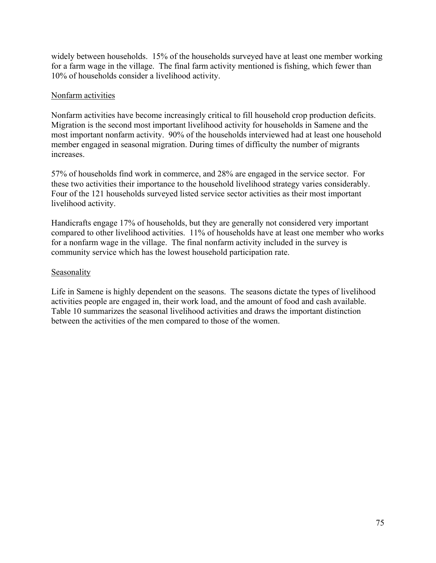widely between households. 15% of the households surveyed have at least one member working for a farm wage in the village. The final farm activity mentioned is fishing, which fewer than 10% of households consider a livelihood activity.

## Nonfarm activities

Nonfarm activities have become increasingly critical to fill household crop production deficits. Migration is the second most important livelihood activity for households in Samene and the most important nonfarm activity. 90% of the households interviewed had at least one household member engaged in seasonal migration. During times of difficulty the number of migrants increases.

57% of households find work in commerce, and 28% are engaged in the service sector. For these two activities their importance to the household livelihood strategy varies considerably. Four of the 121 households surveyed listed service sector activities as their most important livelihood activity.

Handicrafts engage 17% of households, but they are generally not considered very important compared to other livelihood activities. 11% of households have at least one member who works for a nonfarm wage in the village. The final nonfarm activity included in the survey is community service which has the lowest household participation rate.

## **Seasonality**

Life in Samene is highly dependent on the seasons. The seasons dictate the types of livelihood activities people are engaged in, their work load, and the amount of food and cash available. Table 10 summarizes the seasonal livelihood activities and draws the important distinction between the activities of the men compared to those of the women.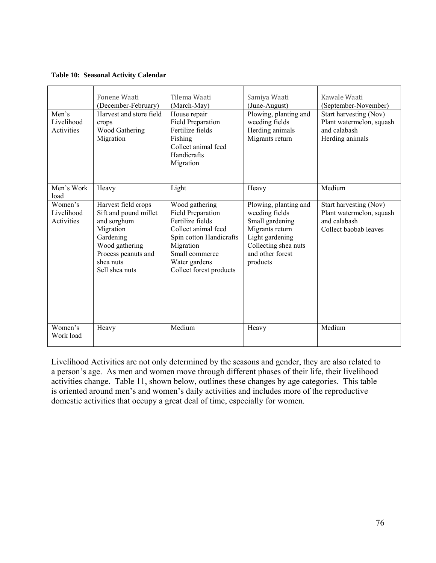#### **Table 10: Seasonal Activity Calendar**

| Men's<br>Livelihood<br>Activities   | Fonene Waati<br>(December-February)<br>Harvest and store field<br>crops<br>Wood Gathering<br>Migration                                                        | Tilema Waati<br>(March-May)<br>House repair<br>Field Preparation<br>Fertilize fields<br>Fishing<br>Collect animal feed<br>Handicrafts<br>Migration                                   | Samiya Waati<br>(June-August)<br>Plowing, planting and<br>weeding fields<br>Herding animals<br>Migrants return                                           | Kawale Waati<br>(September-November)<br>Start harvesting (Nov)<br>Plant watermelon, squash<br>and calabash<br>Herding animals |
|-------------------------------------|---------------------------------------------------------------------------------------------------------------------------------------------------------------|--------------------------------------------------------------------------------------------------------------------------------------------------------------------------------------|----------------------------------------------------------------------------------------------------------------------------------------------------------|-------------------------------------------------------------------------------------------------------------------------------|
| Men's Work<br>load                  | Heavy                                                                                                                                                         | Light                                                                                                                                                                                | Heavy                                                                                                                                                    | Medium                                                                                                                        |
| Women's<br>Livelihood<br>Activities | Harvest field crops<br>Sift and pound millet<br>and sorghum<br>Migration<br>Gardening<br>Wood gathering<br>Process peanuts and<br>shea nuts<br>Sell shea nuts | Wood gathering<br>Field Preparation<br>Fertilize fields<br>Collect animal feed<br>Spin cotton Handicrafts<br>Migration<br>Small commerce<br>Water gardens<br>Collect forest products | Plowing, planting and<br>weeding fields<br>Small gardening<br>Migrants return<br>Light gardening<br>Collecting shea nuts<br>and other forest<br>products | Start harvesting (Nov)<br>Plant watermelon, squash<br>and calabash<br>Collect baobab leaves                                   |
| Women's<br>Work load                | Heavy                                                                                                                                                         | Medium                                                                                                                                                                               | Heavy                                                                                                                                                    | Medium                                                                                                                        |

Livelihood Activities are not only determined by the seasons and gender, they are also related to a person's age. As men and women move through different phases of their life, their livelihood activities change. Table 11, shown below, outlines these changes by age categories. This table is oriented around men's and women's daily activities and includes more of the reproductive domestic activities that occupy a great deal of time, especially for women.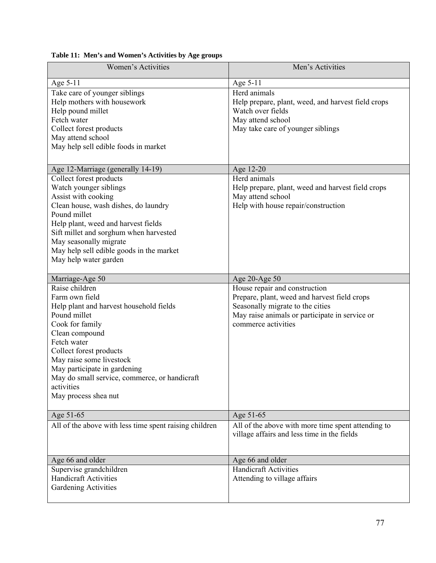| Women's Activities                                                                                                                                                                                                                                                                                                            | Men's Activities                                                                                                                                                                           |
|-------------------------------------------------------------------------------------------------------------------------------------------------------------------------------------------------------------------------------------------------------------------------------------------------------------------------------|--------------------------------------------------------------------------------------------------------------------------------------------------------------------------------------------|
| Age 5-11                                                                                                                                                                                                                                                                                                                      | Age 5-11                                                                                                                                                                                   |
| Take care of younger siblings<br>Help mothers with housework<br>Help pound millet<br>Fetch water<br>Collect forest products<br>May attend school<br>May help sell edible foods in market                                                                                                                                      | Herd animals<br>Help prepare, plant, weed, and harvest field crops<br>Watch over fields<br>May attend school<br>May take care of younger siblings                                          |
| Age 12-Marriage (generally 14-19)                                                                                                                                                                                                                                                                                             | Age 12-20                                                                                                                                                                                  |
| Collect forest products<br>Watch younger siblings<br>Assist with cooking<br>Clean house, wash dishes, do laundry<br>Pound millet<br>Help plant, weed and harvest fields<br>Sift millet and sorghum when harvested<br>May seasonally migrate<br>May help sell edible goods in the market<br>May help water garden              | Herd animals<br>Help prepare, plant, weed and harvest field crops<br>May attend school<br>Help with house repair/construction                                                              |
| Marriage-Age 50                                                                                                                                                                                                                                                                                                               | Age 20-Age 50                                                                                                                                                                              |
| Raise children<br>Farm own field<br>Help plant and harvest household fields<br>Pound millet<br>Cook for family<br>Clean compound<br>Fetch water<br>Collect forest products<br>May raise some livestock<br>May participate in gardening<br>May do small service, commerce, or handicraft<br>activities<br>May process shea nut | House repair and construction<br>Prepare, plant, weed and harvest field crops<br>Seasonally migrate to the cities<br>May raise animals or participate in service or<br>commerce activities |
| Age 51-65                                                                                                                                                                                                                                                                                                                     | Age 51-65                                                                                                                                                                                  |
| All of the above with less time spent raising children                                                                                                                                                                                                                                                                        | All of the above with more time spent attending to<br>village affairs and less time in the fields                                                                                          |
| Age 66 and older                                                                                                                                                                                                                                                                                                              | Age 66 and older                                                                                                                                                                           |
| Supervise grandchildren<br><b>Handicraft Activities</b><br>Gardening Activities                                                                                                                                                                                                                                               | <b>Handicraft Activities</b><br>Attending to village affairs                                                                                                                               |

## **Table 11: Men's and Women's Activities by Age groups**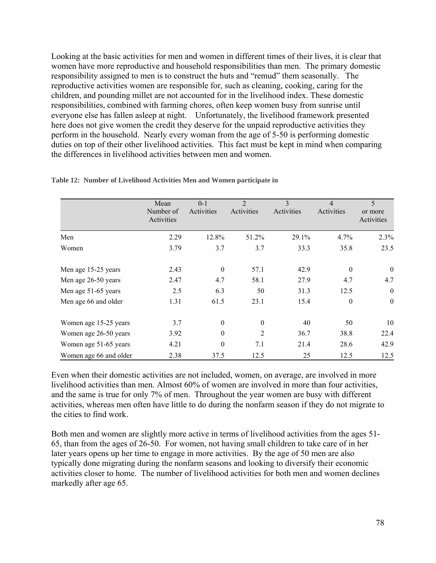Looking at the basic activities for men and women in different times of their lives, it is clear that women have more reproductive and household responsibilities than men. The primary domestic responsibility assigned to men is to construct the huts and "remud" them seasonally. The reproductive activities women are responsible for, such as cleaning, cooking, caring for the children, and pounding millet are not accounted for in the livelihood index. These domestic responsibilities, combined with farming chores, often keep women busy from sunrise until everyone else has fallen asleep at night. Unfortunately, the livelihood framework presented here does not give women the credit they deserve for the unpaid reproductive activities they perform in the household. Nearly every woman from the age of 5-50 is performing domestic duties on top of their other livelihood activities. This fact must be kept in mind when comparing the differences in livelihood activities between men and women.

|                        | Mean<br>Number of<br>Activities | $0 - 1$<br>Activities | $\overline{2}$<br>Activities | $\mathcal{E}$<br>Activities | $\overline{4}$<br>Activities | 5<br>or more<br>Activities |
|------------------------|---------------------------------|-----------------------|------------------------------|-----------------------------|------------------------------|----------------------------|
| Men                    | 2.29                            | 12.8%                 | 51.2%                        | 29.1%                       | 4.7%                         | 2.3%                       |
| Women                  | 3.79                            | 3.7                   | 3.7                          | 33.3                        | 35.8                         | 23.5                       |
| Men age 15-25 years    | 2.43                            | $\mathbf{0}$          | 57.1                         | 42.9                        | $\mathbf{0}$                 | $\boldsymbol{0}$           |
| Men age 26-50 years    | 2.47                            | 4.7                   | 58.1                         | 27.9                        | 4.7                          | 4.7                        |
| Men age 51-65 years    | 2.5                             | 6.3                   | 50                           | 31.3                        | 12.5                         | $\boldsymbol{0}$           |
| Men age 66 and older   | 1.31                            | 61.5                  | 23.1                         | 15.4                        | $\mathbf{0}$                 | $\boldsymbol{0}$           |
| Women age 15-25 years  | 3.7                             | $\boldsymbol{0}$      | $\theta$                     | 40                          | 50                           | 10                         |
| Women age 26-50 years  | 3.92                            | $\boldsymbol{0}$      | $\overline{2}$               | 36.7                        | 38.8                         | 22.4                       |
| Women age 51-65 years  | 4.21                            | $\boldsymbol{0}$      | 7.1                          | 21.4                        | 28.6                         | 42.9                       |
| Women age 66 and older | 2.38                            | 37.5                  | 12.5                         | 25                          | 12.5                         | 12.5                       |

**Table 12: Number of Livelihood Activities Men and Women participate in** 

Even when their domestic activities are not included, women, on average, are involved in more livelihood activities than men. Almost 60% of women are involved in more than four activities, and the same is true for only 7% of men. Throughout the year women are busy with different activities, whereas men often have little to do during the nonfarm season if they do not migrate to the cities to find work.

Both men and women are slightly more active in terms of livelihood activities from the ages 51- 65, than from the ages of 26-50. For women, not having small children to take care of in her later years opens up her time to engage in more activities. By the age of 50 men are also typically done migrating during the nonfarm seasons and looking to diversify their economic activities closer to home. The number of livelihood activities for both men and women declines markedly after age 65.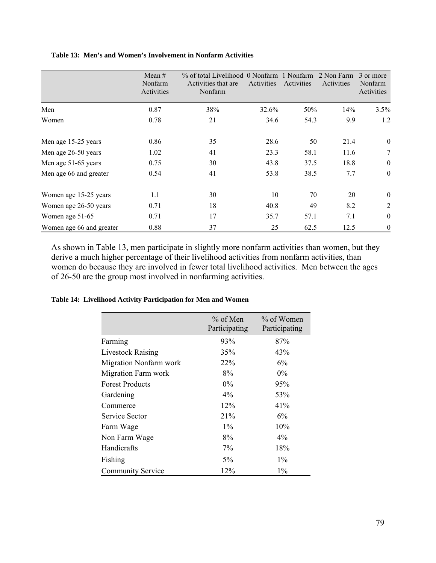### **Table 13: Men's and Women's Involvement in Nonfarm Activities**

|                          | Mean $#$<br>Nonfarm<br>Activities | % of total Livelihood 0 Nonfarm<br>Activities that are<br>Nonfarm | Activities | 1 Nonfarm<br>Activities | 2 Non Farm<br>Activities | 3 or more<br>Nonfarm<br>Activities |
|--------------------------|-----------------------------------|-------------------------------------------------------------------|------------|-------------------------|--------------------------|------------------------------------|
| Men                      | 0.87                              | 38%                                                               | 32.6%      | 50%                     | 14%                      | 3.5%                               |
| Women                    | 0.78                              | 21                                                                | 34.6       | 54.3                    | 9.9                      | 1.2                                |
| Men age 15-25 years      | 0.86                              | 35                                                                | 28.6       | 50                      | 21.4                     | $\boldsymbol{0}$                   |
| Men age 26-50 years      | 1.02                              | 41                                                                | 23.3       | 58.1                    | 11.6                     | 7                                  |
| Men age 51-65 years      | 0.75                              | 30                                                                | 43.8       | 37.5                    | 18.8                     | $\boldsymbol{0}$                   |
| Men age 66 and greater   | 0.54                              | 41                                                                | 53.8       | 38.5                    | 7.7                      | $\mathbf{0}$                       |
| Women age 15-25 years    | 1.1                               | 30                                                                | 10         | 70                      | 20                       | $\boldsymbol{0}$                   |
| Women age 26-50 years    | 0.71                              | 18                                                                | 40.8       | 49                      | 8.2                      | $\overline{2}$                     |
| Women age 51-65          | 0.71                              | 17                                                                | 35.7       | 57.1                    | 7.1                      | $\boldsymbol{0}$                   |
| Women age 66 and greater | 0.88                              | 37                                                                | 25         | 62.5                    | 12.5                     | $\boldsymbol{0}$                   |

As shown in Table 13, men participate in slightly more nonfarm activities than women, but they derive a much higher percentage of their livelihood activities from nonfarm activities, than women do because they are involved in fewer total livelihood activities. Men between the ages of 26-50 are the group most involved in nonfarming activities.

#### **Table 14: Livelihood Activity Participation for Men and Women**

|                               | $%$ of Men<br>Participating | % of Women<br>Participating |
|-------------------------------|-----------------------------|-----------------------------|
| Farming                       | 93%                         | 87%                         |
| <b>Livestock Raising</b>      | 35%                         | 43%                         |
| <b>Migration Nonfarm work</b> | <b>22%</b>                  | $6\%$                       |
| Migration Farm work           | 8%                          | $0\%$                       |
| <b>Forest Products</b>        | $0\%$                       | 95%                         |
| Gardening                     | $4\%$                       | 53%                         |
| Commerce                      | 12%                         | 41%                         |
| Service Sector                | 21%                         | 6%                          |
| Farm Wage                     | $1\%$                       | 10%                         |
| Non Farm Wage                 | 8%                          | $4\%$                       |
| Handicrafts                   | 7%                          | 18%                         |
| Fishing                       | 5%                          | $1\%$                       |
| <b>Community Service</b>      | 12%                         | $1\%$                       |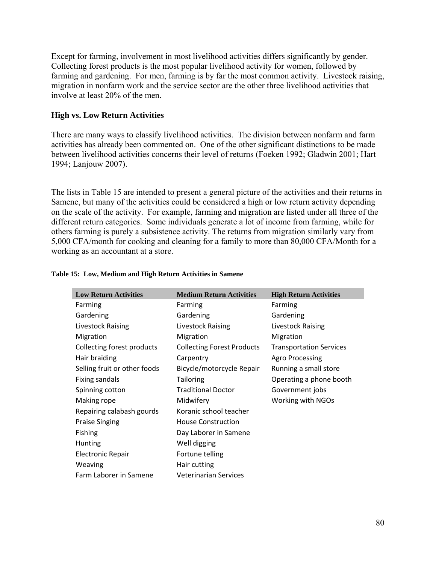Except for farming, involvement in most livelihood activities differs significantly by gender. Collecting forest products is the most popular livelihood activity for women, followed by farming and gardening. For men, farming is by far the most common activity. Livestock raising, migration in nonfarm work and the service sector are the other three livelihood activities that involve at least 20% of the men.

### **High vs. Low Return Activities**

There are many ways to classify livelihood activities. The division between nonfarm and farm activities has already been commented on. One of the other significant distinctions to be made between livelihood activities concerns their level of returns (Foeken 1992; Gladwin 2001; Hart 1994; Lanjouw 2007).

The lists in Table 15 are intended to present a general picture of the activities and their returns in Samene, but many of the activities could be considered a high or low return activity depending on the scale of the activity. For example, farming and migration are listed under all three of the different return categories. Some individuals generate a lot of income from farming, while for others farming is purely a subsistence activity. The returns from migration similarly vary from 5,000 CFA/month for cooking and cleaning for a family to more than 80,000 CFA/Month for a working as an accountant at a store.

| <b>Low Return Activities</b> | <b>Medium Return Activities</b>   | <b>High Return Activities</b>  |
|------------------------------|-----------------------------------|--------------------------------|
| Farming                      | Farming                           | Farming                        |
| Gardening                    | Gardening                         | Gardening                      |
| Livestock Raising            | Livestock Raising                 | Livestock Raising              |
| Migration                    | Migration                         | Migration                      |
| Collecting forest products   | <b>Collecting Forest Products</b> | <b>Transportation Services</b> |
| Hair braiding                | Carpentry                         | Agro Processing                |
| Selling fruit or other foods | Bicycle/motorcycle Repair         | Running a small store          |
| <b>Fixing sandals</b>        | <b>Tailoring</b>                  | Operating a phone booth        |
| Spinning cotton              | <b>Traditional Doctor</b>         | Government jobs                |
| Making rope                  | Midwifery                         | Working with NGOs              |
| Repairing calabash gourds    | Koranic school teacher            |                                |
| <b>Praise Singing</b>        | <b>House Construction</b>         |                                |
| Fishing                      | Day Laborer in Samene             |                                |
| <b>Hunting</b>               | Well digging                      |                                |
| <b>Electronic Repair</b>     | Fortune telling                   |                                |
| Weaving                      | Hair cutting                      |                                |
| Farm Laborer in Samene       | <b>Veterinarian Services</b>      |                                |
|                              |                                   |                                |

#### **Table 15: Low, Medium and High Return Activities in Samene**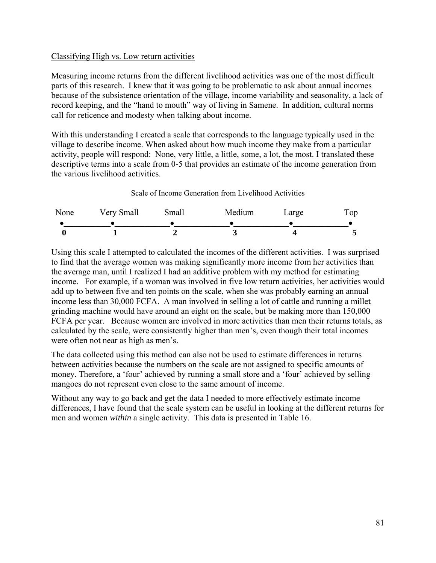## Classifying High vs. Low return activities

Measuring income returns from the different livelihood activities was one of the most difficult parts of this research. I knew that it was going to be problematic to ask about annual incomes because of the subsistence orientation of the village, income variability and seasonality, a lack of record keeping, and the "hand to mouth" way of living in Samene. In addition, cultural norms call for reticence and modesty when talking about income.

With this understanding I created a scale that corresponds to the language typically used in the village to describe income. When asked about how much income they make from a particular activity, people will respond: None, very little, a little, some, a lot, the most. I translated these descriptive terms into a scale from 0-5 that provides an estimate of the income generation from the various livelihood activities.

Scale of Income Generation from Livelihood Activities



Using this scale I attempted to calculated the incomes of the different activities. I was surprised to find that the average women was making significantly more income from her activities than the average man, until I realized I had an additive problem with my method for estimating income. For example, if a woman was involved in five low return activities, her activities would add up to between five and ten points on the scale, when she was probably earning an annual income less than 30,000 FCFA. A man involved in selling a lot of cattle and running a millet grinding machine would have around an eight on the scale, but be making more than 150,000 FCFA per year. Because women are involved in more activities than men their returns totals, as calculated by the scale, were consistently higher than men's, even though their total incomes were often not near as high as men's.

The data collected using this method can also not be used to estimate differences in returns between activities because the numbers on the scale are not assigned to specific amounts of money. Therefore, a 'four' achieved by running a small store and a 'four' achieved by selling mangoes do not represent even close to the same amount of income.

Without any way to go back and get the data I needed to more effectively estimate income differences, I have found that the scale system can be useful in looking at the different returns for men and women *within* a single activity. This data is presented in Table 16.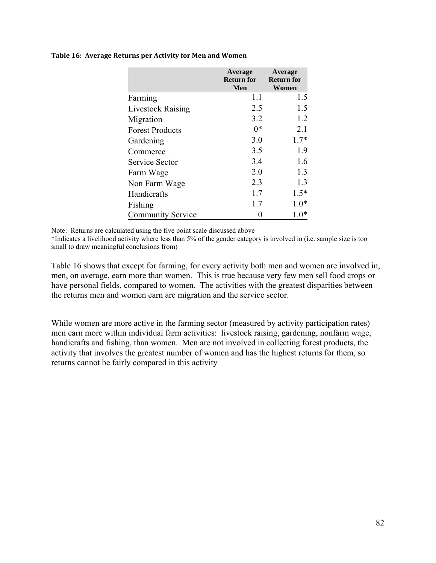|                          | Average<br><b>Return for</b> | Average<br><b>Return for</b> |
|--------------------------|------------------------------|------------------------------|
|                          | Men                          | Women                        |
| Farming                  | 1.1                          | 1.5                          |
| <b>Livestock Raising</b> | 2.5                          | 1.5                          |
| Migration                | 3.2                          | 1.2                          |
| <b>Forest Products</b>   | $0*$                         | 2.1                          |
| Gardening                | 3.0                          | $1.7*$                       |
| Commerce                 | 3.5                          | 1.9                          |
| Service Sector           | 3.4                          | 1.6                          |
| Farm Wage                | 2.0                          | 1.3                          |
| Non Farm Wage            | 2.3                          | 1.3                          |
| Handicrafts              | 1.7                          | $1.5*$                       |
| Fishing                  | 1.7                          | $1.0*$                       |
| <b>Community Service</b> |                              | $1.0*$                       |

#### **Table 16: Average Returns per Activity for Men and Women**

Note: Returns are calculated using the five point scale discussed above

\*Indicates a livelihood activity where less than 5% of the gender category is involved in (i.e. sample size is too small to draw meaningful conclusions from)

Table 16 shows that except for farming, for every activity both men and women are involved in, men, on average, earn more than women. This is true because very few men sell food crops or have personal fields, compared to women. The activities with the greatest disparities between the returns men and women earn are migration and the service sector.

While women are more active in the farming sector (measured by activity participation rates) men earn more within individual farm activities: livestock raising, gardening, nonfarm wage, handicrafts and fishing, than women. Men are not involved in collecting forest products, the activity that involves the greatest number of women and has the highest returns for them, so returns cannot be fairly compared in this activity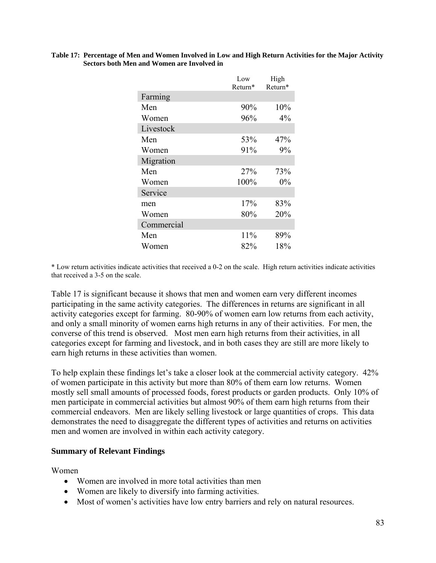#### **Table 17: Percentage of Men and Women Involved in Low and High Return Activities for the Major Activity Sectors both Men and Women are Involved in**

|            | Low<br>Return* | High<br>Return* |
|------------|----------------|-----------------|
| Farming    |                |                 |
| Men        | 90%            | 10%             |
| Women      | 96%            | 4%              |
| Livestock  |                |                 |
| Men        | 53%            | 47%             |
| Women      | 91%            | 9%              |
| Migration  |                |                 |
| Men        | 27%            | 73%             |
| Women      | 100%           | $0\%$           |
| Service    |                |                 |
| men        | 17%            | 83%             |
| Women      | 80%            | 20%             |
| Commercial |                |                 |
| Men        | 11%            | 89%             |
| Women      | 82%            | 18%             |

\* Low return activities indicate activities that received a 0-2 on the scale. High return activities indicate activities that received a 3-5 on the scale.

Table 17 is significant because it shows that men and women earn very different incomes participating in the same activity categories. The differences in returns are significant in all activity categories except for farming. 80-90% of women earn low returns from each activity, and only a small minority of women earns high returns in any of their activities. For men, the converse of this trend is observed. Most men earn high returns from their activities, in all categories except for farming and livestock, and in both cases they are still are more likely to earn high returns in these activities than women.

To help explain these findings let's take a closer look at the commercial activity category. 42% of women participate in this activity but more than 80% of them earn low returns. Women mostly sell small amounts of processed foods, forest products or garden products. Only 10% of men participate in commercial activities but almost 90% of them earn high returns from their commercial endeavors. Men are likely selling livestock or large quantities of crops. This data demonstrates the need to disaggregate the different types of activities and returns on activities men and women are involved in within each activity category.

### **Summary of Relevant Findings**

Women

- Women are involved in more total activities than men
- Women are likely to diversify into farming activities.
- Most of women's activities have low entry barriers and rely on natural resources.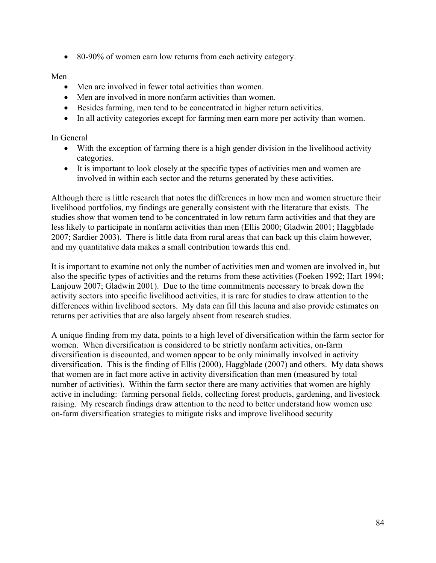• 80-90% of women earn low returns from each activity category.

# Men

- Men are involved in fewer total activities than women.
- Men are involved in more nonfarm activities than women.
- Besides farming, men tend to be concentrated in higher return activities.
- In all activity categories except for farming men earn more per activity than women.

# In General

- With the exception of farming there is a high gender division in the livelihood activity categories.
- It is important to look closely at the specific types of activities men and women are involved in within each sector and the returns generated by these activities.

Although there is little research that notes the differences in how men and women structure their livelihood portfolios, my findings are generally consistent with the literature that exists. The studies show that women tend to be concentrated in low return farm activities and that they are less likely to participate in nonfarm activities than men (Ellis 2000; Gladwin 2001; Haggblade 2007; Sardier 2003). There is little data from rural areas that can back up this claim however, and my quantitative data makes a small contribution towards this end.

It is important to examine not only the number of activities men and women are involved in, but also the specific types of activities and the returns from these activities (Foeken 1992; Hart 1994; Lanjouw 2007; Gladwin 2001). Due to the time commitments necessary to break down the activity sectors into specific livelihood activities, it is rare for studies to draw attention to the differences within livelihood sectors. My data can fill this lacuna and also provide estimates on returns per activities that are also largely absent from research studies.

A unique finding from my data, points to a high level of diversification within the farm sector for women. When diversification is considered to be strictly nonfarm activities, on-farm diversification is discounted, and women appear to be only minimally involved in activity diversification. This is the finding of Ellis (2000), Haggblade (2007) and others. My data shows that women are in fact more active in activity diversification than men (measured by total number of activities). Within the farm sector there are many activities that women are highly active in including: farming personal fields, collecting forest products, gardening, and livestock raising. My research findings draw attention to the need to better understand how women use on-farm diversification strategies to mitigate risks and improve livelihood security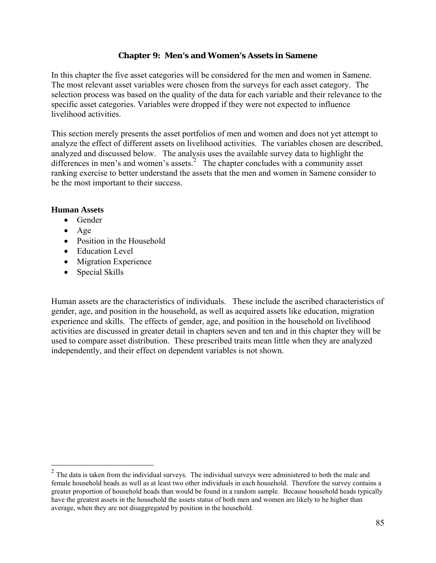### **Chapter 9: Men's and Women's Assets in Samene**

<span id="page-91-0"></span>In this chapter the five asset categories will be considered for the men and women in Samene. The most relevant asset variables were chosen from the surveys for each asset category. The selection process was based on the quality of the data for each variable and their relevance to the specific asset categories. Variables were dropped if they were not expected to influence livelihood activities.

This section merely presents the asset portfolios of men and women and does not yet attempt to analyze the effect of different assets on livelihood activities. The variables chosen are described, analyzed and discussed below. The analysis uses the available survey data to highlight the differences in men's and women's assets.<sup>[2](#page-91-0)</sup> The chapter concludes with a community asset ranking exercise to better understand the assets that the men and women in Samene consider to be the most important to their success.

## **Human Assets**

- Gender
- Age

 $\overline{a}$ 

- Position in the Household
- Education Level
- Migration Experience
- Special Skills

Human assets are the characteristics of individuals. These include the ascribed characteristics of gender, age, and position in the household, as well as acquired assets like education, migration experience and skills. The effects of gender, age, and position in the household on livelihood activities are discussed in greater detail in chapters seven and ten and in this chapter they will be used to compare asset distribution. These prescribed traits mean little when they are analyzed independently, and their effect on dependent variables is not shown.

<sup>&</sup>lt;sup>2</sup> The data is taken from the individual surveys. The individual surveys were administered to both the male and female household heads as well as at least two other individuals in each household. Therefore the survey contains a greater proportion of household heads than would be found in a random sample. Because household heads typically have the greatest assets in the household the assets status of both men and women are likely to be higher than average, when they are not disaggregated by position in the household.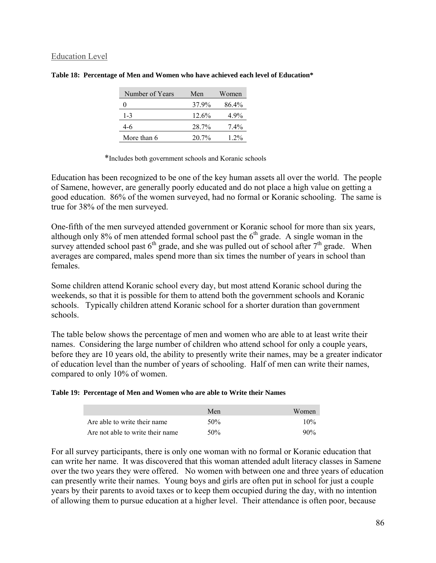### Education Level

| Number of Years | Men   | Women   |
|-----------------|-------|---------|
|                 | 37.9% | 86.4%   |
| $1 - 3$         | 12.6% | 4 9%    |
| 4-6             | 28.7% | $7.4\%$ |
| More than 6     | 20.7% | 1.2%    |

|  |  | Table 18: Percentage of Men and Women who have achieved each level of Education* |  |
|--|--|----------------------------------------------------------------------------------|--|
|  |  |                                                                                  |  |

\*Includes both government schools and Koranic schools

Education has been recognized to be one of the key human assets all over the world. The people of Samene, however, are generally poorly educated and do not place a high value on getting a good education. 86% of the women surveyed, had no formal or Koranic schooling. The same is true for 38% of the men surveyed.

One-fifth of the men surveyed attended government or Koranic school for more than six years, although only 8% of men attended formal school past the  $6<sup>th</sup>$  grade. A single woman in the survey attended school past  $6<sup>th</sup>$  grade, and she was pulled out of school after  $7<sup>th</sup>$  grade. When averages are compared, males spend more than six times the number of years in school than females.

Some children attend Koranic school every day, but most attend Koranic school during the weekends, so that it is possible for them to attend both the government schools and Koranic schools. Typically children attend Koranic school for a shorter duration than government schools.

The table below shows the percentage of men and women who are able to at least write their names. Considering the large number of children who attend school for only a couple years, before they are 10 years old, the ability to presently write their names, may be a greater indicator of education level than the number of years of schooling. Half of men can write their names, compared to only 10% of women.

#### **Table 19: Percentage of Men and Women who are able to Write their Names**

|                                  | Men | Women  |
|----------------------------------|-----|--------|
| Are able to write their name     | 50% | 10%    |
| Are not able to write their name | 50% | $90\%$ |

For all survey participants, there is only one woman with no formal or Koranic education that can write her name. It was discovered that this woman attended adult literacy classes in Samene over the two years they were offered. No women with between one and three years of education can presently write their names. Young boys and girls are often put in school for just a couple years by their parents to avoid taxes or to keep them occupied during the day, with no intention of allowing them to pursue education at a higher level. Their attendance is often poor, because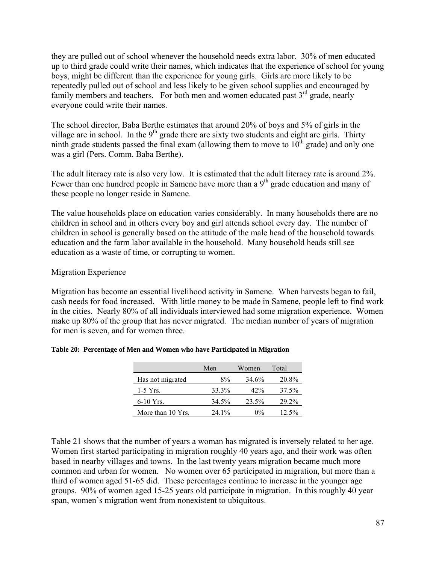they are pulled out of school whenever the household needs extra labor. 30% of men educated up to third grade could write their names, which indicates that the experience of school for young boys, might be different than the experience for young girls. Girls are more likely to be repeatedly pulled out of school and less likely to be given school supplies and encouraged by family members and teachers. For both men and women educated past  $3<sup>rd</sup>$  grade, nearly everyone could write their names.

The school director, Baba Berthe estimates that around 20% of boys and 5% of girls in the village are in school. In the  $9<sup>th</sup>$  grade there are sixty two students and eight are girls. Thirty ninth grade students passed the final exam (allowing them to move to  $10^{th}$  grade) and only one was a girl (Pers. Comm. Baba Berthe).

The adult literacy rate is also very low. It is estimated that the adult literacy rate is around 2%. Fewer than one hundred people in Samene have more than a 9<sup>th</sup> grade education and many of these people no longer reside in Samene.

The value households place on education varies considerably. In many households there are no children in school and in others every boy and girl attends school every day. The number of children in school is generally based on the attitude of the male head of the household towards education and the farm labor available in the household. Many household heads still see education as a waste of time, or corrupting to women.

## **Migration Experience**

Migration has become an essential livelihood activity in Samene. When harvests began to fail, cash needs for food increased. With little money to be made in Samene, people left to find work in the cities. Nearly 80% of all individuals interviewed had some migration experience. Women make up 80% of the group that has never migrated. The median number of years of migration for men is seven, and for women three.

|                   | Men   | Women | Total    |
|-------------------|-------|-------|----------|
| Has not migrated  | $8\%$ | 34.6% | 20.8%    |
| $1-5$ Yrs.        | 33.3% | 42%   | 37.5%    |
| $6-10$ Yrs.       | 34.5% | 23.5% | 29.2%    |
| More than 10 Yrs. | 241%  | $0\%$ | $12.5\%$ |

### **Table 20: Percentage of Men and Women who have Participated in Migration**

Table 21 shows that the number of years a woman has migrated is inversely related to her age. Women first started participating in migration roughly 40 years ago, and their work was often based in nearby villages and towns. In the last twenty years migration became much more common and urban for women. No women over 65 participated in migration, but more than a third of women aged 51-65 did. These percentages continue to increase in the younger age groups. 90% of women aged 15-25 years old participate in migration. In this roughly 40 year span, women's migration went from nonexistent to ubiquitous.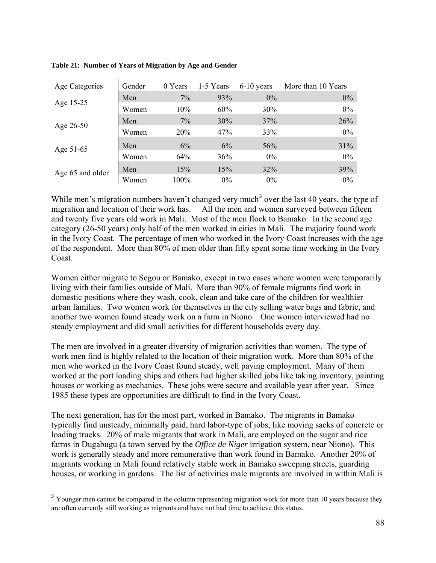| Age Categories   | Gender | 0 Years | 1-5 Years | $6-10$ years | More than 10 Years |
|------------------|--------|---------|-----------|--------------|--------------------|
| Age 15-25        | Men    | 7%      | 93%       | $0\%$        | 0%                 |
|                  | Women  | 10%     | 60%       | 30%          | 0%                 |
| Age 26-50        | Men    | 7%      | 30%       | 37%          | 26%                |
|                  | Women  | 20%     | 47%       | 33%          | 0%                 |
| Age 51-65        | Men    | 6%      | 6%        | 56%          | 31%                |
|                  | Women  | 64%     | 36%       | $0\%$        | $0\%$              |
|                  | Men    | 15%     | 15%       | 32%          | 39%                |
| Age 65 and older | Women  | 100%    | $0\%$     | $0\%$        | $0\%$              |

#### <span id="page-94-0"></span>**Table 21: Number of Years of Migration by Age and Gender**

While men's migration numbers haven't changed very much<sup>[3](#page-94-0)</sup> over the last 40 years, the type of migration and location of their work has. All the men and women surveyed between fifteen and twenty five years old work in Mali. Most of the men flock to Bamako. In the second age category (26-50 years) only half of the men worked in cities in Mali. The majority found work in the Ivory Coast. The percentage of men who worked in the Ivory Coast increases with the age of the respondent. More than 80% of men older than fifty spent some time working in the Ivory Coast.

Women either migrate to Segou or Bamako, except in two cases where women were temporarily living with their families outside of Mali. More than 90% of female migrants find work in domestic positions where they wash, cook, clean and take care of the children for wealthier urban families. Two women work for themselves in the city selling water bags and fabric, and another two women found steady work on a farm in Niono. One women interviewed had no steady employment and did small activities for different households every day.

The men are involved in a greater diversity of migration activities than women. The type of work men find is highly related to the location of their migration work. More than 80% of the men who worked in the Ivory Coast found steady, well paying employment. Many of them worked at the port loading ships and others had higher skilled jobs like taking inventory, painting houses or working as mechanics. These jobs were secure and available year after year. Since 1985 these types are opportunities are difficult to find in the Ivory Coast.

The next generation, has for the most part, worked in Bamako. The migrants in Bamako typically find unsteady, minimally paid, hard labor-type of jobs, like moving sacks of concrete or loading trucks. 20% of male migrants that work in Mali, are employed on the sugar and rice farms in Dugabugu (a town served by the *Office de Niger* irrigation system, near Niono). This work is generally steady and more remunerative than work found in Bamako. Another 20% of migrants working in Mali found relatively stable work in Bamako sweeping streets, guarding houses, or working in gardens. The list of activities male migrants are involved in within Mali is

 $\overline{a}$ 

 $3$  Younger men cannot be compared in the column representing migration work for more than 10 years because they are often currently still working as migrants and have not had time to achieve this status.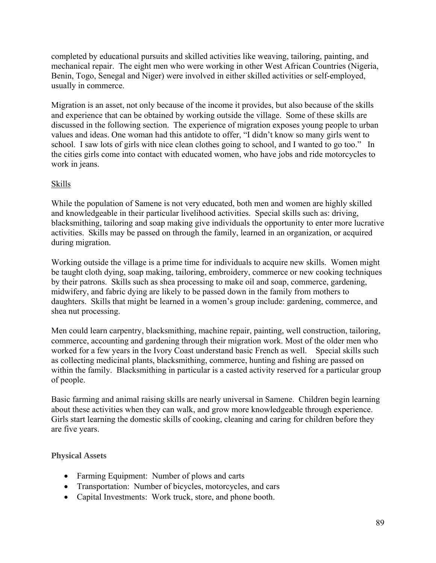completed by educational pursuits and skilled activities like weaving, tailoring, painting, and mechanical repair. The eight men who were working in other West African Countries (Nigeria, Benin, Togo, Senegal and Niger) were involved in either skilled activities or self-employed, usually in commerce.

Migration is an asset, not only because of the income it provides, but also because of the skills and experience that can be obtained by working outside the village. Some of these skills are discussed in the following section. The experience of migration exposes young people to urban values and ideas. One woman had this antidote to offer, "I didn't know so many girls went to school. I saw lots of girls with nice clean clothes going to school, and I wanted to go too." In the cities girls come into contact with educated women, who have jobs and ride motorcycles to work in jeans.

# **Skills**

While the population of Samene is not very educated, both men and women are highly skilled and knowledgeable in their particular livelihood activities. Special skills such as: driving, blacksmithing, tailoring and soap making give individuals the opportunity to enter more lucrative activities. Skills may be passed on through the family, learned in an organization, or acquired during migration.

Working outside the village is a prime time for individuals to acquire new skills. Women might be taught cloth dying, soap making, tailoring, embroidery, commerce or new cooking techniques by their patrons. Skills such as shea processing to make oil and soap, commerce, gardening, midwifery, and fabric dying are likely to be passed down in the family from mothers to daughters. Skills that might be learned in a women's group include: gardening, commerce, and shea nut processing.

Men could learn carpentry, blacksmithing, machine repair, painting, well construction, tailoring, commerce, accounting and gardening through their migration work. Most of the older men who worked for a few years in the Ivory Coast understand basic French as well. Special skills such as collecting medicinal plants, blacksmithing, commerce, hunting and fishing are passed on within the family. Blacksmithing in particular is a casted activity reserved for a particular group of people.

Basic farming and animal raising skills are nearly universal in Samene. Children begin learning about these activities when they can walk, and grow more knowledgeable through experience. Girls start learning the domestic skills of cooking, cleaning and caring for children before they are five years.

# **Physical Assets**

- Farming Equipment: Number of plows and carts
- Transportation: Number of bicycles, motorcycles, and cars
- Capital Investments: Work truck, store, and phone booth.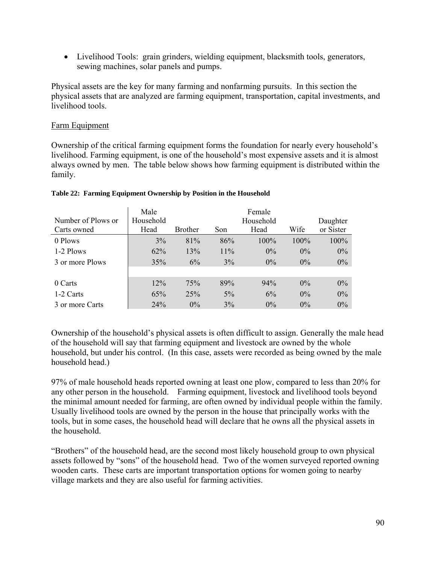• Livelihood Tools: grain grinders, wielding equipment, blacksmith tools, generators, sewing machines, solar panels and pumps.

Physical assets are the key for many farming and nonfarming pursuits. In this section the physical assets that are analyzed are farming equipment, transportation, capital investments, and livelihood tools.

# Farm Equipment

Ownership of the critical farming equipment forms the foundation for nearly every household's livelihood. Farming equipment, is one of the household's most expensive assets and it is almost always owned by men. The table below shows how farming equipment is distributed within the family.

|                    | Male      |                |       | Female    |       |           |
|--------------------|-----------|----------------|-------|-----------|-------|-----------|
| Number of Plows or | Household |                |       | Household |       | Daughter  |
| Carts owned        | Head      | <b>Brother</b> | Son   | Head      | Wife  | or Sister |
| 0 Plows            | 3%        | 81%            | 86%   | $100\%$   | 100%  | $100\%$   |
| 1-2 Plows          | 62%       | 13%            | 11%   | $0\%$     | $0\%$ | $0\%$     |
| 3 or more Plows    | 35%       | 6%             | 3%    | $0\%$     | $0\%$ | $0\%$     |
|                    |           |                |       |           |       |           |
| 0 Carts            | 12%       | 75%            | 89%   | 94%       | $0\%$ | $0\%$     |
| 1-2 Carts          | 65%       | 25%            | $5\%$ | 6%        | 0%    | $0\%$     |
| 3 or more Carts    | 24%       | $0\%$          | 3%    | $0\%$     | $0\%$ | $0\%$     |

### **Table 22: Farming Equipment Ownership by Position in the Household**

Ownership of the household's physical assets is often difficult to assign. Generally the male head of the household will say that farming equipment and livestock are owned by the whole household, but under his control. (In this case, assets were recorded as being owned by the male household head.)

97% of male household heads reported owning at least one plow, compared to less than 20% for any other person in the household. Farming equipment, livestock and livelihood tools beyond the minimal amount needed for farming, are often owned by individual people within the family. Usually livelihood tools are owned by the person in the house that principally works with the tools, but in some cases, the household head will declare that he owns all the physical assets in the household.

"Brothers" of the household head, are the second most likely household group to own physical assets followed by "sons" of the household head. Two of the women surveyed reported owning wooden carts. These carts are important transportation options for women going to nearby village markets and they are also useful for farming activities.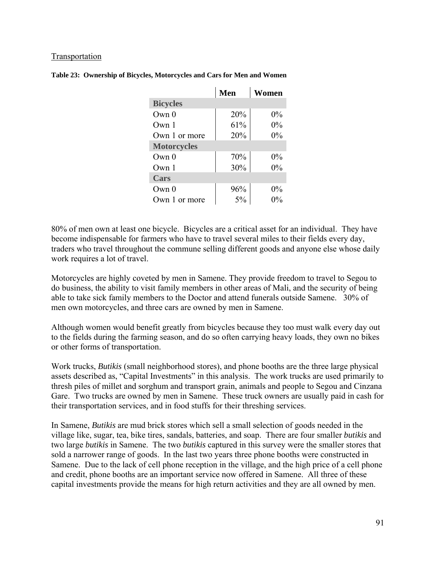### Transportation

|                    | Men | Women |
|--------------------|-----|-------|
| <b>Bicycles</b>    |     |       |
| Own <sub>0</sub>   | 20% | $0\%$ |
| Own 1              | 61% | $0\%$ |
| Own 1 or more      | 20% | $0\%$ |
| <b>Motorcycles</b> |     |       |
| Qwn0               | 70% | $0\%$ |
| Own <sub>1</sub>   | 30% | $0\%$ |
| Cars               |     |       |
| Own 0              | 96% | $0\%$ |
| Own 1 or more      | 5%  | በ%    |

|  |  | Table 23: Ownership of Bicycles, Motorcycles and Cars for Men and Women |
|--|--|-------------------------------------------------------------------------|
|  |  |                                                                         |

80% of men own at least one bicycle. Bicycles are a critical asset for an individual. They have become indispensable for farmers who have to travel several miles to their fields every day, traders who travel throughout the commune selling different goods and anyone else whose daily work requires a lot of travel.

Motorcycles are highly coveted by men in Samene. They provide freedom to travel to Segou to do business, the ability to visit family members in other areas of Mali, and the security of being able to take sick family members to the Doctor and attend funerals outside Samene. 30% of men own motorcycles, and three cars are owned by men in Samene.

Although women would benefit greatly from bicycles because they too must walk every day out to the fields during the farming season, and do so often carrying heavy loads, they own no bikes or other forms of transportation.

Work trucks, *Butikis* (small neighborhood stores), and phone booths are the three large physical assets described as, "Capital Investments" in this analysis. The work trucks are used primarily to thresh piles of millet and sorghum and transport grain, animals and people to Segou and Cinzana Gare. Two trucks are owned by men in Samene. These truck owners are usually paid in cash for their transportation services, and in food stuffs for their threshing services.

In Samene, *Butikis* are mud brick stores which sell a small selection of goods needed in the village like, sugar, tea, bike tires, sandals, batteries, and soap. There are four smaller *butikis* and two large *butikis* in Samene. The two *butikis* captured in this survey were the smaller stores that sold a narrower range of goods. In the last two years three phone booths were constructed in Samene. Due to the lack of cell phone reception in the village, and the high price of a cell phone and credit, phone booths are an important service now offered in Samene. All three of these capital investments provide the means for high return activities and they are all owned by men.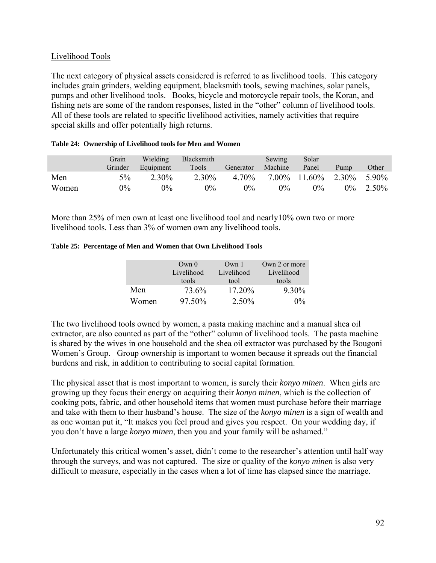# Livelihood Tools

The next category of physical assets considered is referred to as livelihood tools. This category includes grain grinders, welding equipment, blacksmith tools, sewing machines, solar panels, pumps and other livelihood tools. Books, bicycle and motorcycle repair tools, the Koran, and fishing nets are some of the random responses, listed in the "other" column of livelihood tools. All of these tools are related to specific livelihood activities, namely activities that require special skills and offer potentially high returns.

|       | Grain<br>Grinder | Wielding<br>Equipment | <b>Blacksmith</b><br>Tools | Generator | Sewing<br>Machine | Solar<br>Panel        | Pump  | Other |
|-------|------------------|-----------------------|----------------------------|-----------|-------------------|-----------------------|-------|-------|
| Men   | $5\%$            | 2.30%                 | 2.30%                      | 4.70%     |                   | $7.00\%$ 11.60% 2.30% |       | 5.90% |
| Women | 0%               | $0\%$                 | $0\%$                      | 0%        | $0\%$             | $0\%$                 | $0\%$ | 2.50% |

#### **Table 24: Ownership of Livelihood tools for Men and Women**

More than 25% of men own at least one livelihood tool and nearly10% own two or more livelihood tools. Less than 3% of women own any livelihood tools.

#### **Table 25: Percentage of Men and Women that Own Livelihood Tools**

|       | Own <sub>0</sub> | Own <sub>1</sub> | Own 2 or more |
|-------|------------------|------------------|---------------|
|       | Livelihood       | Livelihood       | Livelihood    |
|       | tools            | tool             | tools         |
| Men   | 73.6%            | 17.20%           | 9.30%         |
| Women | $97.50\%$        | $2.50\%$         | $0\%$         |

The two livelihood tools owned by women, a pasta making machine and a manual shea oil extractor, are also counted as part of the "other" column of livelihood tools. The pasta machine is shared by the wives in one household and the shea oil extractor was purchased by the Bougoni Women's Group. Group ownership is important to women because it spreads out the financial burdens and risk, in addition to contributing to social capital formation.

The physical asset that is most important to women, is surely their *konyo minen*. When girls are growing up they focus their energy on acquiring their *konyo minen*, which is the collection of cooking pots, fabric, and other household items that women must purchase before their marriage and take with them to their husband's house. The size of the *konyo minen* is a sign of wealth and as one woman put it, "It makes you feel proud and gives you respect. On your wedding day, if you don't have a large *konyo minen*, then you and your family will be ashamed."

Unfortunately this critical women's asset, didn't come to the researcher's attention until half way through the surveys, and was not captured. The size or quality of the *konyo minen* is also very difficult to measure, especially in the cases when a lot of time has elapsed since the marriage.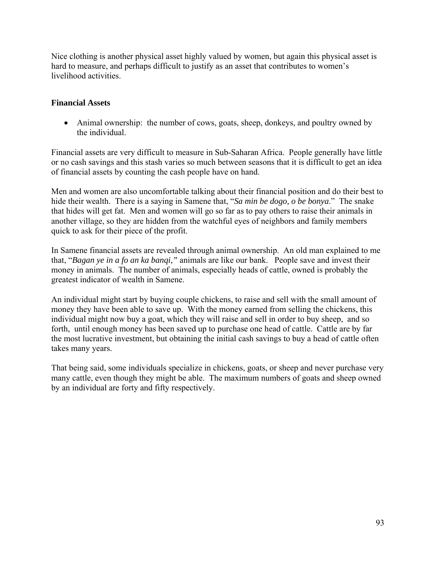Nice clothing is another physical asset highly valued by women, but again this physical asset is hard to measure, and perhaps difficult to justify as an asset that contributes to women's livelihood activities.

## **Financial Assets**

• Animal ownership: the number of cows, goats, sheep, donkeys, and poultry owned by the individual.

Financial assets are very difficult to measure in Sub-Saharan Africa. People generally have little or no cash savings and this stash varies so much between seasons that it is difficult to get an idea of financial assets by counting the cash people have on hand.

Men and women are also uncomfortable talking about their financial position and do their best to hide their wealth. There is a saying in Samene that, "*Sa min be dogo, o be bonya*." The snake that hides will get fat. Men and women will go so far as to pay others to raise their animals in another village, so they are hidden from the watchful eyes of neighbors and family members quick to ask for their piece of the profit.

In Samene financial assets are revealed through animal ownership. An old man explained to me that, "*Bagan ye in a fo an ka banqi,"* animals are like our bank. People save and invest their money in animals. The number of animals, especially heads of cattle, owned is probably the greatest indicator of wealth in Samene.

An individual might start by buying couple chickens, to raise and sell with the small amount of money they have been able to save up. With the money earned from selling the chickens, this individual might now buy a goat, which they will raise and sell in order to buy sheep, and so forth, until enough money has been saved up to purchase one head of cattle. Cattle are by far the most lucrative investment, but obtaining the initial cash savings to buy a head of cattle often takes many years.

That being said, some individuals specialize in chickens, goats, or sheep and never purchase very many cattle, even though they might be able. The maximum numbers of goats and sheep owned by an individual are forty and fifty respectively.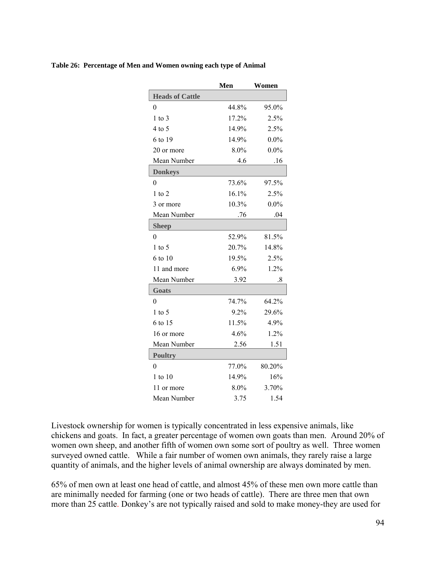|  | Table 26: Percentage of Men and Women owning each type of Animal |  |  |  |
|--|------------------------------------------------------------------|--|--|--|
|--|------------------------------------------------------------------|--|--|--|

|                        | Men   | Women   |
|------------------------|-------|---------|
| <b>Heads of Cattle</b> |       |         |
| $\theta$               | 44.8% | 95.0%   |
| $1$ to $3$             | 17.2% | 2.5%    |
| $4$ to 5               | 14.9% | 2.5%    |
| 6 to 19                | 14.9% | $0.0\%$ |
| 20 or more             | 8.0%  | $0.0\%$ |
| Mean Number            | 4.6   | .16     |
| <b>Donkeys</b>         |       |         |
| $\theta$               | 73.6% | 97.5%   |
| $1$ to $2$             | 16.1% | 2.5%    |
| 3 or more              | 10.3% | $0.0\%$ |
| Mean Number            | .76   | .04     |
| <b>Sheep</b>           |       |         |
| $\theta$               | 52.9% | 81.5%   |
| $1$ to 5               | 20.7% | 14.8%   |
| 6 to 10                | 19.5% | 2.5%    |
| 11 and more            | 6.9%  | 1.2%    |
| Mean Number            | 3.92  | .8      |
| Goats                  |       |         |
| 0                      | 74.7% | 64.2%   |
| $1$ to 5               | 9.2%  | 29.6%   |
| 6 to 15                | 11.5% | 4.9%    |
| 16 or more             | 4.6%  | 1.2%    |
| Mean Number            | 2.56  | 1.51    |
| <b>Poultry</b>         |       |         |
| $\theta$               | 77.0% | 80.20%  |
| 1 to 10                | 14.9% | 16%     |
| 11 or more             | 8.0%  | 3.70%   |
| Mean Number            | 3.75  | 1.54    |

Livestock ownership for women is typically concentrated in less expensive animals, like chickens and goats. In fact, a greater percentage of women own goats than men. Around 20% of women own sheep, and another fifth of women own some sort of poultry as well. Three women surveyed owned cattle. While a fair number of women own animals, they rarely raise a large quantity of animals, and the higher levels of animal ownership are always dominated by men.

65% of men own at least one head of cattle, and almost 45% of these men own more cattle than are minimally needed for farming (one or two heads of cattle). There are three men that own more than 25 cattle. Donkey's are not typically raised and sold to make money-they are used for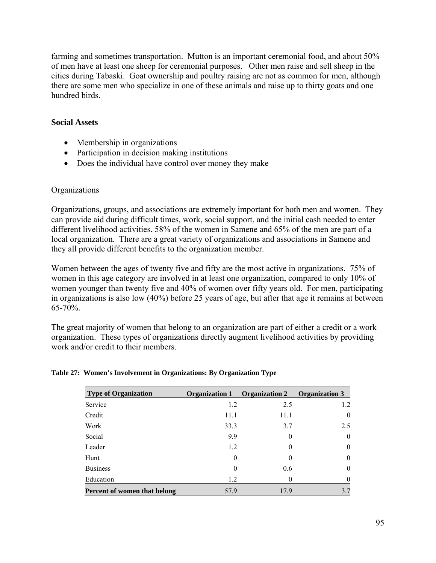farming and sometimes transportation. Mutton is an important ceremonial food, and about 50% of men have at least one sheep for ceremonial purposes. Other men raise and sell sheep in the cities during Tabaski. Goat ownership and poultry raising are not as common for men, although there are some men who specialize in one of these animals and raise up to thirty goats and one hundred birds.

## **Social Assets**

- Membership in organizations
- Participation in decision making institutions
- Does the individual have control over money they make

## **Organizations**

Organizations, groups, and associations are extremely important for both men and women. They can provide aid during difficult times, work, social support, and the initial cash needed to enter different livelihood activities. 58% of the women in Samene and 65% of the men are part of a local organization. There are a great variety of organizations and associations in Samene and they all provide different benefits to the organization member.

Women between the ages of twenty five and fifty are the most active in organizations. 75% of women in this age category are involved in at least one organization, compared to only 10% of women younger than twenty five and 40% of women over fifty years old. For men, participating in organizations is also low (40%) before 25 years of age, but after that age it remains at between  $65 - 70\%$ .

The great majority of women that belong to an organization are part of either a credit or a work organization. These types of organizations directly augment livelihood activities by providing work and/or credit to their members.

| <b>Type of Organization</b>  | <b>Organization 1</b> | <b>Organization 2</b> | <b>Organization 3</b> |
|------------------------------|-----------------------|-----------------------|-----------------------|
| Service                      | 1.2                   | 2.5                   | 1.2                   |
| Credit                       | 11.1                  | 11.1                  | $\mathbf{0}$          |
| Work                         | 33.3                  | 3.7                   | 2.5                   |
| Social                       | 9.9                   | 0                     | $\theta$              |
| Leader                       | 1.2                   | 0                     | $\mathbf{0}$          |
| Hunt                         | $\theta$              | $\theta$              | $\theta$              |
| <b>Business</b>              | $\theta$              | 0.6                   | $\theta$              |
| Education                    | 1.2                   | 0                     | $\theta$              |
| Percent of women that belong | 57.9                  | 17.9                  | 3.7                   |

### **Table 27: Women's Involvement in Organizations: By Organization Type**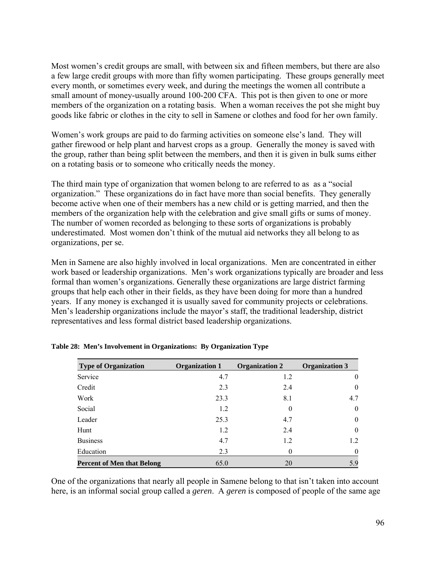Most women's credit groups are small, with between six and fifteen members, but there are also a few large credit groups with more than fifty women participating. These groups generally meet every month, or sometimes every week, and during the meetings the women all contribute a small amount of money-usually around 100-200 CFA. This pot is then given to one or more members of the organization on a rotating basis. When a woman receives the pot she might buy goods like fabric or clothes in the city to sell in Samene or clothes and food for her own family.

Women's work groups are paid to do farming activities on someone else's land. They will gather firewood or help plant and harvest crops as a group. Generally the money is saved with the group, rather than being split between the members, and then it is given in bulk sums either on a rotating basis or to someone who critically needs the money.

The third main type of organization that women belong to are referred to as as a "social" organization." These organizations do in fact have more than social benefits. They generally become active when one of their members has a new child or is getting married, and then the members of the organization help with the celebration and give small gifts or sums of money. The number of women recorded as belonging to these sorts of organizations is probably underestimated. Most women don't think of the mutual aid networks they all belong to as organizations, per se.

Men in Samene are also highly involved in local organizations. Men are concentrated in either work based or leadership organizations. Men's work organizations typically are broader and less formal than women's organizations. Generally these organizations are large district farming groups that help each other in their fields, as they have been doing for more than a hundred years. If any money is exchanged it is usually saved for community projects or celebrations. Men's leadership organizations include the mayor's staff, the traditional leadership, district representatives and less formal district based leadership organizations.

| <b>Type of Organization</b>       | <b>Organization 1</b> | <b>Organization 2</b> | <b>Organization 3</b> |
|-----------------------------------|-----------------------|-----------------------|-----------------------|
| Service                           | 4.7                   | 1.2                   | $\overline{0}$        |
| Credit                            | 2.3                   | 2.4                   | $\theta$              |
| Work                              | 23.3                  | 8.1                   | 4.7                   |
| Social                            | 1.2                   | $\theta$              | $\theta$              |
| Leader                            | 25.3                  | 4.7                   | $\theta$              |
| Hunt                              | 1.2                   | 2.4                   | $\theta$              |
| <b>Business</b>                   | 4.7                   | 1.2                   | 1.2                   |
| Education                         | 2.3                   | $\theta$              | $\theta$              |
| <b>Percent of Men that Belong</b> | 65.0                  | 20                    | 5.9                   |

|  |  |  |  | Table 28: Men's Involvement in Organizations: By Organization Type |
|--|--|--|--|--------------------------------------------------------------------|
|--|--|--|--|--------------------------------------------------------------------|

One of the organizations that nearly all people in Samene belong to that isn't taken into account here, is an informal social group called a *geren*. A *geren* is composed of people of the same age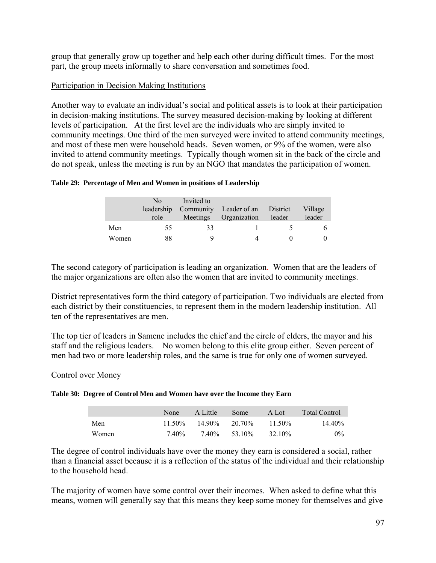group that generally grow up together and help each other during difficult times. For the most part, the group meets informally to share conversation and sometimes food.

## Participation in Decision Making Institutions

Another way to evaluate an individual's social and political assets is to look at their participation in decision-making institutions. The survey measured decision-making by looking at different levels of participation. At the first level are the individuals who are simply invited to community meetings. One third of the men surveyed were invited to attend community meetings, and most of these men were household heads. Seven women, or 9% of the women, were also invited to attend community meetings. Typically though women sit in the back of the circle and do not speak, unless the meeting is run by an NGO that mandates the participation of women.

### **Table 29: Percentage of Men and Women in positions of Leadership**

|       | No.<br>leadership<br>role | Invited to<br>Community<br>Meetings | Leader of an District<br>Organization | leader | Village<br>leader |
|-------|---------------------------|-------------------------------------|---------------------------------------|--------|-------------------|
| Men   | 55                        | 33                                  |                                       |        |                   |
| Women | 88                        |                                     |                                       |        | $\Omega$          |

The second category of participation is leading an organization. Women that are the leaders of the major organizations are often also the women that are invited to community meetings.

District representatives form the third category of participation. Two individuals are elected from each district by their constituencies, to represent them in the modern leadership institution. All ten of the representatives are men.

The top tier of leaders in Samene includes the chief and the circle of elders, the mayor and his staff and the religious leaders. No women belong to this elite group either. Seven percent of men had two or more leadership roles, and the same is true for only one of women surveyed.

### Control over Money

#### **Table 30: Degree of Control Men and Women have over the Income they Earn**

|       | <b>None</b> | A Little | Some   | A Lot     | <b>Total Control</b> |
|-------|-------------|----------|--------|-----------|----------------------|
| Men   | $11.50\%$   | 14 90%   | 20.70% | $11.50\%$ | $14.40\%$            |
| Women | 7.40%       | 7.40%    | 53.10% | 32.10%    | $0\%$                |

The degree of control individuals have over the money they earn is considered a social, rather than a financial asset because it is a reflection of the status of the individual and their relationship to the household head.

The majority of women have some control over their incomes. When asked to define what this means, women will generally say that this means they keep some money for themselves and give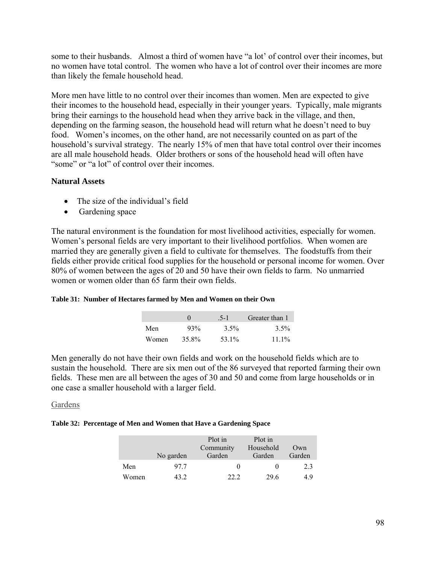some to their husbands. Almost a third of women have "a lot' of control over their incomes, but no women have total control. The women who have a lot of control over their incomes are more than likely the female household head.

More men have little to no control over their incomes than women. Men are expected to give their incomes to the household head, especially in their younger years. Typically, male migrants bring their earnings to the household head when they arrive back in the village, and then, depending on the farming season, the household head will return what he doesn't need to buy food. Women's incomes, on the other hand, are not necessarily counted on as part of the household's survival strategy. The nearly 15% of men that have total control over their incomes are all male household heads. Older brothers or sons of the household head will often have "some" or "a lot" of control over their incomes.

### **Natural Assets**

- The size of the individual's field
- Gardening space

The natural environment is the foundation for most livelihood activities, especially for women. Women's personal fields are very important to their livelihood portfolios. When women are married they are generally given a field to cultivate for themselves. The foodstuffs from their fields either provide critical food supplies for the household or personal income for women. Over 80% of women between the ages of 20 and 50 have their own fields to farm. No unmarried women or women older than 65 farm their own fields.

#### **Table 31: Number of Hectares farmed by Men and Women on their Own**

|       |       | $5-1$   | Greater than 1 |  |
|-------|-------|---------|----------------|--|
| Men   | 93%   | $3.5\%$ | $3.5\%$        |  |
| Women | 35.8% | 53.1%   | $11.1\%$       |  |

Men generally do not have their own fields and work on the household fields which are to sustain the household. There are six men out of the 86 surveyed that reported farming their own fields. These men are all between the ages of 30 and 50 and come from large households or in one case a smaller household with a larger field.

### Gardens

#### **Table 32: Percentage of Men and Women that Have a Gardening Space**

|       |           | Plot in<br>Community | Plot in<br>Household | Own    |
|-------|-----------|----------------------|----------------------|--------|
|       | No garden | Garden               | Garden               | Garden |
| Men   | 977       | $\mathbf{0}$         |                      | 2.3    |
| Women | 43 2      | 22.2                 | 29.6                 | 49     |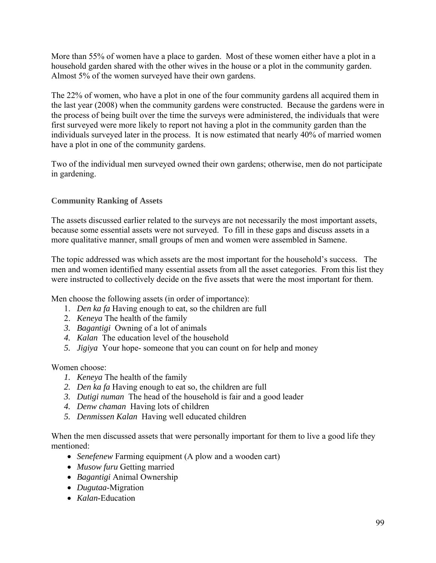More than 55% of women have a place to garden. Most of these women either have a plot in a household garden shared with the other wives in the house or a plot in the community garden. Almost 5% of the women surveyed have their own gardens.

The 22% of women, who have a plot in one of the four community gardens all acquired them in the last year (2008) when the community gardens were constructed. Because the gardens were in the process of being built over the time the surveys were administered, the individuals that were first surveyed were more likely to report not having a plot in the community garden than the individuals surveyed later in the process. It is now estimated that nearly 40% of married women have a plot in one of the community gardens.

Two of the individual men surveyed owned their own gardens; otherwise, men do not participate in gardening.

# **Community Ranking of Assets**

The assets discussed earlier related to the surveys are not necessarily the most important assets, because some essential assets were not surveyed. To fill in these gaps and discuss assets in a more qualitative manner, small groups of men and women were assembled in Samene.

The topic addressed was which assets are the most important for the household's success. The men and women identified many essential assets from all the asset categories. From this list they were instructed to collectively decide on the five assets that were the most important for them.

Men choose the following assets (in order of importance):

- 1. *Den ka fa* Having enough to eat, so the children are full
- 2. *Keneya* The health of the family
- *3. Bagantigi* Owning of a lot of animals
- *4. Kalan* The education level of the household
- *5. Jigiya* Your hope- someone that you can count on for help and money

Women choose:

- *1. Keneya* The health of the family
- *2. Den ka fa* Having enough to eat so, the children are full
- *3. Dutigi numan* The head of the household is fair and a good leader
- *4. Denw chaman* Having lots of children
- *5. Denmissen Kalan* Having well educated children

When the men discussed assets that were personally important for them to live a good life they mentioned:

- *Senefenew* Farming equipment (A plow and a wooden cart)
- *Musow furu* Getting married
- *Bagantigi* Animal Ownership
- *Dugutaa*-Migration
- *Kalan*-Education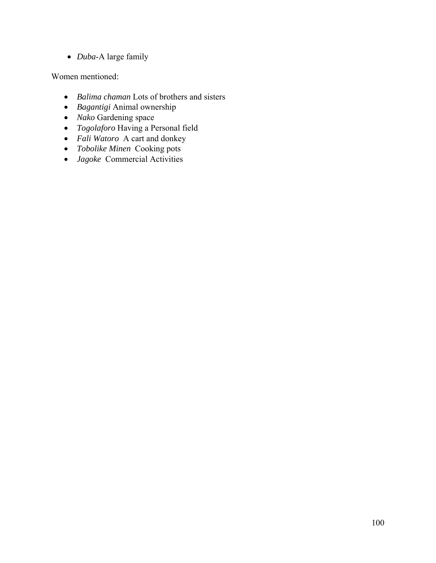• *Duba*-A large family

Women mentioned:

- *Balima chaman* Lots of brothers and sisters
- *Bagantigi* Animal ownership
- *Nako* Gardening space
- *Togolaforo* Having a Personal field
- *Fali Watoro* A cart and donkey
- *Tobolike Minen* Cooking pots
- *Jagoke* Commercial Activities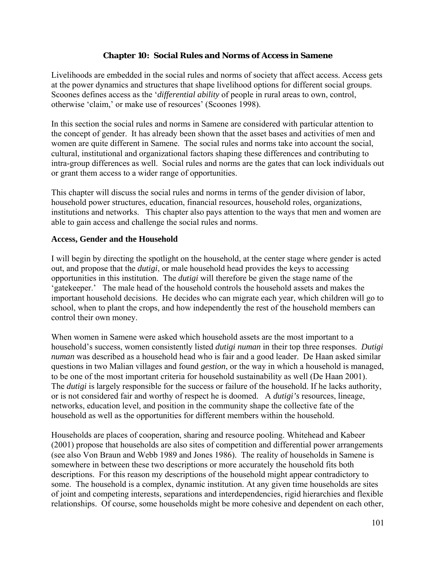## **Chapter 10: Social Rules and Norms of Access in Samene**

Livelihoods are embedded in the social rules and norms of society that affect access. Access gets at the power dynamics and structures that shape livelihood options for different social groups. Scoones defines access as the '*differential ability* of people in rural areas to own, control, otherwise 'claim,' or make use of resources' (Scoones 1998).

In this section the social rules and norms in Samene are considered with particular attention to the concept of gender. It has already been shown that the asset bases and activities of men and women are quite different in Samene. The social rules and norms take into account the social, cultural, institutional and organizational factors shaping these differences and contributing to intra-group differences as well. Social rules and norms are the gates that can lock individuals out or grant them access to a wider range of opportunities.

This chapter will discuss the social rules and norms in terms of the gender division of labor, household power structures, education, financial resources, household roles, organizations, institutions and networks. This chapter also pays attention to the ways that men and women are able to gain access and challenge the social rules and norms.

### **Access, Gender and the Household**

I will begin by directing the spotlight on the household, at the center stage where gender is acted out, and propose that the *dutigi*, or male household head provides the keys to accessing opportunities in this institution. The *dutigi* will therefore be given the stage name of the 'gatekeeper.' The male head of the household controls the household assets and makes the important household decisions. He decides who can migrate each year, which children will go to school, when to plant the crops, and how independently the rest of the household members can control their own money.

When women in Samene were asked which household assets are the most important to a household's success, women consistently listed *dutigi numan* in their top three responses. *Dutigi numan* was described as a household head who is fair and a good leader. De Haan asked similar questions in two Malian villages and found *gestion*, or the way in which a household is managed, to be one of the most important criteria for household sustainability as well (De Haan 2001). The *dutigi* is largely responsible for the success or failure of the household. If he lacks authority, or is not considered fair and worthy of respect he is doomed. A *dutigi's* resources, lineage, networks, education level, and position in the community shape the collective fate of the household as well as the opportunities for different members within the household.

Households are places of cooperation, sharing and resource pooling. Whitehead and Kabeer (2001) propose that households are also sites of competition and differential power arrangements (see also Von Braun and Webb 1989 and Jones 1986). The reality of households in Samene is somewhere in between these two descriptions or more accurately the household fits both descriptions. For this reason my descriptions of the household might appear contradictory to some. The household is a complex, dynamic institution. At any given time households are sites of joint and competing interests, separations and interdependencies, rigid hierarchies and flexible relationships. Of course, some households might be more cohesive and dependent on each other,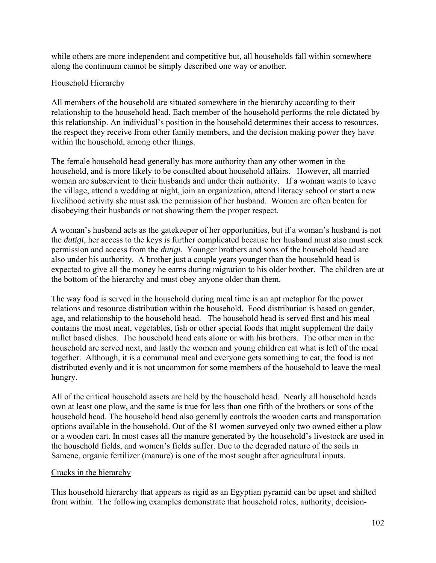while others are more independent and competitive but, all households fall within somewhere along the continuum cannot be simply described one way or another.

## Household Hierarchy

All members of the household are situated somewhere in the hierarchy according to their relationship to the household head. Each member of the household performs the role dictated by this relationship. An individual's position in the household determines their access to resources, the respect they receive from other family members, and the decision making power they have within the household, among other things.

The female household head generally has more authority than any other women in the household, and is more likely to be consulted about household affairs. However, all married woman are subservient to their husbands and under their authority. If a woman wants to leave the village, attend a wedding at night, join an organization, attend literacy school or start a new livelihood activity she must ask the permission of her husband. Women are often beaten for disobeying their husbands or not showing them the proper respect.

A woman's husband acts as the gatekeeper of her opportunities, but if a woman's husband is not the *dutigi*, her access to the keys is further complicated because her husband must also must seek permission and access from the *dutigi*. Younger brothers and sons of the household head are also under his authority. A brother just a couple years younger than the household head is expected to give all the money he earns during migration to his older brother. The children are at the bottom of the hierarchy and must obey anyone older than them.

The way food is served in the household during meal time is an apt metaphor for the power relations and resource distribution within the household. Food distribution is based on gender, age, and relationship to the household head. The household head is served first and his meal contains the most meat, vegetables, fish or other special foods that might supplement the daily millet based dishes. The household head eats alone or with his brothers. The other men in the household are served next, and lastly the women and young children eat what is left of the meal together. Although, it is a communal meal and everyone gets something to eat, the food is not distributed evenly and it is not uncommon for some members of the household to leave the meal hungry.

All of the critical household assets are held by the household head. Nearly all household heads own at least one plow, and the same is true for less than one fifth of the brothers or sons of the household head. The household head also generally controls the wooden carts and transportation options available in the household. Out of the 81 women surveyed only two owned either a plow or a wooden cart. In most cases all the manure generated by the household's livestock are used in the household fields, and women's fields suffer. Due to the degraded nature of the soils in Samene, organic fertilizer (manure) is one of the most sought after agricultural inputs.

## Cracks in the hierarchy

This household hierarchy that appears as rigid as an Egyptian pyramid can be upset and shifted from within. The following examples demonstrate that household roles, authority, decision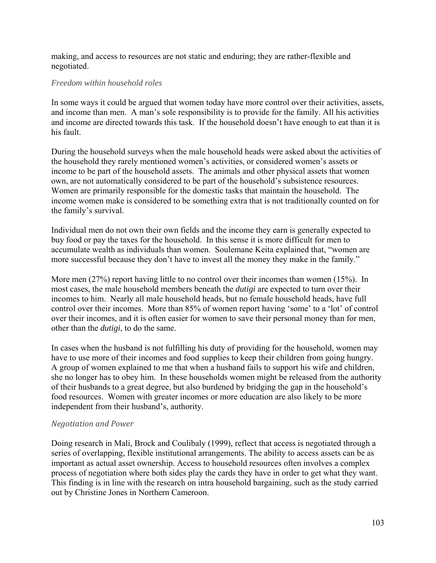making, and access to resources are not static and enduring; they are rather-flexible and negotiated.

#### *Freedom within household roles*

In some ways it could be argued that women today have more control over their activities, assets, and income than men. A man's sole responsibility is to provide for the family. All his activities and income are directed towards this task. If the household doesn't have enough to eat than it is his fault.

During the household surveys when the male household heads were asked about the activities of the household they rarely mentioned women's activities, or considered women's assets or income to be part of the household assets. The animals and other physical assets that women own, are not automatically considered to be part of the household's subsistence resources. Women are primarily responsible for the domestic tasks that maintain the household. The income women make is considered to be something extra that is not traditionally counted on for the family's survival.

Individual men do not own their own fields and the income they earn is generally expected to buy food or pay the taxes for the household. In this sense it is more difficult for men to accumulate wealth as individuals than women. Soulemane Keita explained that, "women are more successful because they don't have to invest all the money they make in the family."

More men (27%) report having little to no control over their incomes than women (15%). In most cases, the male household members beneath the *dutigi* are expected to turn over their incomes to him. Nearly all male household heads, but no female household heads, have full control over their incomes. More than 85% of women report having 'some' to a 'lot' of control over their incomes, and it is often easier for women to save their personal money than for men, other than the *dutigi*, to do the same.

In cases when the husband is not fulfilling his duty of providing for the household, women may have to use more of their incomes and food supplies to keep their children from going hungry. A group of women explained to me that when a husband fails to support his wife and children, she no longer has to obey him. In these households women might be released from the authority of their husbands to a great degree, but also burdened by bridging the gap in the household's food resources. Women with greater incomes or more education are also likely to be more independent from their husband's, authority.

#### *Negotiation and Power*

Doing research in Mali, Brock and Coulibaly (1999), reflect that access is negotiated through a series of overlapping, flexible institutional arrangements. The ability to access assets can be as important as actual asset ownership. Access to household resources often involves a complex process of negotiation where both sides play the cards they have in order to get what they want. This finding is in line with the research on intra household bargaining, such as the study carried out by Christine Jones in Northern Cameroon.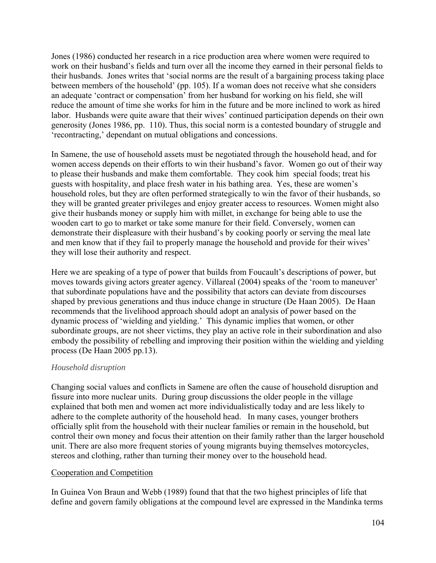Jones (1986) conducted her research in a rice production area where women were required to work on their husband's fields and turn over all the income they earned in their personal fields to their husbands. Jones writes that 'social norms are the result of a bargaining process taking place between members of the household' (pp. 105). If a woman does not receive what she considers an adequate 'contract or compensation' from her husband for working on his field, she will reduce the amount of time she works for him in the future and be more inclined to work as hired labor. Husbands were quite aware that their wives' continued participation depends on their own generosity (Jones 1986, pp. 110). Thus, this social norm is a contested boundary of struggle and 'recontracting,' dependant on mutual obligations and concessions.

In Samene, the use of household assets must be negotiated through the household head, and for women access depends on their efforts to win their husband's favor. Women go out of their way to please their husbands and make them comfortable. They cook him special foods; treat his guests with hospitality, and place fresh water in his bathing area. Yes, these are women's household roles, but they are often performed strategically to win the favor of their husbands, so they will be granted greater privileges and enjoy greater access to resources. Women might also give their husbands money or supply him with millet, in exchange for being able to use the wooden cart to go to market or take some manure for their field. Conversely, women can demonstrate their displeasure with their husband's by cooking poorly or serving the meal late and men know that if they fail to properly manage the household and provide for their wives' they will lose their authority and respect.

Here we are speaking of a type of power that builds from Foucault's descriptions of power, but moves towards giving actors greater agency. Villareal (2004) speaks of the 'room to maneuver' that subordinate populations have and the possibility that actors can deviate from discourses shaped by previous generations and thus induce change in structure (De Haan 2005). De Haan recommends that the livelihood approach should adopt an analysis of power based on the dynamic process of 'wielding and yielding.' This dynamic implies that women, or other subordinate groups, are not sheer victims, they play an active role in their subordination and also embody the possibility of rebelling and improving their position within the wielding and yielding process (De Haan 2005 pp.13).

## *Household disruption*

Changing social values and conflicts in Samene are often the cause of household disruption and fissure into more nuclear units. During group discussions the older people in the village explained that both men and women act more individualistically today and are less likely to adhere to the complete authority of the household head. In many cases, younger brothers officially split from the household with their nuclear families or remain in the household, but control their own money and focus their attention on their family rather than the larger household unit. There are also more frequent stories of young migrants buying themselves motorcycles, stereos and clothing, rather than turning their money over to the household head.

#### Cooperation and Competition

In Guinea Von Braun and Webb (1989) found that that the two highest principles of life that define and govern family obligations at the compound level are expressed in the Mandinka terms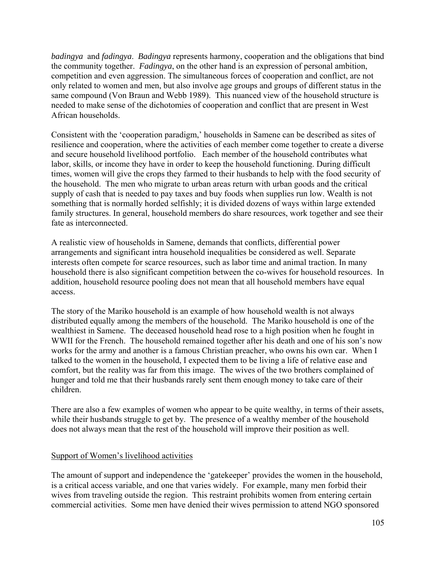*badingya* and *fadingya*. *Badingya* represents harmony, cooperation and the obligations that bind the community together. *Fadingya*, on the other hand is an expression of personal ambition, competition and even aggression. The simultaneous forces of cooperation and conflict, are not only related to women and men, but also involve age groups and groups of different status in the same compound (Von Braun and Webb 1989). This nuanced view of the household structure is needed to make sense of the dichotomies of cooperation and conflict that are present in West African households.

Consistent with the 'cooperation paradigm,' households in Samene can be described as sites of resilience and cooperation, where the activities of each member come together to create a diverse and secure household livelihood portfolio. Each member of the household contributes what labor, skills, or income they have in order to keep the household functioning. During difficult times, women will give the crops they farmed to their husbands to help with the food security of the household. The men who migrate to urban areas return with urban goods and the critical supply of cash that is needed to pay taxes and buy foods when supplies run low. Wealth is not something that is normally horded selfishly; it is divided dozens of ways within large extended family structures. In general, household members do share resources, work together and see their fate as interconnected.

A realistic view of households in Samene, demands that conflicts, differential power arrangements and significant intra household inequalities be considered as well. Separate interests often compete for scarce resources, such as labor time and animal traction. In many household there is also significant competition between the co-wives for household resources. In addition, household resource pooling does not mean that all household members have equal access.

The story of the Mariko household is an example of how household wealth is not always distributed equally among the members of the household. The Mariko household is one of the wealthiest in Samene. The deceased household head rose to a high position when he fought in WWII for the French. The household remained together after his death and one of his son's now works for the army and another is a famous Christian preacher, who owns his own car. When I talked to the women in the household, I expected them to be living a life of relative ease and comfort, but the reality was far from this image. The wives of the two brothers complained of hunger and told me that their husbands rarely sent them enough money to take care of their children.

There are also a few examples of women who appear to be quite wealthy, in terms of their assets, while their husbands struggle to get by. The presence of a wealthy member of the household does not always mean that the rest of the household will improve their position as well.

## Support of Women's livelihood activities

The amount of support and independence the 'gatekeeper' provides the women in the household, is a critical access variable, and one that varies widely. For example, many men forbid their wives from traveling outside the region. This restraint prohibits women from entering certain commercial activities. Some men have denied their wives permission to attend NGO sponsored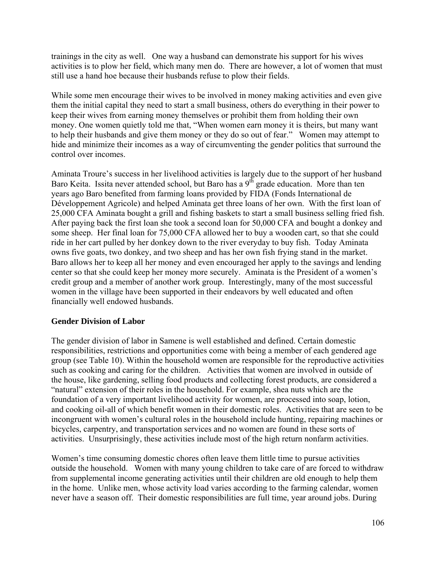trainings in the city as well. One way a husband can demonstrate his support for his wives activities is to plow her field, which many men do. There are however, a lot of women that must still use a hand hoe because their husbands refuse to plow their fields.

While some men encourage their wives to be involved in money making activities and even give them the initial capital they need to start a small business, others do everything in their power to keep their wives from earning money themselves or prohibit them from holding their own money. One women quietly told me that, "When women earn money it is theirs, but many want to help their husbands and give them money or they do so out of fear." Women may attempt to hide and minimize their incomes as a way of circumventing the gender politics that surround the control over incomes.

Aminata Troure's success in her livelihood activities is largely due to the support of her husband Baro Keita. Issita never attended school, but Baro has a  $9<sup>th</sup>$  grade education. More than ten years ago Baro benefited from farming loans provided by FIDA (Fonds International de Développement Agricole) and helped Aminata get three loans of her own. With the first loan of 25,000 CFA Aminata bought a grill and fishing baskets to start a small business selling fried fish. After paying back the first loan she took a second loan for 50,000 CFA and bought a donkey and some sheep. Her final loan for 75,000 CFA allowed her to buy a wooden cart, so that she could ride in her cart pulled by her donkey down to the river everyday to buy fish. Today Aminata owns five goats, two donkey, and two sheep and has her own fish frying stand in the market. Baro allows her to keep all her money and even encouraged her apply to the savings and lending center so that she could keep her money more securely. Aminata is the President of a women's credit group and a member of another work group. Interestingly, many of the most successful women in the village have been supported in their endeavors by well educated and often financially well endowed husbands.

## **Gender Division of Labor**

The gender division of labor in Samene is well established and defined. Certain domestic responsibilities, restrictions and opportunities come with being a member of each gendered age group (see Table 10). Within the household women are responsible for the reproductive activities such as cooking and caring for the children. Activities that women are involved in outside of the house, like gardening, selling food products and collecting forest products, are considered a "natural" extension of their roles in the household. For example, shea nuts which are the foundation of a very important livelihood activity for women, are processed into soap, lotion, and cooking oil-all of which benefit women in their domestic roles. Activities that are seen to be incongruent with women's cultural roles in the household include hunting, repairing machines or bicycles, carpentry, and transportation services and no women are found in these sorts of activities. Unsurprisingly, these activities include most of the high return nonfarm activities.

Women's time consuming domestic chores often leave them little time to pursue activities outside the household. Women with many young children to take care of are forced to withdraw from supplemental income generating activities until their children are old enough to help them in the home. Unlike men, whose activity load varies according to the farming calendar, women never have a season off. Their domestic responsibilities are full time, year around jobs. During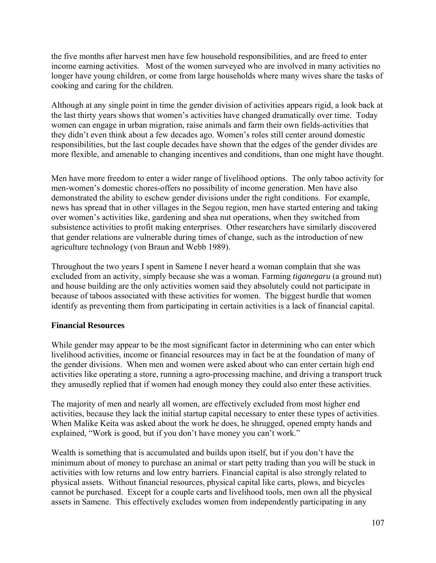the five months after harvest men have few household responsibilities, and are freed to enter income earning activities. Most of the women surveyed who are involved in many activities no longer have young children, or come from large households where many wives share the tasks of cooking and caring for the children.

Although at any single point in time the gender division of activities appears rigid, a look back at the last thirty years shows that women's activities have changed dramatically over time. Today women can engage in urban migration, raise animals and farm their own fields-activities that they didn't even think about a few decades ago. Women's roles still center around domestic responsibilities, but the last couple decades have shown that the edges of the gender divides are more flexible, and amenable to changing incentives and conditions, than one might have thought.

Men have more freedom to enter a wider range of livelihood options. The only taboo activity for men-women's domestic chores-offers no possibility of income generation. Men have also demonstrated the ability to eschew gender divisions under the right conditions. For example, news has spread that in other villages in the Segou region, men have started entering and taking over women's activities like, gardening and shea nut operations, when they switched from subsistence activities to profit making enterprises.Other researchers have similarly discovered that gender relations are vulnerable during times of change, such as the introduction of new agriculture technology (von Braun and Webb 1989).

Throughout the two years I spent in Samene I never heard a woman complain that she was excluded from an activity, simply because she was a woman. Farming *tiganegaru* (a ground nut) and house building are the only activities women said they absolutely could not participate in because of taboos associated with these activities for women. The biggest hurdle that women identify as preventing them from participating in certain activities is a lack of financial capital.

## **Financial Resources**

While gender may appear to be the most significant factor in determining who can enter which livelihood activities, income or financial resources may in fact be at the foundation of many of the gender divisions. When men and women were asked about who can enter certain high end activities like operating a store, running a agro-processing machine, and driving a transport truck they amusedly replied that if women had enough money they could also enter these activities.

The majority of men and nearly all women, are effectively excluded from most higher end activities, because they lack the initial startup capital necessary to enter these types of activities. When Malike Keita was asked about the work he does, he shrugged, opened empty hands and explained, "Work is good, but if you don't have money you can't work."

Wealth is something that is accumulated and builds upon itself, but if you don't have the minimum about of money to purchase an animal or start petty trading than you will be stuck in activities with low returns and low entry barriers. Financial capital is also strongly related to physical assets. Without financial resources, physical capital like carts, plows, and bicycles cannot be purchased. Except for a couple carts and livelihood tools, men own all the physical assets in Samene. This effectively excludes women from independently participating in any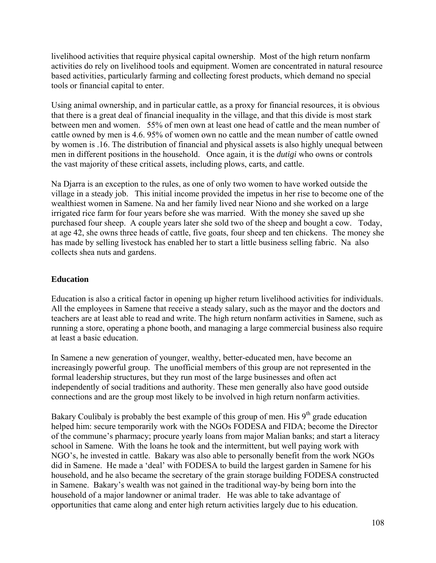livelihood activities that require physical capital ownership. Most of the high return nonfarm activities do rely on livelihood tools and equipment. Women are concentrated in natural resource based activities, particularly farming and collecting forest products, which demand no special tools or financial capital to enter.

Using animal ownership, and in particular cattle, as a proxy for financial resources, it is obvious that there is a great deal of financial inequality in the village, and that this divide is most stark between men and women. 55% of men own at least one head of cattle and the mean number of cattle owned by men is 4.6. 95% of women own no cattle and the mean number of cattle owned by women is .16. The distribution of financial and physical assets is also highly unequal between men in different positions in the household. Once again, it is the *dutigi* who owns or controls the vast majority of these critical assets, including plows, carts, and cattle.

Na Djarra is an exception to the rules, as one of only two women to have worked outside the village in a steady job. This initial income provided the impetus in her rise to become one of the wealthiest women in Samene. Na and her family lived near Niono and she worked on a large irrigated rice farm for four years before she was married. With the money she saved up she purchased four sheep. A couple years later she sold two of the sheep and bought a cow. Today, at age 42, she owns three heads of cattle, five goats, four sheep and ten chickens. The money she has made by selling livestock has enabled her to start a little business selling fabric. Na also collects shea nuts and gardens.

## **Education**

Education is also a critical factor in opening up higher return livelihood activities for individuals. All the employees in Samene that receive a steady salary, such as the mayor and the doctors and teachers are at least able to read and write. The high return nonfarm activities in Samene, such as running a store, operating a phone booth, and managing a large commercial business also require at least a basic education.

In Samene a new generation of younger, wealthy, better-educated men, have become an increasingly powerful group. The unofficial members of this group are not represented in the formal leadership structures, but they run most of the large businesses and often act independently of social traditions and authority. These men generally also have good outside connections and are the group most likely to be involved in high return nonfarm activities.

Bakary Coulibaly is probably the best example of this group of men. His  $9<sup>th</sup>$  grade education helped him: secure temporarily work with the NGOs FODESA and FIDA; become the Director of the commune's pharmacy; procure yearly loans from major Malian banks; and start a literacy school in Samene. With the loans he took and the intermittent, but well paying work with NGO's, he invested in cattle. Bakary was also able to personally benefit from the work NGOs did in Samene. He made a 'deal' with FODESA to build the largest garden in Samene for his household, and he also became the secretary of the grain storage building FODESA constructed in Samene. Bakary's wealth was not gained in the traditional way-by being born into the household of a major landowner or animal trader. He was able to take advantage of opportunities that came along and enter high return activities largely due to his education.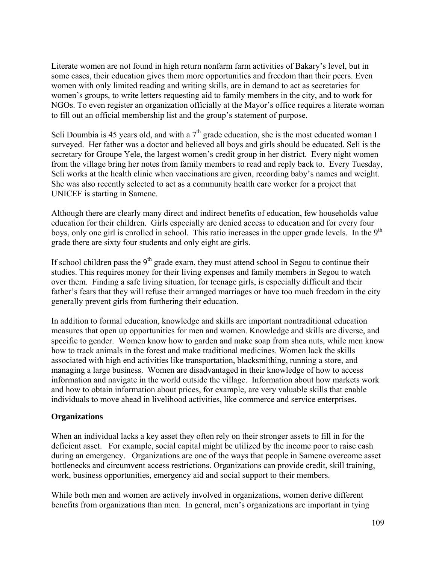Literate women are not found in high return nonfarm farm activities of Bakary's level, but in some cases, their education gives them more opportunities and freedom than their peers. Even women with only limited reading and writing skills, are in demand to act as secretaries for women's groups, to write letters requesting aid to family members in the city, and to work for NGOs. To even register an organization officially at the Mayor's office requires a literate woman to fill out an official membership list and the group's statement of purpose.

Seli Doumbia is 45 years old, and with a  $7<sup>th</sup>$  grade education, she is the most educated woman I surveyed. Her father was a doctor and believed all boys and girls should be educated. Seli is the secretary for Groupe Yele, the largest women's credit group in her district. Every night women from the village bring her notes from family members to read and reply back to. Every Tuesday, Seli works at the health clinic when vaccinations are given, recording baby's names and weight. She was also recently selected to act as a community health care worker for a project that UNICEF is starting in Samene.

Although there are clearly many direct and indirect benefits of education, few households value education for their children. Girls especially are denied access to education and for every four boys, only one girl is enrolled in school. This ratio increases in the upper grade levels. In the 9<sup>th</sup> grade there are sixty four students and only eight are girls.

If school children pass the  $9<sup>th</sup>$  grade exam, they must attend school in Segou to continue their studies. This requires money for their living expenses and family members in Segou to watch over them. Finding a safe living situation, for teenage girls, is especially difficult and their father's fears that they will refuse their arranged marriages or have too much freedom in the city generally prevent girls from furthering their education.

In addition to formal education, knowledge and skills are important nontraditional education measures that open up opportunities for men and women. Knowledge and skills are diverse, and specific to gender. Women know how to garden and make soap from shea nuts, while men know how to track animals in the forest and make traditional medicines. Women lack the skills associated with high end activities like transportation, blacksmithing, running a store, and managing a large business. Women are disadvantaged in their knowledge of how to access information and navigate in the world outside the village. Information about how markets work and how to obtain information about prices, for example, are very valuable skills that enable individuals to move ahead in livelihood activities, like commerce and service enterprises.

## **Organizations**

When an individual lacks a key asset they often rely on their stronger assets to fill in for the deficient asset. For example, social capital might be utilized by the income poor to raise cash during an emergency. Organizations are one of the ways that people in Samene overcome asset bottlenecks and circumvent access restrictions. Organizations can provide credit, skill training, work, business opportunities, emergency aid and social support to their members.

While both men and women are actively involved in organizations, women derive different benefits from organizations than men. In general, men's organizations are important in tying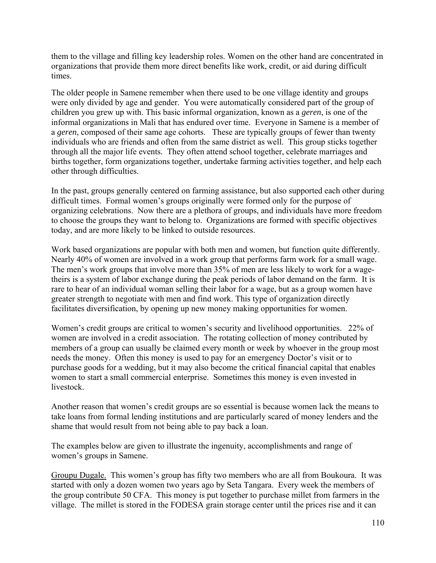them to the village and filling key leadership roles. Women on the other hand are concentrated in organizations that provide them more direct benefits like work, credit, or aid during difficult times.

The older people in Samene remember when there used to be one village identity and groups were only divided by age and gender. You were automatically considered part of the group of children you grew up with. This basic informal organization, known as a *geren*, is one of the informal organizations in Mali that has endured over time. Everyone in Samene is a member of a *geren*, composed of their same age cohorts. These are typically groups of fewer than twenty individuals who are friends and often from the same district as well. This group sticks together through all the major life events. They often attend school together, celebrate marriages and births together, form organizations together, undertake farming activities together, and help each other through difficulties.

In the past, groups generally centered on farming assistance, but also supported each other during difficult times. Formal women's groups originally were formed only for the purpose of organizing celebrations. Now there are a plethora of groups, and individuals have more freedom to choose the groups they want to belong to. Organizations are formed with specific objectives today, and are more likely to be linked to outside resources.

Work based organizations are popular with both men and women, but function quite differently. Nearly 40% of women are involved in a work group that performs farm work for a small wage. The men's work groups that involve more than 35% of men are less likely to work for a wagetheirs is a system of labor exchange during the peak periods of labor demand on the farm. It is rare to hear of an individual woman selling their labor for a wage, but as a group women have greater strength to negotiate with men and find work. This type of organization directly facilitates diversification, by opening up new money making opportunities for women.

Women's credit groups are critical to women's security and livelihood opportunities. 22% of women are involved in a credit association. The rotating collection of money contributed by members of a group can usually be claimed every month or week by whoever in the group most needs the money. Often this money is used to pay for an emergency Doctor's visit or to purchase goods for a wedding, but it may also become the critical financial capital that enables women to start a small commercial enterprise. Sometimes this money is even invested in livestock.

Another reason that women's credit groups are so essential is because women lack the means to take loans from formal lending institutions and are particularly scared of money lenders and the shame that would result from not being able to pay back a loan.

The examples below are given to illustrate the ingenuity, accomplishments and range of women's groups in Samene.

Groupu Dugale. This women's group has fifty two members who are all from Boukoura. It was started with only a dozen women two years ago by Seta Tangara. Every week the members of the group contribute 50 CFA. This money is put together to purchase millet from farmers in the village. The millet is stored in the FODESA grain storage center until the prices rise and it can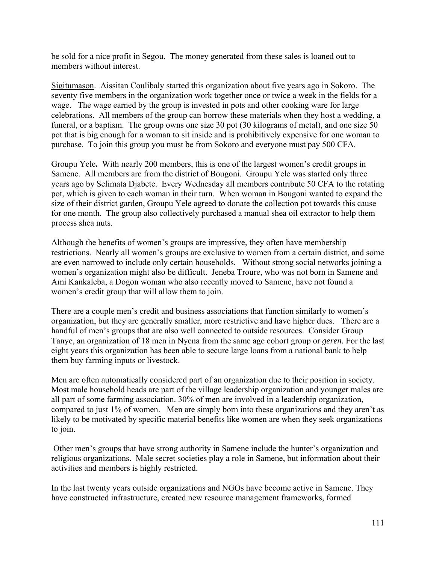be sold for a nice profit in Segou. The money generated from these sales is loaned out to members without interest.

Sigitumason. Aissitan Coulibaly started this organization about five years ago in Sokoro. The seventy five members in the organization work together once or twice a week in the fields for a wage. The wage earned by the group is invested in pots and other cooking ware for large celebrations. All members of the group can borrow these materials when they host a wedding, a funeral, or a baptism. The group owns one size 30 pot (30 kilograms of metal), and one size 50 pot that is big enough for a woman to sit inside and is prohibitively expensive for one woman to purchase. To join this group you must be from Sokoro and everyone must pay 500 CFA.

Groupu Yele**.** With nearly 200 members, this is one of the largest women's credit groups in Samene. All members are from the district of Bougoni. Groupu Yele was started only three years ago by Selimata Djabete.Every Wednesday all members contribute 50 CFA to the rotating pot, which is given to each woman in their turn. When woman in Bougoni wanted to expand the size of their district garden, Groupu Yele agreed to donate the collection pot towards this cause for one month. The group also collectively purchased a manual shea oil extractor to help them process shea nuts.

Although the benefits of women's groups are impressive, they often have membership restrictions. Nearly all women's groups are exclusive to women from a certain district, and some are even narrowed to include only certain households. Without strong social networks joining a women's organization might also be difficult. Jeneba Troure, who was not born in Samene and Ami Kankaleba, a Dogon woman who also recently moved to Samene, have not found a women's credit group that will allow them to join.

There are a couple men's credit and business associations that function similarly to women's organization, but they are generally smaller, more restrictive and have higher dues. There are a handful of men's groups that are also well connected to outside resources. Consider Group Tanye, an organization of 18 men in Nyena from the same age cohort group or *geren.* For the last eight years this organization has been able to secure large loans from a national bank to help them buy farming inputs or livestock.

Men are often automatically considered part of an organization due to their position in society. Most male household heads are part of the village leadership organization and younger males are all part of some farming association. 30% of men are involved in a leadership organization, compared to just 1% of women. Men are simply born into these organizations and they aren't as likely to be motivated by specific material benefits like women are when they seek organizations to join.

 Other men's groups that have strong authority in Samene include the hunter's organization and religious organizations. Male secret societies play a role in Samene, but information about their activities and members is highly restricted.

In the last twenty years outside organizations and NGOs have become active in Samene. They have constructed infrastructure, created new resource management frameworks, formed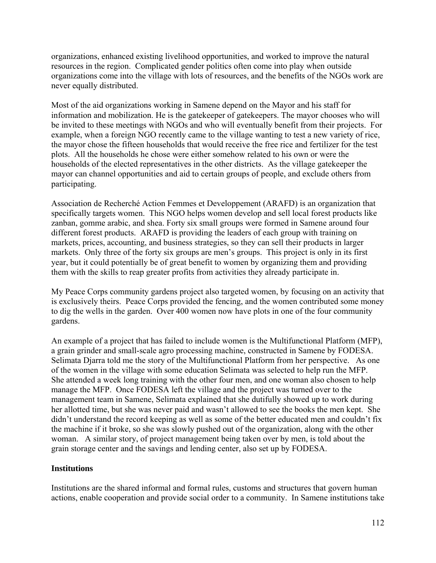organizations, enhanced existing livelihood opportunities, and worked to improve the natural resources in the region. Complicated gender politics often come into play when outside organizations come into the village with lots of resources, and the benefits of the NGOs work are never equally distributed.

Most of the aid organizations working in Samene depend on the Mayor and his staff for information and mobilization. He is the gatekeeper of gatekeepers. The mayor chooses who will be invited to these meetings with NGOs and who will eventually benefit from their projects. For example, when a foreign NGO recently came to the village wanting to test a new variety of rice, the mayor chose the fifteen households that would receive the free rice and fertilizer for the test plots. All the households he chose were either somehow related to his own or were the households of the elected representatives in the other districts. As the village gatekeeper the mayor can channel opportunities and aid to certain groups of people, and exclude others from participating.

Association de Recherché Action Femmes et Developpement (ARAFD) is an organization that specifically targets women. This NGO helps women develop and sell local forest products like zanban, gomme arabic, and shea. Forty six small groups were formed in Samene around four different forest products. ARAFD is providing the leaders of each group with training on markets, prices, accounting, and business strategies, so they can sell their products in larger markets. Only three of the forty six groups are men's groups. This project is only in its first year, but it could potentially be of great benefit to women by organizing them and providing them with the skills to reap greater profits from activities they already participate in.

My Peace Corps community gardens project also targeted women, by focusing on an activity that is exclusively theirs. Peace Corps provided the fencing, and the women contributed some money to dig the wells in the garden. Over 400 women now have plots in one of the four community gardens.

An example of a project that has failed to include women is the Multifunctional Platform (MFP), a grain grinder and small-scale agro processing machine, constructed in Samene by FODESA. Selimata Djarra told me the story of the Multifunctional Platform from her perspective. As one of the women in the village with some education Selimata was selected to help run the MFP. She attended a week long training with the other four men, and one woman also chosen to help manage the MFP. Once FODESA left the village and the project was turned over to the management team in Samene, Selimata explained that she dutifully showed up to work during her allotted time, but she was never paid and wasn't allowed to see the books the men kept. She didn't understand the record keeping as well as some of the better educated men and couldn't fix the machine if it broke, so she was slowly pushed out of the organization, along with the other woman. A similar story, of project management being taken over by men, is told about the grain storage center and the savings and lending center, also set up by FODESA.

## **Institutions**

Institutions are the shared informal and formal rules, customs and structures that govern human actions, enable cooperation and provide social order to a community. In Samene institutions take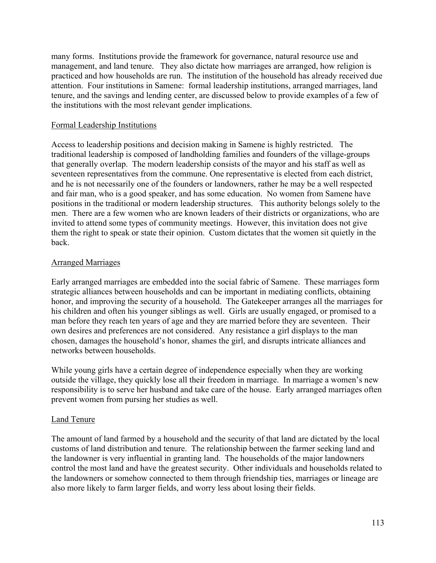many forms. Institutions provide the framework for governance, natural resource use and management, and land tenure. They also dictate how marriages are arranged, how religion is practiced and how households are run. The institution of the household has already received due attention. Four institutions in Samene: formal leadership institutions, arranged marriages, land tenure, and the savings and lending center, are discussed below to provide examples of a few of the institutions with the most relevant gender implications.

### Formal Leadership Institutions

Access to leadership positions and decision making in Samene is highly restricted. The traditional leadership is composed of landholding families and founders of the village-groups that generally overlap. The modern leadership consists of the mayor and his staff as well as seventeen representatives from the commune. One representative is elected from each district, and he is not necessarily one of the founders or landowners, rather he may be a well respected and fair man, who is a good speaker, and has some education. No women from Samene have positions in the traditional or modern leadership structures. This authority belongs solely to the men. There are a few women who are known leaders of their districts or organizations, who are invited to attend some types of community meetings. However, this invitation does not give them the right to speak or state their opinion. Custom dictates that the women sit quietly in the back.

### Arranged Marriages

Early arranged marriages are embedded into the social fabric of Samene. These marriages form strategic alliances between households and can be important in mediating conflicts, obtaining honor, and improving the security of a household. The Gatekeeper arranges all the marriages for his children and often his younger siblings as well. Girls are usually engaged, or promised to a man before they reach ten years of age and they are married before they are seventeen. Their own desires and preferences are not considered. Any resistance a girl displays to the man chosen, damages the household's honor, shames the girl, and disrupts intricate alliances and networks between households.

While young girls have a certain degree of independence especially when they are working outside the village, they quickly lose all their freedom in marriage. In marriage a women's new responsibility is to serve her husband and take care of the house. Early arranged marriages often prevent women from pursing her studies as well.

#### Land Tenure

The amount of land farmed by a household and the security of that land are dictated by the local customs of land distribution and tenure. The relationship between the farmer seeking land and the landowner is very influential in granting land. The households of the major landowners control the most land and have the greatest security. Other individuals and households related to the landowners or somehow connected to them through friendship ties, marriages or lineage are also more likely to farm larger fields, and worry less about losing their fields.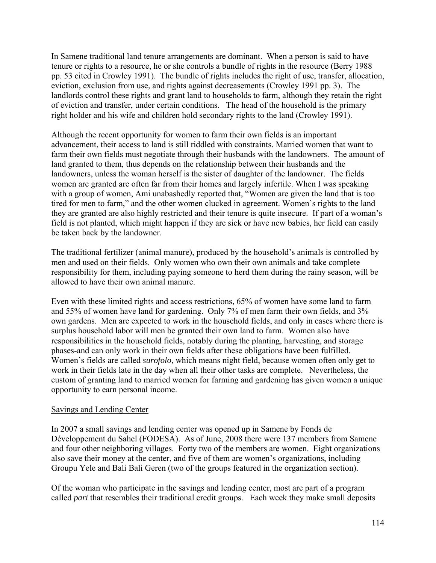In Samene traditional land tenure arrangements are dominant. When a person is said to have tenure or rights to a resource, he or she controls a bundle of rights in the resource (Berry 1988 pp. 53 cited in Crowley 1991). The bundle of rights includes the right of use, transfer, allocation, eviction, exclusion from use, and rights against decreasements (Crowley 1991 pp. 3). The landlords control these rights and grant land to households to farm, although they retain the right of eviction and transfer, under certain conditions. The head of the household is the primary right holder and his wife and children hold secondary rights to the land (Crowley 1991).

Although the recent opportunity for women to farm their own fields is an important advancement, their access to land is still riddled with constraints. Married women that want to farm their own fields must negotiate through their husbands with the landowners. The amount of land granted to them, thus depends on the relationship between their husbands and the landowners, unless the woman herself is the sister of daughter of the landowner. The fields women are granted are often far from their homes and largely infertile. When I was speaking with a group of women, Ami unabashedly reported that, "Women are given the land that is too tired for men to farm," and the other women clucked in agreement. Women's rights to the land they are granted are also highly restricted and their tenure is quite insecure. If part of a woman's field is not planted, which might happen if they are sick or have new babies, her field can easily be taken back by the landowner.

The traditional fertilizer (animal manure), produced by the household's animals is controlled by men and used on their fields. Only women who own their own animals and take complete responsibility for them, including paying someone to herd them during the rainy season, will be allowed to have their own animal manure.

Even with these limited rights and access restrictions, 65% of women have some land to farm and 55% of women have land for gardening. Only 7% of men farm their own fields, and 3% own gardens. Men are expected to work in the household fields, and only in cases where there is surplus household labor will men be granted their own land to farm. Women also have responsibilities in the household fields, notably during the planting, harvesting, and storage phases-and can only work in their own fields after these obligations have been fulfilled. Women's fields are called *surofolo*, which means night field, because women often only get to work in their fields late in the day when all their other tasks are complete. Nevertheless, the custom of granting land to married women for farming and gardening has given women a unique opportunity to earn personal income.

## Savings and Lending Center

In 2007 a small savings and lending center was opened up in Samene by Fonds de Développement du Sahel (FODESA). As of June, 2008 there were 137 members from Samene and four other neighboring villages. Forty two of the members are women. Eight organizations also save their money at the center, and five of them are women's organizations, including Groupu Yele and Bali Bali Geren (two of the groups featured in the organization section).

Of the woman who participate in the savings and lending center, most are part of a program called *pari* that resembles their traditional credit groups. Each week they make small deposits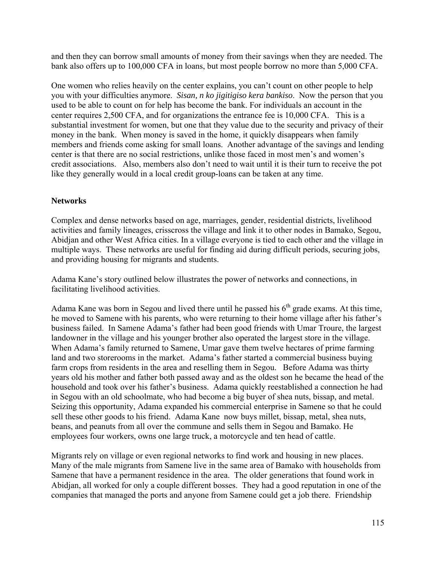and then they can borrow small amounts of money from their savings when they are needed. The bank also offers up to 100,000 CFA in loans, but most people borrow no more than 5,000 CFA.

One women who relies heavily on the center explains, you can't count on other people to help you with your difficulties anymore. *Sisan, n ko jigitigiso kera bankiso*. Now the person that you used to be able to count on for help has become the bank. For individuals an account in the center requires 2,500 CFA, and for organizations the entrance fee is 10,000 CFA. This is a substantial investment for women, but one that they value due to the security and privacy of their money in the bank. When money is saved in the home, it quickly disappears when family members and friends come asking for small loans. Another advantage of the savings and lending center is that there are no social restrictions, unlike those faced in most men's and women's credit associations. Also, members also don't need to wait until it is their turn to receive the pot like they generally would in a local credit group-loans can be taken at any time.

# **Networks**

Complex and dense networks based on age, marriages, gender, residential districts, livelihood activities and family lineages, crisscross the village and link it to other nodes in Bamako, Segou, Abidjan and other West Africa cities. In a village everyone is tied to each other and the village in multiple ways. These networks are useful for finding aid during difficult periods, securing jobs, and providing housing for migrants and students.

Adama Kane's story outlined below illustrates the power of networks and connections, in facilitating livelihood activities.

Adama Kane was born in Segou and lived there until he passed his  $6<sup>th</sup>$  grade exams. At this time, he moved to Samene with his parents, who were returning to their home village after his father's business failed. In Samene Adama's father had been good friends with Umar Troure, the largest landowner in the village and his younger brother also operated the largest store in the village. When Adama's family returned to Samene, Umar gave them twelve hectares of prime farming land and two storerooms in the market. Adama's father started a commercial business buying farm crops from residents in the area and reselling them in Segou. Before Adama was thirty years old his mother and father both passed away and as the oldest son he became the head of the household and took over his father's business. Adama quickly reestablished a connection he had in Segou with an old schoolmate, who had become a big buyer of shea nuts, bissap, and metal. Seizing this opportunity, Adama expanded his commercial enterprise in Samene so that he could sell these other goods to his friend. Adama Kane now buys millet, bissap, metal, shea nuts, beans, and peanuts from all over the commune and sells them in Segou and Bamako. He employees four workers, owns one large truck, a motorcycle and ten head of cattle.

Migrants rely on village or even regional networks to find work and housing in new places. Many of the male migrants from Samene live in the same area of Bamako with households from Samene that have a permanent residence in the area. The older generations that found work in Abidjan, all worked for only a couple different bosses. They had a good reputation in one of the companies that managed the ports and anyone from Samene could get a job there. Friendship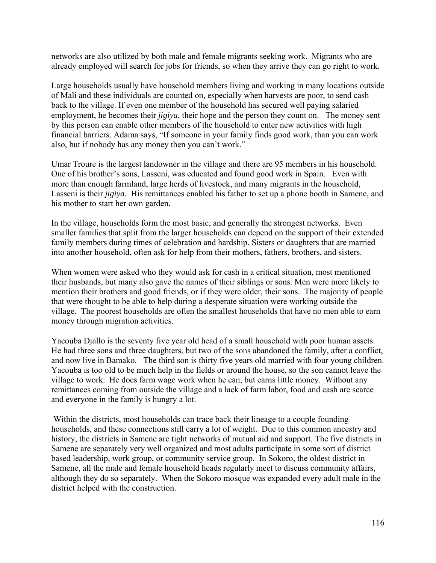networks are also utilized by both male and female migrants seeking work. Migrants who are already employed will search for jobs for friends, so when they arrive they can go right to work.

Large households usually have household members living and working in many locations outside of Mali and these individuals are counted on, especially when harvests are poor, to send cash back to the village. If even one member of the household has secured well paying salaried employment, he becomes their *jigiya*, their hope and the person they count on. The money sent by this person can enable other members of the household to enter new activities with high financial barriers. Adama says, "If someone in your family finds good work, than you can work also, but if nobody has any money then you can't work."

Umar Troure is the largest landowner in the village and there are 95 members in his household. One of his brother's sons, Lasseni, was educated and found good work in Spain. Even with more than enough farmland, large herds of livestock, and many migrants in the household, Lasseni is their *jigiya*. His remittances enabled his father to set up a phone booth in Samene, and his mother to start her own garden.

In the village, households form the most basic, and generally the strongest networks. Even smaller families that split from the larger households can depend on the support of their extended family members during times of celebration and hardship. Sisters or daughters that are married into another household, often ask for help from their mothers, fathers, brothers, and sisters.

When women were asked who they would ask for cash in a critical situation, most mentioned their husbands, but many also gave the names of their siblings or sons. Men were more likely to mention their brothers and good friends, or if they were older, their sons. The majority of people that were thought to be able to help during a desperate situation were working outside the village. The poorest households are often the smallest households that have no men able to earn money through migration activities.

Yacouba Djallo is the seventy five year old head of a small household with poor human assets. He had three sons and three daughters, but two of the sons abandoned the family, after a conflict, and now live in Bamako. The third son is thirty five years old married with four young children. Yacouba is too old to be much help in the fields or around the house, so the son cannot leave the village to work. He does farm wage work when he can, but earns little money. Without any remittances coming from outside the village and a lack of farm labor, food and cash are scarce and everyone in the family is hungry a lot.

 Within the districts, most households can trace back their lineage to a couple founding households, and these connections still carry a lot of weight. Due to this common ancestry and history, the districts in Samene are tight networks of mutual aid and support. The five districts in Samene are separately very well organized and most adults participate in some sort of district based leadership, work group, or community service group. In Sokoro, the oldest district in Samene, all the male and female household heads regularly meet to discuss community affairs, although they do so separately. When the Sokoro mosque was expanded every adult male in the district helped with the construction.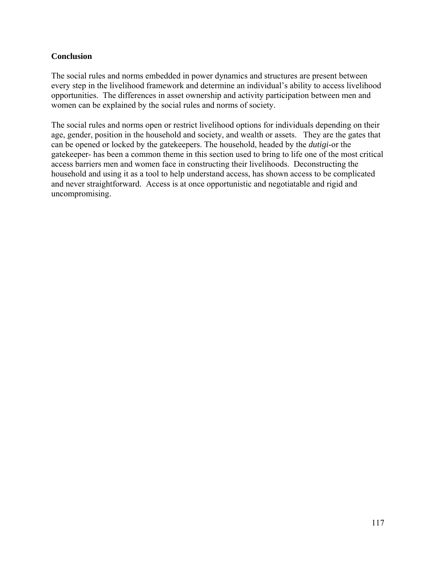## **Conclusion**

The social rules and norms embedded in power dynamics and structures are present between every step in the livelihood framework and determine an individual's ability to access livelihood opportunities. The differences in asset ownership and activity participation between men and women can be explained by the social rules and norms of society.

The social rules and norms open or restrict livelihood options for individuals depending on their age, gender, position in the household and society, and wealth or assets. They are the gates that can be opened or locked by the gatekeepers. The household, headed by the *dutigi*-or the gatekeeper- has been a common theme in this section used to bring to life one of the most critical access barriers men and women face in constructing their livelihoods. Deconstructing the household and using it as a tool to help understand access, has shown access to be complicated and never straightforward. Access is at once opportunistic and negotiatable and rigid and uncompromising.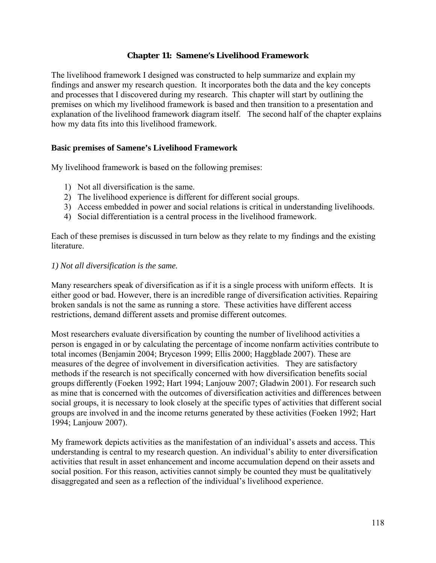#### **Chapter 11: Samene's Livelihood Framework**

The livelihood framework I designed was constructed to help summarize and explain my findings and answer my research question. It incorporates both the data and the key concepts and processes that I discovered during my research. This chapter will start by outlining the premises on which my livelihood framework is based and then transition to a presentation and explanation of the livelihood framework diagram itself. The second half of the chapter explains how my data fits into this livelihood framework.

### **Basic premises of Samene's Livelihood Framework**

My livelihood framework is based on the following premises:

- 1) Not all diversification is the same.
- 2) The livelihood experience is different for different social groups.
- 3) Access embedded in power and social relations is critical in understanding livelihoods.
- 4) Social differentiation is a central process in the livelihood framework.

Each of these premises is discussed in turn below as they relate to my findings and the existing literature.

#### *1) Not all diversification is the same.*

Many researchers speak of diversification as if it is a single process with uniform effects. It is either good or bad. However, there is an incredible range of diversification activities. Repairing broken sandals is not the same as running a store. These activities have different access restrictions, demand different assets and promise different outcomes.

Most researchers evaluate diversification by counting the number of livelihood activities a person is engaged in or by calculating the percentage of income nonfarm activities contribute to total incomes (Benjamin 2004; Bryceson 1999; Ellis 2000; Haggblade 2007). These are measures of the degree of involvement in diversification activities. They are satisfactory methods if the research is not specifically concerned with how diversification benefits social groups differently (Foeken 1992; Hart 1994; Lanjouw 2007; Gladwin 2001). For research such as mine that is concerned with the outcomes of diversification activities and differences between social groups, it is necessary to look closely at the specific types of activities that different social groups are involved in and the income returns generated by these activities (Foeken 1992; Hart 1994; Lanjouw 2007).

My framework depicts activities as the manifestation of an individual's assets and access. This understanding is central to my research question. An individual's ability to enter diversification activities that result in asset enhancement and income accumulation depend on their assets and social position. For this reason, activities cannot simply be counted they must be qualitatively disaggregated and seen as a reflection of the individual's livelihood experience.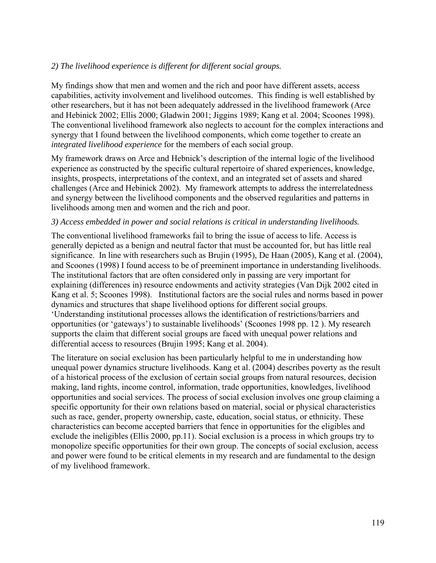## *2) The livelihood experience is different for different social groups.*

My findings show that men and women and the rich and poor have different assets, access capabilities, activity involvement and livelihood outcomes. This finding is well established by other researchers, but it has not been adequately addressed in the livelihood framework (Arce and Hebinick 2002; Ellis 2000; Gladwin 2001; Jiggins 1989; Kang et al. 2004; Scoones 1998). The conventional livelihood framework also neglects to account for the complex interactions and synergy that I found between the livelihood components, which come together to create an *integrated livelihood experience* for the members of each social group.

My framework draws on Arce and Hebnick's description of the internal logic of the livelihood experience as constructed by the specific cultural repertoire of shared experiences, knowledge, insights, prospects, interpretations of the context, and an integrated set of assets and shared challenges (Arce and Hebinick 2002). My framework attempts to address the interrelatedness and synergy between the livelihood components and the observed regularities and patterns in livelihoods among men and women and the rich and poor.

### *3) Access embedded in power and social relations is critical in understanding livelihoods.*

The conventional livelihood frameworks fail to bring the issue of access to life. Access is generally depicted as a benign and neutral factor that must be accounted for, but has little real significance. In line with researchers such as Brujin (1995), De Haan (2005), Kang et al. (2004), and Scoones (1998) I found access to be of preeminent importance in understanding livelihoods. The institutional factors that are often considered only in passing are very important for explaining (differences in) resource endowments and activity strategies (Van Dijk 2002 cited in Kang et al. 5; Scoones 1998). Institutional factors are the social rules and norms based in power dynamics and structures that shape livelihood options for different social groups. 'Understanding institutional processes allows the identification of restrictions/barriers and opportunities (or 'gateways') to sustainable livelihoods' (Scoones 1998 pp. 12 ). My research supports the claim that different social groups are faced with unequal power relations and differential access to resources (Brujin 1995; Kang et al. 2004).

The literature on social exclusion has been particularly helpful to me in understanding how unequal power dynamics structure livelihoods. Kang et al. (2004) describes poverty as the result of a historical process of the exclusion of certain social groups from natural resources, decision making, land rights, income control, information, trade opportunities, knowledges, livelihood opportunities and social services. The process of social exclusion involves one group claiming a specific opportunity for their own relations based on material, social or physical characteristics such as race, gender, property ownership, caste, education, social status, or ethnicity. These characteristics can become accepted barriers that fence in opportunities for the eligibles and exclude the ineligibles (Ellis 2000, pp.11). Social exclusion is a process in which groups try to monopolize specific opportunities for their own group. The concepts of social exclusion, access and power were found to be critical elements in my research and are fundamental to the design of my livelihood framework.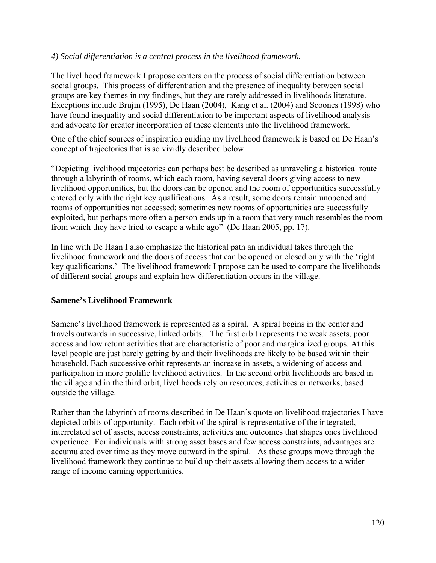## *4) Social differentiation is a central process in the livelihood framework.*

The livelihood framework I propose centers on the process of social differentiation between social groups. This process of differentiation and the presence of inequality between social groups are key themes in my findings, but they are rarely addressed in livelihoods literature. Exceptions include Brujin (1995), De Haan (2004), Kang et al. (2004) and Scoones (1998) who have found inequality and social differentiation to be important aspects of livelihood analysis and advocate for greater incorporation of these elements into the livelihood framework.

One of the chief sources of inspiration guiding my livelihood framework is based on De Haan's concept of trajectories that is so vividly described below.

"Depicting livelihood trajectories can perhaps best be described as unraveling a historical route through a labyrinth of rooms, which each room, having several doors giving access to new livelihood opportunities, but the doors can be opened and the room of opportunities successfully entered only with the right key qualifications. As a result, some doors remain unopened and rooms of opportunities not accessed; sometimes new rooms of opportunities are successfully exploited, but perhaps more often a person ends up in a room that very much resembles the room from which they have tried to escape a while ago" (De Haan 2005, pp. 17).

In line with De Haan I also emphasize the historical path an individual takes through the livelihood framework and the doors of access that can be opened or closed only with the 'right key qualifications.' The livelihood framework I propose can be used to compare the livelihoods of different social groups and explain how differentiation occurs in the village.

#### **Samene's Livelihood Framework**

Samene's livelihood framework is represented as a spiral. A spiral begins in the center and travels outwards in successive, linked orbits. The first orbit represents the weak assets, poor access and low return activities that are characteristic of poor and marginalized groups. At this level people are just barely getting by and their livelihoods are likely to be based within their household. Each successive orbit represents an increase in assets, a widening of access and participation in more prolific livelihood activities. In the second orbit livelihoods are based in the village and in the third orbit, livelihoods rely on resources, activities or networks, based outside the village.

Rather than the labyrinth of rooms described in De Haan's quote on livelihood trajectories I have depicted orbits of opportunity. Each orbit of the spiral is representative of the integrated, interrelated set of assets, access constraints, activities and outcomes that shapes ones livelihood experience. For individuals with strong asset bases and few access constraints, advantages are accumulated over time as they move outward in the spiral. As these groups move through the livelihood framework they continue to build up their assets allowing them access to a wider range of income earning opportunities.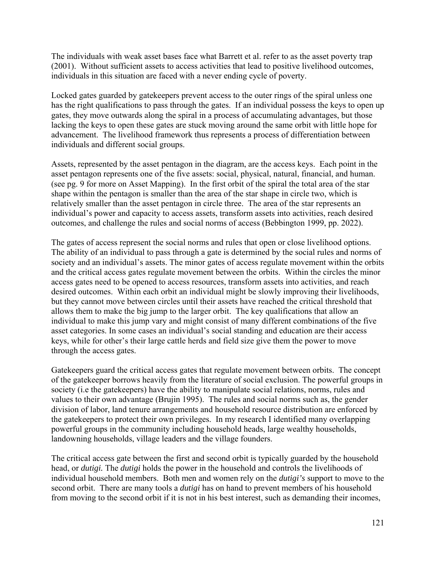The individuals with weak asset bases face what Barrett et al. refer to as the asset poverty trap (2001). Without sufficient assets to access activities that lead to positive livelihood outcomes, individuals in this situation are faced with a never ending cycle of poverty.

Locked gates guarded by gatekeepers prevent access to the outer rings of the spiral unless one has the right qualifications to pass through the gates. If an individual possess the keys to open up gates, they move outwards along the spiral in a process of accumulating advantages, but those lacking the keys to open these gates are stuck moving around the same orbit with little hope for advancement. The livelihood framework thus represents a process of differentiation between individuals and different social groups.

Assets, represented by the asset pentagon in the diagram, are the access keys. Each point in the asset pentagon represents one of the five assets: social, physical, natural, financial, and human. (see pg. 9 for more on Asset Mapping). In the first orbit of the spiral the total area of the star shape within the pentagon is smaller than the area of the star shape in circle two, which is relatively smaller than the asset pentagon in circle three. The area of the star represents an individual's power and capacity to access assets, transform assets into activities, reach desired outcomes, and challenge the rules and social norms of access (Bebbington 1999, pp. 2022).

The gates of access represent the social norms and rules that open or close livelihood options. The ability of an individual to pass through a gate is determined by the social rules and norms of society and an individual's assets. The minor gates of access regulate movement within the orbits and the critical access gates regulate movement between the orbits. Within the circles the minor access gates need to be opened to access resources, transform assets into activities, and reach desired outcomes. Within each orbit an individual might be slowly improving their livelihoods, but they cannot move between circles until their assets have reached the critical threshold that allows them to make the big jump to the larger orbit. The key qualifications that allow an individual to make this jump vary and might consist of many different combinations of the five asset categories. In some cases an individual's social standing and education are their access keys, while for other's their large cattle herds and field size give them the power to move through the access gates.

Gatekeepers guard the critical access gates that regulate movement between orbits. The concept of the gatekeeper borrows heavily from the literature of social exclusion. The powerful groups in society (i.e the gatekeepers) have the ability to manipulate social relations, norms, rules and values to their own advantage (Brujin 1995). The rules and social norms such as, the gender division of labor, land tenure arrangements and household resource distribution are enforced by the gatekeepers to protect their own privileges. In my research I identified many overlapping powerful groups in the community including household heads, large wealthy households, landowning households, village leaders and the village founders.

The critical access gate between the first and second orbit is typically guarded by the household head, or *dutigi.* The *dutigi* holds the power in the household and controls the livelihoods of individual household members. Both men and women rely on the *dutigi's* support to move to the second orbit. There are many tools a *dutigi* has on hand to prevent members of his household from moving to the second orbit if it is not in his best interest, such as demanding their incomes,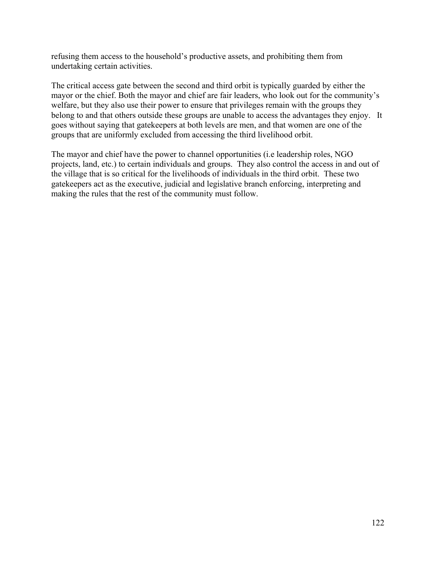refusing them access to the household's productive assets, and prohibiting them from undertaking certain activities.

The critical access gate between the second and third orbit is typically guarded by either the mayor or the chief. Both the mayor and chief are fair leaders, who look out for the community's welfare, but they also use their power to ensure that privileges remain with the groups they belong to and that others outside these groups are unable to access the advantages they enjoy. It goes without saying that gatekeepers at both levels are men, and that women are one of the groups that are uniformly excluded from accessing the third livelihood orbit.

The mayor and chief have the power to channel opportunities (i.e leadership roles, NGO projects, land, etc.) to certain individuals and groups. They also control the access in and out of the village that is so critical for the livelihoods of individuals in the third orbit. These two gatekeepers act as the executive, judicial and legislative branch enforcing, interpreting and making the rules that the rest of the community must follow.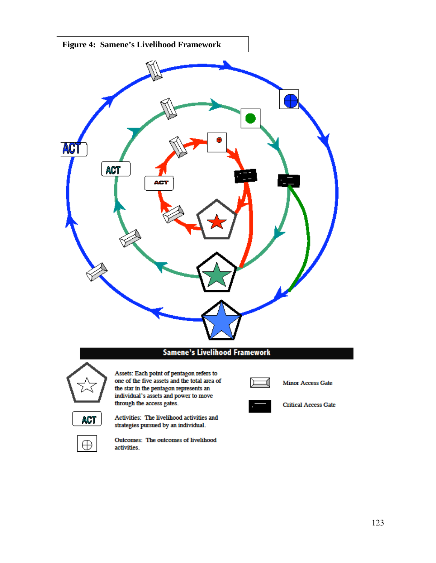

#### **Samene's Livelihood Framework**



Assets: Each point of pentagon refers to one of the five assets and the total area of the star in the pentagon represents and<br>individual's assets and power to move through the access gates.



 $\oplus$ 

Activities: The livelihood activities and strategies pursued by an individual.

activities.

Outcomes: The outcomes of livelihood



Minor Access Gate



**Critical Access Gate**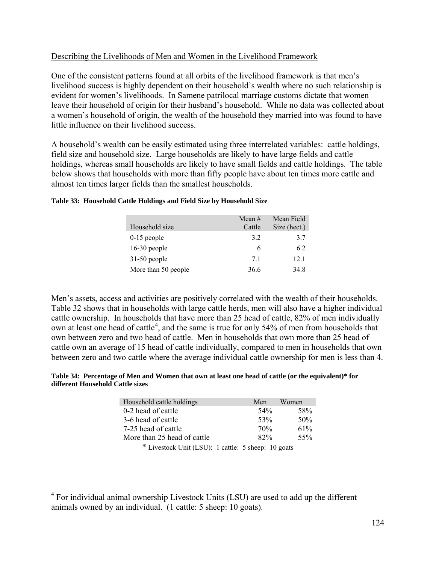## <span id="page-130-0"></span>Describing the Livelihoods of Men and Women in the Livelihood Framework

One of the consistent patterns found at all orbits of the livelihood framework is that men's livelihood success is highly dependent on their household's wealth where no such relationship is evident for women's livelihoods. In Samene patrilocal marriage customs dictate that women leave their household of origin for their husband's household. While no data was collected about a women's household of origin, the wealth of the household they married into was found to have little influence on their livelihood success.

A household's wealth can be easily estimated using three interrelated variables: cattle holdings, field size and household size. Large households are likely to have large fields and cattle holdings, whereas small households are likely to have small fields and cattle holdings. The table below shows that households with more than fifty people have about ten times more cattle and almost ten times larger fields than the smallest households.

| Household size      | Mean $#$<br>Cattle | Mean Field<br>Size (hect.) |
|---------------------|--------------------|----------------------------|
| $0-15$ people       | 3.2                | 3.7                        |
| $16-30$ people      | 6                  | 6.2                        |
| $31-50$ people      | 71                 | 12.1                       |
| More than 50 people | 36.6               | 34.8                       |

#### **Table 33: Household Cattle Holdings and Field Size by Household Size**

Men's assets, access and activities are positively correlated with the wealth of their households. Table 32 shows that in households with large cattle herds, men will also have a higher individual cattle ownership. In households that have more than 25 head of cattle, 82% of men individually own at least one head of cattle<sup>[4](#page-130-0)</sup>, and the same is true for only 54% of men from households that own between zero and two head of cattle. Men in households that own more than 25 head of cattle own an average of 15 head of cattle individually, compared to men in households that own between zero and two cattle where the average individual cattle ownership for men is less than 4.

#### **Table 34: Percentage of Men and Women that own at least one head of cattle (or the equivalent)\* for different Household Cattle sizes**

| Household cattle holdings                                     | Men             | Women  |
|---------------------------------------------------------------|-----------------|--------|
|                                                               |                 |        |
| 0-2 head of cattle                                            | 54 <sup>%</sup> | 58%    |
| 3-6 head of cattle                                            | 53%             | 50%    |
| 7-25 head of cattle                                           | 70 <sub>%</sub> | $61\%$ |
| More than 25 head of cattle                                   | 82%             | 55%    |
| $*$ Livestool: Unit (LSU) $\cdot$ 1 oottle: 5 sheep: 10 goots |                 |        |

Livestock Unit (LSU): 1 cattle: 5 sheep: 10 goats

 4 For individual animal ownership Livestock Units (LSU) are used to add up the different animals owned by an individual. (1 cattle: 5 sheep: 10 goats).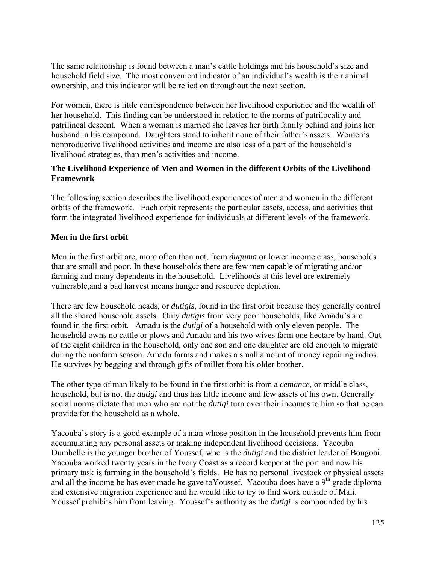The same relationship is found between a man's cattle holdings and his household's size and household field size. The most convenient indicator of an individual's wealth is their animal ownership, and this indicator will be relied on throughout the next section.

For women, there is little correspondence between her livelihood experience and the wealth of her household. This finding can be understood in relation to the norms of patrilocality and patrilineal descent. When a woman is married she leaves her birth family behind and joins her husband in his compound. Daughters stand to inherit none of their father's assets. Women's nonproductive livelihood activities and income are also less of a part of the household's livelihood strategies, than men's activities and income.

## **The Livelihood Experience of Men and Women in the different Orbits of the Livelihood Framework**

The following section describes the livelihood experiences of men and women in the different orbits of the framework. Each orbit represents the particular assets, access, and activities that form the integrated livelihood experience for individuals at different levels of the framework.

# **Men in the first orbit**

Men in the first orbit are, more often than not, from *duguma* or lower income class, households that are small and poor. In these households there are few men capable of migrating and/or farming and many dependents in the household. Livelihoods at this level are extremely vulnerable,and a bad harvest means hunger and resource depletion.

There are few household heads, or *dutigis*, found in the first orbit because they generally control all the shared household assets. Only *dutigis* from very poor households, like Amadu's are found in the first orbit. Amadu is the *dutigi* of a household with only eleven people. The household owns no cattle or plows and Amadu and his two wives farm one hectare by hand. Out of the eight children in the household, only one son and one daughter are old enough to migrate during the nonfarm season. Amadu farms and makes a small amount of money repairing radios. He survives by begging and through gifts of millet from his older brother.

The other type of man likely to be found in the first orbit is from a *cemance,* or middle class, household, but is not the *dutigi* and thus has little income and few assets of his own. Generally social norms dictate that men who are not the *dutigi* turn over their incomes to him so that he can provide for the household as a whole.

Yacouba's story is a good example of a man whose position in the household prevents him from accumulating any personal assets or making independent livelihood decisions. Yacouba Dumbelle is the younger brother of Youssef, who is the *dutigi* and the district leader of Bougoni. Yacouba worked twenty years in the Ivory Coast as a record keeper at the port and now his primary task is farming in the household's fields. He has no personal livestock or physical assets and all the income he has ever made he gave to Youssef. Yacouba does have a  $9<sup>th</sup>$  grade diploma and extensive migration experience and he would like to try to find work outside of Mali. Youssef prohibits him from leaving. Youssef's authority as the *dutigi* is compounded by his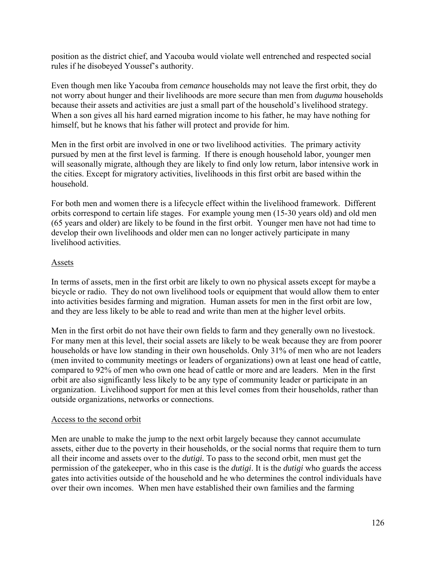position as the district chief, and Yacouba would violate well entrenched and respected social rules if he disobeyed Youssef's authority.

Even though men like Yacouba from *cemance* households may not leave the first orbit, they do not worry about hunger and their livelihoods are more secure than men from *duguma* households because their assets and activities are just a small part of the household's livelihood strategy. When a son gives all his hard earned migration income to his father, he may have nothing for himself, but he knows that his father will protect and provide for him.

Men in the first orbit are involved in one or two livelihood activities. The primary activity pursued by men at the first level is farming. If there is enough household labor, younger men will seasonally migrate, although they are likely to find only low return, labor intensive work in the cities. Except for migratory activities, livelihoods in this first orbit are based within the household.

For both men and women there is a lifecycle effect within the livelihood framework. Different orbits correspond to certain life stages. For example young men (15-30 years old) and old men (65 years and older) are likely to be found in the first orbit. Younger men have not had time to develop their own livelihoods and older men can no longer actively participate in many livelihood activities.

### Assets

In terms of assets, men in the first orbit are likely to own no physical assets except for maybe a bicycle or radio. They do not own livelihood tools or equipment that would allow them to enter into activities besides farming and migration. Human assets for men in the first orbit are low, and they are less likely to be able to read and write than men at the higher level orbits.

Men in the first orbit do not have their own fields to farm and they generally own no livestock. For many men at this level, their social assets are likely to be weak because they are from poorer households or have low standing in their own households. Only 31% of men who are not leaders (men invited to community meetings or leaders of organizations) own at least one head of cattle, compared to 92% of men who own one head of cattle or more and are leaders. Men in the first orbit are also significantly less likely to be any type of community leader or participate in an organization. Livelihood support for men at this level comes from their households, rather than outside organizations, networks or connections.

## Access to the second orbit

Men are unable to make the jump to the next orbit largely because they cannot accumulate assets, either due to the poverty in their households, or the social norms that require them to turn all their income and assets over to the *dutigi.* To pass to the second orbit, men must get the permission of the gatekeeper, who in this case is the *dutigi*. It is the *dutigi* who guards the access gates into activities outside of the household and he who determines the control individuals have over their own incomes. When men have established their own families and the farming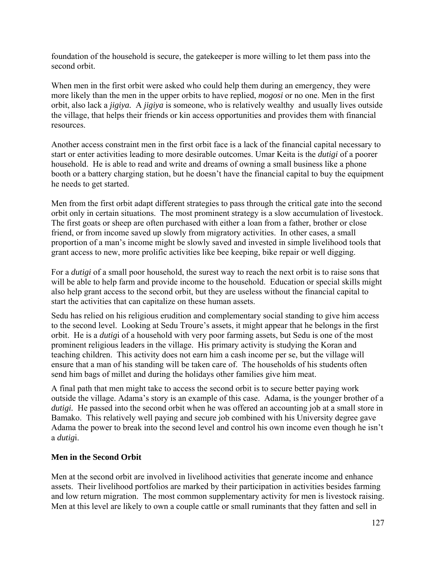foundation of the household is secure, the gatekeeper is more willing to let them pass into the second orbit.

When men in the first orbit were asked who could help them during an emergency, they were more likely than the men in the upper orbits to have replied, *mogosi* or no one. Men in the first orbit, also lack a *jigiya.* A *jigiya* is someone, who is relatively wealthy and usually lives outside the village, that helps their friends or kin access opportunities and provides them with financial resources.

Another access constraint men in the first orbit face is a lack of the financial capital necessary to start or enter activities leading to more desirable outcomes. Umar Keita is the *dutigi* of a poorer household. He is able to read and write and dreams of owning a small business like a phone booth or a battery charging station, but he doesn't have the financial capital to buy the equipment he needs to get started.

Men from the first orbit adapt different strategies to pass through the critical gate into the second orbit only in certain situations. The most prominent strategy is a slow accumulation of livestock. The first goats or sheep are often purchased with either a loan from a father, brother or close friend, or from income saved up slowly from migratory activities. In other cases, a small proportion of a man's income might be slowly saved and invested in simple livelihood tools that grant access to new, more prolific activities like bee keeping, bike repair or well digging.

For a *dutigi* of a small poor household, the surest way to reach the next orbit is to raise sons that will be able to help farm and provide income to the household. Education or special skills might also help grant access to the second orbit, but they are useless without the financial capital to start the activities that can capitalize on these human assets.

Sedu has relied on his religious erudition and complementary social standing to give him access to the second level. Looking at Sedu Troure's assets, it might appear that he belongs in the first orbit. He is a *dutig*i of a household with very poor farming assets, but Sedu is one of the most prominent religious leaders in the village. His primary activity is studying the Koran and teaching children. This activity does not earn him a cash income per se, but the village will ensure that a man of his standing will be taken care of. The households of his students often send him bags of millet and during the holidays other families give him meat.

A final path that men might take to access the second orbit is to secure better paying work outside the village. Adama's story is an example of this case. Adama, is the younger brother of a *dutigi.* He passed into the second orbit when he was offered an accounting job at a small store in Bamako. This relatively well paying and secure job combined with his University degree gave Adama the power to break into the second level and control his own income even though he isn't a *dutig*i.

## **Men in the Second Orbit**

Men at the second orbit are involved in livelihood activities that generate income and enhance assets. Their livelihood portfolios are marked by their participation in activities besides farming and low return migration. The most common supplementary activity for men is livestock raising. Men at this level are likely to own a couple cattle or small ruminants that they fatten and sell in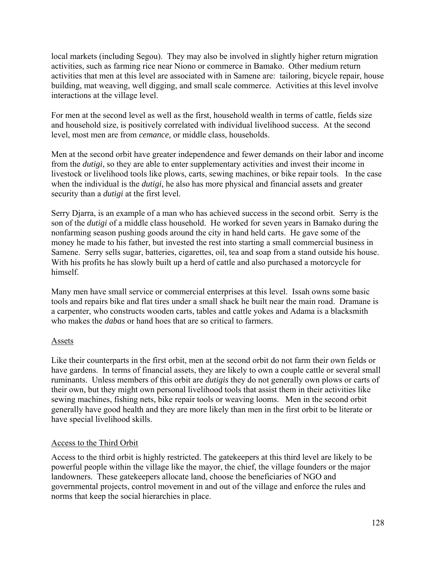local markets (including Segou). They may also be involved in slightly higher return migration activities, such as farming rice near Niono or commerce in Bamako. Other medium return activities that men at this level are associated with in Samene are: tailoring, bicycle repair, house building, mat weaving, well digging, and small scale commerce. Activities at this level involve interactions at the village level.

For men at the second level as well as the first, household wealth in terms of cattle, fields size and household size, is positively correlated with individual livelihood success. At the second level, most men are from *cemance,* or middle class, households.

Men at the second orbit have greater independence and fewer demands on their labor and income from the *dutigi*, so they are able to enter supplementary activities and invest their income in livestock or livelihood tools like plows, carts, sewing machines, or bike repair tools. In the case when the individual is the *dutigi,* he also has more physical and financial assets and greater security than a *dutigi* at the first level.

Serry Djarra, is an example of a man who has achieved success in the second orbit. Serry is the son of the *dutigi* of a middle class household. He worked for seven years in Bamako during the nonfarming season pushing goods around the city in hand held carts. He gave some of the money he made to his father, but invested the rest into starting a small commercial business in Samene. Serry sells sugar, batteries, cigarettes, oil, tea and soap from a stand outside his house. With his profits he has slowly built up a herd of cattle and also purchased a motorcycle for himself.

Many men have small service or commercial enterprises at this level. Issah owns some basic tools and repairs bike and flat tires under a small shack he built near the main road. Dramane is a carpenter, who constructs wooden carts, tables and cattle yokes and Adama is a blacksmith who makes the *dabas* or hand hoes that are so critical to farmers.

## Assets

Like their counterparts in the first orbit, men at the second orbit do not farm their own fields or have gardens. In terms of financial assets, they are likely to own a couple cattle or several small ruminants. Unless members of this orbit are *dutigis* they do not generally own plows or carts of their own, but they might own personal livelihood tools that assist them in their activities like sewing machines, fishing nets, bike repair tools or weaving looms. Men in the second orbit generally have good health and they are more likely than men in the first orbit to be literate or have special livelihood skills.

## Access to the Third Orbit

Access to the third orbit is highly restricted. The gatekeepers at this third level are likely to be powerful people within the village like the mayor, the chief, the village founders or the major landowners. These gatekeepers allocate land, choose the beneficiaries of NGO and governmental projects, control movement in and out of the village and enforce the rules and norms that keep the social hierarchies in place.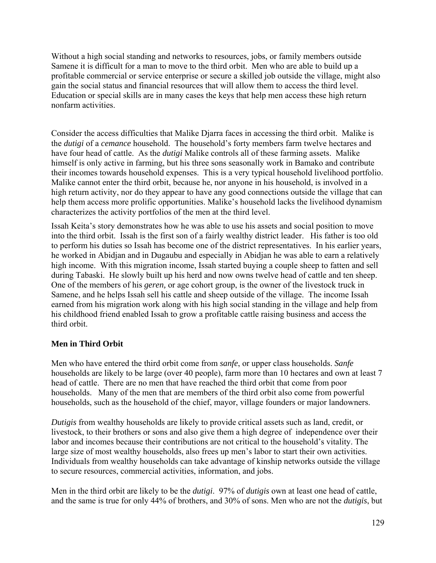Without a high social standing and networks to resources, jobs, or family members outside Samene it is difficult for a man to move to the third orbit. Men who are able to build up a profitable commercial or service enterprise or secure a skilled job outside the village, might also gain the social status and financial resources that will allow them to access the third level. Education or special skills are in many cases the keys that help men access these high return nonfarm activities.

Consider the access difficulties that Malike Djarra faces in accessing the third orbit. Malike is the *dutigi* of a *cemance* household. The household's forty members farm twelve hectares and have four head of cattle. As the *dutigi* Malike controls all of these farming assets. Malike himself is only active in farming, but his three sons seasonally work in Bamako and contribute their incomes towards household expenses. This is a very typical household livelihood portfolio. Malike cannot enter the third orbit, because he, nor anyone in his household, is involved in a high return activity, nor do they appear to have any good connections outside the village that can help them access more prolific opportunities. Malike's household lacks the livelihood dynamism characterizes the activity portfolios of the men at the third level.

Issah Keita's story demonstrates how he was able to use his assets and social position to move into the third orbit. Issah is the first son of a fairly wealthy district leader. His father is too old to perform his duties so Issah has become one of the district representatives. In his earlier years, he worked in Abidjan and in Dugaubu and especially in Abidjan he was able to earn a relatively high income. With this migration income, Issah started buying a couple sheep to fatten and sell during Tabaski. He slowly built up his herd and now owns twelve head of cattle and ten sheep. One of the members of his *geren,* or age cohort group, is the owner of the livestock truck in Samene, and he helps Issah sell his cattle and sheep outside of the village. The income Issah earned from his migration work along with his high social standing in the village and help from his childhood friend enabled Issah to grow a profitable cattle raising business and access the third orbit.

## **Men in Third Orbit**

Men who have entered the third orbit come from *sanfe*, or upper class households. *Sanfe* households are likely to be large (over 40 people), farm more than 10 hectares and own at least 7 head of cattle. There are no men that have reached the third orbit that come from poor households. Many of the men that are members of the third orbit also come from powerful households, such as the household of the chief, mayor, village founders or major landowners.

*Dutigis* from wealthy households are likely to provide critical assets such as land, credit, or livestock, to their brothers or sons and also give them a high degree of independence over their labor and incomes because their contributions are not critical to the household's vitality. The large size of most wealthy households, also frees up men's labor to start their own activities. Individuals from wealthy households can take advantage of kinship networks outside the village to secure resources, commercial activities, information, and jobs.

Men in the third orbit are likely to be the *dutigi*. 97% of *dutigis* own at least one head of cattle, and the same is true for only 44% of brothers, and 30% of sons. Men who are not the *dutigis*, but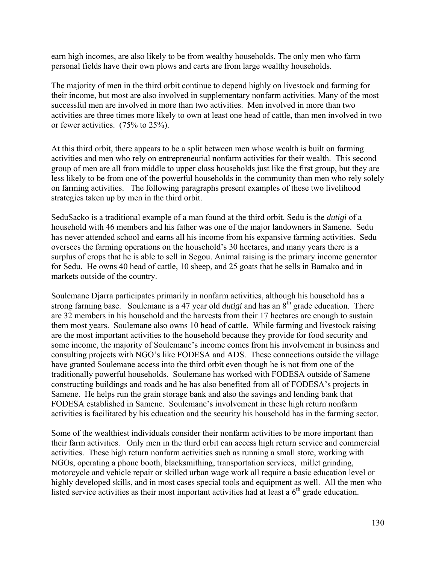earn high incomes, are also likely to be from wealthy households. The only men who farm personal fields have their own plows and carts are from large wealthy households.

The majority of men in the third orbit continue to depend highly on livestock and farming for their income, but most are also involved in supplementary nonfarm activities. Many of the most successful men are involved in more than two activities. Men involved in more than two activities are three times more likely to own at least one head of cattle, than men involved in two or fewer activities. (75% to 25%).

At this third orbit, there appears to be a split between men whose wealth is built on farming activities and men who rely on entrepreneurial nonfarm activities for their wealth. This second group of men are all from middle to upper class households just like the first group, but they are less likely to be from one of the powerful households in the community than men who rely solely on farming activities. The following paragraphs present examples of these two livelihood strategies taken up by men in the third orbit.

SeduSacko is a traditional example of a man found at the third orbit. Sedu is the *dutigi* of a household with 46 members and his father was one of the major landowners in Samene. Sedu has never attended school and earns all his income from his expansive farming activities. Sedu oversees the farming operations on the household's 30 hectares, and many years there is a surplus of crops that he is able to sell in Segou. Animal raising is the primary income generator for Sedu. He owns 40 head of cattle, 10 sheep, and 25 goats that he sells in Bamako and in markets outside of the country.

Soulemane Djarra participates primarily in nonfarm activities, although his household has a strong farming base. Soulemane is a  $47$  year old *dutigi* and has an  $8<sup>th</sup>$  grade education. There are 32 members in his household and the harvests from their 17 hectares are enough to sustain them most years. Soulemane also owns 10 head of cattle. While farming and livestock raising are the most important activities to the household because they provide for food security and some income, the majority of Soulemane's income comes from his involvement in business and consulting projects with NGO's like FODESA and ADS. These connections outside the village have granted Soulemane access into the third orbit even though he is not from one of the traditionally powerful households. Soulemane has worked with FODESA outside of Samene constructing buildings and roads and he has also benefited from all of FODESA's projects in Samene. He helps run the grain storage bank and also the savings and lending bank that FODESA established in Samene. Soulemane's involvement in these high return nonfarm activities is facilitated by his education and the security his household has in the farming sector.

Some of the wealthiest individuals consider their nonfarm activities to be more important than their farm activities. Only men in the third orbit can access high return service and commercial activities. These high return nonfarm activities such as running a small store, working with NGOs, operating a phone booth, blacksmithing, transportation services, millet grinding, motorcycle and vehicle repair or skilled urban wage work all require a basic education level or highly developed skills, and in most cases special tools and equipment as well. All the men who listed service activities as their most important activities had at least a  $6<sup>th</sup>$  grade education.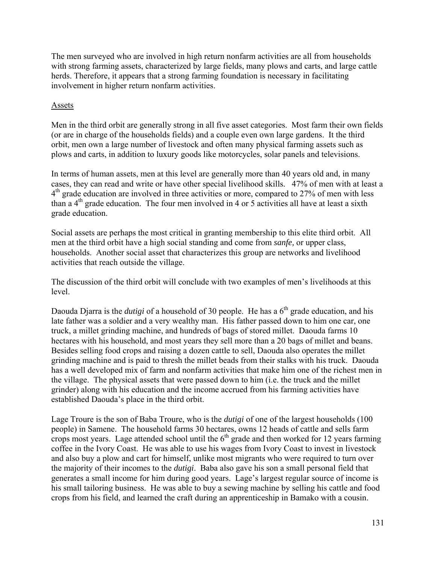The men surveyed who are involved in high return nonfarm activities are all from households with strong farming assets, characterized by large fields, many plows and carts, and large cattle herds. Therefore, it appears that a strong farming foundation is necessary in facilitating involvement in higher return nonfarm activities.

## Assets

Men in the third orbit are generally strong in all five asset categories. Most farm their own fields (or are in charge of the households fields) and a couple even own large gardens. It the third orbit, men own a large number of livestock and often many physical farming assets such as plows and carts, in addition to luxury goods like motorcycles, solar panels and televisions.

In terms of human assets, men at this level are generally more than 40 years old and, in many cases, they can read and write or have other special livelihood skills. 47% of men with at least a 4<sup>th</sup> grade education are involved in three activities or more, compared to 27% of men with less than a  $4<sup>th</sup>$  grade education. The four men involved in 4 or 5 activities all have at least a sixth grade education.

Social assets are perhaps the most critical in granting membership to this elite third orbit. All men at the third orbit have a high social standing and come from *sanfe,* or upper class, households. Another social asset that characterizes this group are networks and livelihood activities that reach outside the village.

The discussion of the third orbit will conclude with two examples of men's livelihoods at this level.

Daouda Djarra is the *dutigi* of a household of 30 people. He has a  $6<sup>th</sup>$  grade education, and his late father was a soldier and a very wealthy man. His father passed down to him one car, one truck, a millet grinding machine, and hundreds of bags of stored millet. Daouda farms 10 hectares with his household, and most years they sell more than a 20 bags of millet and beans. Besides selling food crops and raising a dozen cattle to sell, Daouda also operates the millet grinding machine and is paid to thresh the millet beads from their stalks with his truck. Daouda has a well developed mix of farm and nonfarm activities that make him one of the richest men in the village. The physical assets that were passed down to him (i.e. the truck and the millet grinder) along with his education and the income accrued from his farming activities have established Daouda's place in the third orbit.

Lage Troure is the son of Baba Troure, who is the *dutigi* of one of the largest households (100 people) in Samene. The household farms 30 hectares, owns 12 heads of cattle and sells farm crops most years. Lage attended school until the  $6<sup>th</sup>$  grade and then worked for 12 years farming coffee in the Ivory Coast. He was able to use his wages from Ivory Coast to invest in livestock and also buy a plow and cart for himself, unlike most migrants who were required to turn over the majority of their incomes to the *dutigi*. Baba also gave his son a small personal field that generates a small income for him during good years. Lage's largest regular source of income is his small tailoring business. He was able to buy a sewing machine by selling his cattle and food crops from his field, and learned the craft during an apprenticeship in Bamako with a cousin.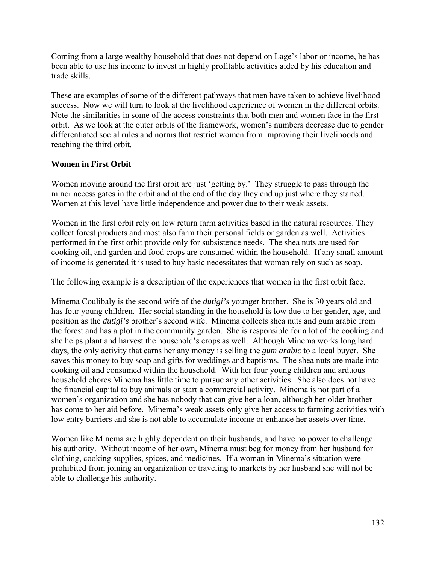Coming from a large wealthy household that does not depend on Lage's labor or income, he has been able to use his income to invest in highly profitable activities aided by his education and trade skills.

These are examples of some of the different pathways that men have taken to achieve livelihood success. Now we will turn to look at the livelihood experience of women in the different orbits. Note the similarities in some of the access constraints that both men and women face in the first orbit. As we look at the outer orbits of the framework, women's numbers decrease due to gender differentiated social rules and norms that restrict women from improving their livelihoods and reaching the third orbit.

# **Women in First Orbit**

Women moving around the first orbit are just 'getting by.' They struggle to pass through the minor access gates in the orbit and at the end of the day they end up just where they started. Women at this level have little independence and power due to their weak assets.

Women in the first orbit rely on low return farm activities based in the natural resources. They collect forest products and most also farm their personal fields or garden as well. Activities performed in the first orbit provide only for subsistence needs. The shea nuts are used for cooking oil, and garden and food crops are consumed within the household. If any small amount of income is generated it is used to buy basic necessitates that woman rely on such as soap.

The following example is a description of the experiences that women in the first orbit face.

Minema Coulibaly is the second wife of the *dutigi's* younger brother. She is 30 years old and has four young children. Her social standing in the household is low due to her gender, age, and position as the *dutigi's* brother's second wife. Minema collects shea nuts and gum arabic from the forest and has a plot in the community garden. She is responsible for a lot of the cooking and she helps plant and harvest the household's crops as well. Although Minema works long hard days, the only activity that earns her any money is selling the *gum arabic* to a local buyer. She saves this money to buy soap and gifts for weddings and baptisms. The shea nuts are made into cooking oil and consumed within the household. With her four young children and arduous household chores Minema has little time to pursue any other activities. She also does not have the financial capital to buy animals or start a commercial activity. Minema is not part of a women's organization and she has nobody that can give her a loan, although her older brother has come to her aid before. Minema's weak assets only give her access to farming activities with low entry barriers and she is not able to accumulate income or enhance her assets over time.

Women like Minema are highly dependent on their husbands, and have no power to challenge his authority. Without income of her own, Minema must beg for money from her husband for clothing, cooking supplies, spices, and medicines. If a woman in Minema's situation were prohibited from joining an organization or traveling to markets by her husband she will not be able to challenge his authority.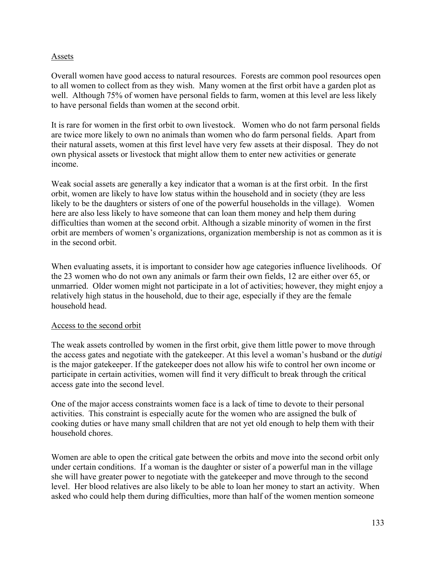### Assets

Overall women have good access to natural resources. Forests are common pool resources open to all women to collect from as they wish. Many women at the first orbit have a garden plot as well. Although 75% of women have personal fields to farm, women at this level are less likely to have personal fields than women at the second orbit.

It is rare for women in the first orbit to own livestock. Women who do not farm personal fields are twice more likely to own no animals than women who do farm personal fields. Apart from their natural assets, women at this first level have very few assets at their disposal. They do not own physical assets or livestock that might allow them to enter new activities or generate income.

Weak social assets are generally a key indicator that a woman is at the first orbit. In the first orbit, women are likely to have low status within the household and in society (they are less likely to be the daughters or sisters of one of the powerful households in the village). Women here are also less likely to have someone that can loan them money and help them during difficulties than women at the second orbit. Although a sizable minority of women in the first orbit are members of women's organizations, organization membership is not as common as it is in the second orbit.

When evaluating assets, it is important to consider how age categories influence livelihoods. Of the 23 women who do not own any animals or farm their own fields, 12 are either over 65, or unmarried. Older women might not participate in a lot of activities; however, they might enjoy a relatively high status in the household, due to their age, especially if they are the female household head.

#### Access to the second orbit

The weak assets controlled by women in the first orbit, give them little power to move through the access gates and negotiate with the gatekeeper. At this level a woman's husband or the *dutigi* is the major gatekeeper. If the gatekeeper does not allow his wife to control her own income or participate in certain activities, women will find it very difficult to break through the critical access gate into the second level.

One of the major access constraints women face is a lack of time to devote to their personal activities. This constraint is especially acute for the women who are assigned the bulk of cooking duties or have many small children that are not yet old enough to help them with their household chores.

Women are able to open the critical gate between the orbits and move into the second orbit only under certain conditions. If a woman is the daughter or sister of a powerful man in the village she will have greater power to negotiate with the gatekeeper and move through to the second level. Her blood relatives are also likely to be able to loan her money to start an activity. When asked who could help them during difficulties, more than half of the women mention someone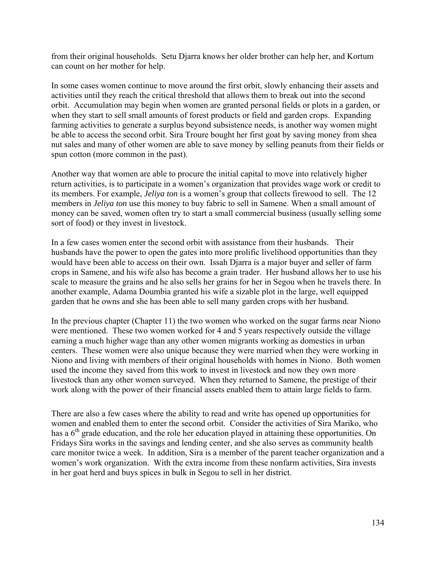from their original households. Setu Djarra knows her older brother can help her, and Kortum can count on her mother for help.

In some cases women continue to move around the first orbit, slowly enhancing their assets and activities until they reach the critical threshold that allows them to break out into the second orbit. Accumulation may begin when women are granted personal fields or plots in a garden, or when they start to sell small amounts of forest products or field and garden crops. Expanding farming activities to generate a surplus beyond subsistence needs, is another way women might be able to access the second orbit. Sira Troure bought her first goat by saving money from shea nut sales and many of other women are able to save money by selling peanuts from their fields or spun cotton (more common in the past).

Another way that women are able to procure the initial capital to move into relatively higher return activities, is to participate in a women's organization that provides wage work or credit to its members. For example, *Jeliya ton* is a women's group that collects firewood to sell. The 12 members in *Jeliya ton* use this money to buy fabric to sell in Samene. When a small amount of money can be saved, women often try to start a small commercial business (usually selling some sort of food) or they invest in livestock.

In a few cases women enter the second orbit with assistance from their husbands. Their husbands have the power to open the gates into more prolific livelihood opportunities than they would have been able to access on their own. Issah Djarra is a major buyer and seller of farm crops in Samene, and his wife also has become a grain trader. Her husband allows her to use his scale to measure the grains and he also sells her grains for her in Segou when he travels there. In another example, Adama Doumbia granted his wife a sizable plot in the large, well equipped garden that he owns and she has been able to sell many garden crops with her husband.

In the previous chapter (Chapter 11) the two women who worked on the sugar farms near Niono were mentioned. These two women worked for 4 and 5 years respectively outside the village earning a much higher wage than any other women migrants working as domestics in urban centers. These women were also unique because they were married when they were working in Niono and living with members of their original households with homes in Niono. Both women used the income they saved from this work to invest in livestock and now they own more livestock than any other women surveyed. When they returned to Samene, the prestige of their work along with the power of their financial assets enabled them to attain large fields to farm.

There are also a few cases where the ability to read and write has opened up opportunities for women and enabled them to enter the second orbit. Consider the activities of Sira Mariko, who has a  $6<sup>th</sup>$  grade education, and the role her education played in attaining these opportunities. On Fridays Sira works in the savings and lending center, and she also serves as community health care monitor twice a week. In addition, Sira is a member of the parent teacher organization and a women's work organization. With the extra income from these nonfarm activities, Sira invests in her goat herd and buys spices in bulk in Segou to sell in her district.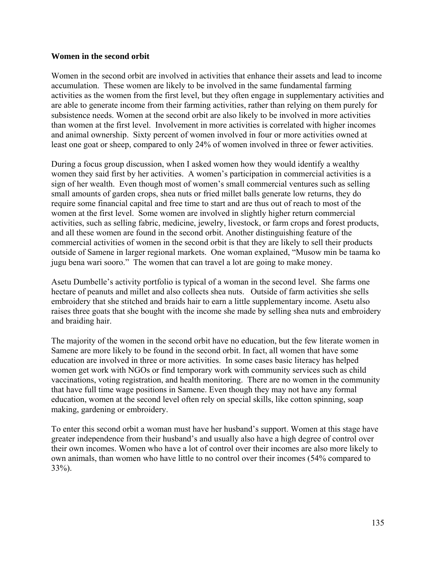#### **Women in the second orbit**

Women in the second orbit are involved in activities that enhance their assets and lead to income accumulation. These women are likely to be involved in the same fundamental farming activities as the women from the first level, but they often engage in supplementary activities and are able to generate income from their farming activities, rather than relying on them purely for subsistence needs. Women at the second orbit are also likely to be involved in more activities than women at the first level. Involvement in more activities is correlated with higher incomes and animal ownership. Sixty percent of women involved in four or more activities owned at least one goat or sheep, compared to only 24% of women involved in three or fewer activities.

During a focus group discussion, when I asked women how they would identify a wealthy women they said first by her activities. A women's participation in commercial activities is a sign of her wealth. Even though most of women's small commercial ventures such as selling small amounts of garden crops, shea nuts or fried millet balls generate low returns, they do require some financial capital and free time to start and are thus out of reach to most of the women at the first level. Some women are involved in slightly higher return commercial activities, such as selling fabric, medicine, jewelry, livestock, or farm crops and forest products, and all these women are found in the second orbit. Another distinguishing feature of the commercial activities of women in the second orbit is that they are likely to sell their products outside of Samene in larger regional markets. One woman explained, "Musow min be taama ko jugu bena wari sooro." The women that can travel a lot are going to make money.

Asetu Dumbelle's activity portfolio is typical of a woman in the second level. She farms one hectare of peanuts and millet and also collects shea nuts. Outside of farm activities she sells embroidery that she stitched and braids hair to earn a little supplementary income. Asetu also raises three goats that she bought with the income she made by selling shea nuts and embroidery and braiding hair.

The majority of the women in the second orbit have no education, but the few literate women in Samene are more likely to be found in the second orbit. In fact, all women that have some education are involved in three or more activities. In some cases basic literacy has helped women get work with NGOs or find temporary work with community services such as child vaccinations, voting registration, and health monitoring. There are no women in the community that have full time wage positions in Samene. Even though they may not have any formal education, women at the second level often rely on special skills, like cotton spinning, soap making, gardening or embroidery.

To enter this second orbit a woman must have her husband's support. Women at this stage have greater independence from their husband's and usually also have a high degree of control over their own incomes. Women who have a lot of control over their incomes are also more likely to own animals, than women who have little to no control over their incomes (54% compared to 33%).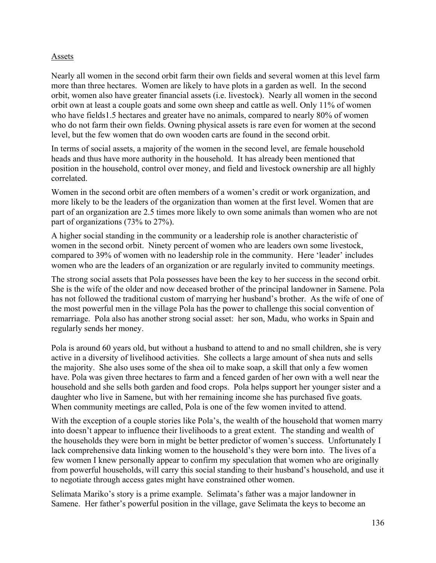### Assets

Nearly all women in the second orbit farm their own fields and several women at this level farm more than three hectares. Women are likely to have plots in a garden as well. In the second orbit, women also have greater financial assets (i.e. livestock). Nearly all women in the second orbit own at least a couple goats and some own sheep and cattle as well. Only 11% of women who have fields1.5 hectares and greater have no animals, compared to nearly 80% of women who do not farm their own fields. Owning physical assets is rare even for women at the second level, but the few women that do own wooden carts are found in the second orbit.

In terms of social assets, a majority of the women in the second level, are female household heads and thus have more authority in the household. It has already been mentioned that position in the household, control over money, and field and livestock ownership are all highly correlated.

Women in the second orbit are often members of a women's credit or work organization, and more likely to be the leaders of the organization than women at the first level. Women that are part of an organization are 2.5 times more likely to own some animals than women who are not part of organizations (73% to 27%).

A higher social standing in the community or a leadership role is another characteristic of women in the second orbit. Ninety percent of women who are leaders own some livestock, compared to 39% of women with no leadership role in the community. Here 'leader' includes women who are the leaders of an organization or are regularly invited to community meetings.

The strong social assets that Pola possesses have been the key to her success in the second orbit. She is the wife of the older and now deceased brother of the principal landowner in Samene. Pola has not followed the traditional custom of marrying her husband's brother. As the wife of one of the most powerful men in the village Pola has the power to challenge this social convention of remarriage. Pola also has another strong social asset: her son, Madu, who works in Spain and regularly sends her money.

Pola is around 60 years old, but without a husband to attend to and no small children, she is very active in a diversity of livelihood activities. She collects a large amount of shea nuts and sells the majority. She also uses some of the shea oil to make soap, a skill that only a few women have. Pola was given three hectares to farm and a fenced garden of her own with a well near the household and she sells both garden and food crops. Pola helps support her younger sister and a daughter who live in Samene, but with her remaining income she has purchased five goats. When community meetings are called, Pola is one of the few women invited to attend.

With the exception of a couple stories like Pola's, the wealth of the household that women marry into doesn't appear to influence their livelihoods to a great extent. The standing and wealth of the households they were born in might be better predictor of women's success. Unfortunately I lack comprehensive data linking women to the household's they were born into. The lives of a few women I knew personally appear to confirm my speculation that women who are originally from powerful households, will carry this social standing to their husband's household, and use it to negotiate through access gates might have constrained other women.

Selimata Mariko's story is a prime example. Selimata's father was a major landowner in Samene. Her father's powerful position in the village, gave Selimata the keys to become an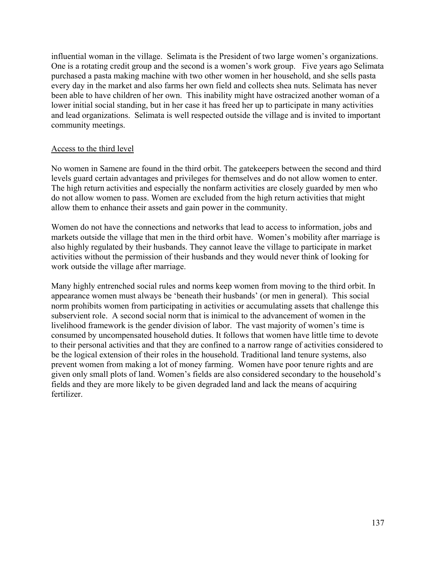influential woman in the village. Selimata is the President of two large women's organizations. One is a rotating credit group and the second is a women's work group. Five years ago Selimata purchased a pasta making machine with two other women in her household, and she sells pasta every day in the market and also farms her own field and collects shea nuts. Selimata has never been able to have children of her own. This inability might have ostracized another woman of a lower initial social standing, but in her case it has freed her up to participate in many activities and lead organizations. Selimata is well respected outside the village and is invited to important community meetings.

### Access to the third level

No women in Samene are found in the third orbit. The gatekeepers between the second and third levels guard certain advantages and privileges for themselves and do not allow women to enter. The high return activities and especially the nonfarm activities are closely guarded by men who do not allow women to pass. Women are excluded from the high return activities that might allow them to enhance their assets and gain power in the community.

Women do not have the connections and networks that lead to access to information, jobs and markets outside the village that men in the third orbit have. Women's mobility after marriage is also highly regulated by their husbands. They cannot leave the village to participate in market activities without the permission of their husbands and they would never think of looking for work outside the village after marriage.

Many highly entrenched social rules and norms keep women from moving to the third orbit. In appearance women must always be 'beneath their husbands' (or men in general). This social norm prohibits women from participating in activities or accumulating assets that challenge this subservient role. A second social norm that is inimical to the advancement of women in the livelihood framework is the gender division of labor. The vast majority of women's time is consumed by uncompensated household duties. It follows that women have little time to devote to their personal activities and that they are confined to a narrow range of activities considered to be the logical extension of their roles in the household. Traditional land tenure systems, also prevent women from making a lot of money farming. Women have poor tenure rights and are given only small plots of land. Women's fields are also considered secondary to the household's fields and they are more likely to be given degraded land and lack the means of acquiring fertilizer.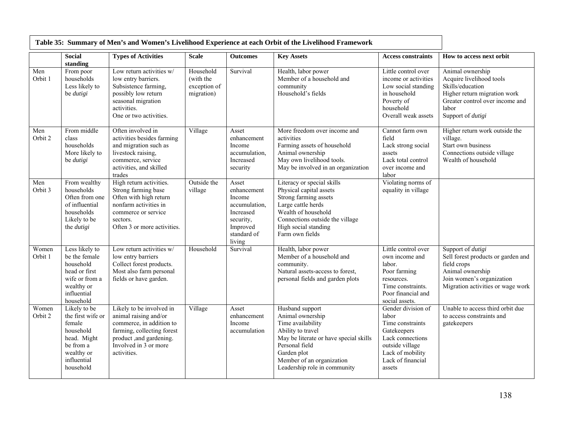|                  | <b>Social</b><br>standing                                                                                                      | <b>Types of Activities</b>                                                                                                                                                     | <b>Scale</b>                                         | <b>Outcomes</b>                                                                                                | <b>Key Assets</b>                                                                                                                                                                                                     | <b>Access constraints</b>                                                                                                                                | How to access next orbit                                                                                                                                          |
|------------------|--------------------------------------------------------------------------------------------------------------------------------|--------------------------------------------------------------------------------------------------------------------------------------------------------------------------------|------------------------------------------------------|----------------------------------------------------------------------------------------------------------------|-----------------------------------------------------------------------------------------------------------------------------------------------------------------------------------------------------------------------|----------------------------------------------------------------------------------------------------------------------------------------------------------|-------------------------------------------------------------------------------------------------------------------------------------------------------------------|
| Men<br>Orbit 1   | From poor<br>households<br>Less likely to<br>be dutigi                                                                         | Low return activities w/<br>low entry barriers.<br>Subsistence farming,<br>possibly low return<br>seasonal migration<br>activities.<br>One or two activities.                  | Household<br>(with the<br>exception of<br>migration) | Survival                                                                                                       | Health, labor power<br>Member of a household and<br>community<br>Household's fields                                                                                                                                   | Little control over<br>income or activities<br>Low social standing<br>in household<br>Poverty of<br>household<br>Overall weak assets                     | Animal ownership<br>Acquire livelihood tools<br>Skills/education<br>Higher return migration work<br>Greater control over income and<br>labor<br>Support of dutigi |
| Men<br>Orbit 2   | From middle<br>class<br>households<br>More likely to<br>be dutigi                                                              | Often involved in<br>activities besides farming<br>and migration such as<br>livestock raising,<br>commerce, service<br>activities, and skilled<br>trades                       | Village                                              | Asset<br>enhancement<br>Income<br>accumulation,<br>Increased<br>security                                       | More freedom over income and<br>activities<br>Farming assets of household<br>Animal ownership<br>May own livelihood tools.<br>May be involved in an organization                                                      | Cannot farm own<br>field<br>Lack strong social<br>assets<br>Lack total control<br>over income and<br>labor                                               | Higher return work outside the<br>village.<br>Start own business<br>Connections outside village<br>Wealth of household                                            |
| Men<br>Orbit 3   | From wealthy<br>households<br>Often from one<br>of influential<br>households<br>Likely to be<br>the <i>dutigi</i>              | High return activities.<br>Strong farming base<br>Often with high return<br>nonfarm activities in<br>commerce or service<br>sectors.<br>Often 3 or more activities.            | Outside the<br>village                               | Asset<br>enhancement<br>Income<br>accumulation,<br>Increased<br>security,<br>Improved<br>standard of<br>living | Literacy or special skills<br>Physical capital assets<br>Strong farming assets<br>Large cattle herds<br>Wealth of household<br>Connections outside the village<br>High social standing<br>Farm own fields             | Violating norms of<br>equality in village                                                                                                                |                                                                                                                                                                   |
| Women<br>Orbit 1 | Less likely to<br>be the female<br>household<br>head or first<br>wife or from a<br>wealthy or<br>influential<br>household      | Low return activities w/<br>low entry barriers<br>Collect forest products.<br>Most also farm personal<br>fields or have garden.                                                | Household                                            | Survival                                                                                                       | Health, labor power<br>Member of a household and<br>community.<br>Natural assets-access to forest,<br>personal fields and garden plots                                                                                | Little control over<br>own income and<br>labor.<br>Poor farming<br>resources.<br>Time constraints.<br>Poor financial and<br>social assets.               | Support of dutigi<br>Sell forest products or garden and<br>field crops<br>Animal ownership<br>Join women's organization<br>Migration activities or wage work      |
| Women<br>Orbit 2 | Likely to be<br>the first wife or<br>female<br>household<br>head. Might<br>be from a<br>wealthy or<br>influential<br>household | Likely to be involved in<br>animal raising and/or<br>commerce, in addition to<br>farming, collecting forest<br>product ,and gardening.<br>Involved in 3 or more<br>activities. | Village                                              | Asset<br>enhancement<br>Income<br>accumulation                                                                 | Husband support<br>Animal ownership<br>Time availability<br>Ability to travel<br>May be literate or have special skills<br>Personal field<br>Garden plot<br>Member of an organization<br>Leadership role in community | Gender division of<br>labor<br>Time constraints<br>Gatekeepers<br>Lack connections<br>outside village<br>Lack of mobility<br>Lack of financial<br>assets | Unable to access third orbit due<br>to access constraints and<br>gatekeepers                                                                                      |

## **Table 35: Summary of Men's and Women's Livelihood Experience at each Orbit of the Livelihood Framework**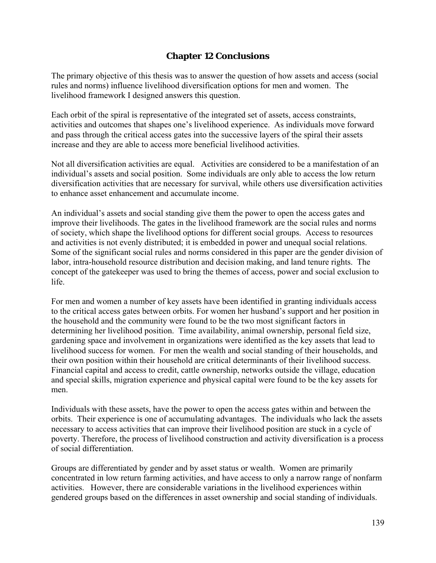## **Chapter 12 Conclusions**

The primary objective of this thesis was to answer the question of how assets and access (social rules and norms) influence livelihood diversification options for men and women. The livelihood framework I designed answers this question.

Each orbit of the spiral is representative of the integrated set of assets, access constraints, activities and outcomes that shapes one's livelihood experience. As individuals move forward and pass through the critical access gates into the successive layers of the spiral their assets increase and they are able to access more beneficial livelihood activities.

Not all diversification activities are equal. Activities are considered to be a manifestation of an individual's assets and social position. Some individuals are only able to access the low return diversification activities that are necessary for survival, while others use diversification activities to enhance asset enhancement and accumulate income.

An individual's assets and social standing give them the power to open the access gates and improve their livelihoods. The gates in the livelihood framework are the social rules and norms of society, which shape the livelihood options for different social groups. Access to resources and activities is not evenly distributed; it is embedded in power and unequal social relations. Some of the significant social rules and norms considered in this paper are the gender division of labor, intra-household resource distribution and decision making, and land tenure rights. The concept of the gatekeeper was used to bring the themes of access, power and social exclusion to life.

For men and women a number of key assets have been identified in granting individuals access to the critical access gates between orbits. For women her husband's support and her position in the household and the community were found to be the two most significant factors in determining her livelihood position. Time availability, animal ownership, personal field size, gardening space and involvement in organizations were identified as the key assets that lead to livelihood success for women. For men the wealth and social standing of their households, and their own position within their household are critical determinants of their livelihood success. Financial capital and access to credit, cattle ownership, networks outside the village, education and special skills, migration experience and physical capital were found to be the key assets for men.

Individuals with these assets, have the power to open the access gates within and between the orbits. Their experience is one of accumulating advantages. The individuals who lack the assets necessary to access activities that can improve their livelihood position are stuck in a cycle of poverty. Therefore, the process of livelihood construction and activity diversification is a process of social differentiation.

Groups are differentiated by gender and by asset status or wealth. Women are primarily concentrated in low return farming activities, and have access to only a narrow range of nonfarm activities. However, there are considerable variations in the livelihood experiences within gendered groups based on the differences in asset ownership and social standing of individuals.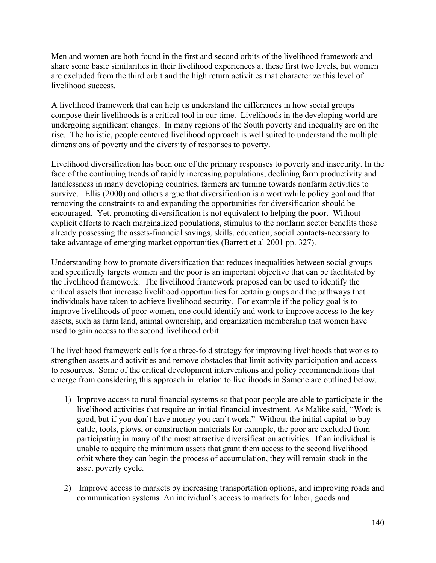Men and women are both found in the first and second orbits of the livelihood framework and share some basic similarities in their livelihood experiences at these first two levels, but women are excluded from the third orbit and the high return activities that characterize this level of livelihood success.

A livelihood framework that can help us understand the differences in how social groups compose their livelihoods is a critical tool in our time. Livelihoods in the developing world are undergoing significant changes. In many regions of the South poverty and inequality are on the rise. The holistic, people centered livelihood approach is well suited to understand the multiple dimensions of poverty and the diversity of responses to poverty.

Livelihood diversification has been one of the primary responses to poverty and insecurity. In the face of the continuing trends of rapidly increasing populations, declining farm productivity and landlessness in many developing countries, farmers are turning towards nonfarm activities to survive. Ellis (2000) and others argue that diversification is a worthwhile policy goal and that removing the constraints to and expanding the opportunities for diversification should be encouraged. Yet, promoting diversification is not equivalent to helping the poor. Without explicit efforts to reach marginalized populations, stimulus to the nonfarm sector benefits those already possessing the assets-financial savings, skills, education, social contacts-necessary to take advantage of emerging market opportunities (Barrett et al 2001 pp. 327).

Understanding how to promote diversification that reduces inequalities between social groups and specifically targets women and the poor is an important objective that can be facilitated by the livelihood framework. The livelihood framework proposed can be used to identify the critical assets that increase livelihood opportunities for certain groups and the pathways that individuals have taken to achieve livelihood security. For example if the policy goal is to improve livelihoods of poor women, one could identify and work to improve access to the key assets, such as farm land, animal ownership, and organization membership that women have used to gain access to the second livelihood orbit.

The livelihood framework calls for a three-fold strategy for improving livelihoods that works to strengthen assets and activities and remove obstacles that limit activity participation and access to resources. Some of the critical development interventions and policy recommendations that emerge from considering this approach in relation to livelihoods in Samene are outlined below.

- 1) Improve access to rural financial systems so that poor people are able to participate in the livelihood activities that require an initial financial investment. As Malike said, "Work is good, but if you don't have money you can't work." Without the initial capital to buy cattle, tools, plows, or construction materials for example, the poor are excluded from participating in many of the most attractive diversification activities. If an individual is unable to acquire the minimum assets that grant them access to the second livelihood orbit where they can begin the process of accumulation, they will remain stuck in the asset poverty cycle.
- 2) Improve access to markets by increasing transportation options, and improving roads and communication systems. An individual's access to markets for labor, goods and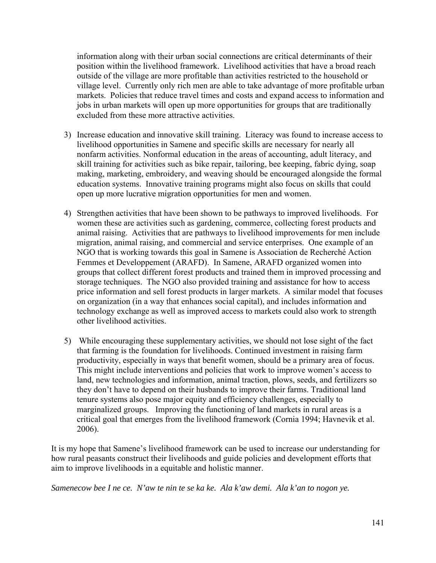information along with their urban social connections are critical determinants of their position within the livelihood framework. Livelihood activities that have a broad reach outside of the village are more profitable than activities restricted to the household or village level. Currently only rich men are able to take advantage of more profitable urban markets. Policies that reduce travel times and costs and expand access to information and jobs in urban markets will open up more opportunities for groups that are traditionally excluded from these more attractive activities.

- 3) Increase education and innovative skill training. Literacy was found to increase access to livelihood opportunities in Samene and specific skills are necessary for nearly all nonfarm activities. Nonformal education in the areas of accounting, adult literacy, and skill training for activities such as bike repair, tailoring, bee keeping, fabric dying, soap making, marketing, embroidery, and weaving should be encouraged alongside the formal education systems. Innovative training programs might also focus on skills that could open up more lucrative migration opportunities for men and women.
- 4) Strengthen activities that have been shown to be pathways to improved livelihoods. For women these are activities such as gardening, commerce, collecting forest products and animal raising. Activities that are pathways to livelihood improvements for men include migration, animal raising, and commercial and service enterprises. One example of an NGO that is working towards this goal in Samene is Association de Recherché Action Femmes et Developpement (ARAFD). In Samene, ARAFD organized women into groups that collect different forest products and trained them in improved processing and storage techniques. The NGO also provided training and assistance for how to access price information and sell forest products in larger markets. A similar model that focuses on organization (in a way that enhances social capital), and includes information and technology exchange as well as improved access to markets could also work to strength other livelihood activities.
- 5) While encouraging these supplementary activities, we should not lose sight of the fact that farming is the foundation for livelihoods. Continued investment in raising farm productivity, especially in ways that benefit women, should be a primary area of focus. This might include interventions and policies that work to improve women's access to land, new technologies and information, animal traction, plows, seeds, and fertilizers so they don't have to depend on their husbands to improve their farms. Traditional land tenure systems also pose major equity and efficiency challenges, especially to marginalized groups. Improving the functioning of land markets in rural areas is a critical goal that emerges from the livelihood framework (Cornia 1994; Havnevik et al. 2006).

It is my hope that Samene's livelihood framework can be used to increase our understanding for how rural peasants construct their livelihoods and guide policies and development efforts that aim to improve livelihoods in a equitable and holistic manner.

*Samenecow bee I ne ce. N'aw te nin te se ka ke. Ala k'aw demi. Ala k'an to nogon ye.*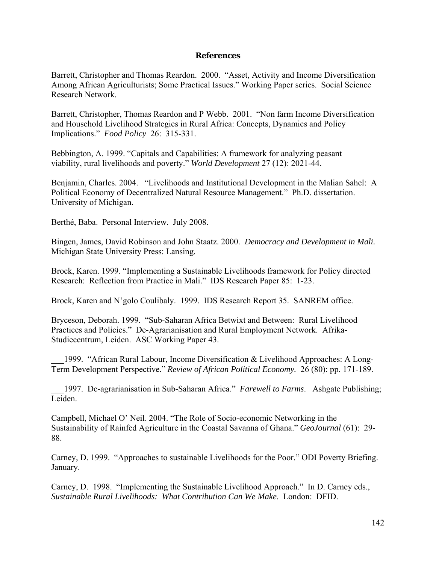## **References**

Barrett, Christopher and Thomas Reardon. 2000. "Asset, Activity and Income Diversification Among African Agriculturists; Some Practical Issues." Working Paper series. Social Science Research Network.

Barrett, Christopher, Thomas Reardon and P Webb. 2001. "Non farm Income Diversification and Household Livelihood Strategies in Rural Africa: Concepts, Dynamics and Policy Implications." *Food Policy* 26: 315-331.

Bebbington, A. 1999. "Capitals and Capabilities: A framework for analyzing peasant viability, rural livelihoods and poverty." *World Development* 27 (12): 2021-44.

Benjamin, Charles. 2004. "Livelihoods and Institutional Development in the Malian Sahel: A Political Economy of Decentralized Natural Resource Management." Ph.D. dissertation. University of Michigan.

Berthé, Baba. Personal Interview. July 2008.

Bingen, James, David Robinson and John Staatz. 2000. *Democracy and Development in Mali.* Michigan State University Press: Lansing.

Brock, Karen. 1999. "Implementing a Sustainable Livelihoods framework for Policy directed Research: Reflection from Practice in Mali." IDS Research Paper 85: 1-23.

Brock, Karen and N'golo Coulibaly. 1999. IDS Research Report 35. SANREM office.

Bryceson, Deborah. 1999. "Sub-Saharan Africa Betwixt and Between: Rural Livelihood Practices and Policies." De-Agrarianisation and Rural Employment Network. Afrika-Studiecentrum, Leiden. ASC Working Paper 43.

1999. "African Rural Labour, Income Diversification & Livelihood Approaches: A Long-Term Development Perspective." *Review of African Political Economy.* 26 (80): pp. 171-189.

\_\_\_1997. De-agrarianisation in Sub-Saharan Africa." *Farewell to Farms*. Ashgate Publishing; Leiden.

Campbell, Michael O' Neil. 2004. "The Role of Socio-economic Networking in the Sustainability of Rainfed Agriculture in the Coastal Savanna of Ghana." *GeoJournal* (61): 29- 88.

Carney, D. 1999. "Approaches to sustainable Livelihoods for the Poor." ODI Poverty Briefing. January.

Carney, D. 1998. "Implementing the Sustainable Livelihood Approach." In D. Carney eds., *Sustainable Rural Livelihoods: What Contribution Can We Make*. London: DFID.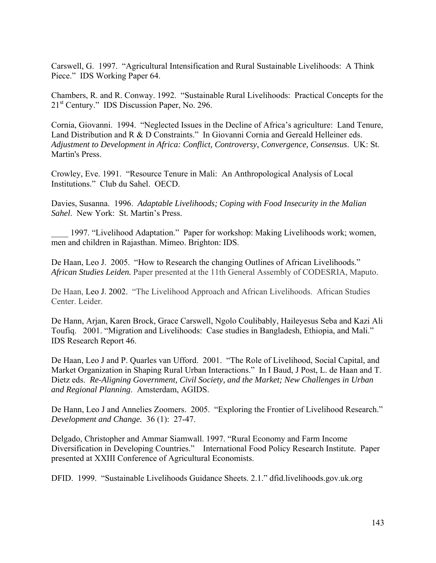Carswell, G. 1997. "Agricultural Intensification and Rural Sustainable Livelihoods: A Think Piece." IDS Working Paper 64.

Chambers, R. and R. Conway. 1992. "Sustainable Rural Livelihoods: Practical Concepts for the 21st Century." IDS Discussion Paper, No. 296.

Cornia, Giovanni. 1994. "Neglected Issues in the Decline of Africa's agriculture: Land Tenure, Land Distribution and R & D Constraints." In Giovanni Cornia and Gereald Helleiner eds. *Adjustment to Development in Africa: Conflict, Controversy, Convergence, Consensus*. UK: St. Martin's Press.

Crowley, Eve. 1991. "Resource Tenure in Mali: An Anthropological Analysis of Local Institutions." Club du Sahel. OECD.

Davies, Susanna. 1996. *Adaptable Livelihoods; Coping with Food Insecurity in the Malian Sahel*. New York: St. Martin's Press.

1997. "Livelihood Adaptation." Paper for workshop: Making Livelihoods work; women, men and children in Rajasthan. Mimeo. Brighton: IDS.

De Haan, Leo J. 2005. "How to Research the changing Outlines of African Livelihoods." *African Studies Leiden.* Paper presented at the 11th General Assembly of CODESRIA, Maputo.

De Haan, Leo J. 2002. "The Livelihood Approach and African Livelihoods. African Studies Center. Leider.

De Hann, Arjan, Karen Brock, Grace Carswell, Ngolo Coulibably, Haileyesus Seba and Kazi Ali Toufiq. 2001. "Migration and Livelihoods: Case studies in Bangladesh, Ethiopia, and Mali." IDS Research Report 46.

De Haan, Leo J and P. Quarles van Ufford. 2001. "The Role of Livelihood, Social Capital, and Market Organization in Shaping Rural Urban Interactions." In I Baud, J Post, L. de Haan and T. Dietz eds. *Re-Aligning Government, Civil Society, and the Market; New Challenges in Urban and Regional Planning*. Amsterdam, AGIDS.

De Hann, Leo J and Annelies Zoomers. 2005. "Exploring the Frontier of Livelihood Research." *Development and Change.* 36 (1): 27-47.

Delgado, Christopher and Ammar Siamwall. 1997. "Rural Economy and Farm Income Diversification in Developing Countries." International Food Policy Research Institute. Paper presented at XXIII Conference of Agricultural Economists.

DFID. 1999. "Sustainable Livelihoods Guidance Sheets. 2.1." dfid.livelihoods.gov.uk.org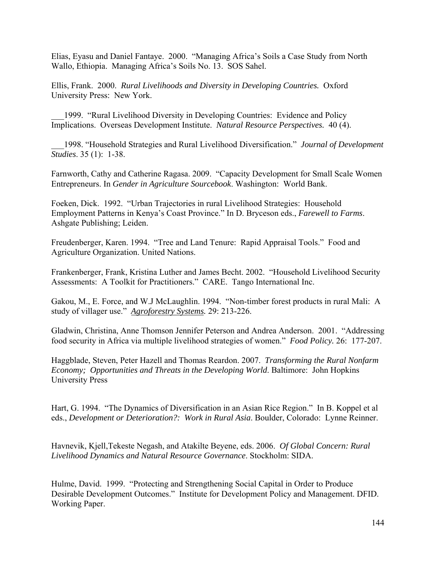Elias, Eyasu and Daniel Fantaye. 2000. "Managing Africa's Soils a Case Study from North Wallo, Ethiopia. Managing Africa's Soils No. 13. SOS Sahel.

Ellis, Frank. 2000. *Rural Livelihoods and Diversity in Developing Countries.* Oxford University Press: New York.

1999. "Rural Livelihood Diversity in Developing Countries: Evidence and Policy Implications. Overseas Development Institute. *Natural Resource Perspectives.* 40 (4).

\_\_\_1998. "Household Strategies and Rural Livelihood Diversification." *Journal of Development Studies*. 35 (1): 1-38.

Farnworth, Cathy and Catherine Ragasa. 2009. "Capacity Development for Small Scale Women Entrepreneurs. In *Gender in Agriculture Sourcebook*. Washington: World Bank.

Foeken, Dick. 1992. "Urban Trajectories in rural Livelihood Strategies: Household Employment Patterns in Kenya's Coast Province." In D. Bryceson eds., *Farewell to Farms*. Ashgate Publishing; Leiden.

Freudenberger, Karen. 1994. "Tree and Land Tenure: Rapid Appraisal Tools." Food and Agriculture Organization. United Nations.

Frankenberger, Frank, Kristina Luther and James Becht. 2002. "Household Livelihood Security Assessments: A Toolkit for Practitioners." CARE. Tango International Inc.

Gakou, M., E. Force, and W.J McLaughlin. 1994. "Non-timber forest products in rural Mali: A study of villager use." *Agroforestry Systems.* 29: 213-226.

Gladwin, Christina, Anne Thomson Jennifer Peterson and Andrea Anderson. 2001. "Addressing food security in Africa via multiple livelihood strategies of women." *Food Policy.* 26: 177-207.

Haggblade, Steven, Peter Hazell and Thomas Reardon. 2007. *Transforming the Rural Nonfarm Economy; Opportunities and Threats in the Developing World*. Baltimore: John Hopkins University Press

Hart, G. 1994. "The Dynamics of Diversification in an Asian Rice Region." In B. Koppel et al eds., *Development or Deterioration?: Work in Rural Asia*. Boulder, Colorado: Lynne Reinner.

Havnevik, Kjell,Tekeste Negash, and Atakilte Beyene, eds. 2006. *Of Global Concern: Rural Livelihood Dynamics and Natural Resource Governance*. Stockholm: SIDA.

Hulme, David. 1999. "Protecting and Strengthening Social Capital in Order to Produce Desirable Development Outcomes." Institute for Development Policy and Management. DFID. Working Paper.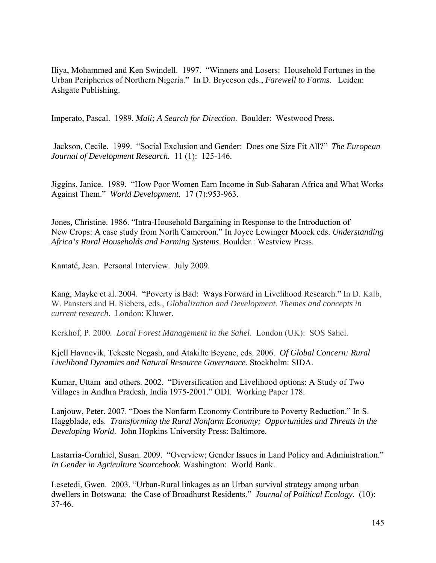Iliya, Mohammed and Ken Swindell. 1997. "Winners and Losers: Household Fortunes in the Urban Peripheries of Northern Nigeria." In D. Bryceson eds., *Farewell to Farms*. Leiden: Ashgate Publishing.

Imperato, Pascal. 1989. *Mali; A Search for Direction*. Boulder: Westwood Press.

 Jackson, Cecile. 1999. "Social Exclusion and Gender: Does one Size Fit All?" *The European Journal of Development Research.* 11 (1): 125-146.

Jiggins, Janice. 1989. "How Poor Women Earn Income in Sub-Saharan Africa and What Works Against Them." *World Development*. 17 (7):953-963.

Jones, Christine. 1986. "Intra-Household Bargaining in Response to the Introduction of New Crops: A case study from North Cameroon." In Joyce Lewinger Moock eds. *Understanding Africa's Rural Households and Farming Systems*. Boulder.: Westview Press.

Kamaté, Jean. Personal Interview. July 2009.

Kang, Mayke et al. 2004. "Poverty is Bad: Ways Forward in Livelihood Research." In D. Kalb, W. Pansters and H. Siebers, eds., *Globalization and Development. Themes and concepts in current research*. London: Kluwer.

Kerkhof, P. 2000*. Local Forest Management in the Sahel*. London (UK): SOS Sahel.

Kjell Havnevik, Tekeste Negash, and Atakilte Beyene, eds. 2006. *Of Global Concern: Rural Livelihood Dynamics and Natural Resource Governance*. Stockholm: SIDA.

Kumar, Uttam and others. 2002. "Diversification and Livelihood options: A Study of Two Villages in Andhra Pradesh, India 1975-2001." ODI. Working Paper 178.

Lanjouw, Peter. 2007. "Does the Nonfarm Economy Contribure to Poverty Reduction." In S. Haggblade, eds. *Transforming the Rural Nonfarm Economy; Opportunities and Threats in the Developing World*. John Hopkins University Press: Baltimore.

Lastarria-Cornhiel, Susan. 2009. "Overview; Gender Issues in Land Policy and Administration." *In Gender in Agriculture Sourcebook.* Washington: World Bank.

Lesetedi, Gwen. 2003. "Urban-Rural linkages as an Urban survival strategy among urban dwellers in Botswana: the Case of Broadhurst Residents." *Journal of Political Ecology.* (10): 37-46.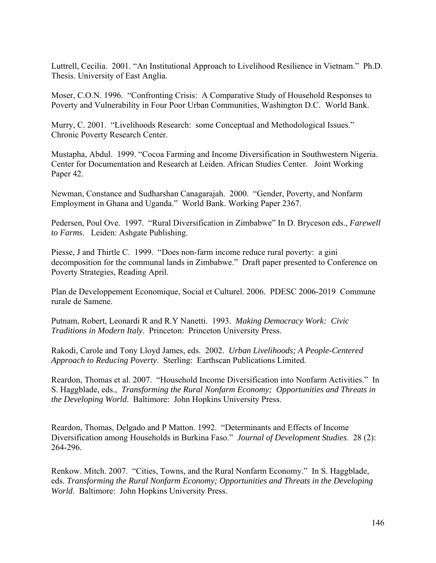Luttrell, Cecilia. 2001. "An Institutional Approach to Livelihood Resilience in Vietnam." Ph.D. Thesis. University of East Anglia.

Moser, C.O.N. 1996. "Confronting Crisis: A Comparative Study of Household Responses to Poverty and Vulnerability in Four Poor Urban Communities, Washington D.C. World Bank.

Murry, C. 2001. "Livelihoods Research: some Conceptual and Methodological Issues." Chronic Poverty Research Center.

Mustapha, Abdul. 1999. "Cocoa Farming and Income Diversification in Southwestern Nigeria. Center for Documentation and Research at Leiden. African Studies Center. Joint Working Paper 42.

Newman, Constance and Sudharshan Canagarajah. 2000. "Gender, Poverty, and Nonfarm Employment in Ghana and Uganda." World Bank. Working Paper 2367.

Pedersen, Poul Ove. 1997. "Rural Diversification in Zimbabwe" In D. Bryceson eds., *Farewell to Farms*. Leiden: Ashgate Publishing.

Piesse, J and Thirtle C. 1999. "Does non-farm income reduce rural poverty: a gini decomposition for the communal lands in Zimbabwe." Draft paper presented to Conference on Poverty Strategies, Reading April.

Plan de Developpement Economique, Social et Culturel. 2006. PDESC 2006-2019 Commune rurale de Samene.

Putnam, Robert, Leonardi R and R.Y Nanetti. 1993. *Making Democracy Work: Civic Traditions in Modern Italy*. Princeton: Princeton University Press.

Rakodi, Carole and Tony Lloyd James, eds. 2002. *Urban Livelihoods; A People-Centered Approach to Reducing Poverty*. Sterling: Earthscan Publications Limited.

Reardon, Thomas et al. 2007. "Household Income Diversification into Nonfarm Activities." In S. Haggblade, eds., *Transforming the Rural Nonfarm Economy; Opportunities and Threats in the Developing World*. Baltimore: John Hopkins University Press.

Reardon, Thomas, Delgado and P Matton. 1992. "Determinants and Effects of Income Diversification among Households in Burkina Faso." *Journal of Development Studies*. 28 (2): 264-296.

Renkow. Mitch. 2007. "Cities, Towns, and the Rural Nonfarm Economy." In S. Haggblade, eds. *Transforming the Rural Nonfarm Economy; Opportunities and Threats in the Developing World*. Baltimore: John Hopkins University Press.